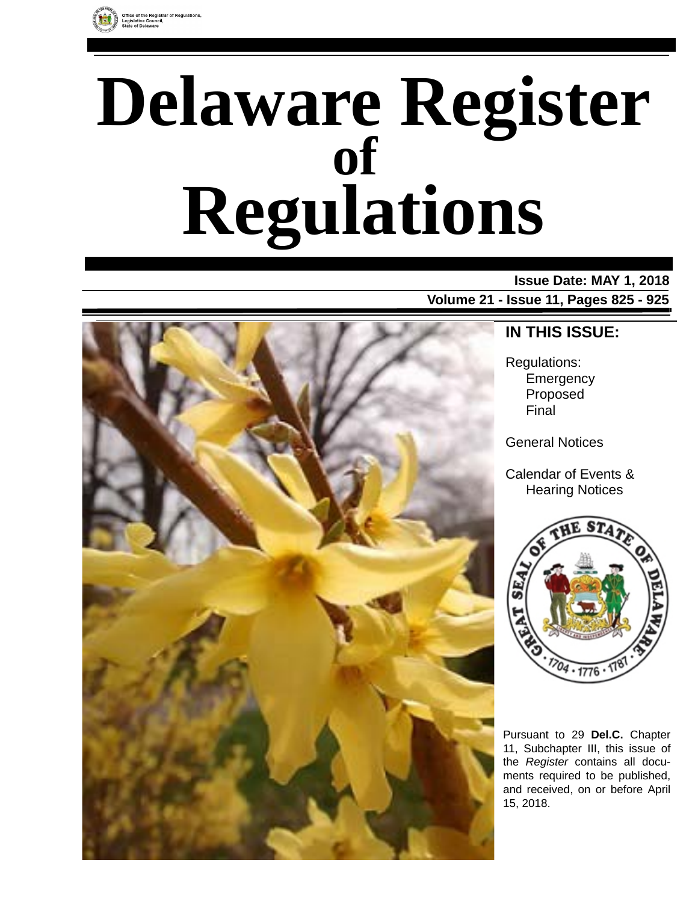

# **Delaware Register Regulations of**

**Issue Date: MAY 1, 2018 Volume 21 - Issue 11, Pages 825 - 925**



**IN THIS ISSUE:**

Regulations: **Emergency** Proposed Final

General Notices

Calendar of Events & Hearing Notices



Pursuant to 29 **Del.C.** Chapter 11, Subchapter III, this issue of the *Register* contains all documents required to be published, and received, on or before April 15, 2018.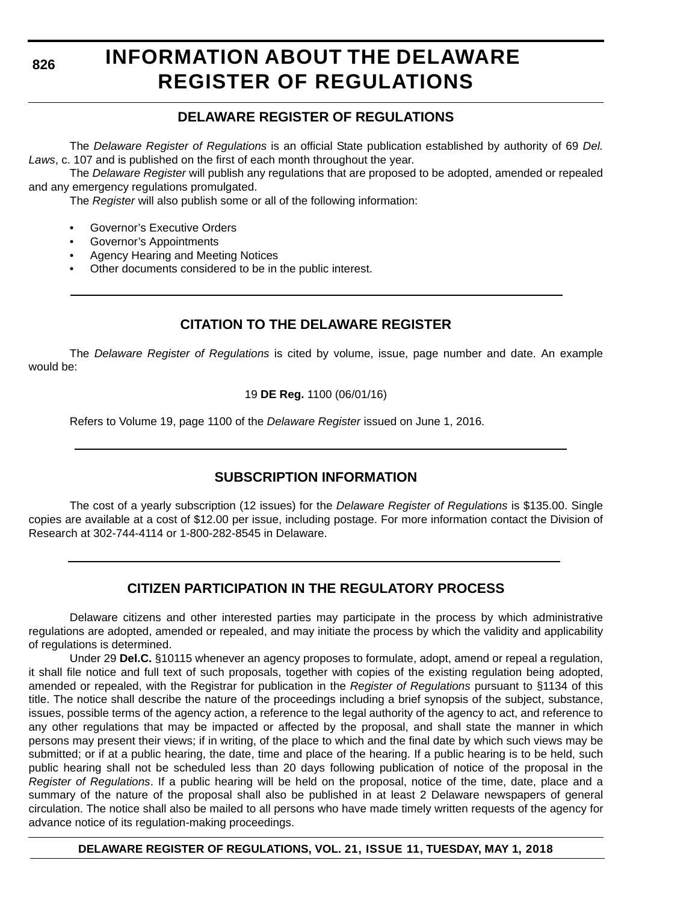**826**

# **INFORMATION ABOUT THE DELAWARE REGISTER OF REGULATIONS**

### **DELAWARE REGISTER OF REGULATIONS**

The *Delaware Register of Regulations* is an official State publication established by authority of 69 *Del. Laws*, c. 107 and is published on the first of each month throughout the year.

The *Delaware Register* will publish any regulations that are proposed to be adopted, amended or repealed and any emergency regulations promulgated.

The *Register* will also publish some or all of the following information:

- Governor's Executive Orders
- Governor's Appointments
- Agency Hearing and Meeting Notices
- Other documents considered to be in the public interest.

### **CITATION TO THE DELAWARE REGISTER**

The *Delaware Register of Regulations* is cited by volume, issue, page number and date. An example would be:

19 **DE Reg.** 1100 (06/01/16)

Refers to Volume 19, page 1100 of the *Delaware Register* issued on June 1, 2016.

### **SUBSCRIPTION INFORMATION**

The cost of a yearly subscription (12 issues) for the *Delaware Register of Regulations* is \$135.00. Single copies are available at a cost of \$12.00 per issue, including postage. For more information contact the Division of Research at 302-744-4114 or 1-800-282-8545 in Delaware.

### **CITIZEN PARTICIPATION IN THE REGULATORY PROCESS**

Delaware citizens and other interested parties may participate in the process by which administrative regulations are adopted, amended or repealed, and may initiate the process by which the validity and applicability of regulations is determined.

Under 29 **Del.C.** §10115 whenever an agency proposes to formulate, adopt, amend or repeal a regulation, it shall file notice and full text of such proposals, together with copies of the existing regulation being adopted, amended or repealed, with the Registrar for publication in the *Register of Regulations* pursuant to §1134 of this title. The notice shall describe the nature of the proceedings including a brief synopsis of the subject, substance, issues, possible terms of the agency action, a reference to the legal authority of the agency to act, and reference to any other regulations that may be impacted or affected by the proposal, and shall state the manner in which persons may present their views; if in writing, of the place to which and the final date by which such views may be submitted; or if at a public hearing, the date, time and place of the hearing. If a public hearing is to be held, such public hearing shall not be scheduled less than 20 days following publication of notice of the proposal in the *Register of Regulations*. If a public hearing will be held on the proposal, notice of the time, date, place and a summary of the nature of the proposal shall also be published in at least 2 Delaware newspapers of general circulation. The notice shall also be mailed to all persons who have made timely written requests of the agency for advance notice of its regulation-making proceedings.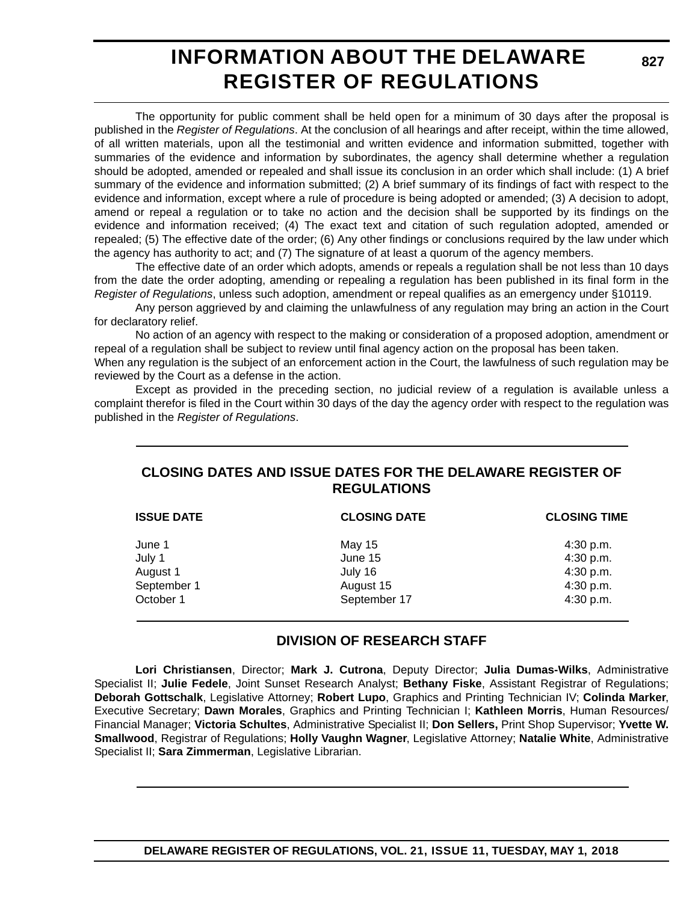# **INFORMATION ABOUT THE DELAWARE REGISTER OF REGULATIONS**

The opportunity for public comment shall be held open for a minimum of 30 days after the proposal is published in the *Register of Regulations*. At the conclusion of all hearings and after receipt, within the time allowed, of all written materials, upon all the testimonial and written evidence and information submitted, together with summaries of the evidence and information by subordinates, the agency shall determine whether a regulation should be adopted, amended or repealed and shall issue its conclusion in an order which shall include: (1) A brief summary of the evidence and information submitted; (2) A brief summary of its findings of fact with respect to the evidence and information, except where a rule of procedure is being adopted or amended; (3) A decision to adopt, amend or repeal a regulation or to take no action and the decision shall be supported by its findings on the evidence and information received; (4) The exact text and citation of such regulation adopted, amended or repealed; (5) The effective date of the order; (6) Any other findings or conclusions required by the law under which the agency has authority to act; and (7) The signature of at least a quorum of the agency members.

The effective date of an order which adopts, amends or repeals a regulation shall be not less than 10 days from the date the order adopting, amending or repealing a regulation has been published in its final form in the *Register of Regulations*, unless such adoption, amendment or repeal qualifies as an emergency under §10119.

Any person aggrieved by and claiming the unlawfulness of any regulation may bring an action in the Court for declaratory relief.

No action of an agency with respect to the making or consideration of a proposed adoption, amendment or repeal of a regulation shall be subject to review until final agency action on the proposal has been taken.

When any regulation is the subject of an enforcement action in the Court, the lawfulness of such regulation may be reviewed by the Court as a defense in the action.

Except as provided in the preceding section, no judicial review of a regulation is available unless a complaint therefor is filed in the Court within 30 days of the day the agency order with respect to the regulation was published in the *Register of Regulations*.

### **CLOSING DATES AND ISSUE DATES FOR THE DELAWARE REGISTER OF REGULATIONS**

| <b>ISSUE DATE</b> | <b>CLOSING DATE</b> | <b>CLOSING TIME</b> |  |  |  |
|-------------------|---------------------|---------------------|--|--|--|
| June 1            | May 15              | 4:30 p.m.           |  |  |  |
| July 1            | June 15             | 4:30 p.m.           |  |  |  |
| August 1          | July 16             | 4:30 p.m.           |  |  |  |
| September 1       | August 15           | 4:30 p.m.           |  |  |  |
| October 1         | September 17        | 4:30 p.m.           |  |  |  |

### **DIVISION OF RESEARCH STAFF**

**Lori Christiansen**, Director; **Mark J. Cutrona**, Deputy Director; **Julia Dumas-Wilks**, Administrative Specialist II; **Julie Fedele**, Joint Sunset Research Analyst; **Bethany Fiske**, Assistant Registrar of Regulations; **Deborah Gottschalk**, Legislative Attorney; **Robert Lupo**, Graphics and Printing Technician IV; **Colinda Marker**, Executive Secretary; **Dawn Morales**, Graphics and Printing Technician I; **Kathleen Morris**, Human Resources/ Financial Manager; **Victoria Schultes**, Administrative Specialist II; **Don Sellers,** Print Shop Supervisor; **Yvette W. Smallwood**, Registrar of Regulations; **Holly Vaughn Wagner**, Legislative Attorney; **Natalie White**, Administrative Specialist II; **Sara Zimmerman**, Legislative Librarian.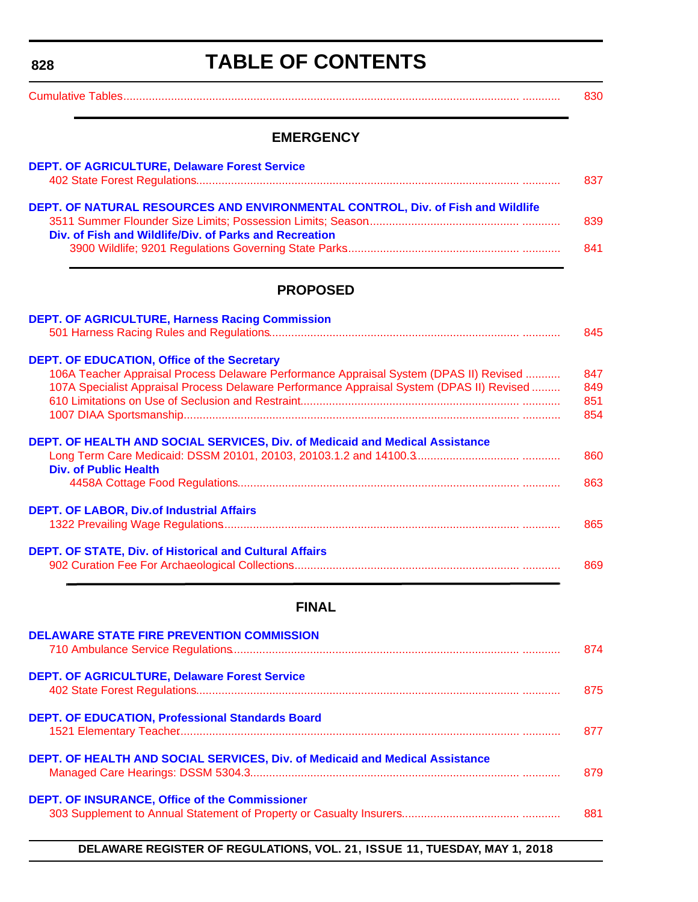<span id="page-3-0"></span>**828**

# **TABLE OF CONTENTS**

|--|--|--|

### **EMERGENCY**

| <b>DEPT. OF AGRICULTURE, Delaware Forest Service</b>                            | 837 |
|---------------------------------------------------------------------------------|-----|
| DEPT. OF NATURAL RESOURCES AND ENVIRONMENTAL CONTROL, Div. of Fish and Wildlife | 839 |
| Div. of Fish and Wildlife/Div. of Parks and Recreation                          | 841 |

### **PROPOSED**

| <b>DEPT. OF AGRICULTURE, Harness Racing Commission</b>                                    |     |
|-------------------------------------------------------------------------------------------|-----|
|                                                                                           | 845 |
| <b>DEPT. OF EDUCATION, Office of the Secretary</b>                                        |     |
| 106A Teacher Appraisal Process Delaware Performance Appraisal System (DPAS II) Revised    | 847 |
| 107A Specialist Appraisal Process Delaware Performance Appraisal System (DPAS II) Revised | 849 |
|                                                                                           | 851 |
|                                                                                           | 854 |
| DEPT. OF HEALTH AND SOCIAL SERVICES, Div. of Medicaid and Medical Assistance              |     |
| <b>Div. of Public Health</b>                                                              | 860 |
|                                                                                           | 863 |
| <b>DEPT. OF LABOR, Div.of Industrial Affairs</b>                                          |     |
|                                                                                           | 865 |
| <b>DEPT. OF STATE, Div. of Historical and Cultural Affairs</b>                            |     |
|                                                                                           | 869 |

### **FINAL**

| <b>DELAWARE STATE FIRE PREVENTION COMMISSION</b>                             | 874 |
|------------------------------------------------------------------------------|-----|
| <b>DEPT. OF AGRICULTURE, Delaware Forest Service</b>                         | 875 |
| <b>DEPT. OF EDUCATION, Professional Standards Board</b>                      | 877 |
| DEPT. OF HEALTH AND SOCIAL SERVICES, Div. of Medicaid and Medical Assistance | 879 |
| <b>DEPT. OF INSURANCE, Office of the Commissioner</b>                        | 881 |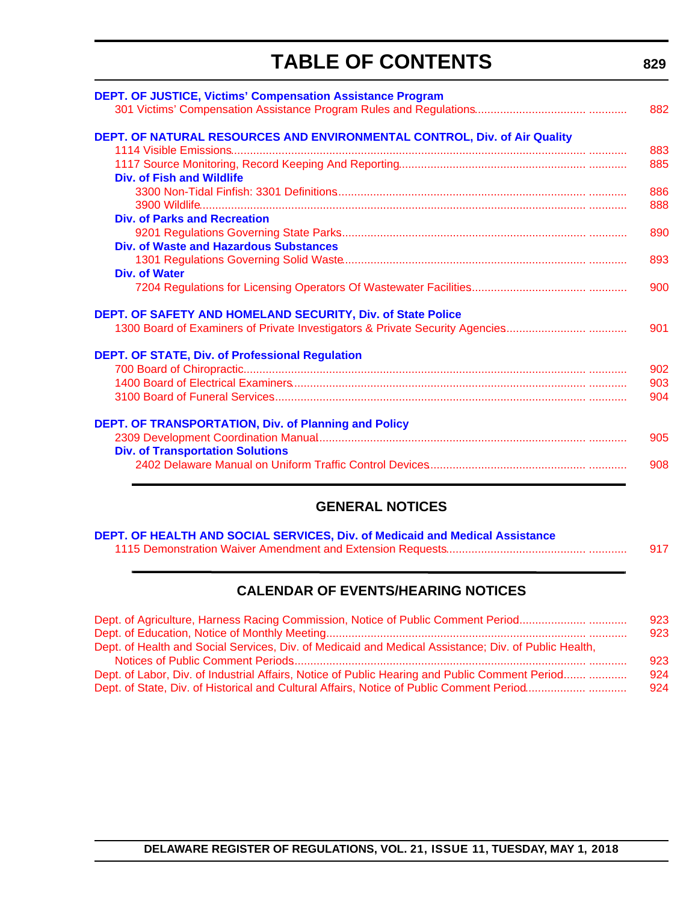# **TABLE OF CONTENTS**

| <b>DEPT. OF JUSTICE, Victims' Compensation Assistance Program</b>            |     |
|------------------------------------------------------------------------------|-----|
|                                                                              | 882 |
| DEPT. OF NATURAL RESOURCES AND ENVIRONMENTAL CONTROL, Div. of Air Quality    |     |
|                                                                              | 883 |
|                                                                              | 885 |
| <b>Div. of Fish and Wildlife</b>                                             |     |
|                                                                              | 886 |
|                                                                              | 888 |
| Div. of Parks and Recreation                                                 |     |
|                                                                              | 890 |
| Div. of Waste and Hazardous Substances                                       |     |
|                                                                              | 893 |
| Div. of Water                                                                |     |
|                                                                              | 900 |
| DEPT. OF SAFETY AND HOMELAND SECURITY, Div. of State Police                  |     |
| 1300 Board of Examiners of Private Investigators & Private Security Agencies | 901 |
| DEPT. OF STATE, Div. of Professional Regulation                              |     |
|                                                                              | 902 |
|                                                                              | 903 |
|                                                                              | 904 |
| <b>DEPT. OF TRANSPORTATION, Div. of Planning and Policy</b>                  |     |
|                                                                              | 905 |
| <b>Div. of Transportation Solutions</b>                                      |     |
|                                                                              | 908 |

### **GENERAL NOTICES**

| DEPT. OF HEALTH AND SOCIAL SERVICES, Div. of Medicaid and Medical Assistance |     |
|------------------------------------------------------------------------------|-----|
|                                                                              | 917 |

### **CALENDAR OF EVENTS/HEARING NOTICES**

| Dept. of Agriculture, Harness Racing Commission, Notice of Public Comment Period                     | 923 |
|------------------------------------------------------------------------------------------------------|-----|
|                                                                                                      | 923 |
| Dept. of Health and Social Services, Div. of Medicaid and Medical Assistance; Div. of Public Health, |     |
|                                                                                                      | 923 |
| Dept. of Labor, Div. of Industrial Affairs, Notice of Public Hearing and Public Comment Period       | 924 |
|                                                                                                      | 924 |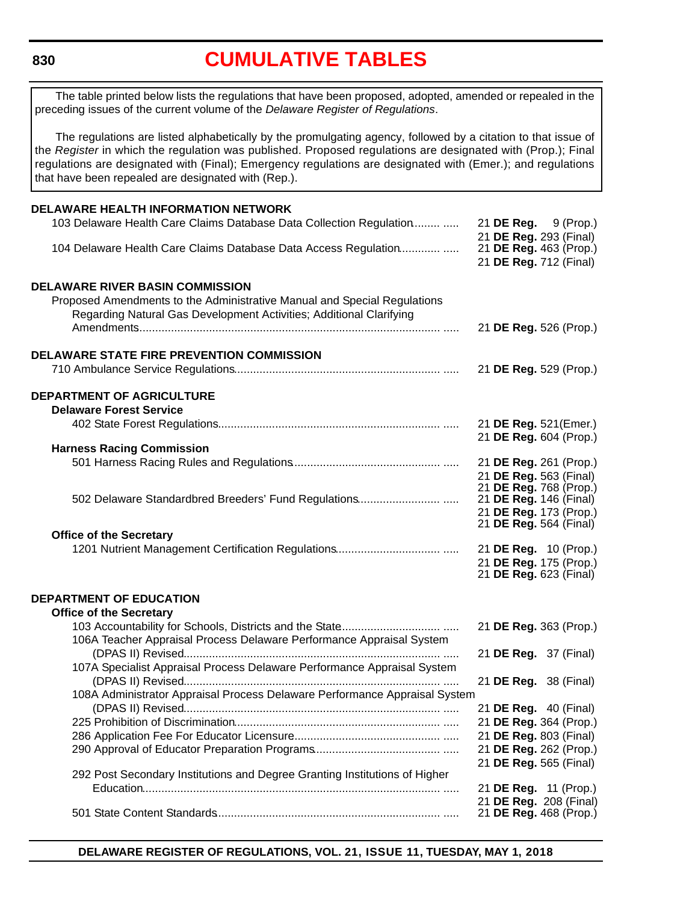<span id="page-5-0"></span>**830**

# **[CUMULATIVE TABLES](#page-3-0)**

The table printed below lists the regulations that have been proposed, adopted, amended or repealed in the preceding issues of the current volume of the *Delaware Register of Regulations*.

The regulations are listed alphabetically by the promulgating agency, followed by a citation to that issue of the *Register* in which the regulation was published. Proposed regulations are designated with (Prop.); Final regulations are designated with (Final); Emergency regulations are designated with (Emer.); and regulations that have been repealed are designated with (Rep.).

| DELAWARE HEALTH INFORMATION NETWORK                                        |  |  |                                                  |
|----------------------------------------------------------------------------|--|--|--------------------------------------------------|
| 103 Delaware Health Care Claims Database Data Collection Regulation        |  |  | 21 <b>DE Reg.</b> 9 (Prop.)                      |
| 104 Delaware Health Care Claims Database Data Access Regulation            |  |  | 21 DE Reg. 293 (Final)<br>21 DE Reg. 463 (Prop.) |
|                                                                            |  |  | 21 DE Reg. 712 (Final)                           |
|                                                                            |  |  |                                                  |
| <b>DELAWARE RIVER BASIN COMMISSION</b>                                     |  |  |                                                  |
| Proposed Amendments to the Administrative Manual and Special Regulations   |  |  |                                                  |
| Regarding Natural Gas Development Activities; Additional Clarifying        |  |  | 21 DE Reg. 526 (Prop.)                           |
|                                                                            |  |  |                                                  |
| <b>DELAWARE STATE FIRE PREVENTION COMMISSION</b>                           |  |  |                                                  |
|                                                                            |  |  | 21 DE Reg. 529 (Prop.)                           |
|                                                                            |  |  |                                                  |
| DEPARTMENT OF AGRICULTURE<br><b>Delaware Forest Service</b>                |  |  |                                                  |
|                                                                            |  |  | 21 DE Reg. 521(Emer.)                            |
|                                                                            |  |  | 21 DE Reg. 604 (Prop.)                           |
| <b>Harness Racing Commission</b>                                           |  |  |                                                  |
|                                                                            |  |  | 21 DE Reg. 261 (Prop.)                           |
|                                                                            |  |  | 21 DE Reg. 563 (Final)<br>21 DE Reg. 768 (Prop.) |
|                                                                            |  |  | 21 DE Reg. 146 (Final)                           |
|                                                                            |  |  | 21 DE Reg. 173 (Prop.)                           |
| <b>Office of the Secretary</b>                                             |  |  | 21 DE Reg. 564 (Final)                           |
|                                                                            |  |  | 21 DE Reg. 10 (Prop.)                            |
|                                                                            |  |  | 21 DE Reg. 175 (Prop.)                           |
|                                                                            |  |  | 21 <b>DE Reg.</b> 623 (Final)                    |
| <b>DEPARTMENT OF EDUCATION</b>                                             |  |  |                                                  |
| <b>Office of the Secretary</b>                                             |  |  |                                                  |
|                                                                            |  |  | 21 DE Reg. 363 (Prop.)                           |
| 106A Teacher Appraisal Process Delaware Performance Appraisal System       |  |  |                                                  |
|                                                                            |  |  | 21 DE Reg. 37 (Final)                            |
| 107A Specialist Appraisal Process Delaware Performance Appraisal System    |  |  |                                                  |
|                                                                            |  |  | 21 DE Reg. 38 (Final)                            |
| 108A Administrator Appraisal Process Delaware Performance Appraisal System |  |  |                                                  |
|                                                                            |  |  | 21 DE Reg. 40 (Final)<br>21 DE Reg. 364 (Prop.)  |
|                                                                            |  |  | 21 DE Reg. 803 (Final)                           |
|                                                                            |  |  | 21 DE Reg. 262 (Prop.)                           |
|                                                                            |  |  | 21 DE Reg. 565 (Final)                           |
| 292 Post Secondary Institutions and Degree Granting Institutions of Higher |  |  |                                                  |
|                                                                            |  |  | 21 <b>DE Reg.</b> 11 (Prop.)                     |
|                                                                            |  |  | 21 DE Reg. 208 (Final)<br>21 DE Reg. 468 (Prop.) |
|                                                                            |  |  |                                                  |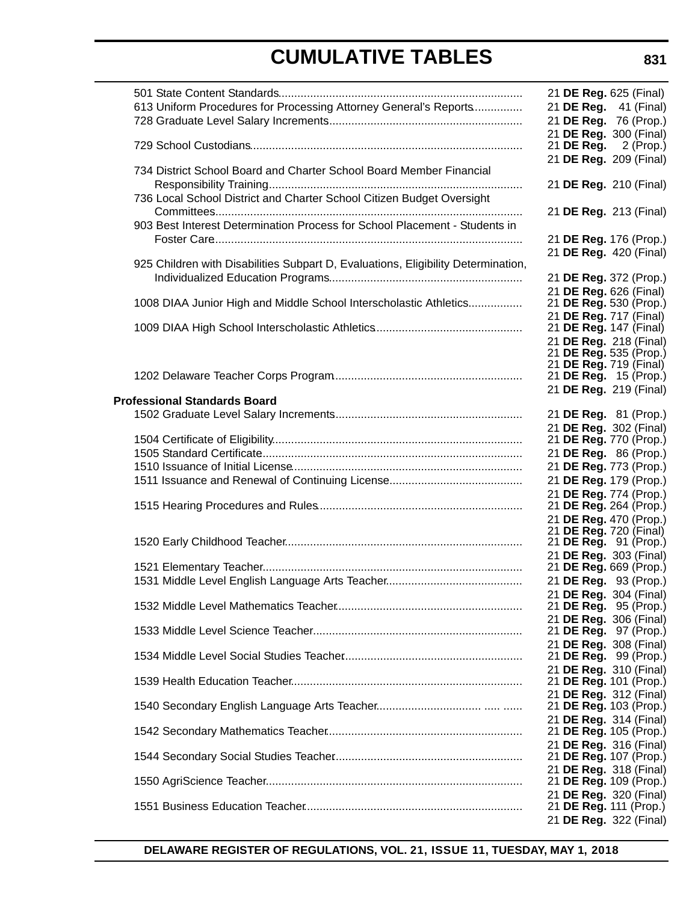| 613 Uniform Procedures for Processing Attorney General's Reports                                                                             |  | 21 DE Reg. 625 (Final)<br>21 DE Reg. 41 (Final)<br>21 DE Reg. 76 (Prop.)<br>21 DE Reg. 300 (Final)          |
|----------------------------------------------------------------------------------------------------------------------------------------------|--|-------------------------------------------------------------------------------------------------------------|
|                                                                                                                                              |  | 21 <b>DE Reg.</b> 2 (Prop.)<br>21 DE Reg. 209 (Final)                                                       |
| 734 District School Board and Charter School Board Member Financial<br>736 Local School District and Charter School Citizen Budget Oversight |  | 21 DE Reg. 210 (Final)                                                                                      |
| 903 Best Interest Determination Process for School Placement - Students in                                                                   |  | 21 DE Reg. 213 (Final)<br>21 DE Reg. 176 (Prop.)                                                            |
| 925 Children with Disabilities Subpart D, Evaluations, Eligibility Determination,                                                            |  | 21 DE Reg. 420 (Final)<br>21 DE Reg. 372 (Prop.)                                                            |
| 1008 DIAA Junior High and Middle School Interscholastic Athletics                                                                            |  | 21 DE Reg. 626 (Final)<br>21 DE Reg. 530 (Prop.)<br>21 DE Reg. 717 (Final)                                  |
|                                                                                                                                              |  | 21 <b>DE Reg.</b> 147 (Final)<br>21 DE Reg. 218 (Final)<br>21 DE Reg. 535 (Prop.)<br>21 DE Reg. 719 (Final) |
| <b>Professional Standards Board</b>                                                                                                          |  | 21 DE Reg. 15 (Prop.)<br>21 DE Reg. 219 (Final)                                                             |
|                                                                                                                                              |  | 21 DE Reg. 81 (Prop.)<br>21 DE Reg. 302 (Final)                                                             |
|                                                                                                                                              |  | 21 DE Reg. 770 (Prop.)<br>21 DE Reg. 86 (Prop.)<br>21 DE Reg. 773 (Prop.)                                   |
|                                                                                                                                              |  | 21 DE Reg. 179 (Prop.)<br>21 DE Reg. 774 (Prop.)                                                            |
|                                                                                                                                              |  | 21 DE Reg. 264 (Prop.)<br>21 DE Reg. 470 (Prop.)<br>21 DE Reg. 720 (Final)                                  |
|                                                                                                                                              |  | 21 DE Reg. 91 (Prop.)<br>21 DE Reg. 303 (Final)<br>21 DE Reg. 669 (Prop.)                                   |
|                                                                                                                                              |  | 21 DE Reg. 93 (Prop.)<br>21 DE Reg. 304 (Final)<br>21 DE Reg. 95 (Prop.)                                    |
|                                                                                                                                              |  | 21 DE Reg. 306 (Final)<br>21 <b>DE Reg.</b> 97 (Prop.)                                                      |
|                                                                                                                                              |  | 21 DE Reg. 308 (Final)<br>21 DE Reg. 99 (Prop.)<br>21 DE Reg. 310 (Final)                                   |
|                                                                                                                                              |  | 21 DE Reg. 101 (Prop.)<br>21 DE Reg. 312 (Final)<br>21 DE Reg. 103 (Prop.)                                  |
|                                                                                                                                              |  | 21 DE Reg. 314 (Final)<br>21 DE Reg. 105 (Prop.)                                                            |
|                                                                                                                                              |  | 21 DE Reg. 316 (Final)<br>21 DE Reg. 107 (Prop.)<br>21 DE Reg. 318 (Final)                                  |
|                                                                                                                                              |  | 21 DE Reg. 109 (Prop.)<br>21 DE Reg. 320 (Final)                                                            |
|                                                                                                                                              |  | 21 DE Reg. 111 (Prop.)<br>21 DE Reg. 322 (Final)                                                            |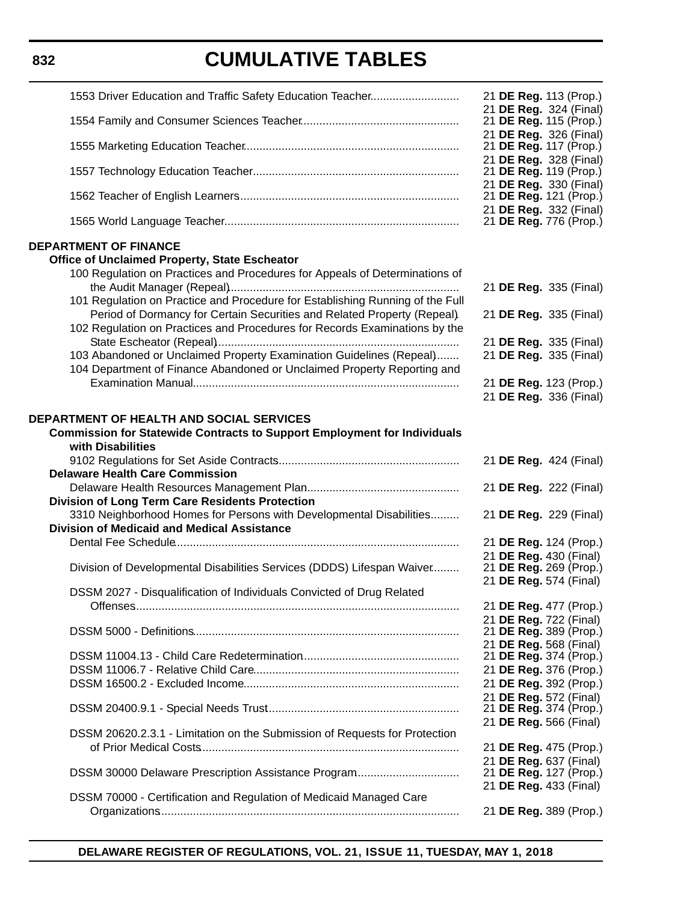### **832**

# **CUMULATIVE TABLES**

| 1553 Driver Education and Traffic Safety Education Teacher                                                                                                                                                                                                                                                                                                                                                                                                                                                                                                       | 21 DE Reg. 113 (Prop.)                                                                                                         |
|------------------------------------------------------------------------------------------------------------------------------------------------------------------------------------------------------------------------------------------------------------------------------------------------------------------------------------------------------------------------------------------------------------------------------------------------------------------------------------------------------------------------------------------------------------------|--------------------------------------------------------------------------------------------------------------------------------|
|                                                                                                                                                                                                                                                                                                                                                                                                                                                                                                                                                                  | 21 DE Reg. 324 (Final)<br>21 DE Reg. 115 (Prop.)                                                                               |
|                                                                                                                                                                                                                                                                                                                                                                                                                                                                                                                                                                  | 21 DE Reg. 326 (Final)<br>21 DE Reg. 117 (Prop.)<br>21 DE Reg. 328 (Final)                                                     |
|                                                                                                                                                                                                                                                                                                                                                                                                                                                                                                                                                                  | 21 DE Reg. 119 (Prop.)                                                                                                         |
|                                                                                                                                                                                                                                                                                                                                                                                                                                                                                                                                                                  | 21 DE Reg. 330 (Final)<br>21 DE Reg. 121 (Prop.)<br>21 DE Reg. 332 (Final)                                                     |
|                                                                                                                                                                                                                                                                                                                                                                                                                                                                                                                                                                  | 21 DE Reg. 776 (Prop.)                                                                                                         |
| <b>DEPARTMENT OF FINANCE</b><br><b>Office of Unclaimed Property, State Escheator</b><br>100 Regulation on Practices and Procedures for Appeals of Determinations of<br>101 Regulation on Practice and Procedure for Establishing Running of the Full<br>Period of Dormancy for Certain Securities and Related Property (Repeal).<br>102 Regulation on Practices and Procedures for Records Examinations by the<br>103 Abandoned or Unclaimed Property Examination Guidelines (Repeal)<br>104 Department of Finance Abandoned or Unclaimed Property Reporting and | 21 DE Reg. 335 (Final)<br>21 DE Reg. 335 (Final)<br>21 DE Reg. 335 (Final)<br>21 DE Reg. 335 (Final)<br>21 DE Reg. 123 (Prop.) |
|                                                                                                                                                                                                                                                                                                                                                                                                                                                                                                                                                                  | 21 DE Reg. 336 (Final)                                                                                                         |
| DEPARTMENT OF HEALTH AND SOCIAL SERVICES<br><b>Commission for Statewide Contracts to Support Employment for Individuals</b><br>with Disabilities<br><b>Delaware Health Care Commission</b><br><b>Division of Long Term Care Residents Protection</b><br>3310 Neighborhood Homes for Persons with Developmental Disabilities<br><b>Division of Medicaid and Medical Assistance</b>                                                                                                                                                                                | 21 DE Reg. 424 (Final)<br>21 DE Reg. 222 (Final)<br>21 DE Reg. 229 (Final)<br>21 DE Reg. 124 (Prop.)                           |
|                                                                                                                                                                                                                                                                                                                                                                                                                                                                                                                                                                  | 21 DE Reg. 430 (Final)                                                                                                         |
| Division of Developmental Disabilities Services (DDDS) Lifespan Waiver                                                                                                                                                                                                                                                                                                                                                                                                                                                                                           | 21 DE Reg. 269 (Prop.)<br>21 DE Reg. 574 (Final)                                                                               |
| DSSM 2027 - Disqualification of Individuals Convicted of Drug Related                                                                                                                                                                                                                                                                                                                                                                                                                                                                                            | 21 DE Reg. 477 (Prop.)<br>21 DE Reg. 722 (Final)                                                                               |
|                                                                                                                                                                                                                                                                                                                                                                                                                                                                                                                                                                  | 21 DE Reg. 389 (Prop.)<br>21 DE Reg. 568 (Final)                                                                               |
|                                                                                                                                                                                                                                                                                                                                                                                                                                                                                                                                                                  | 21 DE Reg. 374 (Prop.)                                                                                                         |
|                                                                                                                                                                                                                                                                                                                                                                                                                                                                                                                                                                  | 21 DE Reg. 376 (Prop.)<br>21 DE Reg. 392 (Prop.)                                                                               |
|                                                                                                                                                                                                                                                                                                                                                                                                                                                                                                                                                                  | 21 DE Reg. 572 (Final)<br>21 DE Reg. 374 (Prop.)                                                                               |
| DSSM 20620.2.3.1 - Limitation on the Submission of Requests for Protection                                                                                                                                                                                                                                                                                                                                                                                                                                                                                       | 21 DE Reg. 566 (Final)                                                                                                         |
|                                                                                                                                                                                                                                                                                                                                                                                                                                                                                                                                                                  | 21 DE Reg. 475 (Prop.)                                                                                                         |
|                                                                                                                                                                                                                                                                                                                                                                                                                                                                                                                                                                  | 21 DE Reg. 637 (Final)<br>21 DE Reg. 127 (Prop.)<br>21 DE Reg. 433 (Final)                                                     |
| DSSM 70000 - Certification and Regulation of Medicaid Managed Care                                                                                                                                                                                                                                                                                                                                                                                                                                                                                               | 21 DE Reg. 389 (Prop.)                                                                                                         |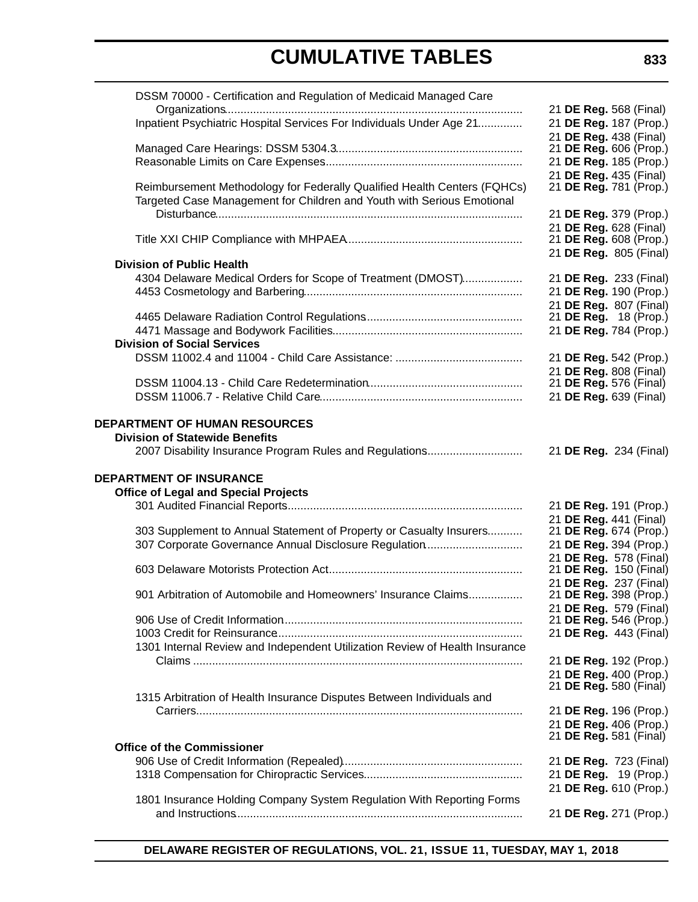| DSSM 70000 - Certification and Regulation of Medicaid Managed Care          |                                                  |
|-----------------------------------------------------------------------------|--------------------------------------------------|
|                                                                             | 21 DE Reg. 568 (Final)                           |
| Inpatient Psychiatric Hospital Services For Individuals Under Age 21        | 21 DE Reg. 187 (Prop.)                           |
|                                                                             | 21 DE Reg. 438 (Final)                           |
|                                                                             | 21 DE Reg. 606 (Prop.)                           |
|                                                                             | 21 DE Reg. 185 (Prop.)                           |
|                                                                             | 21 DE Reg. 435 (Final)                           |
| Reimbursement Methodology for Federally Qualified Health Centers (FQHCs)    | 21 DE Reg. 781 (Prop.)                           |
| Targeted Case Management for Children and Youth with Serious Emotional      |                                                  |
|                                                                             | 21 DE Reg. 379 (Prop.)                           |
|                                                                             | 21 DE Reg. 628 (Final)<br>21 DE Reg. 608 (Prop.) |
|                                                                             | 21 DE Reg. 805 (Final)                           |
| <b>Division of Public Health</b>                                            |                                                  |
| 4304 Delaware Medical Orders for Scope of Treatment (DMOST)                 | 21 DE Reg. 233 (Final)                           |
|                                                                             | 21 DE Reg. 190 (Prop.)                           |
|                                                                             | 21 DE Reg. 807 (Final)                           |
|                                                                             | 21 DE Reg. 18 (Prop.)                            |
|                                                                             | 21 DE Reg. 784 (Prop.)                           |
| <b>Division of Social Services</b>                                          |                                                  |
|                                                                             | 21 DE Reg. 542 (Prop.)                           |
|                                                                             | 21 DE Reg. 808 (Final)                           |
|                                                                             | 21 <b>DE Reg.</b> 576 (Final)                    |
|                                                                             | 21 DE Reg. 639 (Final)                           |
|                                                                             |                                                  |
| <b>DEPARTMENT OF HUMAN RESOURCES</b>                                        |                                                  |
| <b>Division of Statewide Benefits</b>                                       |                                                  |
| 2007 Disability Insurance Program Rules and Regulations                     | 21 DE Reg. 234 (Final)                           |
| <b>DEPARTMENT OF INSURANCE</b>                                              |                                                  |
| <b>Office of Legal and Special Projects</b>                                 |                                                  |
|                                                                             | 21 DE Reg. 191 (Prop.)                           |
|                                                                             | 21 DE Reg. 441 (Final)                           |
| 303 Supplement to Annual Statement of Property or Casualty Insurers         | 21 DE Reg. 674 (Prop.)                           |
| 307 Corporate Governance Annual Disclosure Regulation                       | 21 DE Reg. 394 (Prop.)                           |
|                                                                             | 21 DE Reg. 578 (Final)                           |
|                                                                             | 21 DE Reg. 150 (Final)                           |
|                                                                             | 21 DE Reg. 237 (Final)                           |
| 901 Arbitration of Automobile and Homeowners' Insurance Claims              | 21 DE Reg. 398 (Prop.)                           |
|                                                                             | 21 DE Reg. 579 (Final)<br>21 DE Reg. 546 (Prop.) |
|                                                                             | 21 DE Reg. 443 (Final)                           |
| 1301 Internal Review and Independent Utilization Review of Health Insurance |                                                  |
|                                                                             | 21 DE Reg. 192 (Prop.)                           |
|                                                                             | 21 DE Reg. 400 (Prop.)                           |
|                                                                             | 21 DE Reg. 580 (Final)                           |
| 1315 Arbitration of Health Insurance Disputes Between Individuals and       |                                                  |
|                                                                             | 21 DE Reg. 196 (Prop.)                           |
|                                                                             | 21 DE Reg. 406 (Prop.)                           |
|                                                                             | 21 DE Reg. 581 (Final)                           |
| <b>Office of the Commissioner</b>                                           |                                                  |
|                                                                             | 21 DE Reg. 723 (Final)                           |
|                                                                             | 21 DE Reg. 19 (Prop.)                            |
| 1801 Insurance Holding Company System Regulation With Reporting Forms       | 21 DE Reg. 610 (Prop.)                           |
|                                                                             | 21 DE Reg. 271 (Prop.)                           |
|                                                                             |                                                  |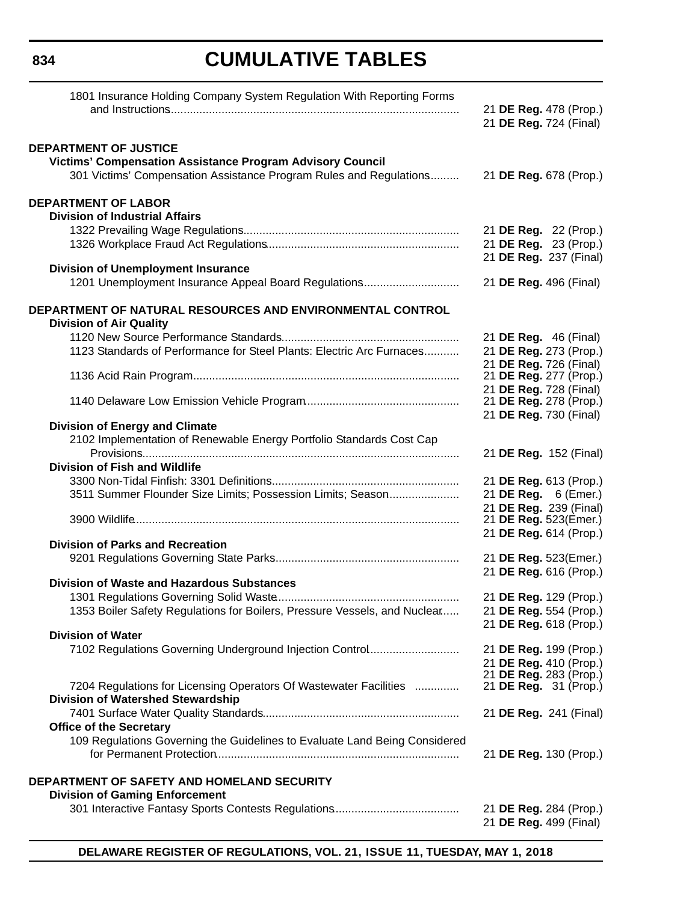| 1801 Insurance Holding Company System Regulation With Reporting Forms                       |                                                 |
|---------------------------------------------------------------------------------------------|-------------------------------------------------|
|                                                                                             | 21 DE Reg. 478 (Prop.)                          |
|                                                                                             | 21 DE Reg. 724 (Final)                          |
| <b>DEPARTMENT OF JUSTICE</b>                                                                |                                                 |
| <b>Victims' Compensation Assistance Program Advisory Council</b>                            |                                                 |
| 301 Victims' Compensation Assistance Program Rules and Regulations                          | 21 DE Reg. 678 (Prop.)                          |
| <b>DEPARTMENT OF LABOR</b>                                                                  |                                                 |
| <b>Division of Industrial Affairs</b>                                                       |                                                 |
|                                                                                             | 21 DE Reg. 22 (Prop.)                           |
|                                                                                             | 21 DE Reg. 23 (Prop.)                           |
|                                                                                             | 21 DE Reg. 237 (Final)                          |
| <b>Division of Unemployment Insurance</b>                                                   |                                                 |
| 1201 Unemployment Insurance Appeal Board Regulations                                        | 21 DE Reg. 496 (Final)                          |
| DEPARTMENT OF NATURAL RESOURCES AND ENVIRONMENTAL CONTROL<br><b>Division of Air Quality</b> |                                                 |
|                                                                                             | 21 <b>DE Reg.</b> 46 (Final)                    |
| 1123 Standards of Performance for Steel Plants: Electric Arc Furnaces                       | 21 DE Reg. 273 (Prop.)                          |
|                                                                                             | 21 DE Reg. 726 (Final)                          |
|                                                                                             | 21 DE Reg. 277 (Prop.)                          |
|                                                                                             | 21 DE Reg. 728 (Final)                          |
|                                                                                             | 21 DE Reg. 278 (Prop.)                          |
|                                                                                             | 21 DE Reg. 730 (Final)                          |
| <b>Division of Energy and Climate</b>                                                       |                                                 |
| 2102 Implementation of Renewable Energy Portfolio Standards Cost Cap                        | 21 DE Reg. 152 (Final)                          |
| <b>Division of Fish and Wildlife</b>                                                        |                                                 |
|                                                                                             |                                                 |
|                                                                                             | 21 DE Reg. 613 (Prop.)                          |
| 3511 Summer Flounder Size Limits; Possession Limits; Season                                 | 21 DE Reg. 6 (Emer.)                            |
|                                                                                             | 21 DE Reg. 239 (Final)<br>21 DE Reg. 523(Emer.) |
|                                                                                             | 21 DE Reg. 614 (Prop.)                          |
| <b>Division of Parks and Recreation</b>                                                     |                                                 |
|                                                                                             | 21 DE Reg. 523(Emer.)                           |
|                                                                                             | 21 DE Reg. 616 (Prop.)                          |
| <b>Division of Waste and Hazardous Substances</b>                                           |                                                 |
|                                                                                             | 21 DE Reg. 129 (Prop.)                          |
| 1353 Boiler Safety Regulations for Boilers, Pressure Vessels, and Nuclear                   | 21 DE Reg. 554 (Prop.)                          |
|                                                                                             | 21 DE Reg. 618 (Prop.)                          |
| <b>Division of Water</b>                                                                    |                                                 |
| 7102 Regulations Governing Underground Injection Control                                    | 21 DE Reg. 199 (Prop.)                          |
|                                                                                             | 21 DE Reg. 410 (Prop.)                          |
|                                                                                             | 21 DE Reg. 283 (Prop.)                          |
| 7204 Regulations for Licensing Operators Of Wastewater Facilities                           | 21 <b>DE Reg.</b> 31 (Prop.)                    |
| <b>Division of Watershed Stewardship</b>                                                    |                                                 |
|                                                                                             | 21 DE Reg. 241 (Final)                          |
| <b>Office of the Secretary</b>                                                              |                                                 |
| 109 Regulations Governing the Guidelines to Evaluate Land Being Considered                  |                                                 |
|                                                                                             | 21 DE Reg. 130 (Prop.)                          |
| DEPARTMENT OF SAFETY AND HOMELAND SECURITY                                                  |                                                 |
| <b>Division of Gaming Enforcement</b>                                                       |                                                 |
|                                                                                             | 21 DE Reg. 284 (Prop.)                          |
|                                                                                             | 21 DE Reg. 499 (Final)                          |
|                                                                                             |                                                 |

**DELAWARE REGISTER OF REGULATIONS, VOL. 21, ISSUE 11, TUESDAY, MAY 1, 2018**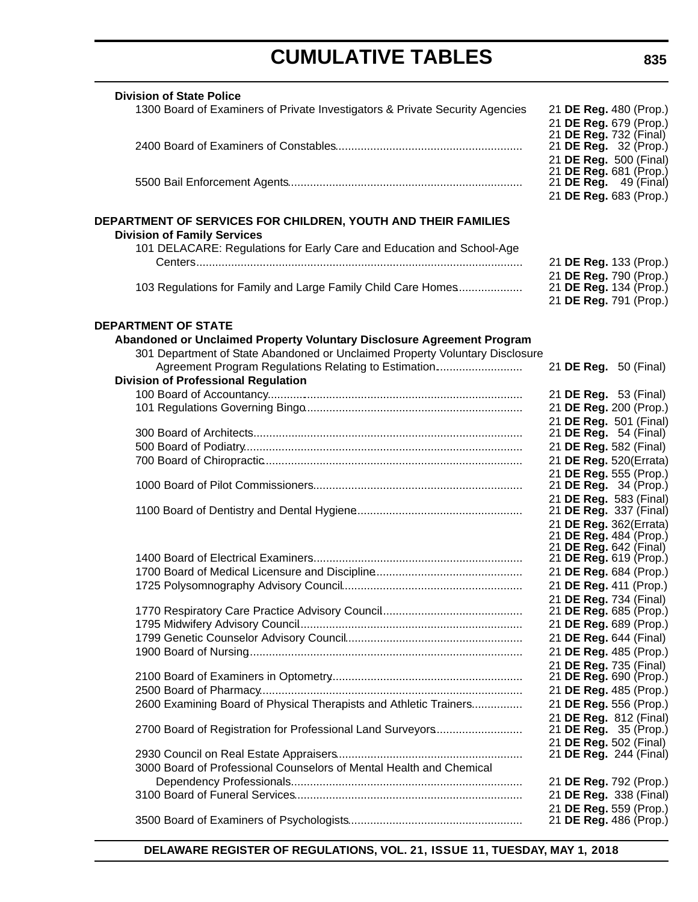| <b>Division of State Police</b>                                              |  |  |                              |
|------------------------------------------------------------------------------|--|--|------------------------------|
| 1300 Board of Examiners of Private Investigators & Private Security Agencies |  |  | 21 DE Reg. 480 (Prop.)       |
|                                                                              |  |  | 21 DE Reg. 679 (Prop.)       |
|                                                                              |  |  | 21 DE Reg. 732 (Final)       |
|                                                                              |  |  | 21 DE Reg. 32 (Prop.)        |
|                                                                              |  |  | 21 DE Reg. 500 (Final)       |
|                                                                              |  |  | 21 DE Reg. 681 (Prop.)       |
|                                                                              |  |  | 21 <b>DE Reg.</b> 49 (Final) |
|                                                                              |  |  | 21 DE Reg. 683 (Prop.)       |
|                                                                              |  |  |                              |
| DEPARTMENT OF SERVICES FOR CHILDREN, YOUTH AND THEIR FAMILIES                |  |  |                              |
| <b>Division of Family Services</b>                                           |  |  |                              |
| 101 DELACARE: Regulations for Early Care and Education and School-Age        |  |  |                              |
|                                                                              |  |  | 21 DE Reg. 133 (Prop.)       |
|                                                                              |  |  | 21 DE Reg. 790 (Prop.)       |
| 103 Regulations for Family and Large Family Child Care Homes                 |  |  | 21 DE Reg. 134 (Prop.)       |
|                                                                              |  |  | 21 DE Reg. 791 (Prop.)       |
|                                                                              |  |  |                              |
| <b>DEPARTMENT OF STATE</b>                                                   |  |  |                              |
| Abandoned or Unclaimed Property Voluntary Disclosure Agreement Program       |  |  |                              |
| 301 Department of State Abandoned or Unclaimed Property Voluntary Disclosure |  |  |                              |
| Agreement Program Regulations Relating to Estimation                         |  |  | 21 <b>DE Reg.</b> 50 (Final) |
| <b>Division of Professional Regulation</b>                                   |  |  |                              |
|                                                                              |  |  | 21 <b>DE Reg.</b> 53 (Final) |
|                                                                              |  |  | 21 DE Reg. 200 (Prop.)       |
|                                                                              |  |  | 21 DE Reg. 501 (Final)       |
|                                                                              |  |  | 21 DE Reg. 54 (Final)        |
|                                                                              |  |  | 21 DE Reg. 582 (Final)       |
|                                                                              |  |  | 21 DE Reg. 520(Errata)       |
|                                                                              |  |  | 21 DE Reg. 555 (Prop.)       |
|                                                                              |  |  | 21 <b>DE Reg.</b> 34 (Prop.) |
|                                                                              |  |  | 21 DE Reg. 583 (Final)       |
|                                                                              |  |  | 21 DE Reg. 337 (Final)       |
|                                                                              |  |  | 21 DE Reg. 362(Errata)       |
|                                                                              |  |  | 21 DE Reg. 484 (Prop.)       |
|                                                                              |  |  | 21 DE Reg. 642 (Final)       |
|                                                                              |  |  | 21 DE Reg. 619 (Prop.)       |
|                                                                              |  |  | 21 DE Reg. 684 (Prop.)       |
|                                                                              |  |  | 21 DE Reg. 411 (Prop.)       |
|                                                                              |  |  | 21 DE Reg. 734 (Final)       |
|                                                                              |  |  | 21 DE Reg. 685 (Prop.)       |
|                                                                              |  |  | 21 DE Reg. 689 (Prop.)       |
|                                                                              |  |  | 21 DE Reg. 644 (Final)       |
|                                                                              |  |  | 21 DE Reg. 485 (Prop.)       |
|                                                                              |  |  | 21 DE Reg. 735 (Final)       |
|                                                                              |  |  | 21 DE Reg. 690 (Prop.)       |
|                                                                              |  |  | 21 DE Reg. 485 (Prop.)       |
| 2600 Examining Board of Physical Therapists and Athletic Trainers            |  |  | 21 DE Reg. 556 (Prop.)       |
|                                                                              |  |  | 21 DE Reg. 812 (Final)       |
| 2700 Board of Registration for Professional Land Surveyors                   |  |  | 21 <b>DE Reg.</b> 35 (Prop.) |
|                                                                              |  |  | 21 DE Reg. 502 (Final)       |
|                                                                              |  |  | 21 DE Reg. 244 (Final)       |
| 3000 Board of Professional Counselors of Mental Health and Chemical          |  |  |                              |
|                                                                              |  |  | 21 DE Reg. 792 (Prop.)       |
|                                                                              |  |  | 21 DE Reg. 338 (Final)       |
|                                                                              |  |  | 21 DE Reg. 559 (Prop.)       |
|                                                                              |  |  | 21 DE Reg. 486 (Prop.)       |
|                                                                              |  |  |                              |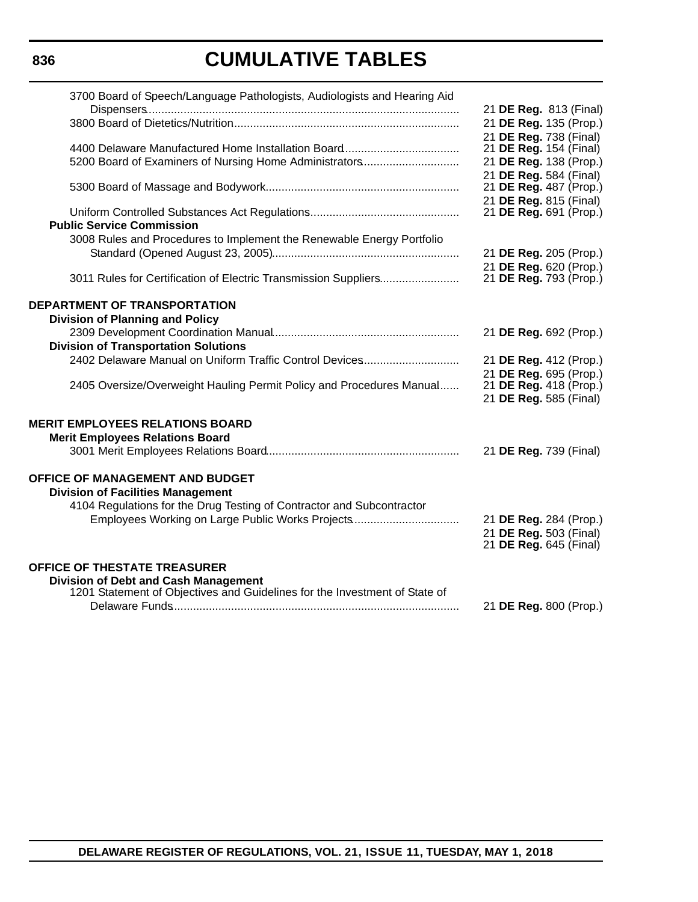| 3700 Board of Speech/Language Pathologists, Audiologists and Hearing Aid                                                  |                                                  |
|---------------------------------------------------------------------------------------------------------------------------|--------------------------------------------------|
|                                                                                                                           | 21 DE Reg. 813 (Final)<br>21 DE Reg. 135 (Prop.) |
|                                                                                                                           | 21 DE Reg. 738 (Final)                           |
| 5200 Board of Examiners of Nursing Home Administrators                                                                    | 21 DE Reg. 154 (Final)<br>21 DE Reg. 138 (Prop.) |
|                                                                                                                           | 21 DE Reg. 584 (Final)                           |
|                                                                                                                           | 21 DE Reg. 487 (Prop.)<br>21 DE Reg. 815 (Final) |
|                                                                                                                           | 21 DE Reg. 691 (Prop.)                           |
| <b>Public Service Commission</b>                                                                                          |                                                  |
| 3008 Rules and Procedures to Implement the Renewable Energy Portfolio                                                     | 21 DE Reg. 205 (Prop.)                           |
|                                                                                                                           | 21 DE Reg. 620 (Prop.)                           |
| 3011 Rules for Certification of Electric Transmission Suppliers                                                           | 21 DE Reg. 793 (Prop.)                           |
| <b>DEPARTMENT OF TRANSPORTATION</b>                                                                                       |                                                  |
| <b>Division of Planning and Policy</b>                                                                                    | 21 DE Reg. 692 (Prop.)                           |
| <b>Division of Transportation Solutions</b>                                                                               |                                                  |
| 2402 Delaware Manual on Uniform Traffic Control Devices                                                                   | 21 DE Reg. 412 (Prop.)                           |
| 2405 Oversize/Overweight Hauling Permit Policy and Procedures Manual                                                      | 21 DE Reg. 695 (Prop.)<br>21 DE Reg. 418 (Prop.) |
|                                                                                                                           | 21 DE Reg. 585 (Final)                           |
| <b>MERIT EMPLOYEES RELATIONS BOARD</b>                                                                                    |                                                  |
| <b>Merit Employees Relations Board</b>                                                                                    |                                                  |
|                                                                                                                           | 21 DE Reg. 739 (Final)                           |
| OFFICE OF MANAGEMENT AND BUDGET                                                                                           |                                                  |
| <b>Division of Facilities Management</b>                                                                                  |                                                  |
| 4104 Regulations for the Drug Testing of Contractor and Subcontractor<br>Employees Working on Large Public Works Projects | 21 DE Reg. 284 (Prop.)                           |
|                                                                                                                           | 21 DE Reg. 503 (Final)                           |
|                                                                                                                           | 21 DE Reg. 645 (Final)                           |
| OFFICE OF THESTATE TREASURER<br><b>Division of Debt and Cash Management</b>                                               |                                                  |
| 1201 Statement of Objectives and Guidelines for the Investment of State of                                                |                                                  |
|                                                                                                                           | 21 DE Reg. 800 (Prop.)                           |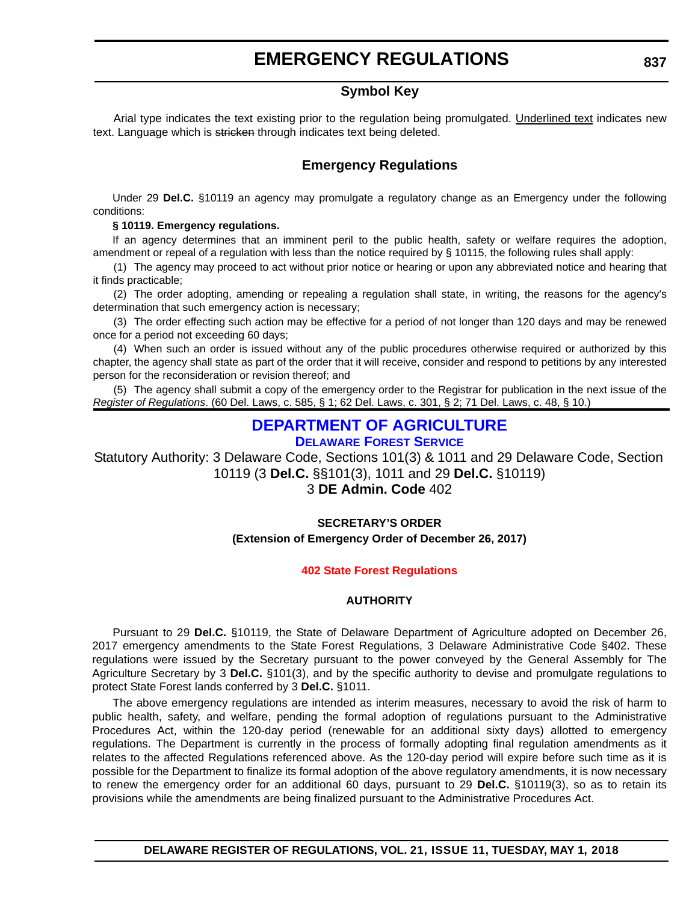### **Symbol Key**

<span id="page-12-0"></span>Arial type indicates the text existing prior to the regulation being promulgated. Underlined text indicates new text. Language which is stricken through indicates text being deleted.

### **Emergency Regulations**

Under 29 **Del.C.** §10119 an agency may promulgate a regulatory change as an Emergency under the following conditions:

#### **§ 10119. Emergency regulations.**

If an agency determines that an imminent peril to the public health, safety or welfare requires the adoption, amendment or repeal of a regulation with less than the notice required by § 10115, the following rules shall apply:

(1) The agency may proceed to act without prior notice or hearing or upon any abbreviated notice and hearing that it finds practicable;

(2) The order adopting, amending or repealing a regulation shall state, in writing, the reasons for the agency's determination that such emergency action is necessary;

(3) The order effecting such action may be effective for a period of not longer than 120 days and may be renewed once for a period not exceeding 60 days;

(4) When such an order is issued without any of the public procedures otherwise required or authorized by this chapter, the agency shall state as part of the order that it will receive, consider and respond to petitions by any interested person for the reconsideration or revision thereof; and

(5) The agency shall submit a copy of the emergency order to the Registrar for publication in the next issue of the *Register of Regulations*. (60 Del. Laws, c. 585, § 1; 62 Del. Laws, c. 301, § 2; 71 Del. Laws, c. 48, § 10.)

### **[DEPARTMENT OF AGRICULTURE](https://agriculture.delaware.gov/forest-service/)**

**[DELAWARE FOREST SERVICE](https://agriculture.delaware.gov/forest-service/)**

Statutory Authority: 3 Delaware Code, Sections 101(3) & 1011 and 29 Delaware Code, Section 10119 (3 **Del.C.** §§101(3), 1011 and 29 **Del.C.** §10119)

#### 3 **DE Admin. Code** 402

#### **SECRETARY'S ORDER (Extension of Emergency Order of December 26, 2017)**

#### **[402 State Forest Regulations](#page-3-0)**

#### **AUTHORITY**

Pursuant to 29 **Del.C.** §10119, the State of Delaware Department of Agriculture adopted on December 26, 2017 emergency amendments to the State Forest Regulations, 3 Delaware Administrative Code §402. These regulations were issued by the Secretary pursuant to the power conveyed by the General Assembly for The Agriculture Secretary by 3 **Del.C.** §101(3), and by the specific authority to devise and promulgate regulations to protect State Forest lands conferred by 3 **Del.C.** §1011.

The above emergency regulations are intended as interim measures, necessary to avoid the risk of harm to public health, safety, and welfare, pending the formal adoption of regulations pursuant to the Administrative Procedures Act, within the 120-day period (renewable for an additional sixty days) allotted to emergency regulations. The Department is currently in the process of formally adopting final regulation amendments as it relates to the affected Regulations referenced above. As the 120-day period will expire before such time as it is possible for the Department to finalize its formal adoption of the above regulatory amendments, it is now necessary to renew the emergency order for an additional 60 days, pursuant to 29 **Del.C.** §10119(3), so as to retain its provisions while the amendments are being finalized pursuant to the Administrative Procedures Act.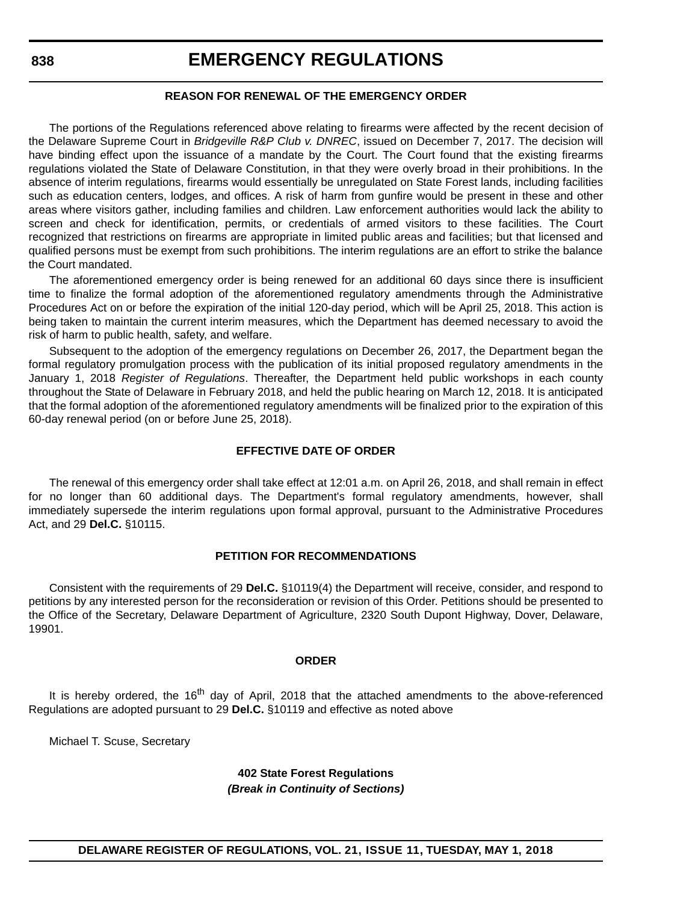#### **REASON FOR RENEWAL OF THE EMERGENCY ORDER**

The portions of the Regulations referenced above relating to firearms were affected by the recent decision of the Delaware Supreme Court in *Bridgeville R&P Club v. DNREC*, issued on December 7, 2017. The decision will have binding effect upon the issuance of a mandate by the Court. The Court found that the existing firearms regulations violated the State of Delaware Constitution, in that they were overly broad in their prohibitions. In the absence of interim regulations, firearms would essentially be unregulated on State Forest lands, including facilities such as education centers, lodges, and offices. A risk of harm from gunfire would be present in these and other areas where visitors gather, including families and children. Law enforcement authorities would lack the ability to screen and check for identification, permits, or credentials of armed visitors to these facilities. The Court recognized that restrictions on firearms are appropriate in limited public areas and facilities; but that licensed and qualified persons must be exempt from such prohibitions. The interim regulations are an effort to strike the balance the Court mandated.

The aforementioned emergency order is being renewed for an additional 60 days since there is insufficient time to finalize the formal adoption of the aforementioned regulatory amendments through the Administrative Procedures Act on or before the expiration of the initial 120-day period, which will be April 25, 2018. This action is being taken to maintain the current interim measures, which the Department has deemed necessary to avoid the risk of harm to public health, safety, and welfare.

Subsequent to the adoption of the emergency regulations on December 26, 2017, the Department began the formal regulatory promulgation process with the publication of its initial proposed regulatory amendments in the January 1, 2018 *Register of Regulations*. Thereafter, the Department held public workshops in each county throughout the State of Delaware in February 2018, and held the public hearing on March 12, 2018. It is anticipated that the formal adoption of the aforementioned regulatory amendments will be finalized prior to the expiration of this 60-day renewal period (on or before June 25, 2018).

#### **EFFECTIVE DATE OF ORDER**

The renewal of this emergency order shall take effect at 12:01 a.m. on April 26, 2018, and shall remain in effect for no longer than 60 additional days. The Department's formal regulatory amendments, however, shall immediately supersede the interim regulations upon formal approval, pursuant to the Administrative Procedures Act, and 29 **Del.C.** §10115.

#### **PETITION FOR RECOMMENDATIONS**

Consistent with the requirements of 29 **Del.C.** §10119(4) the Department will receive, consider, and respond to petitions by any interested person for the reconsideration or revision of this Order. Petitions should be presented to the Office of the Secretary, Delaware Department of Agriculture, 2320 South Dupont Highway, Dover, Delaware, 19901.

#### **ORDER**

It is hereby ordered, the 16<sup>th</sup> day of April, 2018 that the attached amendments to the above-referenced Regulations are adopted pursuant to 29 **Del.C.** §10119 and effective as noted above

Michael T. Scuse, Secretary

**402 State Forest Regulations** *(Break in Continuity of Sections)*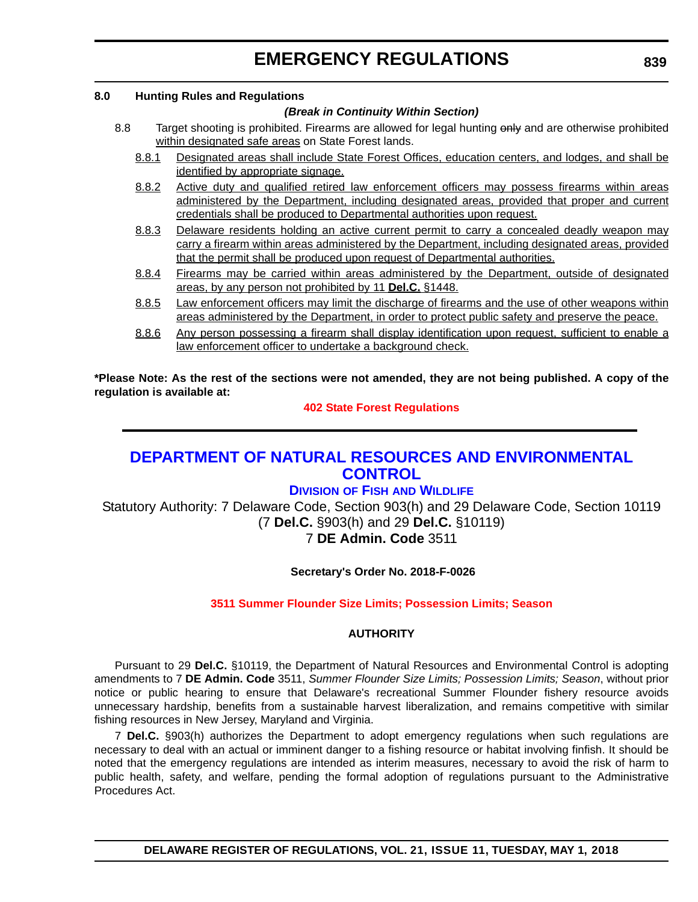#### <span id="page-14-0"></span>**8.0 Hunting Rules and Regulations**

#### *(Break in Continuity Within Section)*

- 8.8 Target shooting is prohibited. Firearms are allowed for legal hunting only and are otherwise prohibited within designated safe areas on State Forest lands.
	- 8.8.1 Designated areas shall include State Forest Offices, education centers, and lodges, and shall be identified by appropriate signage.
	- 8.8.2 Active duty and qualified retired law enforcement officers may possess firearms within areas administered by the Department, including designated areas, provided that proper and current credentials shall be produced to Departmental authorities upon request.
	- 8.8.3 Delaware residents holding an active current permit to carry a concealed deadly weapon may carry a firearm within areas administered by the Department, including designated areas, provided that the permit shall be produced upon request of Departmental authorities.
	- 8.8.4 Firearms may be carried within areas administered by the Department, outside of designated areas, by any person not prohibited by 11 **Del.C.** §1448.
	- 8.8.5 Law enforcement officers may limit the discharge of firearms and the use of other weapons within areas administered by the Department, in order to protect public safety and preserve the peace.
	- 8.8.6 Any person possessing a firearm shall display identification upon request, sufficient to enable a law enforcement officer to undertake a background check.

**\*Please Note: As the rest of the sections were not amended, they are not being published. A copy of the regulation is available at:**

#### **[402 State Forest Regulations](http://regulations.delaware.gov/register/may2018/emergency/21 DE Reg 837 05-01-18.htm)**

### **[DEPARTMENT OF NATURAL RESOURCES AND ENVIRONMENTAL](http://www.dnrec.delaware.gov/fw/Pages/DFW-Portal.aspx)  CONTROL**

### **DIVISION OF FISH [AND WILDLIFE](http://www.dnrec.delaware.gov/fw/Pages/DFW-Portal.aspx)**

Statutory Authority: 7 Delaware Code, Section 903(h) and 29 Delaware Code, Section 10119 (7 **Del.C.** §903(h) and 29 **Del.C.** §10119) 7 **DE Admin. Code** 3511

#### **Secretary's Order No. 2018-F-0026**

#### **[3511 Summer Flounder Size Limits; Possession Limits; Season](#page-3-0)**

#### **AUTHORITY**

Pursuant to 29 **Del.C.** §10119, the Department of Natural Resources and Environmental Control is adopting amendments to 7 **DE Admin. Code** 3511, *Summer Flounder Size Limits; Possession Limits; Season*, without prior notice or public hearing to ensure that Delaware's recreational Summer Flounder fishery resource avoids unnecessary hardship, benefits from a sustainable harvest liberalization, and remains competitive with similar fishing resources in New Jersey, Maryland and Virginia.

7 **Del.C.** §903(h) authorizes the Department to adopt emergency regulations when such regulations are necessary to deal with an actual or imminent danger to a fishing resource or habitat involving finfish. It should be noted that the emergency regulations are intended as interim measures, necessary to avoid the risk of harm to public health, safety, and welfare, pending the formal adoption of regulations pursuant to the Administrative Procedures Act.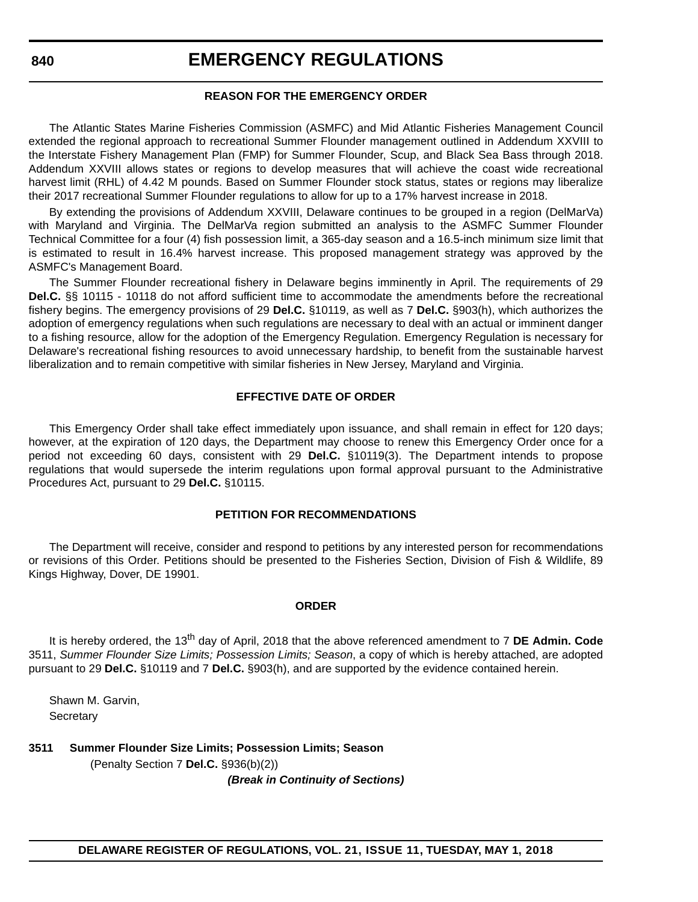#### **REASON FOR THE EMERGENCY ORDER**

The Atlantic States Marine Fisheries Commission (ASMFC) and Mid Atlantic Fisheries Management Council extended the regional approach to recreational Summer Flounder management outlined in Addendum XXVIII to the Interstate Fishery Management Plan (FMP) for Summer Flounder, Scup, and Black Sea Bass through 2018. Addendum XXVIII allows states or regions to develop measures that will achieve the coast wide recreational harvest limit (RHL) of 4.42 M pounds. Based on Summer Flounder stock status, states or regions may liberalize their 2017 recreational Summer Flounder regulations to allow for up to a 17% harvest increase in 2018.

By extending the provisions of Addendum XXVIII, Delaware continues to be grouped in a region (DelMarVa) with Maryland and Virginia. The DelMarVa region submitted an analysis to the ASMFC Summer Flounder Technical Committee for a four (4) fish possession limit, a 365-day season and a 16.5-inch minimum size limit that is estimated to result in 16.4% harvest increase. This proposed management strategy was approved by the ASMFC's Management Board.

The Summer Flounder recreational fishery in Delaware begins imminently in April. The requirements of 29 **Del.C.** §§ 10115 - 10118 do not afford sufficient time to accommodate the amendments before the recreational fishery begins. The emergency provisions of 29 **Del.C.** §10119, as well as 7 **Del.C.** §903(h), which authorizes the adoption of emergency regulations when such regulations are necessary to deal with an actual or imminent danger to a fishing resource, allow for the adoption of the Emergency Regulation. Emergency Regulation is necessary for Delaware's recreational fishing resources to avoid unnecessary hardship, to benefit from the sustainable harvest liberalization and to remain competitive with similar fisheries in New Jersey, Maryland and Virginia.

#### **EFFECTIVE DATE OF ORDER**

This Emergency Order shall take effect immediately upon issuance, and shall remain in effect for 120 days; however, at the expiration of 120 days, the Department may choose to renew this Emergency Order once for a period not exceeding 60 days, consistent with 29 **Del.C.** §10119(3). The Department intends to propose regulations that would supersede the interim regulations upon formal approval pursuant to the Administrative Procedures Act, pursuant to 29 **Del.C.** §10115.

#### **PETITION FOR RECOMMENDATIONS**

The Department will receive, consider and respond to petitions by any interested person for recommendations or revisions of this Order. Petitions should be presented to the Fisheries Section, Division of Fish & Wildlife, 89 Kings Highway, Dover, DE 19901.

#### **ORDER**

It is hereby ordered, the 13th day of April, 2018 that the above referenced amendment to 7 **DE Admin. Code** 3511, *Summer Flounder Size Limits; Possession Limits; Season*, a copy of which is hereby attached, are adopted pursuant to 29 **Del.C.** §10119 and 7 **Del.C.** §903(h), and are supported by the evidence contained herein.

Shawn M. Garvin, **Secretary** 

#### **3511 Summer Flounder Size Limits; Possession Limits; Season** (Penalty Section 7 **Del.C.** §936(b)(2)) *(Break in Continuity of Sections)*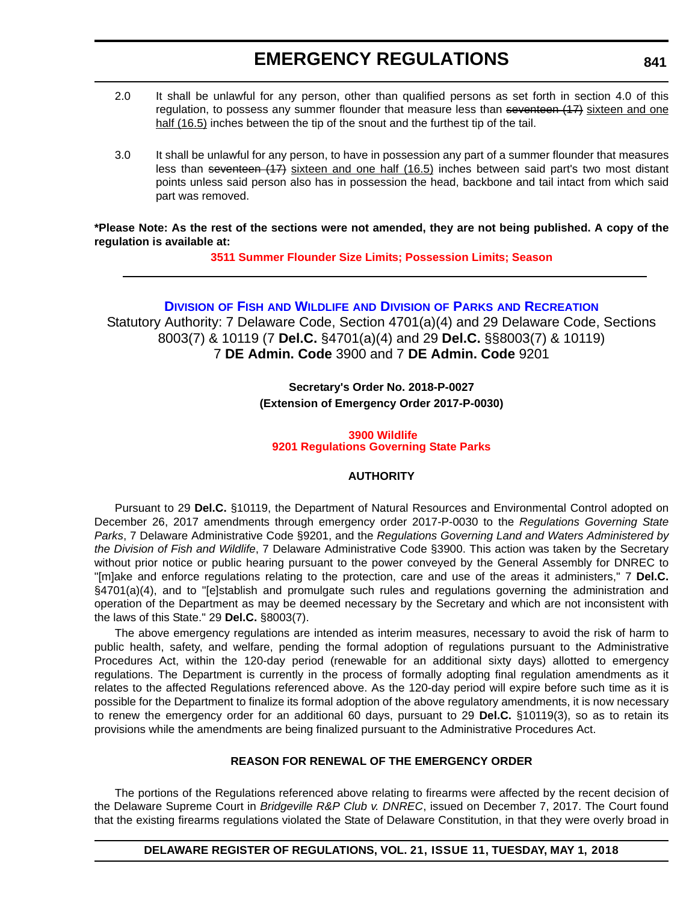- <span id="page-16-0"></span>2.0 It shall be unlawful for any person, other than qualified persons as set forth in section 4.0 of this regulation, to possess any summer flounder that measure less than seventeen  $(17)$  sixteen and one half (16.5) inches between the tip of the snout and the furthest tip of the tail.
- 3.0 It shall be unlawful for any person, to have in possession any part of a summer flounder that measures less than seventeen (17) sixteen and one half (16.5) inches between said part's two most distant points unless said person also has in possession the head, backbone and tail intact from which said part was removed.

**\*Please Note: As the rest of the sections were not amended, they are not being published. A copy of the regulation is available at:**

**[3511 Summer Flounder Size Limits; Possession Limits; Season](http://regulations.delaware.gov/register/may2018/emergency/21 DE Reg 839 05-01-18.htm)** 

#### **DIVISION OF FISH AND WILDLIFE AND DIVISION OF PARKS [AND RECREATION](http://www.destateparks.com/; http://www.dnrec.delaware.gov/fw/Pages/DFW-Portal.aspx)**

Statutory Authority: 7 Delaware Code, Section 4701(a)(4) and 29 Delaware Code, Sections 8003(7) & 10119 (7 **Del.C.** §4701(a)(4) and 29 **Del.C.** §§8003(7) & 10119) 7 **DE Admin. Code** 3900 and 7 **DE Admin. Code** 9201

> **Secretary's Order No. 2018-P-0027 (Extension of Emergency Order 2017-P-0030)**

#### **3900 Wildlife [9201 Regulations Governing State Parks](#page-3-0)**

#### **AUTHORITY**

Pursuant to 29 **Del.C.** §10119, the Department of Natural Resources and Environmental Control adopted on December 26, 2017 amendments through emergency order 2017-P-0030 to the *Regulations Governing State Parks*, 7 Delaware Administrative Code §9201, and the *Regulations Governing Land and Waters Administered by the Division of Fish and Wildlife*, 7 Delaware Administrative Code §3900. This action was taken by the Secretary without prior notice or public hearing pursuant to the power conveyed by the General Assembly for DNREC to "[m]ake and enforce regulations relating to the protection, care and use of the areas it administers," 7 **Del.C.** §4701(a)(4), and to "[e]stablish and promulgate such rules and regulations governing the administration and operation of the Department as may be deemed necessary by the Secretary and which are not inconsistent with the laws of this State." 29 **Del.C.** §8003(7).

The above emergency regulations are intended as interim measures, necessary to avoid the risk of harm to public health, safety, and welfare, pending the formal adoption of regulations pursuant to the Administrative Procedures Act, within the 120-day period (renewable for an additional sixty days) allotted to emergency regulations. The Department is currently in the process of formally adopting final regulation amendments as it relates to the affected Regulations referenced above. As the 120-day period will expire before such time as it is possible for the Department to finalize its formal adoption of the above regulatory amendments, it is now necessary to renew the emergency order for an additional 60 days, pursuant to 29 **Del.C.** §10119(3), so as to retain its provisions while the amendments are being finalized pursuant to the Administrative Procedures Act.

#### **REASON FOR RENEWAL OF THE EMERGENCY ORDER**

The portions of the Regulations referenced above relating to firearms were affected by the recent decision of the Delaware Supreme Court in *Bridgeville R&P Club v. DNREC*, issued on December 7, 2017. The Court found that the existing firearms regulations violated the State of Delaware Constitution, in that they were overly broad in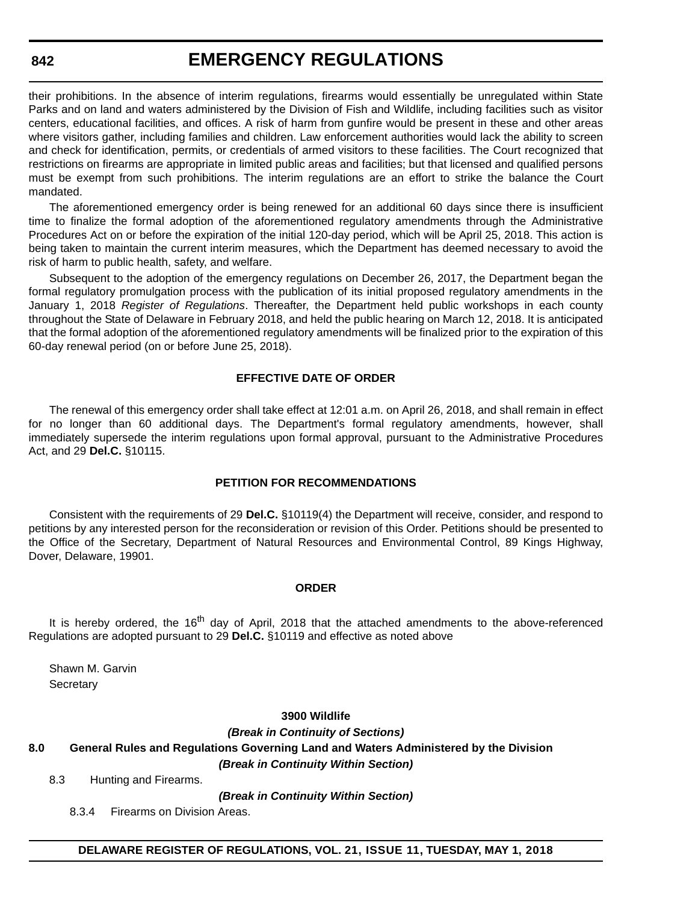#### **842**

### **EMERGENCY REGULATIONS**

their prohibitions. In the absence of interim regulations, firearms would essentially be unregulated within State Parks and on land and waters administered by the Division of Fish and Wildlife, including facilities such as visitor centers, educational facilities, and offices. A risk of harm from gunfire would be present in these and other areas where visitors gather, including families and children. Law enforcement authorities would lack the ability to screen and check for identification, permits, or credentials of armed visitors to these facilities. The Court recognized that restrictions on firearms are appropriate in limited public areas and facilities; but that licensed and qualified persons must be exempt from such prohibitions. The interim regulations are an effort to strike the balance the Court mandated.

The aforementioned emergency order is being renewed for an additional 60 days since there is insufficient time to finalize the formal adoption of the aforementioned regulatory amendments through the Administrative Procedures Act on or before the expiration of the initial 120-day period, which will be April 25, 2018. This action is being taken to maintain the current interim measures, which the Department has deemed necessary to avoid the risk of harm to public health, safety, and welfare.

Subsequent to the adoption of the emergency regulations on December 26, 2017, the Department began the formal regulatory promulgation process with the publication of its initial proposed regulatory amendments in the January 1, 2018 *Register of Regulations*. Thereafter, the Department held public workshops in each county throughout the State of Delaware in February 2018, and held the public hearing on March 12, 2018. It is anticipated that the formal adoption of the aforementioned regulatory amendments will be finalized prior to the expiration of this 60-day renewal period (on or before June 25, 2018).

#### **EFFECTIVE DATE OF ORDER**

The renewal of this emergency order shall take effect at 12:01 a.m. on April 26, 2018, and shall remain in effect for no longer than 60 additional days. The Department's formal regulatory amendments, however, shall immediately supersede the interim regulations upon formal approval, pursuant to the Administrative Procedures Act, and 29 **Del.C.** §10115.

#### **PETITION FOR RECOMMENDATIONS**

Consistent with the requirements of 29 **Del.C.** §10119(4) the Department will receive, consider, and respond to petitions by any interested person for the reconsideration or revision of this Order. Petitions should be presented to the Office of the Secretary, Department of Natural Resources and Environmental Control, 89 Kings Highway, Dover, Delaware, 19901.

#### **ORDER**

It is hereby ordered, the 16<sup>th</sup> day of April, 2018 that the attached amendments to the above-referenced Regulations are adopted pursuant to 29 **Del.C.** §10119 and effective as noted above

Shawn M. Garvin **Secretary** 

#### **3900 Wildlife**

*(Break in Continuity of Sections)*

#### **8.0 General Rules and Regulations Governing Land and Waters Administered by the Division**

*(Break in Continuity Within Section)*

8.3 Hunting and Firearms.

*(Break in Continuity Within Section)*

8.3.4 Firearms on Division Areas.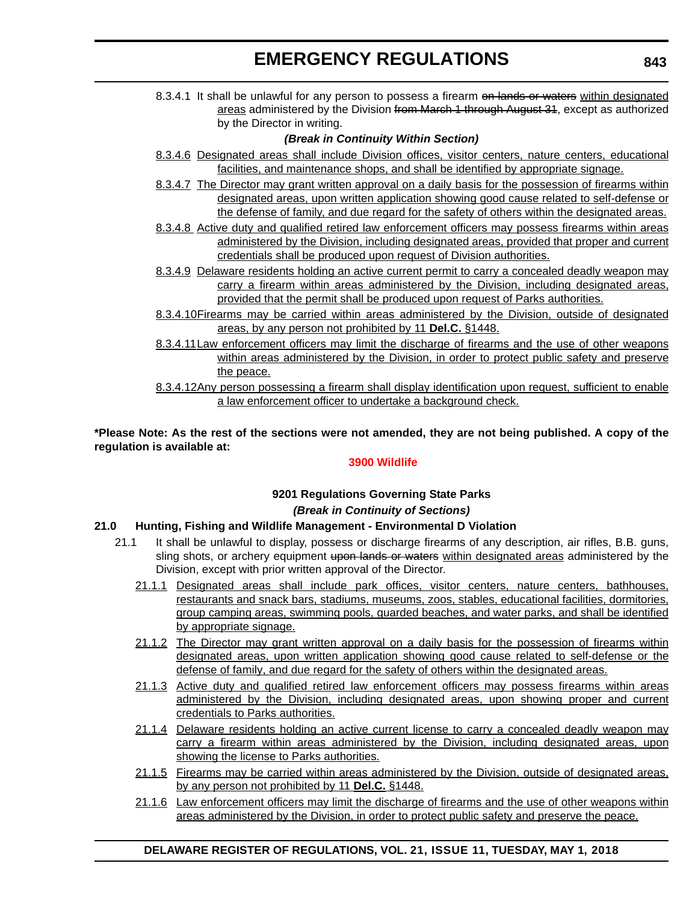8.3.4.1 It shall be unlawful for any person to possess a firearm on lands or waters within designated areas administered by the Division from March 1 through August 31, except as authorized by the Director in writing.

#### *(Break in Continuity Within Section)*

- 8.3.4.6 Designated areas shall include Division offices, visitor centers, nature centers, educational facilities, and maintenance shops, and shall be identified by appropriate signage.
- 8.3.4.7 The Director may grant written approval on a daily basis for the possession of firearms within designated areas, upon written application showing good cause related to self-defense or the defense of family, and due regard for the safety of others within the designated areas.
- 8.3.4.8 Active duty and qualified retired law enforcement officers may possess firearms within areas administered by the Division, including designated areas, provided that proper and current credentials shall be produced upon request of Division authorities.
- 8.3.4.9 Delaware residents holding an active current permit to carry a concealed deadly weapon may carry a firearm within areas administered by the Division, including designated areas, provided that the permit shall be produced upon request of Parks authorities.
- 8.3.4.10Firearms may be carried within areas administered by the Division, outside of designated areas, by any person not prohibited by 11 **Del.C.** §1448.
- 8.3.4.11Law enforcement officers may limit the discharge of firearms and the use of other weapons within areas administered by the Division, in order to protect public safety and preserve the peace.
- 8.3.4.12Any person possessing a firearm shall display identification upon request, sufficient to enable a law enforcement officer to undertake a background check.

**\*Please Note: As the rest of the sections were not amended, they are not being published. A copy of the regulation is available at:**

#### **[3900 Wildlife](http://regulations.delaware.gov/register/may2018/emergency/21 DE Reg 841 05-01-18.htm)**

### **9201 Regulations Governing State Parks** *(Break in Continuity of Sections)*

#### **21.0 Hunting, Fishing and Wildlife Management - Environmental D Violation**

- 21.1 It shall be unlawful to display, possess or discharge firearms of any description, air rifles, B.B. guns, sling shots, or archery equipment upon lands or waters within designated areas administered by the Division, except with prior written approval of the Director.
	- 21.1.1 Designated areas shall include park offices, visitor centers, nature centers, bathhouses, restaurants and snack bars, stadiums, museums, zoos, stables, educational facilities, dormitories, group camping areas, swimming pools, guarded beaches, and water parks, and shall be identified by appropriate signage.
	- 21.1.2 The Director may grant written approval on a daily basis for the possession of firearms within designated areas, upon written application showing good cause related to self-defense or the defense of family, and due regard for the safety of others within the designated areas.
	- 21.1.3 Active duty and qualified retired law enforcement officers may possess firearms within areas administered by the Division, including designated areas, upon showing proper and current credentials to Parks authorities.
	- 21.1.4 Delaware residents holding an active current license to carry a concealed deadly weapon may carry a firearm within areas administered by the Division, including designated areas, upon showing the license to Parks authorities.
	- 21.1.5 Firearms may be carried within areas administered by the Division, outside of designated areas, by any person not prohibited by 11 **Del.C.** §1448.
	- 21.1.6 Law enforcement officers may limit the discharge of firearms and the use of other weapons within areas administered by the Division, in order to protect public safety and preserve the peace.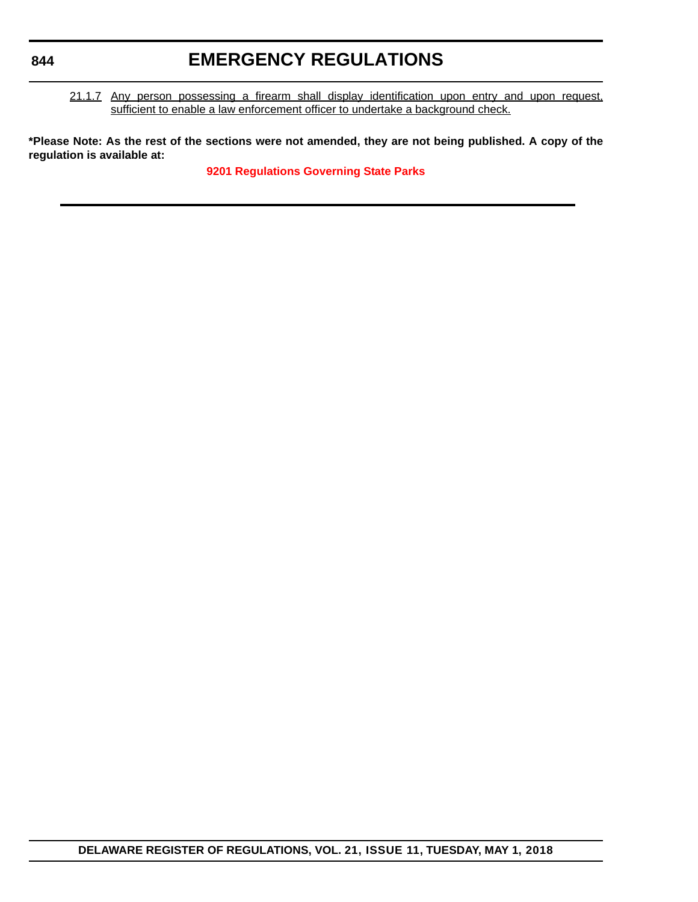21.1.7 Any person possessing a firearm shall display identification upon entry and upon request, sufficient to enable a law enforcement officer to undertake a background check.

**\*Please Note: As the rest of the sections were not amended, they are not being published. A copy of the regulation is available at:**

**[9201 Regulations Governing State Parks](http://regulations.delaware.gov/register/may2018/emergency/21 DE Reg 841a 05-01-18.htm)**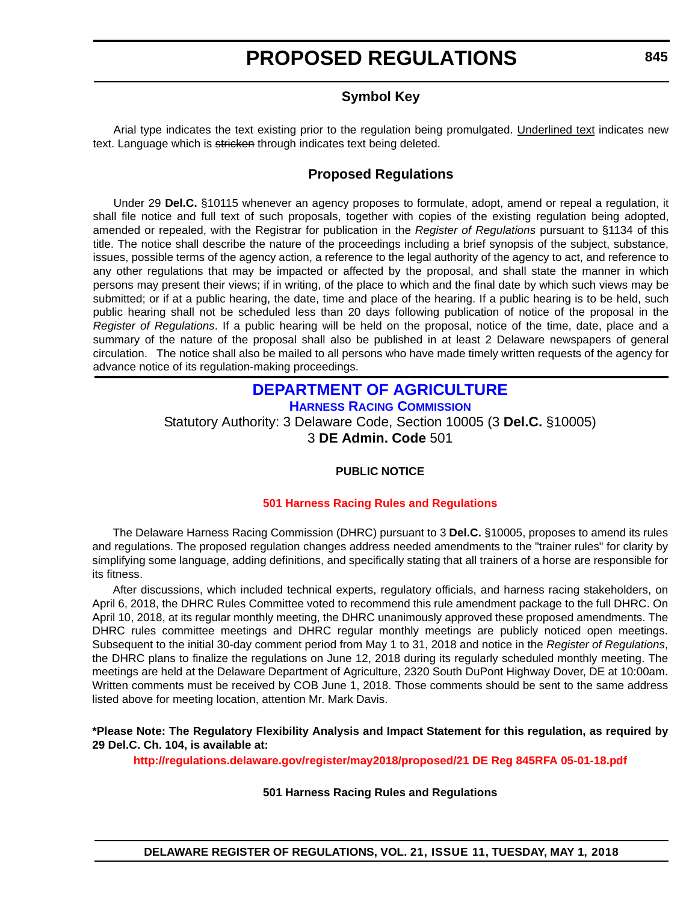### **Symbol Key**

<span id="page-20-0"></span>Arial type indicates the text existing prior to the regulation being promulgated. Underlined text indicates new text. Language which is stricken through indicates text being deleted.

### **Proposed Regulations**

Under 29 **Del.C.** §10115 whenever an agency proposes to formulate, adopt, amend or repeal a regulation, it shall file notice and full text of such proposals, together with copies of the existing regulation being adopted, amended or repealed, with the Registrar for publication in the *Register of Regulations* pursuant to §1134 of this title. The notice shall describe the nature of the proceedings including a brief synopsis of the subject, substance, issues, possible terms of the agency action, a reference to the legal authority of the agency to act, and reference to any other regulations that may be impacted or affected by the proposal, and shall state the manner in which persons may present their views; if in writing, of the place to which and the final date by which such views may be submitted; or if at a public hearing, the date, time and place of the hearing. If a public hearing is to be held, such public hearing shall not be scheduled less than 20 days following publication of notice of the proposal in the *Register of Regulations*. If a public hearing will be held on the proposal, notice of the time, date, place and a summary of the nature of the proposal shall also be published in at least 2 Delaware newspapers of general circulation. The notice shall also be mailed to all persons who have made timely written requests of the agency for advance notice of its regulation-making proceedings.

#### **[DEPARTMENT OF AGRICULTURE](https://agriculture.delaware.gov/harness-racing-commission/) [HARNESS RACING COMMISSION](https://agriculture.delaware.gov/harness-racing-commission/)**

Statutory Authority: 3 Delaware Code, Section 10005 (3 **Del.C.** §10005) 3 **DE Admin. Code** 501

#### **PUBLIC NOTICE**

#### **[501 Harness Racing Rules and Regulations](#page-3-0)**

The Delaware Harness Racing Commission (DHRC) pursuant to 3 **Del.C.** §10005, proposes to amend its rules and regulations. The proposed regulation changes address needed amendments to the "trainer rules" for clarity by simplifying some language, adding definitions, and specifically stating that all trainers of a horse are responsible for its fitness.

After discussions, which included technical experts, regulatory officials, and harness racing stakeholders, on April 6, 2018, the DHRC Rules Committee voted to recommend this rule amendment package to the full DHRC. On April 10, 2018, at its regular monthly meeting, the DHRC unanimously approved these proposed amendments. The DHRC rules committee meetings and DHRC regular monthly meetings are publicly noticed open meetings. Subsequent to the initial 30-day comment period from May 1 to 31, 2018 and notice in the *Register of Regulations*, the DHRC plans to finalize the regulations on June 12, 2018 during its regularly scheduled monthly meeting. The meetings are held at the Delaware Department of Agriculture, 2320 South DuPont Highway Dover, DE at 10:00am. Written comments must be received by COB June 1, 2018. Those comments should be sent to the same address listed above for meeting location, attention Mr. Mark Davis.

#### **\*Please Note: The Regulatory Flexibility Analysis and Impact Statement for this regulation, as required by 29 Del.C. Ch. 104, is available at:**

**<http://regulations.delaware.gov/register/may2018/proposed/21 DE Reg 845RFA 05-01-18.pdf>**

#### **501 Harness Racing Rules and Regulations**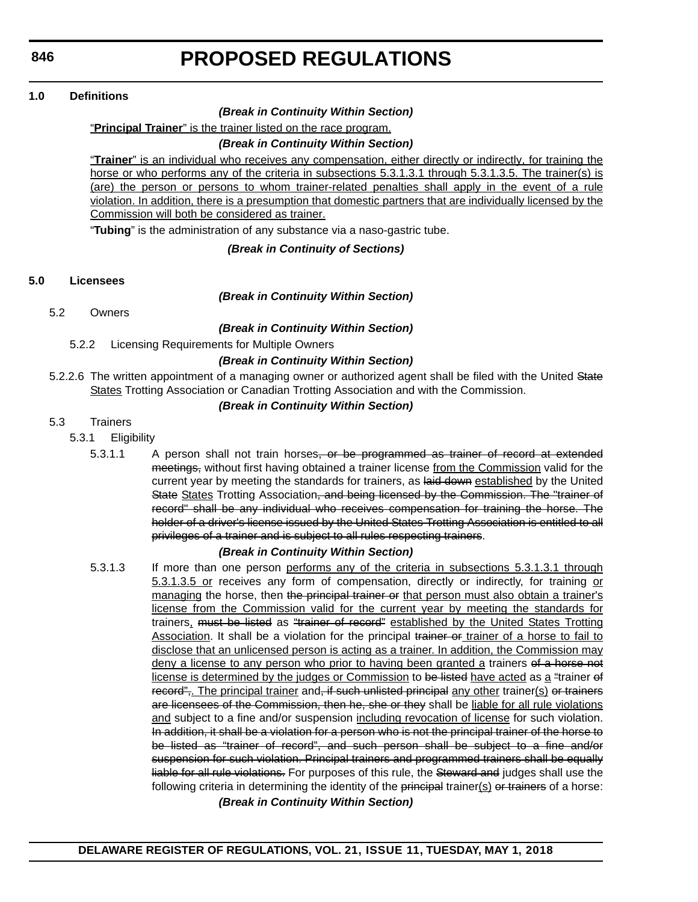#### **1.0 Definitions**

#### *(Break in Continuity Within Section)*

"**Principal Trainer**" is the trainer listed on the race program.

#### *(Break in Continuity Within Section)*

"**Trainer**" is an individual who receives any compensation, either directly or indirectly, for training the horse or who performs any of the criteria in subsections 5.3.1.3.1 through 5.3.1.3.5. The trainer(s) is (are) the person or persons to whom trainer-related penalties shall apply in the event of a rule violation. In addition, there is a presumption that domestic partners that are individually licensed by the Commission will both be considered as trainer.

"**Tubing**" is the administration of any substance via a naso-gastric tube.

*(Break in Continuity of Sections)*

#### **5.0 Licensees**

#### *(Break in Continuity Within Section)*

5.2 Owners

*(Break in Continuity Within Section)*

5.2.2 Licensing Requirements for Multiple Owners

#### *(Break in Continuity Within Section)*

5.2.2.6 The written appointment of a managing owner or authorized agent shall be filed with the United State States Trotting Association or Canadian Trotting Association and with the Commission.

#### *(Break in Continuity Within Section)*

#### 5.3 Trainers

- 5.3.1 Eligibility
	- 5.3.1.1 A person shall not train horses<del>, or be programmed as trainer of record at extended</del> meetings, without first having obtained a trainer license from the Commission valid for the current year by meeting the standards for trainers, as laid down established by the United State States Trotting Association, and being licensed by the Commission. The "trainer of record" shall be any individual who receives compensation for training the horse. The holder of a driver's license issued by the United States Trotting Association is entitled to all privileges of a trainer and is subject to all rules respecting trainers.

#### *(Break in Continuity Within Section)*

5.3.1.3 If more than one person performs any of the criteria in subsections 5.3.1.3.1 through 5.3.1.3.5 or receives any form of compensation, directly or indirectly, for training or managing the horse, then the principal trainer or that person must also obtain a trainer's license from the Commission valid for the current year by meeting the standards for trainers, must be listed as "trainer of record" established by the United States Trotting Association. It shall be a violation for the principal trainer of rainer of a horse to fail to disclose that an unlicensed person is acting as a trainer. In addition, the Commission may deny a license to any person who prior to having been granted a trainers of a horse not license is determined by the judges or Commission to be listed have acted as a "trainer of record",. The principal trainer and, if such unlisted principal any other trainer(s) or trainers are licensees of the Commission, then he, she or they shall be liable for all rule violations and subject to a fine and/or suspension including revocation of license for such violation. In addition, it shall be a violation for a person who is not the principal trainer of the horse to be listed as "trainer of record", and such person shall be subject to a fine and/or suspension for such violation. Principal trainers and programmed trainers shall be equally liable for all rule violations. For purposes of this rule, the Steward and judges shall use the following criteria in determining the identity of the principal trainer $(s)$  or trainers of a horse: *(Break in Continuity Within Section)*

**DELAWARE REGISTER OF REGULATIONS, VOL. 21, ISSUE 11, TUESDAY, MAY 1, 2018**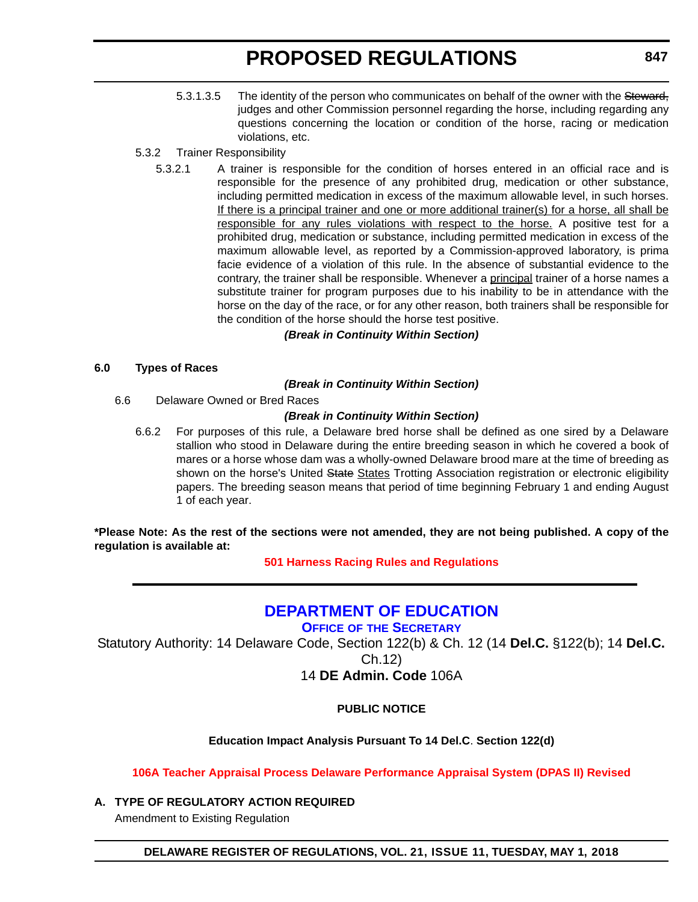- <span id="page-22-0"></span>5.3.1.3.5 The identity of the person who communicates on behalf of the owner with the Steward. judges and other Commission personnel regarding the horse, including regarding any questions concerning the location or condition of the horse, racing or medication violations, etc.
- 5.3.2 Trainer Responsibility
	- 5.3.2.1 A trainer is responsible for the condition of horses entered in an official race and is responsible for the presence of any prohibited drug, medication or other substance, including permitted medication in excess of the maximum allowable level, in such horses. If there is a principal trainer and one or more additional trainer(s) for a horse, all shall be responsible for any rules violations with respect to the horse. A positive test for a prohibited drug, medication or substance, including permitted medication in excess of the maximum allowable level, as reported by a Commission-approved laboratory, is prima facie evidence of a violation of this rule. In the absence of substantial evidence to the contrary, the trainer shall be responsible. Whenever a principal trainer of a horse names a substitute trainer for program purposes due to his inability to be in attendance with the horse on the day of the race, or for any other reason, both trainers shall be responsible for the condition of the horse should the horse test positive.

#### *(Break in Continuity Within Section)*

#### **6.0 Types of Races**

#### *(Break in Continuity Within Section)*

6.6 Delaware Owned or Bred Races

#### *(Break in Continuity Within Section)*

6.6.2 For purposes of this rule, a Delaware bred horse shall be defined as one sired by a Delaware stallion who stood in Delaware during the entire breeding season in which he covered a book of mares or a horse whose dam was a wholly-owned Delaware brood mare at the time of breeding as shown on the horse's United State States Trotting Association registration or electronic eligibility papers. The breeding season means that period of time beginning February 1 and ending August 1 of each year.

**\*Please Note: As the rest of the sections were not amended, they are not being published. A copy of the regulation is available at:**

**[501 Harness Racing Rules and Regulations](http://regulations.delaware.gov/register/may2018/proposed/21 DE Reg 845 05-01-18.htm)** 

### **[DEPARTMENT OF EDUCATION](https://pubapps.doe.k12.de.us/EducationalDirectoryPublic/pages/DDOE/Branches.aspx?page=branches&BID=1)**

**OFFICE OF [THE SECRETARY](https://pubapps.doe.k12.de.us/EducationalDirectoryPublic/pages/DDOE/Branches.aspx?page=branches&BID=1)**

Statutory Authority: 14 Delaware Code, Section 122(b) & Ch. 12 (14 **Del.C.** §122(b); 14 **Del.C.**

Ch.12)

14 **DE Admin. Code** 106A

#### **PUBLIC NOTICE**

#### **Education Impact Analysis Pursuant To 14 Del.C**. **Section 122(d)**

**[106A Teacher Appraisal Process Delaware Performance Appraisal System \(DPAS II\) Revised](#page-3-0)**

**A. TYPE OF REGULATORY ACTION REQUIRED**

Amendment to Existing Regulation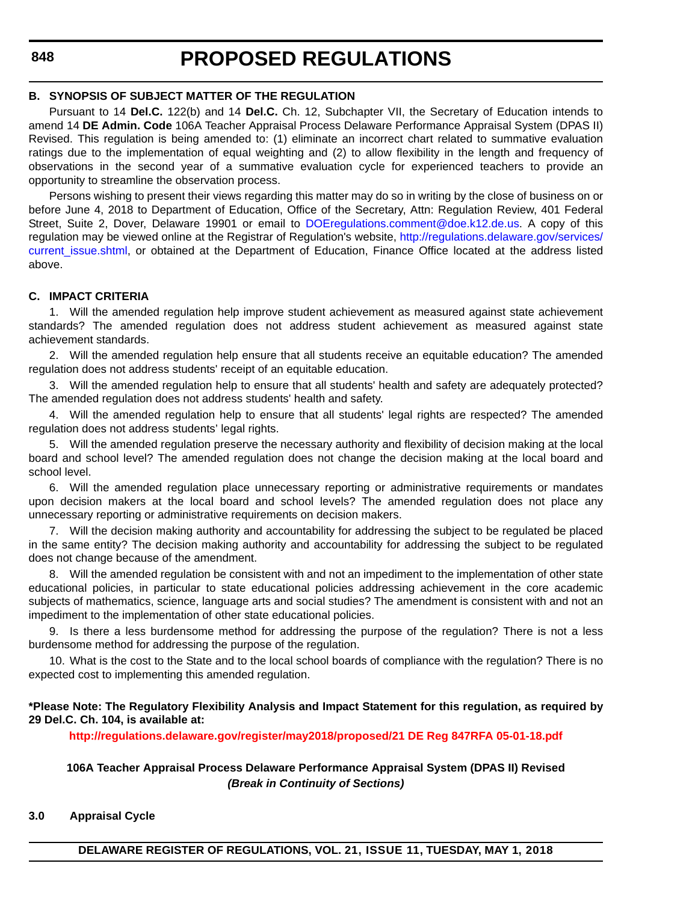#### **B. SYNOPSIS OF SUBJECT MATTER OF THE REGULATION**

Pursuant to 14 **Del.C.** 122(b) and 14 **Del.C.** Ch. 12, Subchapter VII, the Secretary of Education intends to amend 14 **DE Admin. Code** 106A Teacher Appraisal Process Delaware Performance Appraisal System (DPAS II) Revised. This regulation is being amended to: (1) eliminate an incorrect chart related to summative evaluation ratings due to the implementation of equal weighting and (2) to allow flexibility in the length and frequency of observations in the second year of a summative evaluation cycle for experienced teachers to provide an opportunity to streamline the observation process.

Persons wishing to present their views regarding this matter may do so in writing by the close of business on or before June 4, 2018 to Department of Education, Office of the Secretary, Attn: Regulation Review, 401 Federal Street, Suite 2, Dover, Delaware 19901 or email to [DOEregulations.comment@doe.k12.de.us.](mailto:DOEregulations.comment@doe.k12.de.us) A copy of this regulation may be viewed online at the Registrar of Regulation's website, [http://regulations.delaware.gov/services/](http://regulations.delaware.gov/services/current_issue.shtml) [current\\_issue.shtml,](http://regulations.delaware.gov/services/current_issue.shtml) or obtained at the Department of Education, Finance Office located at the address listed above.

#### **C. IMPACT CRITERIA**

1. Will the amended regulation help improve student achievement as measured against state achievement standards? The amended regulation does not address student achievement as measured against state achievement standards.

2. Will the amended regulation help ensure that all students receive an equitable education? The amended regulation does not address students' receipt of an equitable education.

3. Will the amended regulation help to ensure that all students' health and safety are adequately protected? The amended regulation does not address students' health and safety.

4. Will the amended regulation help to ensure that all students' legal rights are respected? The amended regulation does not address students' legal rights.

5. Will the amended regulation preserve the necessary authority and flexibility of decision making at the local board and school level? The amended regulation does not change the decision making at the local board and school level.

6. Will the amended regulation place unnecessary reporting or administrative requirements or mandates upon decision makers at the local board and school levels? The amended regulation does not place any unnecessary reporting or administrative requirements on decision makers.

7. Will the decision making authority and accountability for addressing the subject to be regulated be placed in the same entity? The decision making authority and accountability for addressing the subject to be regulated does not change because of the amendment.

8. Will the amended regulation be consistent with and not an impediment to the implementation of other state educational policies, in particular to state educational policies addressing achievement in the core academic subjects of mathematics, science, language arts and social studies? The amendment is consistent with and not an impediment to the implementation of other state educational policies.

9. Is there a less burdensome method for addressing the purpose of the regulation? There is not a less burdensome method for addressing the purpose of the regulation.

10. What is the cost to the State and to the local school boards of compliance with the regulation? There is no expected cost to implementing this amended regulation.

#### **\*Please Note: The Regulatory Flexibility Analysis and Impact Statement for this regulation, as required by 29 Del.C. Ch. 104, is available at:**

**<http://regulations.delaware.gov/register/may2018/proposed/21 DE Reg 847RFA 05-01-18.pdf>**

#### **106A Teacher Appraisal Process Delaware Performance Appraisal System (DPAS II) Revised** *(Break in Continuity of Sections)*

#### **3.0 Appraisal Cycle**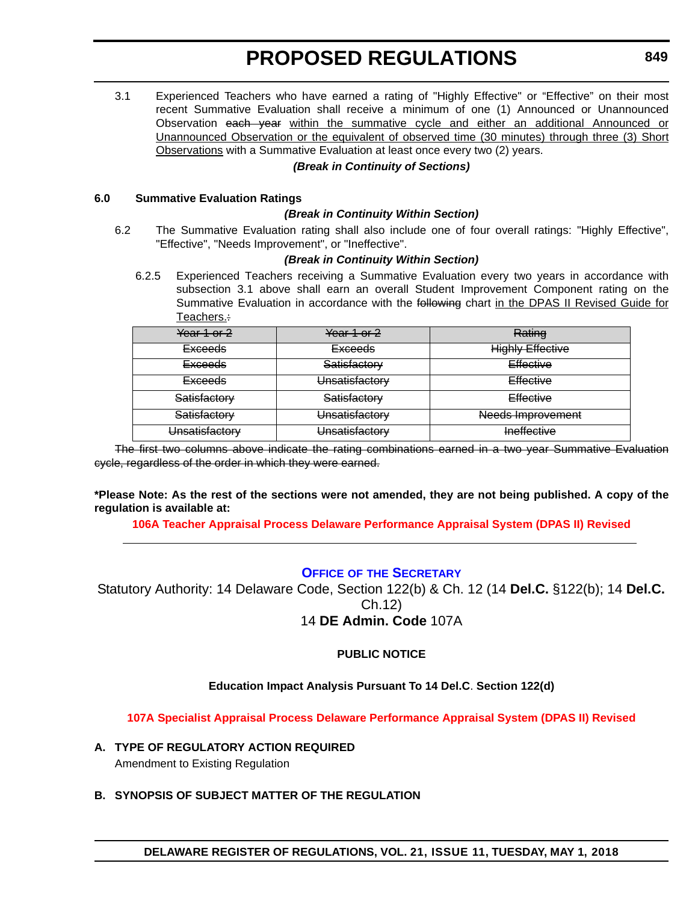<span id="page-24-0"></span>3.1 Experienced Teachers who have earned a rating of "Highly Effective" or "Effective" on their most recent Summative Evaluation shall receive a minimum of one (1) Announced or Unannounced Observation each year within the summative cycle and either an additional Announced or Unannounced Observation or the equivalent of observed time (30 minutes) through three (3) Short Observations with a Summative Evaluation at least once every two (2) years.

#### *(Break in Continuity of Sections)*

#### **6.0 Summative Evaluation Ratings**

#### *(Break in Continuity Within Section)*

6.2 The Summative Evaluation rating shall also include one of four overall ratings: "Highly Effective", "Effective", "Needs Improvement", or "Ineffective".

#### *(Break in Continuity Within Section)*

6.2.5 Experienced Teachers receiving a Summative Evaluation every two years in accordance with subsection 3.1 above shall earn an overall Student Improvement Component rating on the Summative Evaluation in accordance with the following chart in the DPAS II Revised Guide for Teachers.:

| Year 1 or $2$      | Year 1 or 2    | Rating                  |
|--------------------|----------------|-------------------------|
| <del>Exceeds</del> | <b>Exceeds</b> | <b>Highly Effective</b> |
| <del>Exceeds</del> | Satisfactory   | Effective               |
| <del>Exceeds</del> | Unsatisfactory | Effective               |
| Satisfactory       | Satisfactory   | Effective               |
| Satisfactory       | Unsatisfactory | Needs Improvement       |
| Unsatisfactory     | Unsatisfactory | <b>Ineffective</b>      |

The first two columns above indicate the rating combinations earned in a two year Summative Evaluation cycle, regardless of the order in which they were earned.

**\*Please Note: As the rest of the sections were not amended, they are not being published. A copy of the regulation is available at:**

**[106A Teacher Appraisal Process Delaware Performance Appraisal System \(DPAS II\) Revised](http://regulations.delaware.gov/register/may2018/proposed/21 DE Reg 847 05-01-18.htm)** 

#### **OFFICE OF [THE SECRETARY](https://pubapps.doe.k12.de.us/EducationalDirectoryPublic/pages/DDOE/Branches.aspx?page=branches&BID=1)**

Statutory Authority: 14 Delaware Code, Section 122(b) & Ch. 12 (14 **Del.C.** §122(b); 14 **Del.C.** Ch.12) 14 **DE Admin. Code** 107A

#### **PUBLIC NOTICE**

#### **Education Impact Analysis Pursuant To 14 Del.C**. **Section 122(d)**

**[107A Specialist Appraisal Process Delaware Performance Appraisal System \(DPAS II\) Revised](#page-3-0)**

**A. TYPE OF REGULATORY ACTION REQUIRED**

Amendment to Existing Regulation

**B. SYNOPSIS OF SUBJECT MATTER OF THE REGULATION**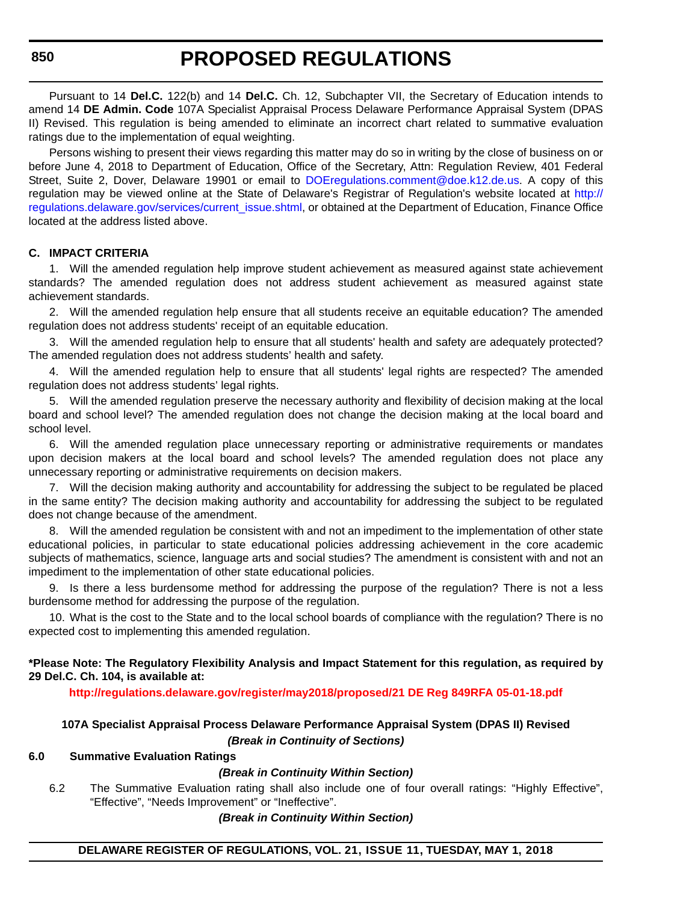**850**

# **PROPOSED REGULATIONS**

Pursuant to 14 **Del.C.** 122(b) and 14 **Del.C.** Ch. 12, Subchapter VII, the Secretary of Education intends to amend 14 **DE Admin. Code** 107A Specialist Appraisal Process Delaware Performance Appraisal System (DPAS II) Revised. This regulation is being amended to eliminate an incorrect chart related to summative evaluation ratings due to the implementation of equal weighting.

Persons wishing to present their views regarding this matter may do so in writing by the close of business on or before June 4, 2018 to Department of Education, Office of the Secretary, Attn: Regulation Review, 401 Federal Street, Suite 2, Dover, Delaware 19901 or email to [DOEregulations.comment@doe.k12.de.us.](mailto;DOEregulations.comment@doe.k12.de.us) A copy of this regulation may be viewed online at the State of Delaware's Registrar of Regulation's website located at [http://](http://regulations.delaware.gov/services/current_issue.shtml) [regulations.delaware.gov/services/current\\_issue.shtml](http://regulations.delaware.gov/services/current_issue.shtml), or obtained at the Department of Education, Finance Office located at the address listed above.

#### **C. IMPACT CRITERIA**

1. Will the amended regulation help improve student achievement as measured against state achievement standards? The amended regulation does not address student achievement as measured against state achievement standards.

2. Will the amended regulation help ensure that all students receive an equitable education? The amended regulation does not address students' receipt of an equitable education.

3. Will the amended regulation help to ensure that all students' health and safety are adequately protected? The amended regulation does not address students' health and safety.

4. Will the amended regulation help to ensure that all students' legal rights are respected? The amended regulation does not address students' legal rights.

5. Will the amended regulation preserve the necessary authority and flexibility of decision making at the local board and school level? The amended regulation does not change the decision making at the local board and school level.

6. Will the amended regulation place unnecessary reporting or administrative requirements or mandates upon decision makers at the local board and school levels? The amended regulation does not place any unnecessary reporting or administrative requirements on decision makers.

7. Will the decision making authority and accountability for addressing the subject to be regulated be placed in the same entity? The decision making authority and accountability for addressing the subject to be regulated does not change because of the amendment.

8. Will the amended regulation be consistent with and not an impediment to the implementation of other state educational policies, in particular to state educational policies addressing achievement in the core academic subjects of mathematics, science, language arts and social studies? The amendment is consistent with and not an impediment to the implementation of other state educational policies.

9. Is there a less burdensome method for addressing the purpose of the regulation? There is not a less burdensome method for addressing the purpose of the regulation.

10. What is the cost to the State and to the local school boards of compliance with the regulation? There is no expected cost to implementing this amended regulation.

**\*Please Note: The Regulatory Flexibility Analysis and Impact Statement for this regulation, as required by 29 Del.C. Ch. 104, is available at:**

**<http://regulations.delaware.gov/register/may2018/proposed/21 DE Reg 849RFA 05-01-18.pdf>**

#### **107A Specialist Appraisal Process Delaware Performance Appraisal System (DPAS II) Revised** *(Break in Continuity of Sections)*

#### **6.0 Summative Evaluation Ratings**

#### *(Break in Continuity Within Section)*

6.2 The Summative Evaluation rating shall also include one of four overall ratings: "Highly Effective", "Effective", "Needs Improvement" or "Ineffective".

*(Break in Continuity Within Section)*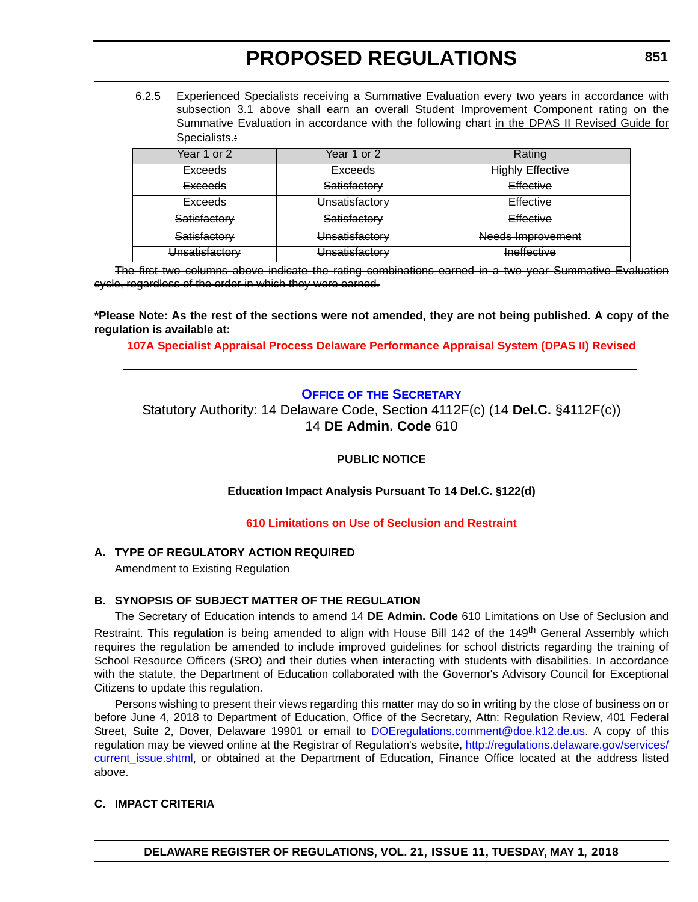<span id="page-26-0"></span>6.2.5 Experienced Specialists receiving a Summative Evaluation every two years in accordance with subsection 3.1 above shall earn an overall Student Improvement Component rating on the Summative Evaluation in accordance with the following chart in the DPAS II Revised Guide for Specialists.:

| Year 1 or 2        | Year 1 or 2    | Rating                  |
|--------------------|----------------|-------------------------|
| <del>Exceeds</del> | <b>Exceeds</b> | <b>Highly Effective</b> |
| <del>Exceeds</del> | Satisfactory   | Effective               |
| <del>Exceeds</del> | Unsatisfactory | Effective               |
| Satisfactory       | Satisfactory   | Effective               |
| Satisfactory       | Unsatisfactory | Needs Improvement       |
| Unsatisfactory     | Unsatisfactory | Ineffective             |

The first two columns above indicate the rating combinations earned in a two year Summative Evaluation cycle, regardless of the order in which they were earned.

**\*Please Note: As the rest of the sections were not amended, they are not being published. A copy of the regulation is available at:**

**[107A Specialist Appraisal Process Delaware Performance Appraisal System \(DPAS II\) Revised](http://regulations.delaware.gov/register/may2018/proposed/21 DE Reg 849 05-01-18.htm)** 

### **OFFICE OF [THE SECRETARY](https://pubapps.doe.k12.de.us/EducationalDirectoryPublic/pages/DDOE/Branches.aspx?page=branches&BID=1)**

Statutory Authority: 14 Delaware Code, Section 4112F(c) (14 **Del.C.** §4112F(c)) 14 **DE Admin. Code** 610

#### **PUBLIC NOTICE**

**Education Impact Analysis Pursuant To 14 Del.C. §122(d)**

#### **[610 Limitations on Use of Seclusion and Restraint](#page-3-0)**

#### **A. TYPE OF REGULATORY ACTION REQUIRED**

Amendment to Existing Regulation

#### **B. SYNOPSIS OF SUBJECT MATTER OF THE REGULATION**

The Secretary of Education intends to amend 14 **DE Admin. Code** 610 Limitations on Use of Seclusion and Restraint. This regulation is being amended to align with House Bill 142 of the 149<sup>th</sup> General Assembly which requires the regulation be amended to include improved guidelines for school districts regarding the training of School Resource Officers (SRO) and their duties when interacting with students with disabilities. In accordance with the statute, the Department of Education collaborated with the Governor's Advisory Council for Exceptional Citizens to update this regulation.

Persons wishing to present their views regarding this matter may do so in writing by the close of business on or before June 4, 2018 to Department of Education, Office of the Secretary, Attn: Regulation Review, 401 Federal Street, Suite 2, Dover, Delaware 19901 or email to [DOEregulations.comment@doe.k12.de.us](mailto:DOEregulations.comment@doe.k12.de.us). A copy of this regulation may be viewed online at the Registrar of Regulation's website, [http://regulations.delaware.gov/services/](http://regulations.delaware.gov/services/current_issue.shtml) [current\\_issue.shtml](http://regulations.delaware.gov/services/current_issue.shtml), or obtained at the Department of Education, Finance Office located at the address listed above.

#### **C. IMPACT CRITERIA**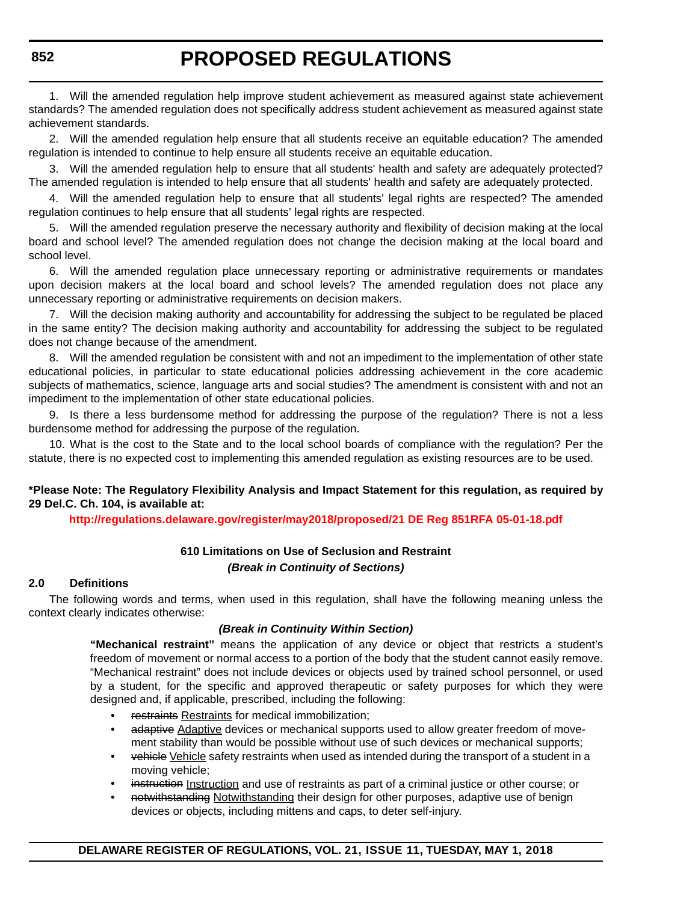1. Will the amended regulation help improve student achievement as measured against state achievement standards? The amended regulation does not specifically address student achievement as measured against state achievement standards.

2. Will the amended regulation help ensure that all students receive an equitable education? The amended regulation is intended to continue to help ensure all students receive an equitable education.

3. Will the amended regulation help to ensure that all students' health and safety are adequately protected? The amended regulation is intended to help ensure that all students' health and safety are adequately protected.

4. Will the amended regulation help to ensure that all students' legal rights are respected? The amended regulation continues to help ensure that all students' legal rights are respected.

5. Will the amended regulation preserve the necessary authority and flexibility of decision making at the local board and school level? The amended regulation does not change the decision making at the local board and school level.

6. Will the amended regulation place unnecessary reporting or administrative requirements or mandates upon decision makers at the local board and school levels? The amended regulation does not place any unnecessary reporting or administrative requirements on decision makers.

7. Will the decision making authority and accountability for addressing the subject to be regulated be placed in the same entity? The decision making authority and accountability for addressing the subject to be regulated does not change because of the amendment.

Will the amended regulation be consistent with and not an impediment to the implementation of other state educational policies, in particular to state educational policies addressing achievement in the core academic subjects of mathematics, science, language arts and social studies? The amendment is consistent with and not an impediment to the implementation of other state educational policies.

9. Is there a less burdensome method for addressing the purpose of the regulation? There is not a less burdensome method for addressing the purpose of the regulation.

10. What is the cost to the State and to the local school boards of compliance with the regulation? Per the statute, there is no expected cost to implementing this amended regulation as existing resources are to be used.

#### **\*Please Note: The Regulatory Flexibility Analysis and Impact Statement for this regulation, as required by 29 Del.C. Ch. 104, is available at:**

**<http://regulations.delaware.gov/register/may2018/proposed/21 DE Reg 851RFA 05-01-18.pdf>**

#### **610 Limitations on Use of Seclusion and Restraint** *(Break in Continuity of Sections)*

#### **2.0 Definitions**

The following words and terms, when used in this regulation, shall have the following meaning unless the context clearly indicates otherwise:

#### *(Break in Continuity Within Section)*

**"Mechanical restraint"** means the application of any device or object that restricts a student's freedom of movement or normal access to a portion of the body that the student cannot easily remove. "Mechanical restraint" does not include devices or objects used by trained school personnel, or used by a student, for the specific and approved therapeutic or safety purposes for which they were designed and, if applicable, prescribed, including the following:

- restraints Restraints for medical immobilization;
- adaptive Adaptive devices or mechanical supports used to allow greater freedom of movement stability than would be possible without use of such devices or mechanical supports;
- vehicle Vehicle safety restraints when used as intended during the transport of a student in a moving vehicle;
- instruction Instruction and use of restraints as part of a criminal justice or other course; or
- notwithstanding Notwithstanding their design for other purposes, adaptive use of benign devices or objects, including mittens and caps, to deter self-injury.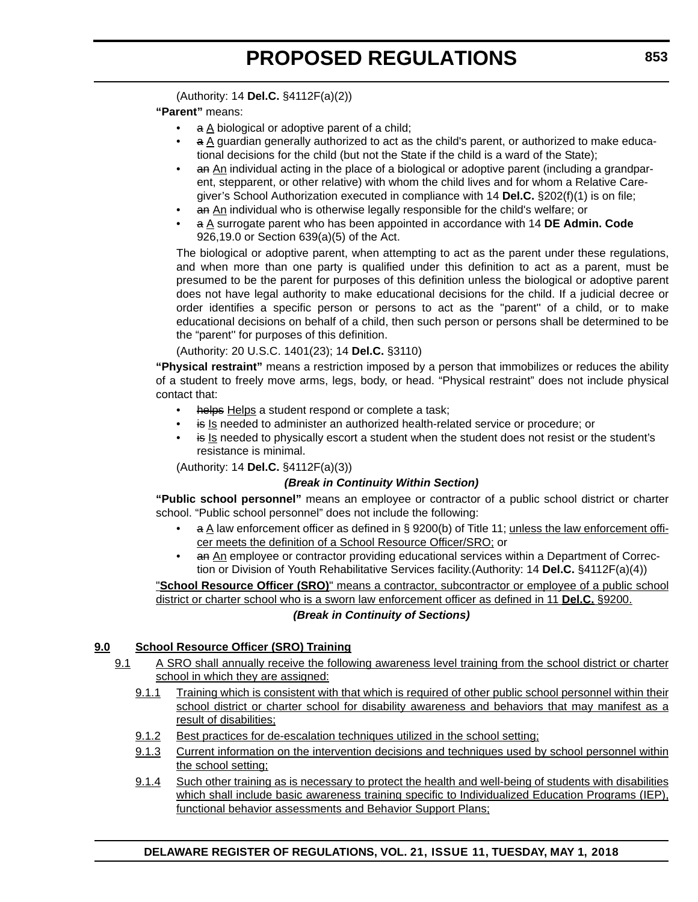(Authority: 14 **Del.C.** §4112F(a)(2))

**"Parent"** means:

- a A biological or adoptive parent of a child;
- a A guardian generally authorized to act as the child's parent, or authorized to make educational decisions for the child (but not the State if the child is a ward of the State);
- an An individual acting in the place of a biological or adoptive parent (including a grandparent, stepparent, or other relative) with whom the child lives and for whom a Relative Caregiver's School Authorization executed in compliance with 14 **Del.C.** §202(f)(1) is on file;
- an An individual who is otherwise legally responsible for the child's welfare; or
- a A surrogate parent who has been appointed in accordance with 14 **DE Admin. Code** 926,19.0 or Section 639(a)(5) of the Act.

The biological or adoptive parent, when attempting to act as the parent under these regulations, and when more than one party is qualified under this definition to act as a parent, must be presumed to be the parent for purposes of this definition unless the biological or adoptive parent does not have legal authority to make educational decisions for the child. If a judicial decree or order identifies a specific person or persons to act as the ''parent'' of a child, or to make educational decisions on behalf of a child, then such person or persons shall be determined to be the "parent'' for purposes of this definition.

(Authority: 20 U.S.C. 1401(23); 14 **Del.C.** §3110)

**"Physical restraint"** means a restriction imposed by a person that immobilizes or reduces the ability of a student to freely move arms, legs, body, or head. "Physical restraint" does not include physical contact that:

- helps Helps a student respond or complete a task;
- is Is needed to administer an authorized health-related service or procedure; or
- is Is needed to physically escort a student when the student does not resist or the student's resistance is minimal.

(Authority: 14 **Del.C.** §4112F(a)(3))

#### *(Break in Continuity Within Section)*

**"Public school personnel"** means an employee or contractor of a public school district or charter school. "Public school personnel" does not include the following:

- a A law enforcement officer as defined in § 9200(b) of Title 11; unless the law enforcement officer meets the definition of a School Resource Officer/SRO; or
- an An employee or contractor providing educational services within a Department of Correction or Division of Youth Rehabilitative Services facility.(Authority: 14 **Del.C.** §4112F(a)(4))

"**School Resource Officer (SRO)**" means a contractor, subcontractor or employee of a public school district or charter school who is a sworn law enforcement officer as defined in 11 **Del.C.** §9200.

#### *(Break in Continuity of Sections)*

#### **9.0 School Resource Officer (SRO) Training**

- 9.1 A SRO shall annually receive the following awareness level training from the school district or charter school in which they are assigned:
	- 9.1.1 Training which is consistent with that which is required of other public school personnel within their school district or charter school for disability awareness and behaviors that may manifest as a result of disabilities;
	- 9.1.2 Best practices for de-escalation techniques utilized in the school setting;
	- 9.1.3 Current information on the intervention decisions and techniques used by school personnel within the school setting;
	- 9.1.4 Such other training as is necessary to protect the health and well-being of students with disabilities which shall include basic awareness training specific to Individualized Education Programs (IEP), functional behavior assessments and Behavior Support Plans;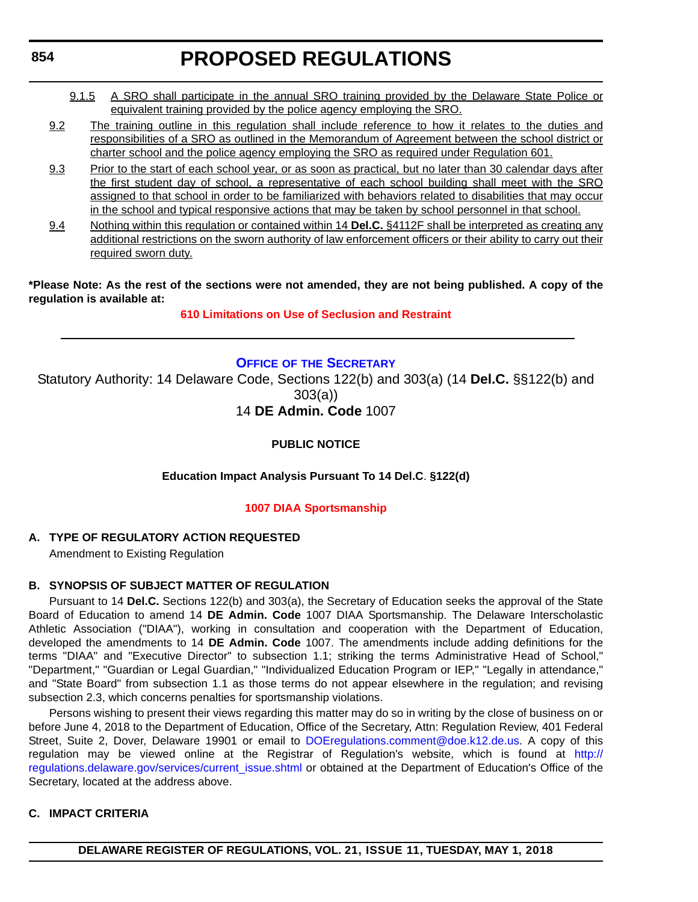- <span id="page-29-0"></span>9.1.5 A SRO shall participate in the annual SRO training provided by the Delaware State Police or equivalent training provided by the police agency employing the SRO.
- 9.2 The training outline in this regulation shall include reference to how it relates to the duties and responsibilities of a SRO as outlined in the Memorandum of Agreement between the school district or charter school and the police agency employing the SRO as required under Regulation 601.
- 9.3 Prior to the start of each school year, or as soon as practical, but no later than 30 calendar days after the first student day of school, a representative of each school building shall meet with the SRO assigned to that school in order to be familiarized with behaviors related to disabilities that may occur in the school and typical responsive actions that may be taken by school personnel in that school.
- 9.4 Nothing within this regulation or contained within 14 **Del.C.** §4112F shall be interpreted as creating any additional restrictions on the sworn authority of law enforcement officers or their ability to carry out their required sworn duty.

#### **\*Please Note: As the rest of the sections were not amended, they are not being published. A copy of the regulation is available at:**

#### **[610 Limitations on Use of Seclusion and Restraint](http://regulations.delaware.gov/register/may2018/proposed/21 DE Reg 851 05-01-18.htm)**

#### **OFFICE OF [THE SECRETARY](https://pubapps.doe.k12.de.us/EducationalDirectoryPublic/pages/DDOE/Branches.aspx?page=branches&BID=1)**

Statutory Authority: 14 Delaware Code, Sections 122(b) and 303(a) (14 **Del.C.** §§122(b) and 303(a))

### 14 **DE Admin. Code** 1007

### **PUBLIC NOTICE**

#### **Education Impact Analysis Pursuant To 14 Del.C**. **§122(d)**

#### **[1007 DIAA Sportsmanship](#page-3-0)**

#### **A. TYPE OF REGULATORY ACTION REQUESTED**

Amendment to Existing Regulation

#### **B. SYNOPSIS OF SUBJECT MATTER OF REGULATION**

Pursuant to 14 **Del.C.** Sections 122(b) and 303(a), the Secretary of Education seeks the approval of the State Board of Education to amend 14 **DE Admin. Code** 1007 DIAA Sportsmanship. The Delaware Interscholastic Athletic Association ("DIAA"), working in consultation and cooperation with the Department of Education, developed the amendments to 14 **DE Admin. Code** 1007. The amendments include adding definitions for the terms "DIAA" and "Executive Director" to subsection 1.1; striking the terms Administrative Head of School," "Department," "Guardian or Legal Guardian," "Individualized Education Program or IEP," "Legally in attendance," and "State Board" from subsection 1.1 as those terms do not appear elsewhere in the regulation; and revising subsection 2.3, which concerns penalties for sportsmanship violations.

Persons wishing to present their views regarding this matter may do so in writing by the close of business on or before June 4, 2018 to the Department of Education, Office of the Secretary, Attn: Regulation Review, 401 Federal Street, Suite 2, Dover, Delaware 19901 or email to [DOEregulations.comment@doe.k12.de.us.](mailto:DOEregulations.comment@doe.k12.de.us) A copy of this regulation may be viewed online at the Registrar of Regulation's website, which is found at [http://](http://regulations.delaware.gov/services/current_issue.shtml) [regulations.delaware.gov/services/current\\_issue.shtml](http://regulations.delaware.gov/services/current_issue.shtml) or obtained at the Department of Education's Office of the Secretary, located at the address above.

#### **C. IMPACT CRITERIA**

**DELAWARE REGISTER OF REGULATIONS, VOL. 21, ISSUE 11, TUESDAY, MAY 1, 2018**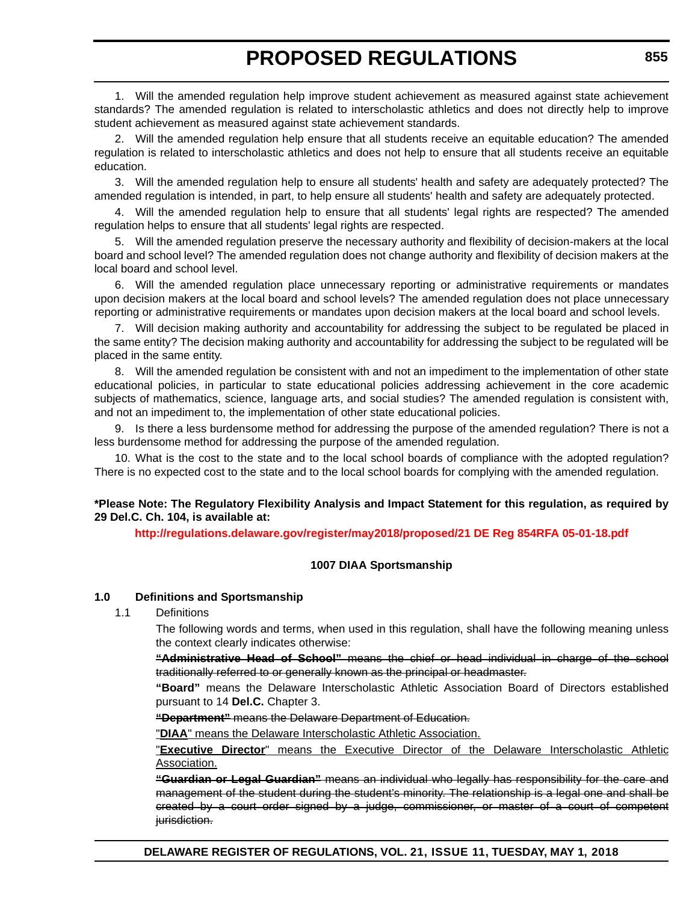1. Will the amended regulation help improve student achievement as measured against state achievement standards? The amended regulation is related to interscholastic athletics and does not directly help to improve student achievement as measured against state achievement standards.

2. Will the amended regulation help ensure that all students receive an equitable education? The amended regulation is related to interscholastic athletics and does not help to ensure that all students receive an equitable education.

3. Will the amended regulation help to ensure all students' health and safety are adequately protected? The amended regulation is intended, in part, to help ensure all students' health and safety are adequately protected.

4. Will the amended regulation help to ensure that all students' legal rights are respected? The amended regulation helps to ensure that all students' legal rights are respected.

5. Will the amended regulation preserve the necessary authority and flexibility of decision-makers at the local board and school level? The amended regulation does not change authority and flexibility of decision makers at the local board and school level.

6. Will the amended regulation place unnecessary reporting or administrative requirements or mandates upon decision makers at the local board and school levels? The amended regulation does not place unnecessary reporting or administrative requirements or mandates upon decision makers at the local board and school levels.

7. Will decision making authority and accountability for addressing the subject to be regulated be placed in the same entity? The decision making authority and accountability for addressing the subject to be regulated will be placed in the same entity.

8. Will the amended regulation be consistent with and not an impediment to the implementation of other state educational policies, in particular to state educational policies addressing achievement in the core academic subjects of mathematics, science, language arts, and social studies? The amended regulation is consistent with, and not an impediment to, the implementation of other state educational policies.

9. Is there a less burdensome method for addressing the purpose of the amended regulation? There is not a less burdensome method for addressing the purpose of the amended regulation.

10. What is the cost to the state and to the local school boards of compliance with the adopted regulation? There is no expected cost to the state and to the local school boards for complying with the amended regulation.

#### **\*Please Note: The Regulatory Flexibility Analysis and Impact Statement for this regulation, as required by 29 Del.C. Ch. 104, is available at:**

**<http://regulations.delaware.gov/register/may2018/proposed/21 DE Reg 854RFA 05-01-18.pdf>**

#### **1007 DIAA Sportsmanship**

#### **1.0 Definitions and Sportsmanship**

#### 1.1 Definitions

The following words and terms, when used in this regulation, shall have the following meaning unless the context clearly indicates otherwise:

**"Administrative Head of School"** means the chief or head individual in charge of the school traditionally referred to or generally known as the principal or headmaster.

**"Board"** means the Delaware Interscholastic Athletic Association Board of Directors established pursuant to 14 **Del.C.** Chapter 3.

**"Department"** means the Delaware Department of Education.

"**DIAA**" means the Delaware Interscholastic Athletic Association.

"**Executive Director**" means the Executive Director of the Delaware Interscholastic Athletic Association.

**"Guardian or Legal Guardian"** means an individual who legally has responsibility for the care and management of the student during the student's minority. The relationship is a legal one and shall be created by a court order signed by a judge, commissioner, or master of a court of competent jurisdiction.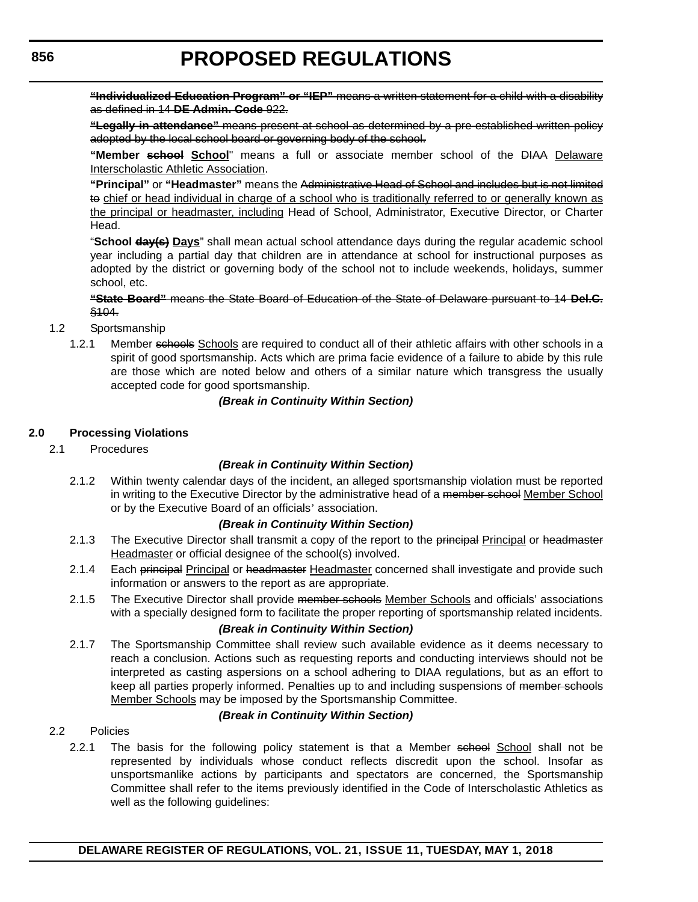**"Individualized Education Program" or "IEP"** means a written statement for a child with a disability as defined in 14 **DE Admin. Code** 922.

**"Legally in attendance"** means present at school as determined by a pre-established written policy adopted by the local school board or governing body of the school.

**"Member school School**" means a full or associate member school of the DIAA Delaware Interscholastic Athletic Association.

**"Principal"** or **"Headmaster"** means the Administrative Head of School and includes but is not limited to chief or head individual in charge of a school who is traditionally referred to or generally known as the principal or headmaster, including Head of School, Administrator, Executive Director, or Charter Head.

"**School day(s) Days**" shall mean actual school attendance days during the regular academic school year including a partial day that children are in attendance at school for instructional purposes as adopted by the district or governing body of the school not to include weekends, holidays, summer school, etc.

#### **"State Board"** means the State Board of Education of the State of Delaware pursuant to 14 **Del.C.** §104.

- 1.2 Sportsmanship
	- 1.2.1 Member schools Schools are required to conduct all of their athletic affairs with other schools in a spirit of good sportsmanship. Acts which are prima facie evidence of a failure to abide by this rule are those which are noted below and others of a similar nature which transgress the usually accepted code for good sportsmanship.

#### *(Break in Continuity Within Section)*

#### **2.0 Processing Violations**

2.1 Procedures

#### *(Break in Continuity Within Section)*

2.1.2 Within twenty calendar days of the incident, an alleged sportsmanship violation must be reported in writing to the Executive Director by the administrative head of a member school Member School or by the Executive Board of an officials' association.

#### *(Break in Continuity Within Section)*

- 2.1.3 The Executive Director shall transmit a copy of the report to the principal Principal or headmaster Headmaster or official designee of the school(s) involved.
- 2.1.4 Each principal Principal or headmaster Headmaster concerned shall investigate and provide such information or answers to the report as are appropriate.
- 2.1.5 The Executive Director shall provide member schools Member Schools and officials' associations with a specially designed form to facilitate the proper reporting of sportsmanship related incidents.

#### *(Break in Continuity Within Section)*

2.1.7 The Sportsmanship Committee shall review such available evidence as it deems necessary to reach a conclusion. Actions such as requesting reports and conducting interviews should not be interpreted as casting aspersions on a school adhering to DIAA regulations, but as an effort to keep all parties properly informed. Penalties up to and including suspensions of member schools Member Schools may be imposed by the Sportsmanship Committee.

#### *(Break in Continuity Within Section)*

- 2.2 Policies
	- 2.2.1 The basis for the following policy statement is that a Member school School shall not be represented by individuals whose conduct reflects discredit upon the school. Insofar as unsportsmanlike actions by participants and spectators are concerned, the Sportsmanship Committee shall refer to the items previously identified in the Code of Interscholastic Athletics as well as the following guidelines: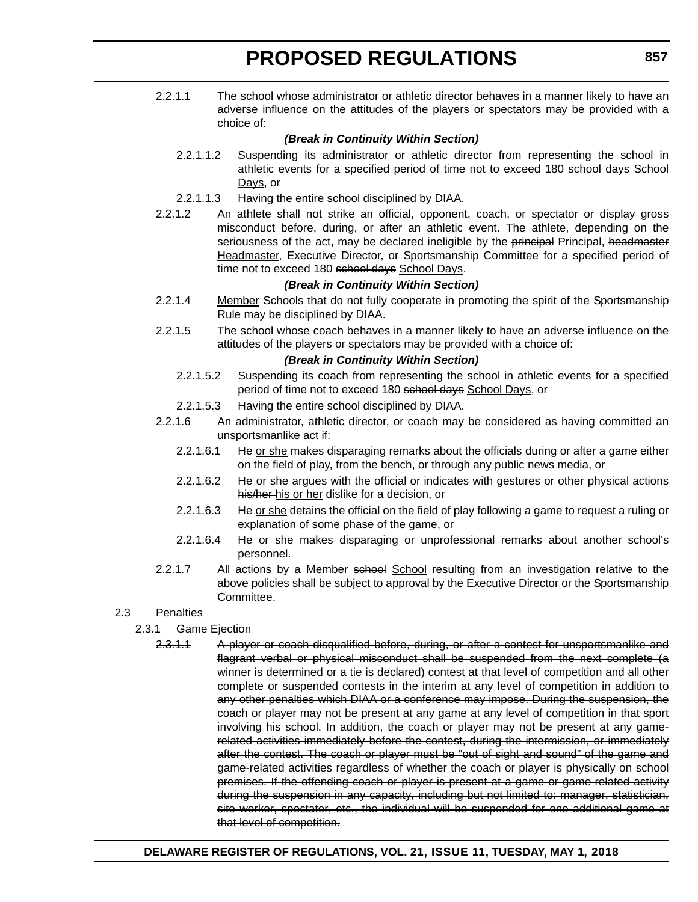2.2.1.1 The school whose administrator or athletic director behaves in a manner likely to have an adverse influence on the attitudes of the players or spectators may be provided with a choice of:

#### *(Break in Continuity Within Section)*

- 2.2.1.1.2 Suspending its administrator or athletic director from representing the school in athletic events for a specified period of time not to exceed 180 school days School Days, or
- 2.2.1.1.3 Having the entire school disciplined by DIAA.
- 2.2.1.2 An athlete shall not strike an official, opponent, coach, or spectator or display gross misconduct before, during, or after an athletic event. The athlete, depending on the seriousness of the act, may be declared ineligible by the principal Principal, headmaster Headmaster, Executive Director, or Sportsmanship Committee for a specified period of time not to exceed 180 school days School Days.

#### *(Break in Continuity Within Section)*

- 2.2.1.4 Member Schools that do not fully cooperate in promoting the spirit of the Sportsmanship Rule may be disciplined by DIAA.
- 2.2.1.5 The school whose coach behaves in a manner likely to have an adverse influence on the attitudes of the players or spectators may be provided with a choice of:

#### *(Break in Continuity Within Section)*

- 2.2.1.5.2 Suspending its coach from representing the school in athletic events for a specified period of time not to exceed 180 school days School Days, or
- 2.2.1.5.3 Having the entire school disciplined by DIAA.
- 2.2.1.6 An administrator, athletic director, or coach may be considered as having committed an unsportsmanlike act if:
	- 2.2.1.6.1 He or she makes disparaging remarks about the officials during or after a game either on the field of play, from the bench, or through any public news media, or
	- 2.2.1.6.2 He or she argues with the official or indicates with gestures or other physical actions his/her his or her dislike for a decision, or
	- 2.2.1.6.3 He or she detains the official on the field of play following a game to request a ruling or explanation of some phase of the game, or
	- 2.2.1.6.4 He or she makes disparaging or unprofessional remarks about another school's personnel.
- 2.2.1.7 All actions by a Member school School resulting from an investigation relative to the above policies shall be subject to approval by the Executive Director or the Sportsmanship Committee.

#### 2.3 Penalties

#### 2.3.1 Game Ejection

2.3.1.1 A player or coach disqualified before, during, or after a contest for unsportsmanlike and flagrant verbal or physical misconduct shall be suspended from the next complete (a winner is determined or a tie is declared) contest at that level of competition and all other complete or suspended contests in the interim at any level of competition in addition to any other penalties which DIAA or a conference may impose. During the suspension, the coach or player may not be present at any game at any level of competition in that sport involving his school. In addition, the coach or player may not be present at any gamerelated activities immediately before the contest, during the intermission, or immediately after the contest. The coach or player must be "out of sight and sound" of the game and game-related activities regardless of whether the coach or player is physically on school premises. If the offending coach or player is present at a game or game-related activity during the suspension in any capacity, including but not limited to: manager, statistician, site worker, spectator, etc., the individual will be suspended for one additional game at that level of competition.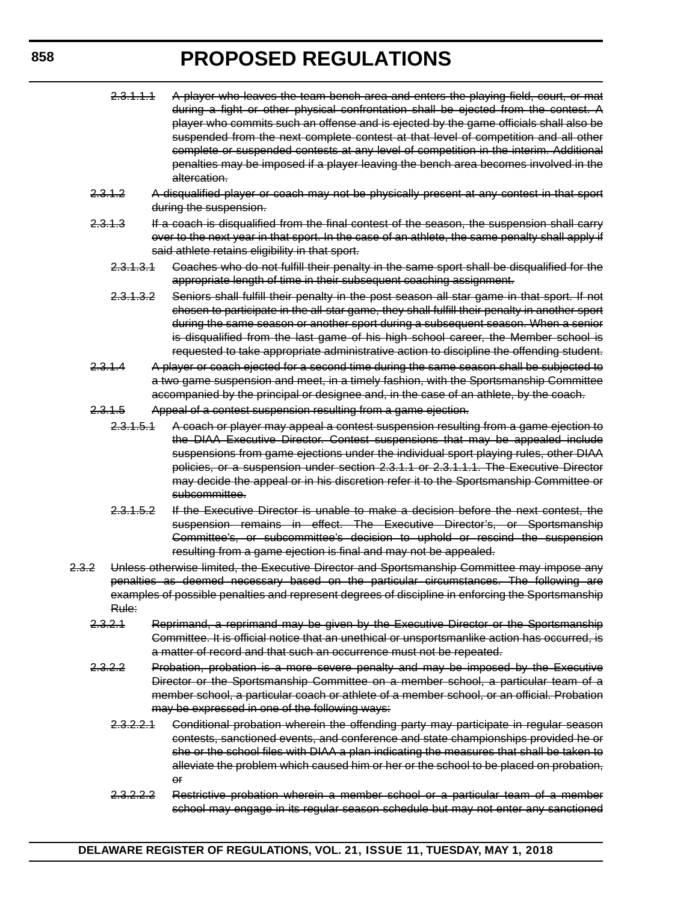| 2.3.1.1.1            | A player who leaves the team bench area and enters the playing field, court, or mat<br>during a fight or other physical confrontation shall be ejected from the contest. A<br>player who commits such an offense and is ejected by the game officials shall also be<br>suspended from the next complete contest at that level of competition and all other<br>complete or suspended contests at any level of competition in the interim. Additional<br>penalties may be imposed if a player leaving the bench area becomes involved in the<br>altercation. |
|----------------------|------------------------------------------------------------------------------------------------------------------------------------------------------------------------------------------------------------------------------------------------------------------------------------------------------------------------------------------------------------------------------------------------------------------------------------------------------------------------------------------------------------------------------------------------------------|
| 2.3.1.2              | A disqualified player or coach may not be physically present at any contest in that sport<br>during the suspension.                                                                                                                                                                                                                                                                                                                                                                                                                                        |
| 2,3,1,3              | If a coach is disqualified from the final contest of the season, the suspension shall carry<br>over to the next year in that sport. In the case of an athlete, the same penalty shall apply if<br>said athlete retains eligibility in that sport.                                                                                                                                                                                                                                                                                                          |
| 2.3.1.3.1            | Goaches who do not fulfill their penalty in the same sport shall be disqualified for the<br>appropriate length of time in their subsequent coaching assignment.                                                                                                                                                                                                                                                                                                                                                                                            |
| 2.3.1.3.2            | Seniors shall fulfill their penalty in the post season all star game in that sport. If not<br>chosen to participate in the all-star game, they shall fulfill their penalty in another sport<br>during the same season or another sport during a subsequent season. When a senior<br>is disqualified from the last game of his high school career, the Member school is<br>requested to take appropriate administrative action to discipline the offending student.                                                                                         |
| 2.3.1.4              | A player or coach ejected for a second time during the same season shall be subjected to<br>a two game suspension and meet, in a timely fashion, with the Sportsmanship Committee<br>accompanied by the principal or designee and, in the case of an athlete, by the coach.                                                                                                                                                                                                                                                                                |
| 2,3,4,5              | Appeal of a contest suspension resulting from a game ejection.                                                                                                                                                                                                                                                                                                                                                                                                                                                                                             |
| 2.3.1.5.1            | A coach or player may appeal a contest suspension resulting from a game ejection to<br>the DIAA Executive Director. Contest suspensions that may be appealed include<br>suspensions from game ejections under the individual sport playing rules, other DIAA<br>policies, or a suspension under section 2.3.1.1 or 2.3.1.1.1. The Executive Director<br>may decide the appeal or in his discretion refer it to the Sportsmanship Committee or<br><del>subcommittee.</del>                                                                                  |
| 2.3.1.5.2            | If the Executive Director is unable to make a decision before the next contest, the<br>suspension remains in effect. The Executive Director's, or Sportsmanship<br>Committee's, or subcommittee's decision to uphold or rescind the suspension<br>resulting from a game ejection is final and may not be appealed.                                                                                                                                                                                                                                         |
| 2.3.2<br>Rule:       | Unless otherwise limited, the Executive Director and Sportsmanship Committee may impose any<br>penalties as deemed necessary based on the particular circumstances. The following are<br>examples of possible penalties and represent degrees of discipline in enforcing the Sportsmanship                                                                                                                                                                                                                                                                 |
| 2.3.2.1              | Reprimand, a reprimand may be given by the Executive Director or the Sportsmanship<br>Committee. It is official notice that an unethical or unsportsmanlike action has occurred, is<br>a matter of record and that such an occurrence must not be repeated.                                                                                                                                                                                                                                                                                                |
| 2,3,2,2              | Probation, probation is a more severe penalty and may be imposed by the Executive<br>Director or the Sportsmanship Committee on a member school, a particular team of a<br>member school, a particular coach or athlete of a member school, or an official. Probation<br>may be expressed in one of the following ways:                                                                                                                                                                                                                                    |
| <del>2.3.2.2.1</del> | Conditional probation wherein the offending party may participate in regular season<br>contests, sanctioned events, and conference and state championships provided he or<br>she or the school files with DIAA a plan indicating the measures that shall be taken to<br>alleviate the problem which caused him or her or the school to be placed on probation,<br>$\Theta$ f                                                                                                                                                                               |

2.3.2.2.2 Restrictive probation wherein a member school or a particular team of a member school may engage in its regular season schedule but may not enter any sanctioned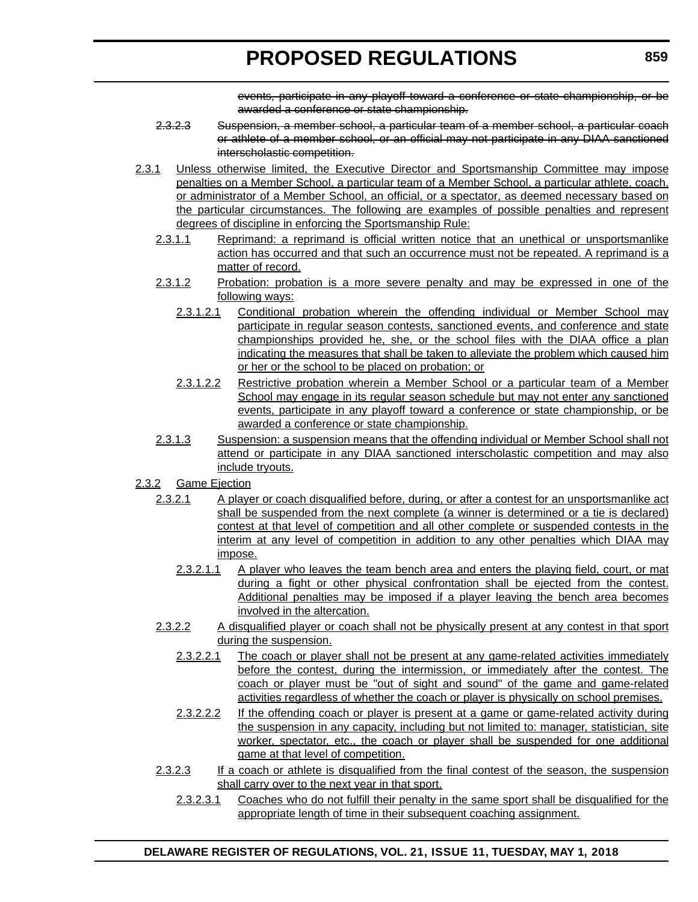events, participate in any playoff toward a conference or state championship, or be awarded a conference or state championship.

- 2.3.2.3 Suspension, a member school, a particular team of a member school, a particular coach or athlete of a member school, or an official may not participate in any DIAA sanctioned interscholastic competition.
- 2.3.1 Unless otherwise limited, the Executive Director and Sportsmanship Committee may impose penalties on a Member School, a particular team of a Member School, a particular athlete, coach, or administrator of a Member School, an official, or a spectator, as deemed necessary based on the particular circumstances. The following are examples of possible penalties and represent degrees of discipline in enforcing the Sportsmanship Rule:
	- 2.3.1.1 Reprimand: a reprimand is official written notice that an unethical or unsportsmanlike action has occurred and that such an occurrence must not be repeated. A reprimand is a matter of record.
	- 2.3.1.2 Probation: probation is a more severe penalty and may be expressed in one of the following ways:
		- 2.3.1.2.1 Conditional probation wherein the offending individual or Member School may participate in regular season contests, sanctioned events, and conference and state championships provided he, she, or the school files with the DIAA office a plan indicating the measures that shall be taken to alleviate the problem which caused him or her or the school to be placed on probation; or
		- 2.3.1.2.2 Restrictive probation wherein a Member School or a particular team of a Member School may engage in its regular season schedule but may not enter any sanctioned events, participate in any playoff toward a conference or state championship, or be awarded a conference or state championship.
	- 2.3.1.3 Suspension: a suspension means that the offending individual or Member School shall not attend or participate in any DIAA sanctioned interscholastic competition and may also include tryouts.
- 2.3.2 Game Ejection
	- 2.3.2.1 A player or coach disqualified before, during, or after a contest for an unsportsmanlike act shall be suspended from the next complete (a winner is determined or a tie is declared) contest at that level of competition and all other complete or suspended contests in the interim at any level of competition in addition to any other penalties which DIAA may impose.
		- 2.3.2.1.1 A player who leaves the team bench area and enters the playing field, court, or mat during a fight or other physical confrontation shall be ejected from the contest. Additional penalties may be imposed if a player leaving the bench area becomes involved in the altercation.
	- 2.3.2.2 A disqualified player or coach shall not be physically present at any contest in that sport during the suspension.
		- 2.3.2.2.1 The coach or player shall not be present at any game-related activities immediately before the contest, during the intermission, or immediately after the contest. The coach or player must be "out of sight and sound" of the game and game-related activities regardless of whether the coach or player is physically on school premises.
		- 2.3.2.2.2 If the offending coach or player is present at a game or game-related activity during the suspension in any capacity, including but not limited to: manager, statistician, site worker, spectator, etc., the coach or player shall be suspended for one additional game at that level of competition.
	- 2.3.2.3 If a coach or athlete is disqualified from the final contest of the season, the suspension shall carry over to the next year in that sport.
		- 2.3.2.3.1 Coaches who do not fulfill their penalty in the same sport shall be disqualified for the appropriate length of time in their subsequent coaching assignment.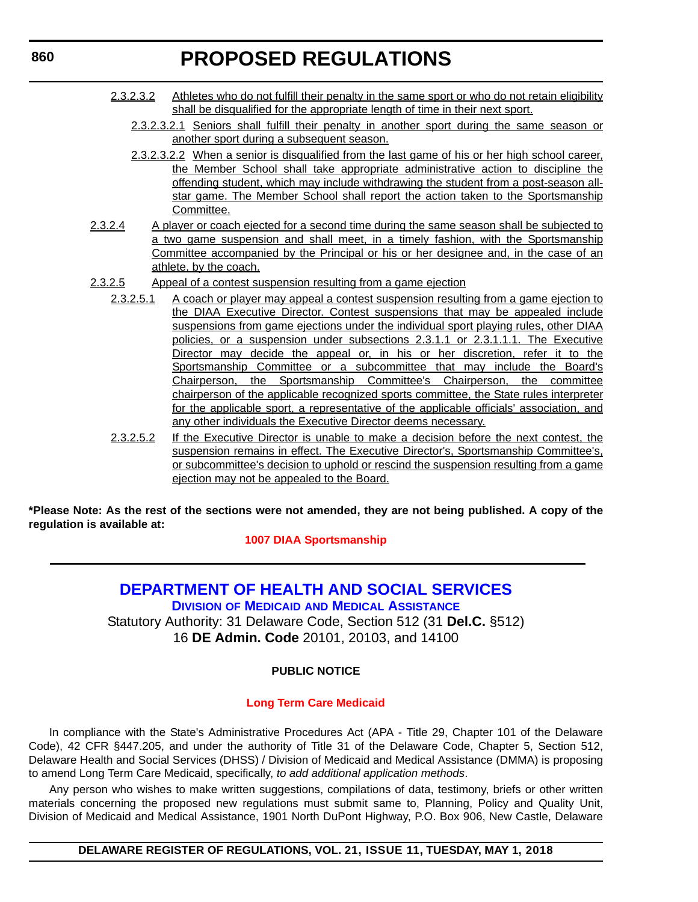- <span id="page-35-0"></span>2.3.2.3.2 Athletes who do not fulfill their penalty in the same sport or who do not retain eligibility shall be disqualified for the appropriate length of time in their next sport.
	- 2.3.2.3.2.1 Seniors shall fulfill their penalty in another sport during the same season or another sport during a subsequent season.
	- 2.3.2.3.2.2 When a senior is disqualified from the last game of his or her high school career, the Member School shall take appropriate administrative action to discipline the offending student, which may include withdrawing the student from a post-season allstar game. The Member School shall report the action taken to the Sportsmanship Committee.
- 2.3.2.4 A player or coach ejected for a second time during the same season shall be subjected to a two game suspension and shall meet, in a timely fashion, with the Sportsmanship Committee accompanied by the Principal or his or her designee and, in the case of an athlete, by the coach.
- 2.3.2.5 Appeal of a contest suspension resulting from a game ejection
	- 2.3.2.5.1 A coach or player may appeal a contest suspension resulting from a game ejection to the DIAA Executive Director. Contest suspensions that may be appealed include suspensions from game ejections under the individual sport playing rules, other DIAA policies, or a suspension under subsections 2.3.1.1 or 2.3.1.1.1. The Executive Director may decide the appeal or, in his or her discretion, refer it to the Sportsmanship Committee or a subcommittee that may include the Board's Chairperson, the Sportsmanship Committee's Chairperson, the committee chairperson of the applicable recognized sports committee, the State rules interpreter for the applicable sport, a representative of the applicable officials' association, and any other individuals the Executive Director deems necessary.
	- 2.3.2.5.2 If the Executive Director is unable to make a decision before the next contest, the suspension remains in effect. The Executive Director's, Sportsmanship Committee's, or subcommittee's decision to uphold or rescind the suspension resulting from a game ejection may not be appealed to the Board.

**\*Please Note: As the rest of the sections were not amended, they are not being published. A copy of the regulation is available at:**

**[1007 DIAA Sportsmanship](http://regulations.delaware.gov/register/may2018/proposed/21 DE Reg 854 05-01-18.htm)** 

# **[DEPARTMENT OF HEALTH AND SOCIAL SERVICES](http://www.dhss.delaware.gov/dhss/dmma/)**

**DIVISION OF MEDICAID [AND MEDICAL ASSISTANCE](http://www.dhss.delaware.gov/dhss/dmma/)** Statutory Authority: 31 Delaware Code, Section 512 (31 **Del.C.** §512)

16 **DE Admin. Code** 20101, 20103, and 14100

#### **PUBLIC NOTICE**

#### **[Long Term Care Medicaid](#page-3-0)**

In compliance with the State's Administrative Procedures Act (APA - Title 29, Chapter 101 of the Delaware Code), 42 CFR §447.205, and under the authority of Title 31 of the Delaware Code, Chapter 5, Section 512, Delaware Health and Social Services (DHSS) / Division of Medicaid and Medical Assistance (DMMA) is proposing to amend Long Term Care Medicaid, specifically, *to add additional application methods*.

Any person who wishes to make written suggestions, compilations of data, testimony, briefs or other written materials concerning the proposed new regulations must submit same to, Planning, Policy and Quality Unit, Division of Medicaid and Medical Assistance, 1901 North DuPont Highway, P.O. Box 906, New Castle, Delaware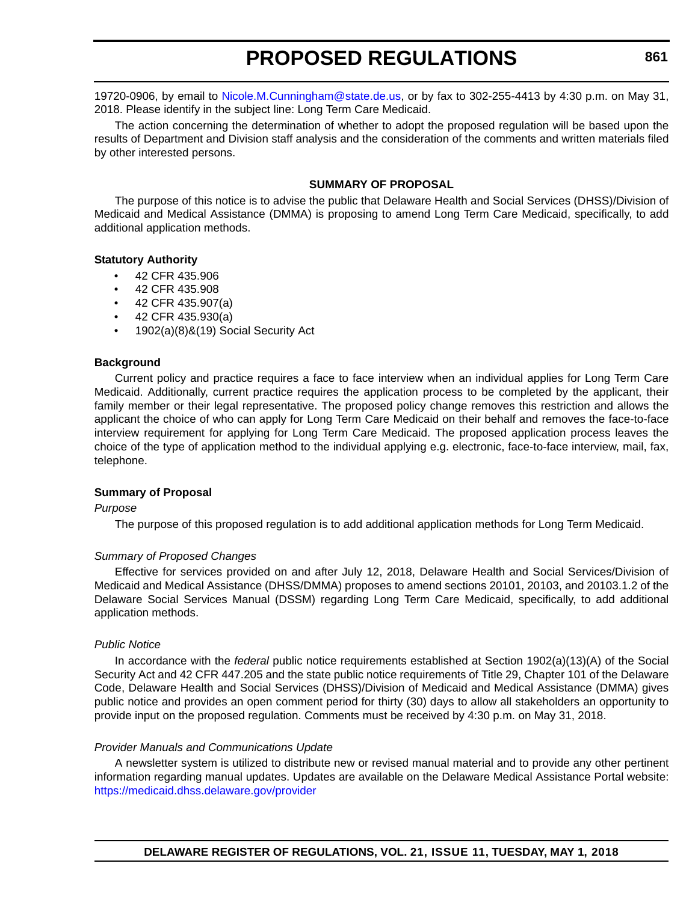19720-0906, by email to [Nicole.M.Cunningham@state.de.us,](mailto:Nicole.M.Cunningham@state.de.us) or by fax to 302-255-4413 by 4:30 p.m. on May 31, 2018. Please identify in the subject line: Long Term Care Medicaid.

The action concerning the determination of whether to adopt the proposed regulation will be based upon the results of Department and Division staff analysis and the consideration of the comments and written materials filed by other interested persons.

#### **SUMMARY OF PROPOSAL**

The purpose of this notice is to advise the public that Delaware Health and Social Services (DHSS)/Division of Medicaid and Medical Assistance (DMMA) is proposing to amend Long Term Care Medicaid, specifically, to add additional application methods.

#### **Statutory Authority**

- 42 CFR 435.906
- 42 CFR 435.908
- 42 CFR 435.907(a)
- 42 CFR 435.930(a)
- 1902(a)(8)&(19) Social Security Act

#### **Background**

Current policy and practice requires a face to face interview when an individual applies for Long Term Care Medicaid. Additionally, current practice requires the application process to be completed by the applicant, their family member or their legal representative. The proposed policy change removes this restriction and allows the applicant the choice of who can apply for Long Term Care Medicaid on their behalf and removes the face-to-face interview requirement for applying for Long Term Care Medicaid. The proposed application process leaves the choice of the type of application method to the individual applying e.g. electronic, face-to-face interview, mail, fax, telephone.

#### **Summary of Proposal**

#### *Purpose*

The purpose of this proposed regulation is to add additional application methods for Long Term Medicaid.

#### *Summary of Proposed Changes*

Effective for services provided on and after July 12, 2018, Delaware Health and Social Services/Division of Medicaid and Medical Assistance (DHSS/DMMA) proposes to amend sections 20101, 20103, and 20103.1.2 of the Delaware Social Services Manual (DSSM) regarding Long Term Care Medicaid, specifically, to add additional application methods.

#### *Public Notice*

In accordance with the *federal* public notice requirements established at Section 1902(a)(13)(A) of the Social Security Act and 42 CFR 447.205 and the state public notice requirements of Title 29, Chapter 101 of the Delaware Code, Delaware Health and Social Services (DHSS)/Division of Medicaid and Medical Assistance (DMMA) gives public notice and provides an open comment period for thirty (30) days to allow all stakeholders an opportunity to provide input on the proposed regulation. Comments must be received by 4:30 p.m. on May 31, 2018.

#### *Provider Manuals and Communications Update*

A newsletter system is utilized to distribute new or revised manual material and to provide any other pertinent information regarding manual updates. Updates are available on the Delaware Medical Assistance Portal website: <https://medicaid.dhss.delaware.gov/provider>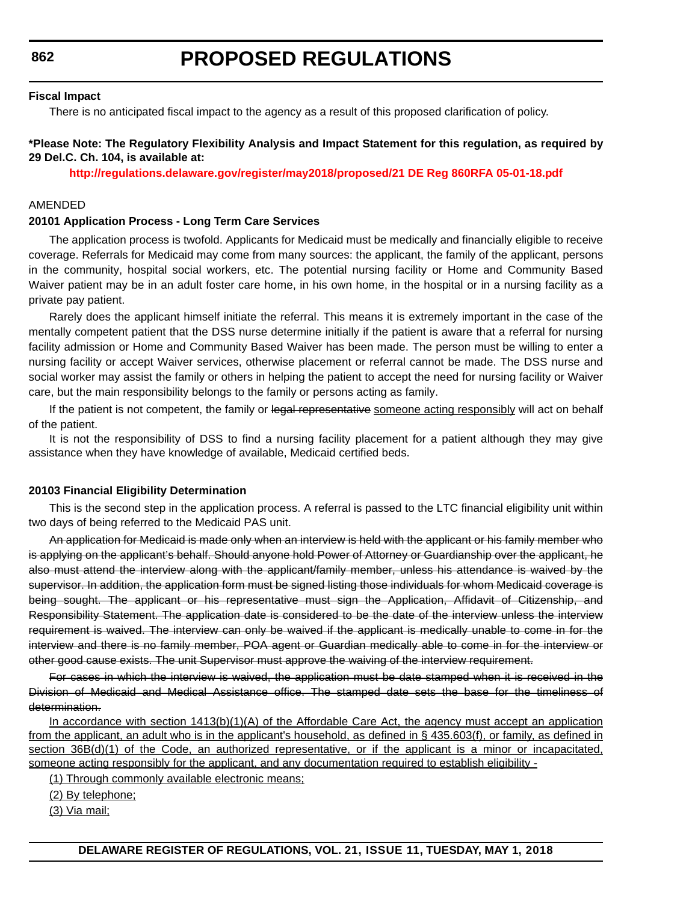# **PROPOSED REGULATIONS**

#### **Fiscal Impact**

There is no anticipated fiscal impact to the agency as a result of this proposed clarification of policy.

#### **\*Please Note: The Regulatory Flexibility Analysis and Impact Statement for this regulation, as required by 29 Del.C. Ch. 104, is available at:**

**<http://regulations.delaware.gov/register/may2018/proposed/21 DE Reg 860RFA 05-01-18.pdf>**

#### AMENDED

#### **20101 Application Process - Long Term Care Services**

The application process is twofold. Applicants for Medicaid must be medically and financially eligible to receive coverage. Referrals for Medicaid may come from many sources: the applicant, the family of the applicant, persons in the community, hospital social workers, etc. The potential nursing facility or Home and Community Based Waiver patient may be in an adult foster care home, in his own home, in the hospital or in a nursing facility as a private pay patient.

Rarely does the applicant himself initiate the referral. This means it is extremely important in the case of the mentally competent patient that the DSS nurse determine initially if the patient is aware that a referral for nursing facility admission or Home and Community Based Waiver has been made. The person must be willing to enter a nursing facility or accept Waiver services, otherwise placement or referral cannot be made. The DSS nurse and social worker may assist the family or others in helping the patient to accept the need for nursing facility or Waiver care, but the main responsibility belongs to the family or persons acting as family.

If the patient is not competent, the family or legal representative someone acting responsibly will act on behalf of the patient.

It is not the responsibility of DSS to find a nursing facility placement for a patient although they may give assistance when they have knowledge of available, Medicaid certified beds.

#### **20103 Financial Eligibility Determination**

This is the second step in the application process. A referral is passed to the LTC financial eligibility unit within two days of being referred to the Medicaid PAS unit.

An application for Medicaid is made only when an interview is held with the applicant or his family member who is applying on the applicant's behalf. Should anyone hold Power of Attorney or Guardianship over the applicant, he also must attend the interview along with the applicant/family member, unless his attendance is waived by the supervisor. In addition, the application form must be signed listing those individuals for whom Medicaid coverage is being sought. The applicant or his representative must sign the Application, Affidavit of Citizenship, and Responsibility Statement. The application date is considered to be the date of the interview unless the interview requirement is waived. The interview can only be waived if the applicant is medically unable to come in for the interview and there is no family member, POA agent or Guardian medically able to come in for the interview or other good cause exists. The unit Supervisor must approve the waiving of the interview requirement.

For cases in which the interview is waived, the application must be date stamped when it is received in the Division of Medicaid and Medical Assistance office. The stamped date sets the base for the timeliness of determination.

In accordance with section 1413(b)(1)(A) of the Affordable Care Act, the agency must accept an application from the applicant, an adult who is in the applicant's household, as defined in § 435.603(f), or family, as defined in section 36B(d)(1) of the Code, an authorized representative, or if the applicant is a minor or incapacitated, someone acting responsibly for the applicant, and any documentation required to establish eligibility -

(1) Through commonly available electronic means;

(2) By telephone;

(3) Via mail;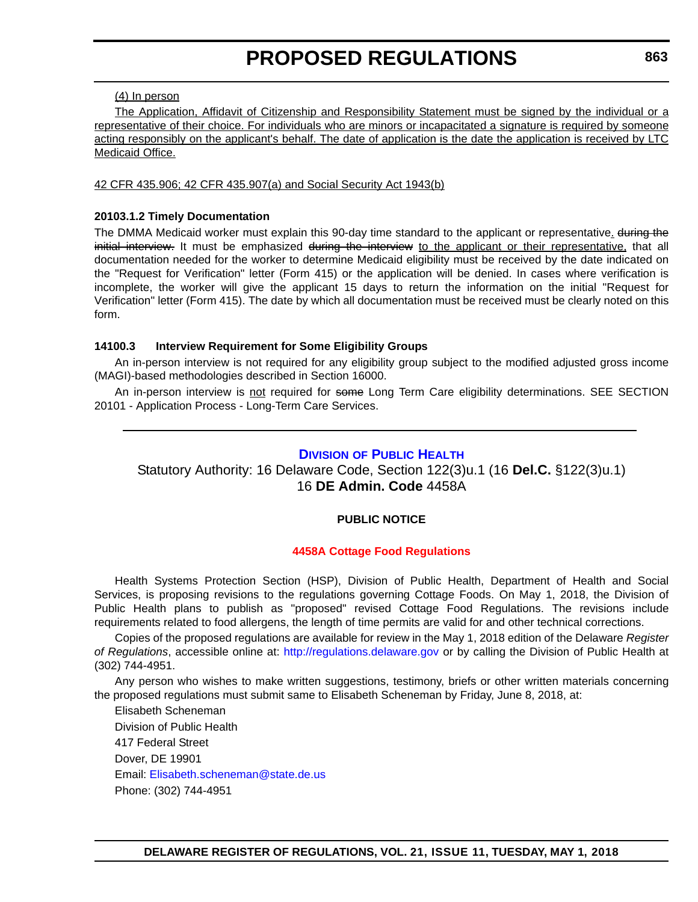#### (4) In person

The Application, Affidavit of Citizenship and Responsibility Statement must be signed by the individual or a representative of their choice. For individuals who are minors or incapacitated a signature is required by someone acting responsibly on the applicant's behalf. The date of application is the date the application is received by LTC Medicaid Office.

#### 42 CFR 435.906; 42 CFR 435.907(a) and Social Security Act 1943(b)

#### **20103.1.2 Timely Documentation**

The DMMA Medicaid worker must explain this 90-day time standard to the applicant or representative. during the initial interview. It must be emphasized during the interview to the applicant or their representative, that all documentation needed for the worker to determine Medicaid eligibility must be received by the date indicated on the "Request for Verification" letter (Form 415) or the application will be denied. In cases where verification is incomplete, the worker will give the applicant 15 days to return the information on the initial "Request for Verification" letter (Form 415). The date by which all documentation must be received must be clearly noted on this form.

#### **14100.3 Interview Requirement for Some Eligibility Groups**

An in-person interview is not required for any eligibility group subject to the modified adjusted gross income (MAGI)-based methodologies described in Section 16000.

An in-person interview is not required for some Long Term Care eligibility determinations. SEE SECTION 20101 - Application Process - Long-Term Care Services.

### **DIVISION [OF PUBLIC HEALTH](http://www.dhss.delaware.gov/dhss/dph/index.html)**

Statutory Authority: 16 Delaware Code, Section 122(3)u.1 (16 **Del.C.** §122(3)u.1) 16 **DE Admin. Code** 4458A

#### **PUBLIC NOTICE**

#### **[4458A Cottage Food Regulations](#page-3-0)**

Health Systems Protection Section (HSP), Division of Public Health, Department of Health and Social Services, is proposing revisions to the regulations governing Cottage Foods. On May 1, 2018, the Division of Public Health plans to publish as "proposed" revised Cottage Food Regulations. The revisions include requirements related to food allergens, the length of time permits are valid for and other technical corrections.

Copies of the proposed regulations are available for review in the May 1, 2018 edition of the Delaware *Register of Regulations*, accessible online at: <http://regulations.delaware.gov> or by calling the Division of Public Health at (302) 744-4951.

Any person who wishes to make written suggestions, testimony, briefs or other written materials concerning the proposed regulations must submit same to Elisabeth Scheneman by Friday, June 8, 2018, at:

Elisabeth Scheneman Division of Public Health 417 Federal Street Dover, DE 19901 Email: [Elisabeth.scheneman@state.de.us](mailto:Elisabeth.scheneman@state.de.us) Phone: (302) 744-4951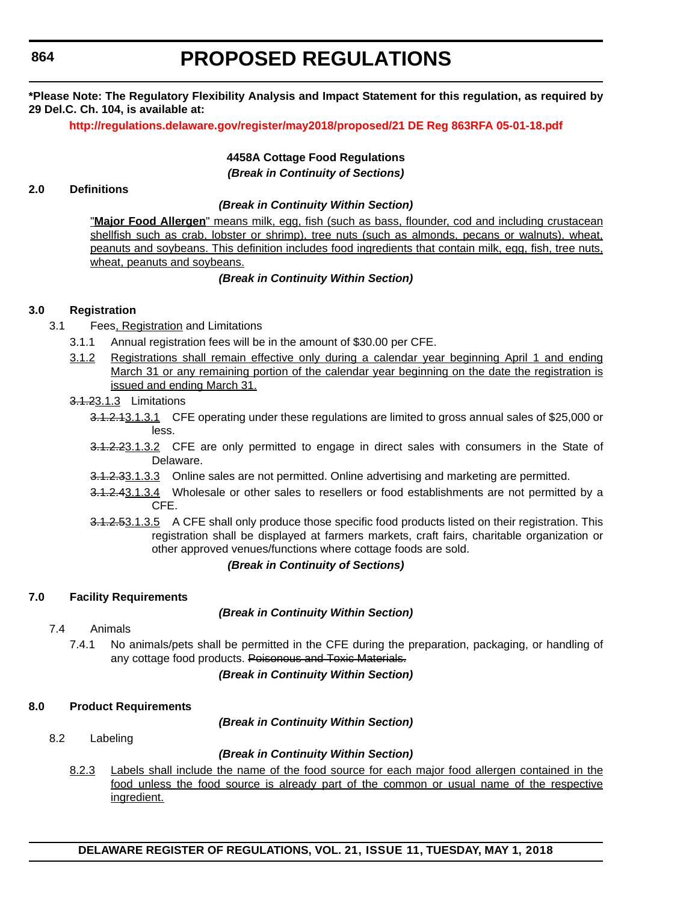# **PROPOSED REGULATIONS**

**\*Please Note: The Regulatory Flexibility Analysis and Impact Statement for this regulation, as required by 29 Del.C. Ch. 104, is available at:**

**<http://regulations.delaware.gov/register/may2018/proposed/21 DE Reg 863RFA 05-01-18.pdf>**

**4458A Cottage Food Regulations** *(Break in Continuity of Sections)*

#### **2.0 Definitions**

#### *(Break in Continuity Within Section)*

"**Major Food Allergen**" means milk, egg, fish (such as bass, flounder, cod and including crustacean shellfish such as crab, lobster or shrimp), tree nuts (such as almonds, pecans or walnuts), wheat, peanuts and soybeans. This definition includes food ingredients that contain milk, egg, fish, tree nuts, wheat, peanuts and soybeans.

### *(Break in Continuity Within Section)*

### **3.0 Registration**

- 3.1 Fees, Registration and Limitations
	- 3.1.1 Annual registration fees will be in the amount of \$30.00 per CFE.
	- 3.1.2 Registrations shall remain effective only during a calendar year beginning April 1 and ending March 31 or any remaining portion of the calendar year beginning on the date the registration is issued and ending March 31.
	- 3.1.23.1.3 Limitations
		- 3.1.2.13.1.3.1 CFE operating under these regulations are limited to gross annual sales of \$25,000 or less.
		- 3.1.2.23.1.3.2 CFE are only permitted to engage in direct sales with consumers in the State of Delaware.
		- 3.1.2.33.1.3.3 Online sales are not permitted. Online advertising and marketing are permitted.
		- 3.1.2.43.1.3.4 Wholesale or other sales to resellers or food establishments are not permitted by a CFE.
		- 3.1.2.53.1.3.5 A CFE shall only produce those specific food products listed on their registration. This registration shall be displayed at farmers markets, craft fairs, charitable organization or other approved venues/functions where cottage foods are sold.

#### *(Break in Continuity of Sections)*

# **7.0 Facility Requirements**

#### *(Break in Continuity Within Section)*

- 7.4 Animals
	- 7.4.1 No animals/pets shall be permitted in the CFE during the preparation, packaging, or handling of any cottage food products. Poisonous and Toxic Materials.

#### *(Break in Continuity Within Section)*

#### **8.0 Product Requirements**

*(Break in Continuity Within Section)*

8.2 Labeling

#### *(Break in Continuity Within Section)*

8.2.3 Labels shall include the name of the food source for each major food allergen contained in the food unless the food source is already part of the common or usual name of the respective ingredient.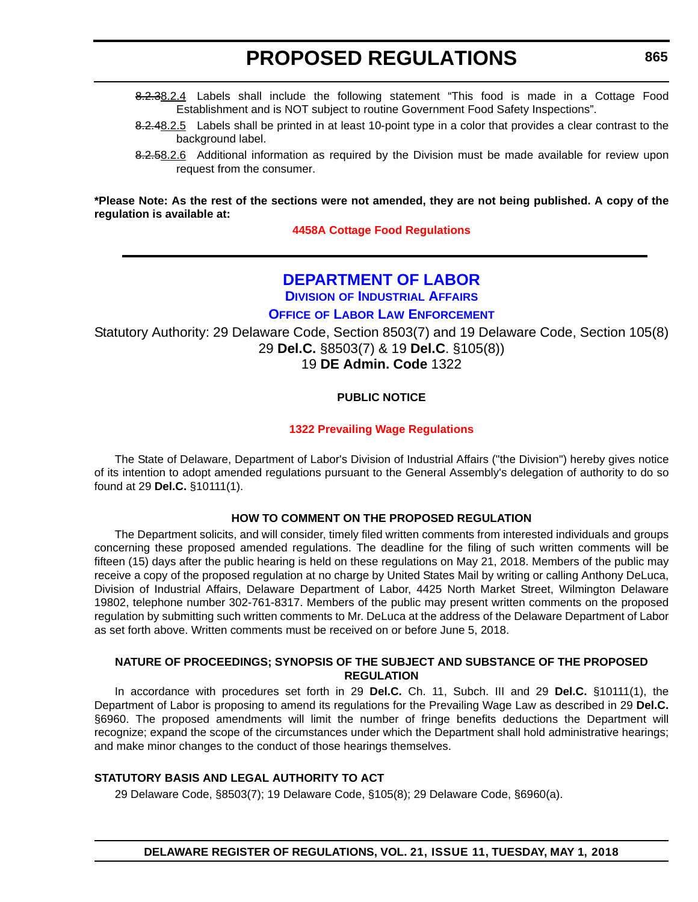- 8.2.38.2.4 Labels shall include the following statement "This food is made in a Cottage Food Establishment and is NOT subject to routine Government Food Safety Inspections".
- 8.2.48.2.5 Labels shall be printed in at least 10-point type in a color that provides a clear contrast to the background label.
- 8.2.58.2.6 Additional information as required by the Division must be made available for review upon request from the consumer.

**\*Please Note: As the rest of the sections were not amended, they are not being published. A copy of the regulation is available at:**

**[4458A Cottage Food Regulations](http://regulations.delaware.gov/register/may2018/proposed/21 DE Reg 863 05-01-18.htm)** 

# **[DEPARTMENT OF LABOR](https://dia.delawareworks.com/) DIVISION [OF INDUSTRIAL AFFAIRS](https://dia.delawareworks.com/)**

**OFFICE OF LABOR LAW ENFORCEMENT**

Statutory Authority: 29 Delaware Code, Section 8503(7) and 19 Delaware Code, Section 105(8) 29 **Del.C.** §8503(7) & 19 **Del.C**. §105(8))

19 **DE Admin. Code** 1322

### **PUBLIC NOTICE**

#### **[1322 Prevailing Wage Regulations](#page-3-0)**

The State of Delaware, Department of Labor's Division of Industrial Affairs ("the Division") hereby gives notice of its intention to adopt amended regulations pursuant to the General Assembly's delegation of authority to do so found at 29 **Del.C.** §10111(1).

#### **HOW TO COMMENT ON THE PROPOSED REGULATION**

The Department solicits, and will consider, timely filed written comments from interested individuals and groups concerning these proposed amended regulations. The deadline for the filing of such written comments will be fifteen (15) days after the public hearing is held on these regulations on May 21, 2018. Members of the public may receive a copy of the proposed regulation at no charge by United States Mail by writing or calling Anthony DeLuca, Division of Industrial Affairs, Delaware Department of Labor, 4425 North Market Street, Wilmington Delaware 19802, telephone number 302-761-8317. Members of the public may present written comments on the proposed regulation by submitting such written comments to Mr. DeLuca at the address of the Delaware Department of Labor as set forth above. Written comments must be received on or before June 5, 2018.

#### **NATURE OF PROCEEDINGS; SYNOPSIS OF THE SUBJECT AND SUBSTANCE OF THE PROPOSED REGULATION**

In accordance with procedures set forth in 29 **Del.C.** Ch. 11, Subch. III and 29 **Del.C.** §10111(1), the Department of Labor is proposing to amend its regulations for the Prevailing Wage Law as described in 29 **Del.C.** §6960. The proposed amendments will limit the number of fringe benefits deductions the Department will recognize; expand the scope of the circumstances under which the Department shall hold administrative hearings; and make minor changes to the conduct of those hearings themselves.

#### **STATUTORY BASIS AND LEGAL AUTHORITY TO ACT**

29 Delaware Code, §8503(7); 19 Delaware Code, §105(8); 29 Delaware Code, §6960(a).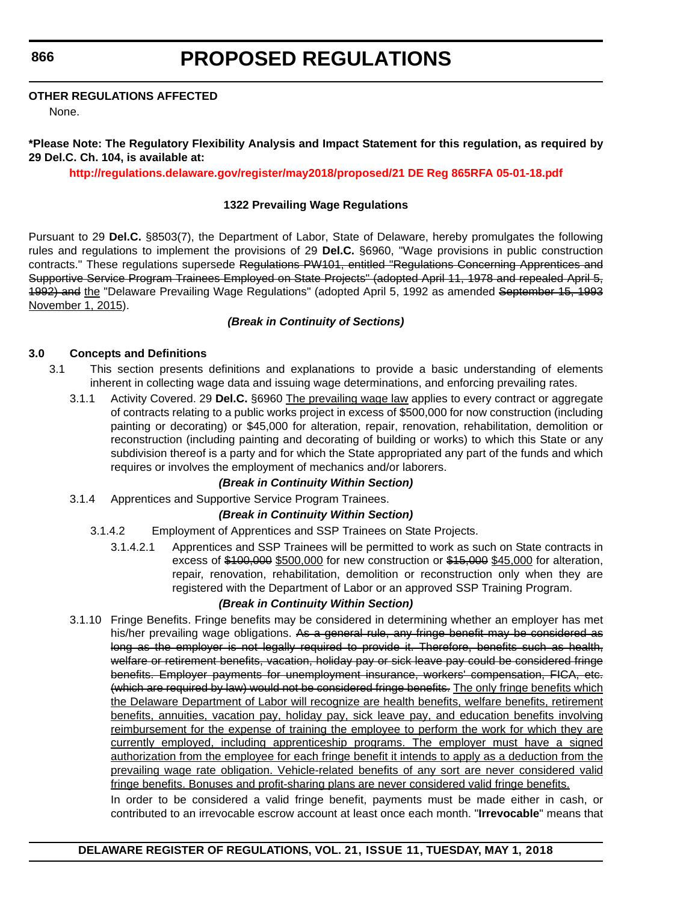# **PROPOSED REGULATIONS**

#### **OTHER REGULATIONS AFFECTED**

None.

### **\*Please Note: The Regulatory Flexibility Analysis and Impact Statement for this regulation, as required by 29 Del.C. Ch. 104, is available at:**

**<http://regulations.delaware.gov/register/may2018/proposed/21 DE Reg 865RFA 05-01-18.pdf>**

#### **1322 Prevailing Wage Regulations**

Pursuant to 29 **Del.C.** §8503(7), the Department of Labor, State of Delaware, hereby promulgates the following rules and regulations to implement the provisions of 29 **Del.C.** §6960, "Wage provisions in public construction contracts." These regulations supersede Regulations PW101, entitled "Regulations Concerning Apprentices and Supportive Service Program Trainees Employed on State Projects" (adopted April 11, 1978 and repealed April 5, 1992) and the "Delaware Prevailing Wage Regulations" (adopted April 5, 1992 as amended September 15, 1993 November 1, 2015).

### *(Break in Continuity of Sections)*

### **3.0 Concepts and Definitions**

- 3.1 This section presents definitions and explanations to provide a basic understanding of elements inherent in collecting wage data and issuing wage determinations, and enforcing prevailing rates.
	- 3.1.1 Activity Covered. 29 **Del.C.** §6960 The prevailing wage law applies to every contract or aggregate of contracts relating to a public works project in excess of \$500,000 for now construction (including painting or decorating) or \$45,000 for alteration, repair, renovation, rehabilitation, demolition or reconstruction (including painting and decorating of building or works) to which this State or any subdivision thereof is a party and for which the State appropriated any part of the funds and which requires or involves the employment of mechanics and/or laborers.

#### *(Break in Continuity Within Section)*

3.1.4 Apprentices and Supportive Service Program Trainees.

#### *(Break in Continuity Within Section)*

- 3.1.4.2 Employment of Apprentices and SSP Trainees on State Projects.
	- 3.1.4.2.1 Apprentices and SSP Trainees will be permitted to work as such on State contracts in excess of \$100,000 \$500,000 for new construction or \$15,000 \$45,000 for alteration, repair, renovation, rehabilitation, demolition or reconstruction only when they are registered with the Department of Labor or an approved SSP Training Program.

# *(Break in Continuity Within Section)*

3.1.10 Fringe Benefits. Fringe benefits may be considered in determining whether an employer has met his/her prevailing wage obligations. As a general rule, any fringe benefit may be considered as long as the employer is not legally required to provide it. Therefore, benefits such as health, welfare or retirement benefits, vacation, holiday pay or sick leave pay could be considered fringe benefits. Employer payments for unemployment insurance, workers' compensation, FICA, etc. (which are required by law) would not be considered fringe benefits. The only fringe benefits which the Delaware Department of Labor will recognize are health benefits, welfare benefits, retirement benefits, annuities, vacation pay, holiday pay, sick leave pay, and education benefits involving reimbursement for the expense of training the employee to perform the work for which they are currently employed, including apprenticeship programs. The employer must have a signed authorization from the employee for each fringe benefit it intends to apply as a deduction from the prevailing wage rate obligation. Vehicle-related benefits of any sort are never considered valid fringe benefits. Bonuses and profit-sharing plans are never considered valid fringe benefits.

In order to be considered a valid fringe benefit, payments must be made either in cash, or contributed to an irrevocable escrow account at least once each month. "**Irrevocable**" means that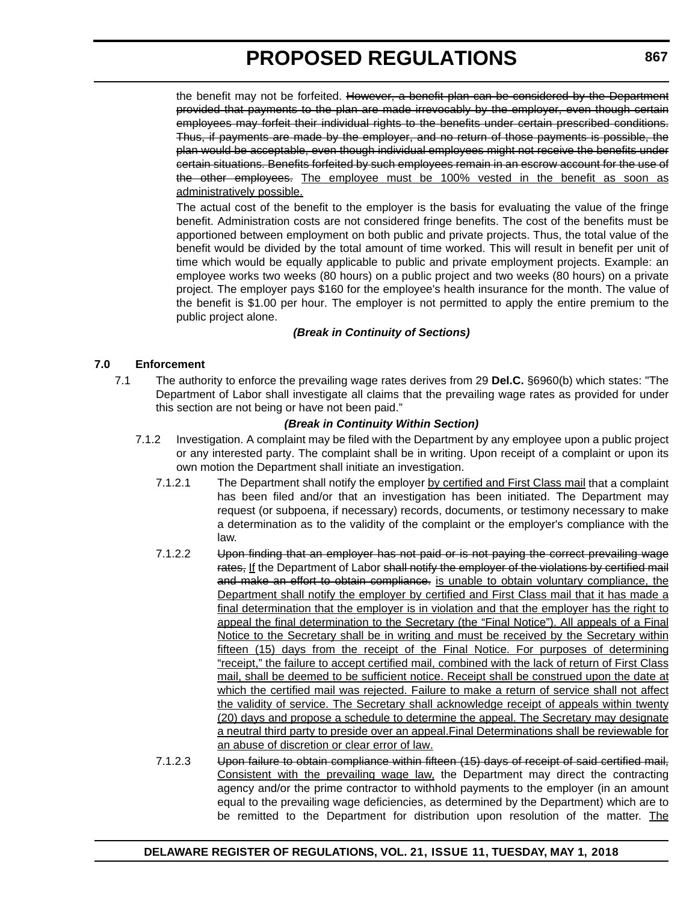the benefit may not be forfeited. However, a benefit plan can be considered by the Department provided that payments to the plan are made irrevocably by the employer, even though certain employees may forfeit their individual rights to the benefits under certain prescribed conditions. Thus, if payments are made by the employer, and no return of those payments is possible, the plan would be acceptable, even though individual employees might not receive the benefits under certain situations. Benefits forfeited by such employees remain in an escrow account for the use of the other employees. The employee must be 100% vested in the benefit as soon as administratively possible.

The actual cost of the benefit to the employer is the basis for evaluating the value of the fringe benefit. Administration costs are not considered fringe benefits. The cost of the benefits must be apportioned between employment on both public and private projects. Thus, the total value of the benefit would be divided by the total amount of time worked. This will result in benefit per unit of time which would be equally applicable to public and private employment projects. Example: an employee works two weeks (80 hours) on a public project and two weeks (80 hours) on a private project. The employer pays \$160 for the employee's health insurance for the month. The value of the benefit is \$1.00 per hour. The employer is not permitted to apply the entire premium to the public project alone.

### *(Break in Continuity of Sections)*

#### **7.0 Enforcement**

7.1 The authority to enforce the prevailing wage rates derives from 29 **Del.C.** §6960(b) which states: "The Department of Labor shall investigate all claims that the prevailing wage rates as provided for under this section are not being or have not been paid."

#### *(Break in Continuity Within Section)*

- 7.1.2 Investigation. A complaint may be filed with the Department by any employee upon a public project or any interested party. The complaint shall be in writing. Upon receipt of a complaint or upon its own motion the Department shall initiate an investigation.
	- 7.1.2.1 The Department shall notify the employer by certified and First Class mail that a complaint has been filed and/or that an investigation has been initiated. The Department may request (or subpoena, if necessary) records, documents, or testimony necessary to make a determination as to the validity of the complaint or the employer's compliance with the law.
	- 7.1.2.2 Upon finding that an employer has not paid or is not paying the correct prevailing wage rates, If the Department of Labor shall notify the employer of the violations by certified mail and make an effort to obtain compliance, is unable to obtain voluntary compliance, the Department shall notify the employer by certified and First Class mail that it has made a final determination that the employer is in violation and that the employer has the right to appeal the final determination to the Secretary (the "Final Notice"). All appeals of a Final Notice to the Secretary shall be in writing and must be received by the Secretary within fifteen (15) days from the receipt of the Final Notice. For purposes of determining "receipt," the failure to accept certified mail, combined with the lack of return of First Class mail, shall be deemed to be sufficient notice. Receipt shall be construed upon the date at which the certified mail was rejected. Failure to make a return of service shall not affect the validity of service. The Secretary shall acknowledge receipt of appeals within twenty (20) days and propose a schedule to determine the appeal. The Secretary may designate a neutral third party to preside over an appeal.Final Determinations shall be reviewable for an abuse of discretion or clear error of law.
	- 7.1.2.3 Upon failure to obtain compliance within fifteen (15) days of receipt of said certified mail, Consistent with the prevailing wage law, the Department may direct the contracting agency and/or the prime contractor to withhold payments to the employer (in an amount equal to the prevailing wage deficiencies, as determined by the Department) which are to be remitted to the Department for distribution upon resolution of the matter. The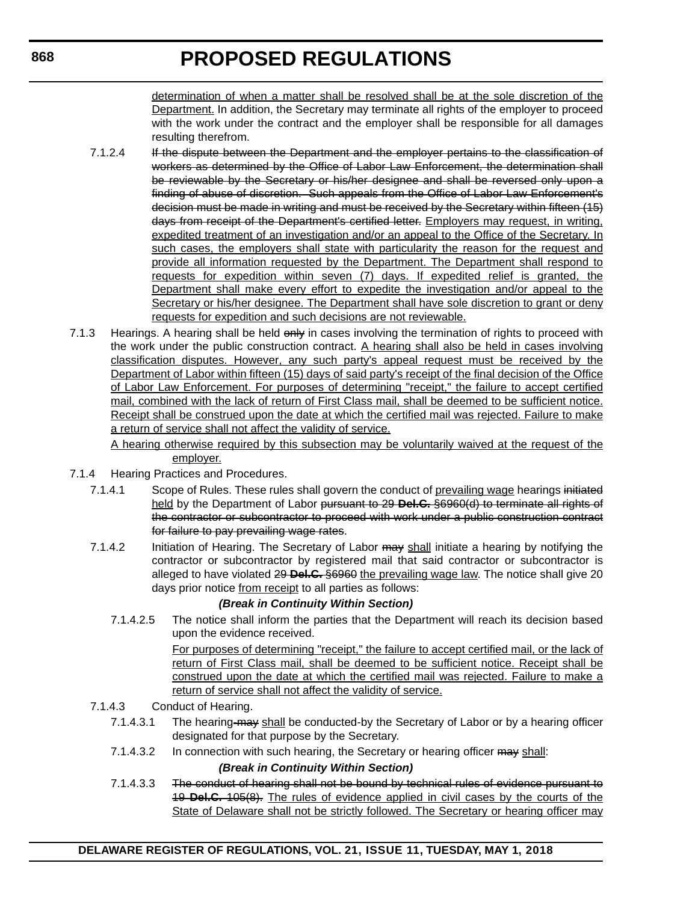determination of when a matter shall be resolved shall be at the sole discretion of the Department. In addition, the Secretary may terminate all rights of the employer to proceed with the work under the contract and the employer shall be responsible for all damages resulting therefrom.

- 7.1.2.4 If the dispute between the Department and the employer pertains to the classification of workers as determined by the Office of Labor Law Enforcement, the determination shall be reviewable by the Secretary or his/her designee and shall be reversed only upon a finding of abuse of discretion. Such appeals from the Office of Labor Law Enforcement's decision must be made in writing and must be received by the Secretary within fifteen (15) days from receipt of the Department's certified letter. Employers may request, in writing, expedited treatment of an investigation and/or an appeal to the Office of the Secretary. In such cases, the employers shall state with particularity the reason for the request and provide all information requested by the Department. The Department shall respond to requests for expedition within seven (7) days. If expedited relief is granted, the Department shall make every effort to expedite the investigation and/or appeal to the Secretary or his/her designee. The Department shall have sole discretion to grant or deny requests for expedition and such decisions are not reviewable.
- 7.1.3 Hearings. A hearing shall be held only in cases involving the termination of rights to proceed with the work under the public construction contract. A hearing shall also be held in cases involving classification disputes. However, any such party's appeal request must be received by the Department of Labor within fifteen (15) days of said party's receipt of the final decision of the Office of Labor Law Enforcement. For purposes of determining "receipt," the failure to accept certified mail, combined with the lack of return of First Class mail, shall be deemed to be sufficient notice. Receipt shall be construed upon the date at which the certified mail was rejected. Failure to make a return of service shall not affect the validity of service.

A hearing otherwise required by this subsection may be voluntarily waived at the request of the employer.

- 7.1.4 Hearing Practices and Procedures.
	- 7.1.4.1 Scope of Rules. These rules shall govern the conduct of prevailing wage hearings initiated held by the Department of Labor pursuant to 29 **Del.C.** §6960(d) to terminate all rights of the contractor or subcontractor to proceed with work under a public construction contract for failure to pay prevailing wage rates.
	- 7.1.4.2 Initiation of Hearing. The Secretary of Labor may shall initiate a hearing by notifying the contractor or subcontractor by registered mail that said contractor or subcontractor is alleged to have violated 29 **Del.C.** §6960 the prevailing wage law. The notice shall give 20 days prior notice from receipt to all parties as follows:

# *(Break in Continuity Within Section)*

7.1.4.2.5 The notice shall inform the parties that the Department will reach its decision based upon the evidence received.

> For purposes of determining "receipt," the failure to accept certified mail, or the lack of return of First Class mail, shall be deemed to be sufficient notice. Receipt shall be construed upon the date at which the certified mail was rejected. Failure to make a return of service shall not affect the validity of service.

- 7.1.4.3 Conduct of Hearing.
	- 7.1.4.3.1 The hearing-may shall be conducted-by the Secretary of Labor or by a hearing officer designated for that purpose by the Secretary.
	- 7.1.4.3.2 In connection with such hearing, the Secretary or hearing officer may shall:

#### *(Break in Continuity Within Section)*

7.1.4.3.3 The conduct of hearing shall not be bound by technical rules of evidence pursuant to 19 **Del.C.** 105(8). The rules of evidence applied in civil cases by the courts of the State of Delaware shall not be strictly followed. The Secretary or hearing officer may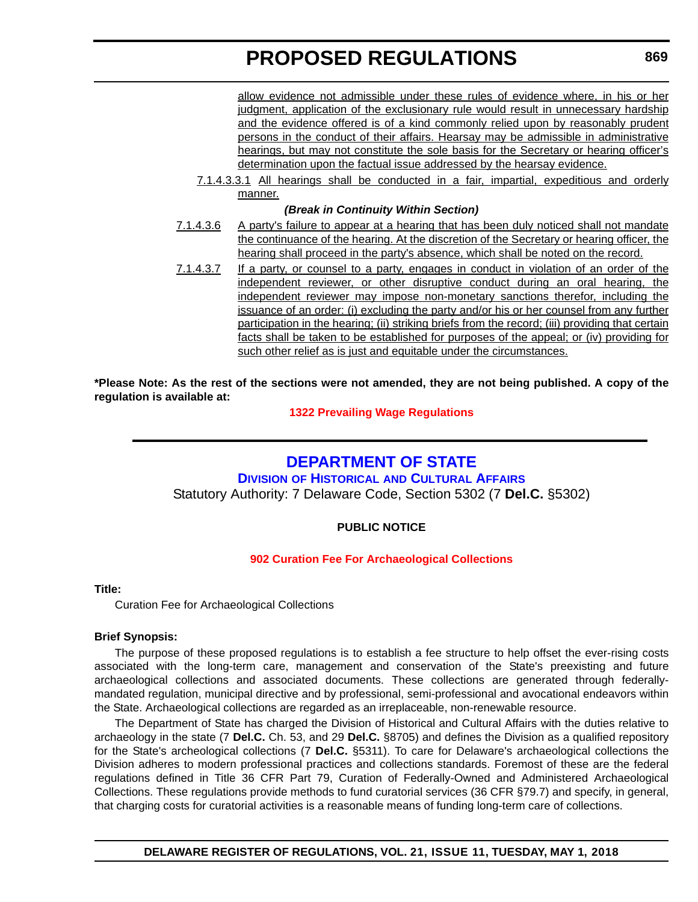allow evidence not admissible under these rules of evidence where, in his or her judgment, application of the exclusionary rule would result in unnecessary hardship and the evidence offered is of a kind commonly relied upon by reasonably prudent persons in the conduct of their affairs. Hearsay may be admissible in administrative hearings, but may not constitute the sole basis for the Secretary or hearing officer's determination upon the factual issue addressed by the hearsay evidence.

7.1.4.3.3.1 All hearings shall be conducted in a fair, impartial, expeditious and orderly manner.

#### *(Break in Continuity Within Section)*

- 7.1.4.3.6 A party's failure to appear at a hearing that has been duly noticed shall not mandate the continuance of the hearing. At the discretion of the Secretary or hearing officer, the hearing shall proceed in the party's absence, which shall be noted on the record.
- 7.1.4.3.7 If a party, or counsel to a party, engages in conduct in violation of an order of the independent reviewer, or other disruptive conduct during an oral hearing, the independent reviewer may impose non-monetary sanctions therefor, including the issuance of an order: (i) excluding the party and/or his or her counsel from any further participation in the hearing; (ii) striking briefs from the record; (iii) providing that certain facts shall be taken to be established for purposes of the appeal; or (iv) providing for such other relief as is just and equitable under the circumstances.

**\*Please Note: As the rest of the sections were not amended, they are not being published. A copy of the regulation is available at:**

#### **[1322 Prevailing Wage Regulations](http://regulations.delaware.gov/register/may2018/proposed/21 DE Reg 865 05-01-18.htm)**

# **[DEPARTMENT OF STATE](https://history.delaware.gov/)**

**DIVISION OF HISTORICAL [AND CULTURAL AFFAIRS](https://history.delaware.gov/)** Statutory Authority: 7 Delaware Code, Section 5302 (7 **Del.C.** §5302)

# **PUBLIC NOTICE**

#### **[902 Curation Fee For Archaeological Collections](#page-3-0)**

#### **Title:**

Curation Fee for Archaeological Collections

#### **Brief Synopsis:**

The purpose of these proposed regulations is to establish a fee structure to help offset the ever-rising costs associated with the long-term care, management and conservation of the State's preexisting and future archaeological collections and associated documents. These collections are generated through federallymandated regulation, municipal directive and by professional, semi-professional and avocational endeavors within the State. Archaeological collections are regarded as an irreplaceable, non-renewable resource.

The Department of State has charged the Division of Historical and Cultural Affairs with the duties relative to archaeology in the state (7 **Del.C.** Ch. 53, and 29 **Del.C.** §8705) and defines the Division as a qualified repository for the State's archeological collections (7 **Del.C.** §5311). To care for Delaware's archaeological collections the Division adheres to modern professional practices and collections standards. Foremost of these are the federal regulations defined in Title 36 CFR Part 79, Curation of Federally-Owned and Administered Archaeological Collections. These regulations provide methods to fund curatorial services (36 CFR §79.7) and specify, in general, that charging costs for curatorial activities is a reasonable means of funding long-term care of collections.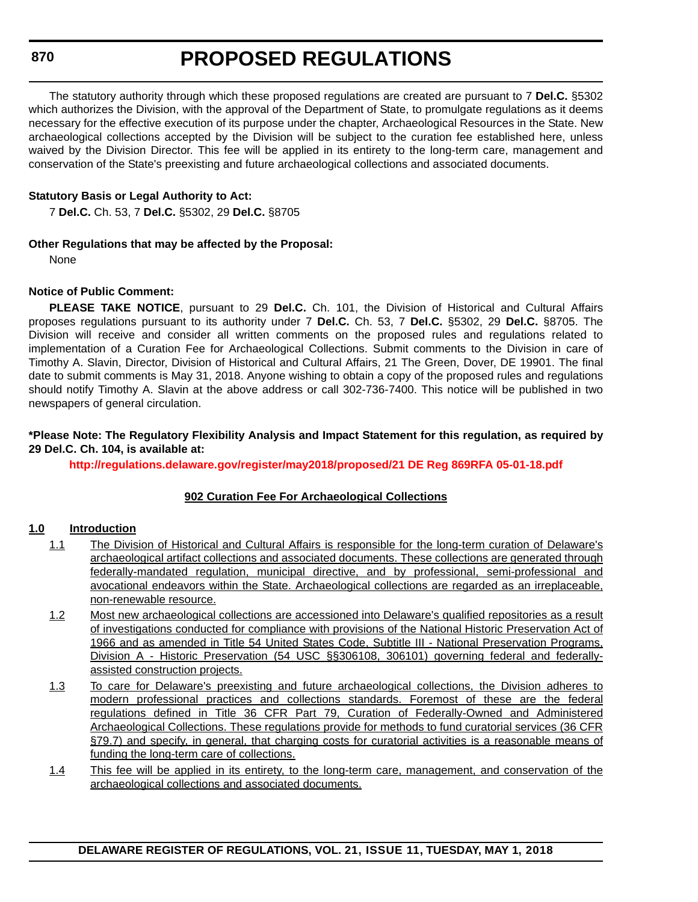The statutory authority through which these proposed regulations are created are pursuant to 7 **Del.C.** §5302 which authorizes the Division, with the approval of the Department of State, to promulgate regulations as it deems necessary for the effective execution of its purpose under the chapter, Archaeological Resources in the State. New archaeological collections accepted by the Division will be subject to the curation fee established here, unless waived by the Division Director. This fee will be applied in its entirety to the long-term care, management and conservation of the State's preexisting and future archaeological collections and associated documents.

### **Statutory Basis or Legal Authority to Act:**

7 **Del.C.** Ch. 53, 7 **Del.C.** §5302, 29 **Del.C.** §8705

### **Other Regulations that may be affected by the Proposal:**

None

### **Notice of Public Comment:**

**PLEASE TAKE NOTICE**, pursuant to 29 **Del.C.** Ch. 101, the Division of Historical and Cultural Affairs proposes regulations pursuant to its authority under 7 **Del.C.** Ch. 53, 7 **Del.C.** §5302, 29 **Del.C.** §8705. The Division will receive and consider all written comments on the proposed rules and regulations related to implementation of a Curation Fee for Archaeological Collections. Submit comments to the Division in care of Timothy A. Slavin, Director, Division of Historical and Cultural Affairs, 21 The Green, Dover, DE 19901. The final date to submit comments is May 31, 2018. Anyone wishing to obtain a copy of the proposed rules and regulations should notify Timothy A. Slavin at the above address or call 302-736-7400. This notice will be published in two newspapers of general circulation.

#### **\*Please Note: The Regulatory Flexibility Analysis and Impact Statement for this regulation, as required by 29 Del.C. Ch. 104, is available at:**

**<http://regulations.delaware.gov/register/may2018/proposed/21 DE Reg 869RFA 05-01-18.pdf>**

# **902 Curation Fee For Archaeological Collections**

#### **1.0 Introduction**

- 1.1 The Division of Historical and Cultural Affairs is responsible for the long-term curation of Delaware's archaeological artifact collections and associated documents. These collections are generated through federally-mandated regulation, municipal directive, and by professional, semi-professional and avocational endeavors within the State. Archaeological collections are regarded as an irreplaceable, non-renewable resource.
- 1.2 Most new archaeological collections are accessioned into Delaware's qualified repositories as a result of investigations conducted for compliance with provisions of the National Historic Preservation Act of 1966 and as amended in Title 54 United States Code, Subtitle III - National Preservation Programs, Division A - Historic Preservation (54 USC §§306108, 306101) governing federal and federallyassisted construction projects.
- 1.3 To care for Delaware's preexisting and future archaeological collections, the Division adheres to modern professional practices and collections standards. Foremost of these are the federal regulations defined in Title 36 CFR Part 79, Curation of Federally-Owned and Administered Archaeological Collections. These regulations provide for methods to fund curatorial services (36 CFR §79.7) and specify, in general, that charging costs for curatorial activities is a reasonable means of funding the long-term care of collections.
- 1.4 This fee will be applied in its entirety, to the long-term care, management, and conservation of the archaeological collections and associated documents.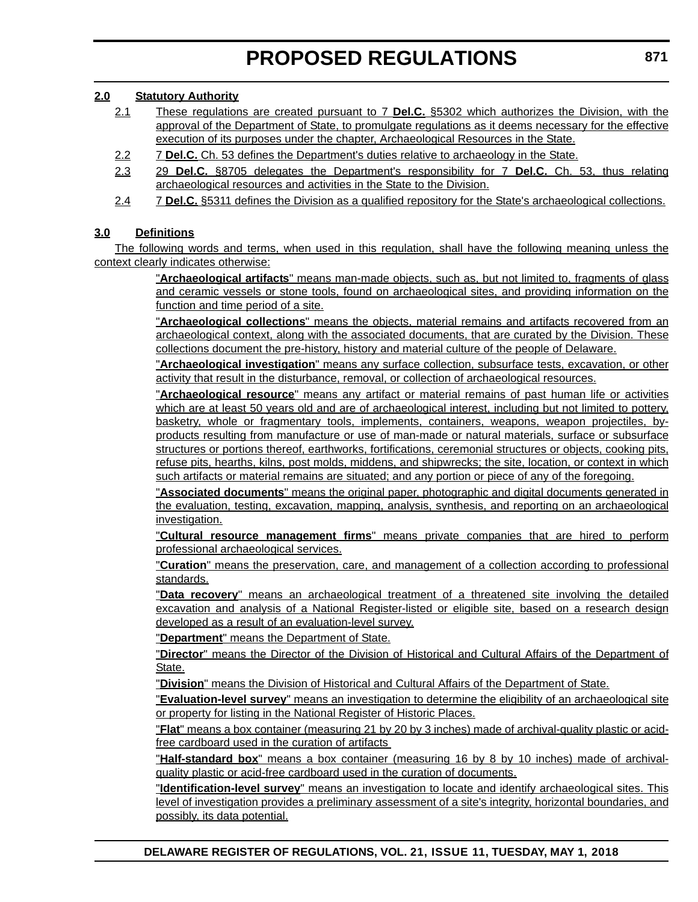### **2.0 Statutory Authority**

- 2.1 These regulations are created pursuant to 7 **Del.C.** §5302 which authorizes the Division, with the approval of the Department of State, to promulgate regulations as it deems necessary for the effective execution of its purposes under the chapter, Archaeological Resources in the State.
- 2.2 7 **Del.C.** Ch. 53 defines the Department's duties relative to archaeology in the State.
- 2.3 29 **Del.C.** §8705 delegates the Department's responsibility for 7 **Del.C.** Ch. 53, thus relating archaeological resources and activities in the State to the Division.
- 2.4 7 **Del.C.** §5311 defines the Division as a qualified repository for the State's archaeological collections.

# **3.0 Definitions**

The following words and terms, when used in this regulation, shall have the following meaning unless the context clearly indicates otherwise:

> "**Archaeological artifacts**" means man-made objects, such as, but not limited to, fragments of glass and ceramic vessels or stone tools, found on archaeological sites, and providing information on the function and time period of a site.

> "**Archaeological collections**" means the objects, material remains and artifacts recovered from an archaeological context, along with the associated documents, that are curated by the Division. These collections document the pre-history, history and material culture of the people of Delaware.

> "**Archaeological investigation**" means any surface collection, subsurface tests, excavation, or other activity that result in the disturbance, removal, or collection of archaeological resources.

> "**Archaeological resource**" means any artifact or material remains of past human life or activities which are at least 50 years old and are of archaeological interest, including but not limited to pottery, basketry, whole or fragmentary tools, implements, containers, weapons, weapon projectiles, byproducts resulting from manufacture or use of man-made or natural materials, surface or subsurface structures or portions thereof, earthworks, fortifications, ceremonial structures or objects, cooking pits, refuse pits, hearths, kilns, post molds, middens, and shipwrecks; the site, location, or context in which such artifacts or material remains are situated; and any portion or piece of any of the foregoing.

> "**Associated documents**" means the original paper, photographic and digital documents generated in the evaluation, testing, excavation, mapping, analysis, synthesis, and reporting on an archaeological investigation.

> "**Cultural resource management firms**" means private companies that are hired to perform professional archaeological services.

> "**Curation**" means the preservation, care, and management of a collection according to professional standards.

> "**Data recovery**" means an archaeological treatment of a threatened site involving the detailed excavation and analysis of a National Register-listed or eligible site, based on a research design developed as a result of an evaluation-level survey.

"**Department**" means the Department of State.

"**Director**" means the Director of the Division of Historical and Cultural Affairs of the Department of State.

"**Division**" means the Division of Historical and Cultural Affairs of the Department of State.

"**Evaluation-level survey**" means an investigation to determine the eligibility of an archaeological site or property for listing in the National Register of Historic Places.

"**Flat**" means a box container (measuring 21 by 20 by 3 inches) made of archival-quality plastic or acidfree cardboard used in the curation of artifacts

"**Half-standard box**" means a box container (measuring 16 by 8 by 10 inches) made of archivalquality plastic or acid-free cardboard used in the curation of documents.

"**Identification-level survey**" means an investigation to locate and identify archaeological sites. This level of investigation provides a preliminary assessment of a site's integrity, horizontal boundaries, and possibly, its data potential.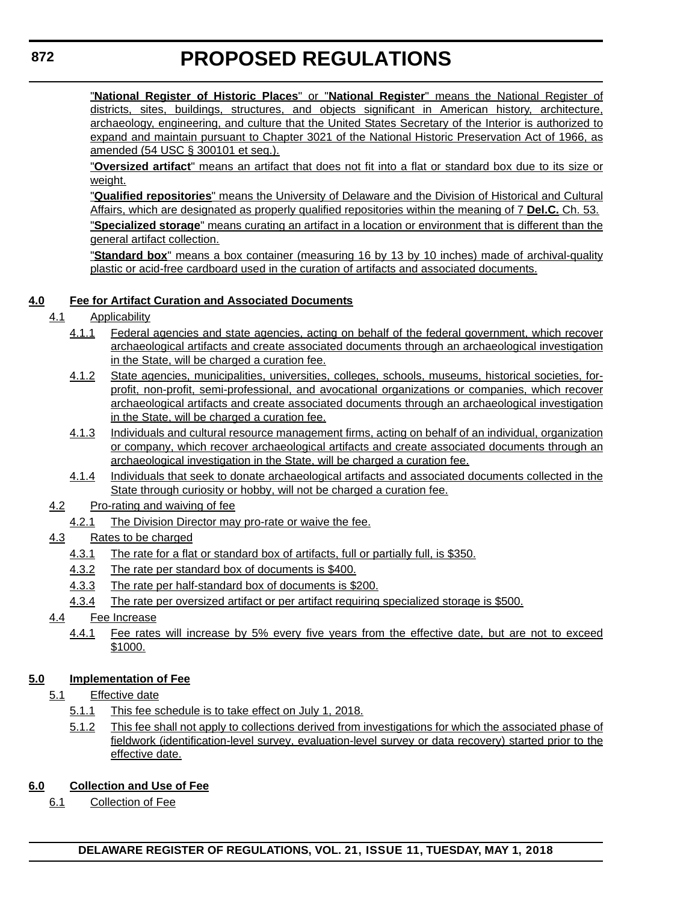"**National Register of Historic Places**" or "**National Register**" means the National Register of districts, sites, buildings, structures, and objects significant in American history, architecture, archaeology, engineering, and culture that the United States Secretary of the Interior is authorized to expand and maintain pursuant to Chapter 3021 of the National Historic Preservation Act of 1966, as amended (54 USC § 300101 et seq.).

"**Oversized artifact**" means an artifact that does not fit into a flat or standard box due to its size or weight.

"**Qualified repositories**" means the University of Delaware and the Division of Historical and Cultural Affairs, which are designated as properly qualified repositories within the meaning of 7 **Del.C.** Ch. 53.

"**Specialized storage**" means curating an artifact in a location or environment that is different than the general artifact collection.

"**Standard box**" means a box container (measuring 16 by 13 by 10 inches) made of archival-quality plastic or acid-free cardboard used in the curation of artifacts and associated documents.

# **4.0 Fee for Artifact Curation and Associated Documents**

# 4.1 Applicability

- 4.1.1 Federal agencies and state agencies, acting on behalf of the federal government, which recover archaeological artifacts and create associated documents through an archaeological investigation in the State, will be charged a curation fee.
- 4.1.2 State agencies, municipalities, universities, colleges, schools, museums, historical societies, forprofit, non-profit, semi-professional, and avocational organizations or companies, which recover archaeological artifacts and create associated documents through an archaeological investigation in the State, will be charged a curation fee.
- 4.1.3 Individuals and cultural resource management firms, acting on behalf of an individual, organization or company, which recover archaeological artifacts and create associated documents through an archaeological investigation in the State, will be charged a curation fee.
- 4.1.4 Individuals that seek to donate archaeological artifacts and associated documents collected in the State through curiosity or hobby, will not be charged a curation fee.
- 4.2 Pro-rating and waiving of fee
	- 4.2.1 The Division Director may pro-rate or waive the fee.

# 4.3 Rates to be charged

- 4.3.1 The rate for a flat or standard box of artifacts, full or partially full, is \$350.
- 4.3.2 The rate per standard box of documents is \$400.
- 4.3.3 The rate per half-standard box of documents is \$200.
- 4.3.4 The rate per oversized artifact or per artifact requiring specialized storage is \$500.
- 4.4 Fee Increase
	- 4.4.1 Fee rates will increase by 5% every five years from the effective date, but are not to exceed \$1000.

# **5.0 Implementation of Fee**

- 5.1 Effective date
	- 5.1.1 This fee schedule is to take effect on July 1, 2018.
	- 5.1.2 This fee shall not apply to collections derived from investigations for which the associated phase of fieldwork (identification-level survey, evaluation-level survey or data recovery) started prior to the effective date.

# **6.0 Collection and Use of Fee**

6.1 Collection of Fee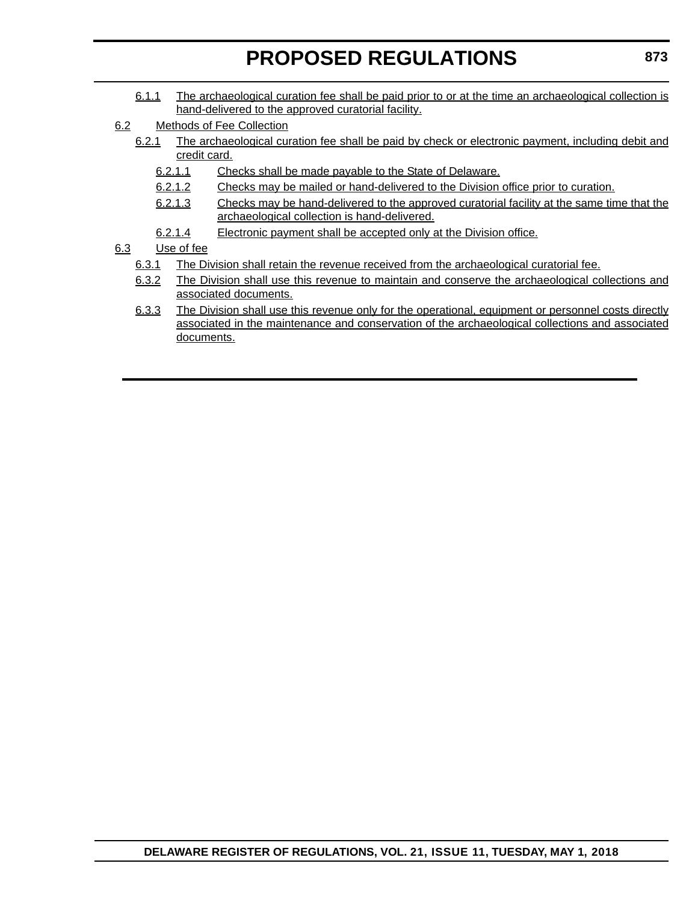- 6.1.1 The archaeological curation fee shall be paid prior to or at the time an archaeological collection is hand-delivered to the approved curatorial facility.
- 6.2 Methods of Fee Collection
	- 6.2.1 The archaeological curation fee shall be paid by check or electronic payment, including debit and credit card.
		- 6.2.1.1 Checks shall be made payable to the State of Delaware.
		- 6.2.1.2 Checks may be mailed or hand-delivered to the Division office prior to curation.
		- 6.2.1.3 Checks may be hand-delivered to the approved curatorial facility at the same time that the archaeological collection is hand-delivered.
		- 6.2.1.4 Electronic payment shall be accepted only at the Division office.

### 6.3 Use of fee

- 6.3.1 The Division shall retain the revenue received from the archaeological curatorial fee.
- 6.3.2 The Division shall use this revenue to maintain and conserve the archaeological collections and associated documents.
- 6.3.3 The Division shall use this revenue only for the operational, equipment or personnel costs directly associated in the maintenance and conservation of the archaeological collections and associated documents.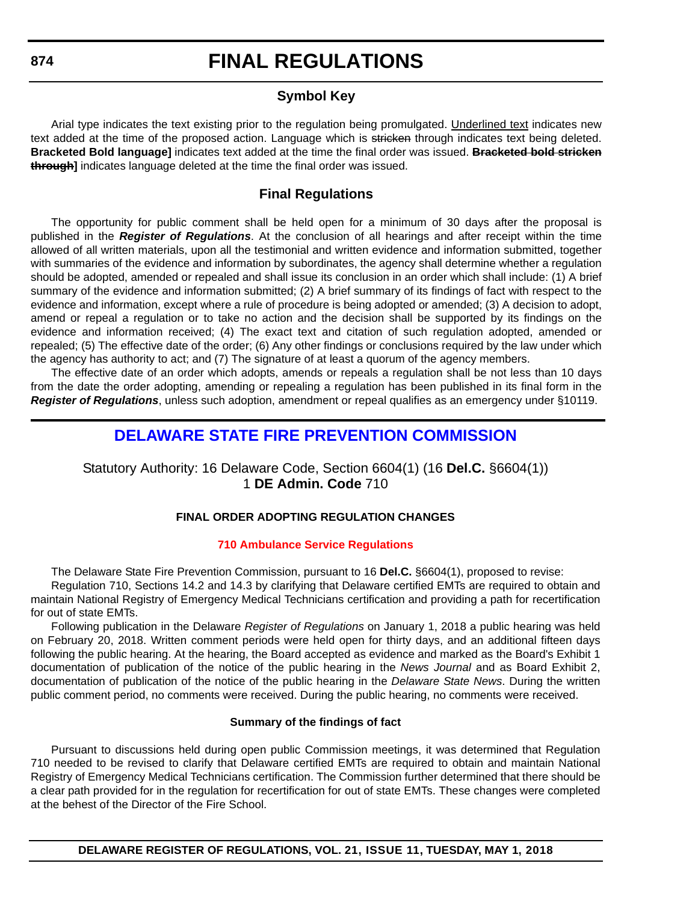# **Symbol Key**

Arial type indicates the text existing prior to the regulation being promulgated. Underlined text indicates new text added at the time of the proposed action. Language which is stricken through indicates text being deleted. **Bracketed Bold language]** indicates text added at the time the final order was issued. **Bracketed bold stricken through]** indicates language deleted at the time the final order was issued.

# **Final Regulations**

The opportunity for public comment shall be held open for a minimum of 30 days after the proposal is published in the *Register of Regulations*. At the conclusion of all hearings and after receipt within the time allowed of all written materials, upon all the testimonial and written evidence and information submitted, together with summaries of the evidence and information by subordinates, the agency shall determine whether a regulation should be adopted, amended or repealed and shall issue its conclusion in an order which shall include: (1) A brief summary of the evidence and information submitted; (2) A brief summary of its findings of fact with respect to the evidence and information, except where a rule of procedure is being adopted or amended; (3) A decision to adopt, amend or repeal a regulation or to take no action and the decision shall be supported by its findings on the evidence and information received; (4) The exact text and citation of such regulation adopted, amended or repealed; (5) The effective date of the order; (6) Any other findings or conclusions required by the law under which the agency has authority to act; and (7) The signature of at least a quorum of the agency members.

The effective date of an order which adopts, amends or repeals a regulation shall be not less than 10 days from the date the order adopting, amending or repealing a regulation has been published in its final form in the *Register of Regulations*, unless such adoption, amendment or repeal qualifies as an emergency under §10119.

# **[DELAWARE STATE FIRE PREVENTION COMMISSION](https://statefirecommission.delaware.gov/)**

Statutory Authority: 16 Delaware Code, Section 6604(1) (16 **Del.C.** §6604(1)) 1 **DE Admin. Code** 710

# **FINAL ORDER ADOPTING REGULATION CHANGES**

#### **[710 Ambulance Service Regulations](#page-3-0)**

The Delaware State Fire Prevention Commission, pursuant to 16 **Del.C.** §6604(1), proposed to revise:

Regulation 710, Sections 14.2 and 14.3 by clarifying that Delaware certified EMTs are required to obtain and maintain National Registry of Emergency Medical Technicians certification and providing a path for recertification for out of state EMTs.

Following publication in the Delaware *Register of Regulations* on January 1, 2018 a public hearing was held on February 20, 2018. Written comment periods were held open for thirty days, and an additional fifteen days following the public hearing. At the hearing, the Board accepted as evidence and marked as the Board's Exhibit 1 documentation of publication of the notice of the public hearing in the *News Journal* and as Board Exhibit 2, documentation of publication of the notice of the public hearing in the *Delaware State News*. During the written public comment period, no comments were received. During the public hearing, no comments were received.

#### **Summary of the findings of fact**

Pursuant to discussions held during open public Commission meetings, it was determined that Regulation 710 needed to be revised to clarify that Delaware certified EMTs are required to obtain and maintain National Registry of Emergency Medical Technicians certification. The Commission further determined that there should be a clear path provided for in the regulation for recertification for out of state EMTs. These changes were completed at the behest of the Director of the Fire School.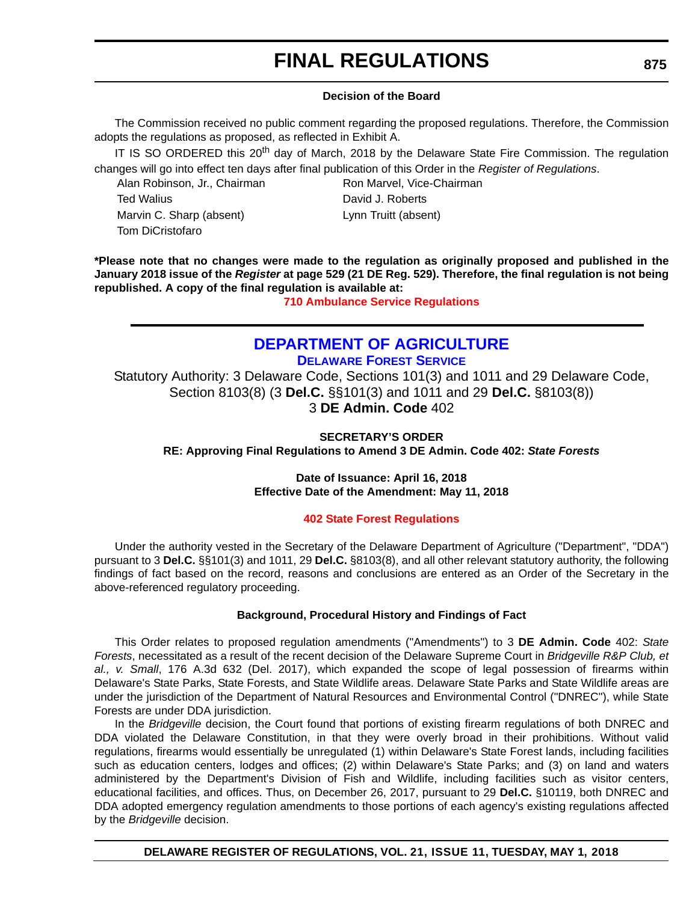#### **Decision of the Board**

The Commission received no public comment regarding the proposed regulations. Therefore, the Commission adopts the regulations as proposed, as reflected in Exhibit A.

IT IS SO ORDERED this 20<sup>th</sup> day of March, 2018 by the Delaware State Fire Commission. The regulation changes will go into effect ten days after final publication of this Order in the *Register of Regulations*.

Alan Robinson, Jr., Chairman Ron Marvel, Vice-Chairman Ted Walius David J. Roberts Marvin C. Sharp (absent) Lynn Truitt (absent) Tom DiCristofaro

**\*Please note that no changes were made to the regulation as originally proposed and published in the January 2018 issue of the** *Register* **at page 529 (21 DE Reg. 529). Therefore, the final regulation is not being republished. A copy of the final regulation is available at:**

**[710 Ambulance Service Regulations](http://regulations.delaware.gov/register/may2018/final/21 DE Reg 874 05-01-18.htm)** 

# **[DEPARTMENT OF AGRICULTURE](https://agriculture.delaware.gov/forest-service/) [DELAWARE FOREST SERVICE](https://agriculture.delaware.gov/forest-service/)**

Statutory Authority: 3 Delaware Code, Sections 101(3) and 1011 and 29 Delaware Code, Section 8103(8) (3 **Del.C.** §§101(3) and 1011 and 29 **Del.C.** §8103(8)) 3 **DE Admin. Code** 402

**SECRETARY'S ORDER RE: Approving Final Regulations to Amend 3 DE Admin. Code 402:** *State Forests*

#### **Date of Issuance: April 16, 2018 Effective Date of the Amendment: May 11, 2018**

#### **[402 State Forest Regulations](#page-3-0)**

Under the authority vested in the Secretary of the Delaware Department of Agriculture ("Department", "DDA") pursuant to 3 **Del.C.** §§101(3) and 1011, 29 **Del.C.** §8103(8), and all other relevant statutory authority, the following findings of fact based on the record, reasons and conclusions are entered as an Order of the Secretary in the above-referenced regulatory proceeding.

#### **Background, Procedural History and Findings of Fact**

This Order relates to proposed regulation amendments ("Amendments") to 3 **DE Admin. Code** 402: *State Forests*, necessitated as a result of the recent decision of the Delaware Supreme Court in *Bridgeville R&P Club, et al., v. Small*, 176 A.3d 632 (Del. 2017), which expanded the scope of legal possession of firearms within Delaware's State Parks, State Forests, and State Wildlife areas. Delaware State Parks and State Wildlife areas are under the jurisdiction of the Department of Natural Resources and Environmental Control ("DNREC"), while State Forests are under DDA jurisdiction.

In the *Bridgeville* decision, the Court found that portions of existing firearm regulations of both DNREC and DDA violated the Delaware Constitution, in that they were overly broad in their prohibitions. Without valid regulations, firearms would essentially be unregulated (1) within Delaware's State Forest lands, including facilities such as education centers, lodges and offices; (2) within Delaware's State Parks; and (3) on land and waters administered by the Department's Division of Fish and Wildlife, including facilities such as visitor centers, educational facilities, and offices. Thus, on December 26, 2017, pursuant to 29 **Del.C.** §10119, both DNREC and DDA adopted emergency regulation amendments to those portions of each agency's existing regulations affected by the *Bridgeville* decision.

**DELAWARE REGISTER OF REGULATIONS, VOL. 21, ISSUE 11, TUESDAY, MAY 1, 2018**

**875**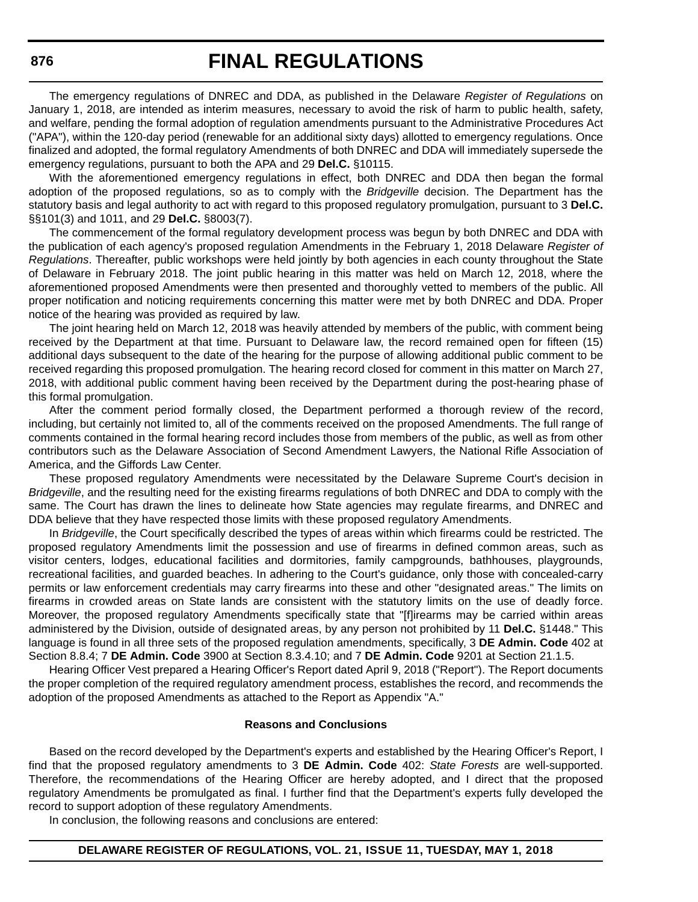The emergency regulations of DNREC and DDA, as published in the Delaware *Register of Regulations* on January 1, 2018, are intended as interim measures, necessary to avoid the risk of harm to public health, safety, and welfare, pending the formal adoption of regulation amendments pursuant to the Administrative Procedures Act ("APA"), within the 120-day period (renewable for an additional sixty days) allotted to emergency regulations. Once finalized and adopted, the formal regulatory Amendments of both DNREC and DDA will immediately supersede the emergency regulations, pursuant to both the APA and 29 **Del.C.** §10115.

With the aforementioned emergency regulations in effect, both DNREC and DDA then began the formal adoption of the proposed regulations, so as to comply with the *Bridgeville* decision. The Department has the statutory basis and legal authority to act with regard to this proposed regulatory promulgation, pursuant to 3 **Del.C.** §§101(3) and 1011, and 29 **Del.C.** §8003(7).

The commencement of the formal regulatory development process was begun by both DNREC and DDA with the publication of each agency's proposed regulation Amendments in the February 1, 2018 Delaware *Register of Regulations*. Thereafter, public workshops were held jointly by both agencies in each county throughout the State of Delaware in February 2018. The joint public hearing in this matter was held on March 12, 2018, where the aforementioned proposed Amendments were then presented and thoroughly vetted to members of the public. All proper notification and noticing requirements concerning this matter were met by both DNREC and DDA. Proper notice of the hearing was provided as required by law.

The joint hearing held on March 12, 2018 was heavily attended by members of the public, with comment being received by the Department at that time. Pursuant to Delaware law, the record remained open for fifteen (15) additional days subsequent to the date of the hearing for the purpose of allowing additional public comment to be received regarding this proposed promulgation. The hearing record closed for comment in this matter on March 27, 2018, with additional public comment having been received by the Department during the post-hearing phase of this formal promulgation.

After the comment period formally closed, the Department performed a thorough review of the record, including, but certainly not limited to, all of the comments received on the proposed Amendments. The full range of comments contained in the formal hearing record includes those from members of the public, as well as from other contributors such as the Delaware Association of Second Amendment Lawyers, the National Rifle Association of America, and the Giffords Law Center.

These proposed regulatory Amendments were necessitated by the Delaware Supreme Court's decision in *Bridgeville*, and the resulting need for the existing firearms regulations of both DNREC and DDA to comply with the same. The Court has drawn the lines to delineate how State agencies may regulate firearms, and DNREC and DDA believe that they have respected those limits with these proposed regulatory Amendments.

In *Bridgeville*, the Court specifically described the types of areas within which firearms could be restricted. The proposed regulatory Amendments limit the possession and use of firearms in defined common areas, such as visitor centers, lodges, educational facilities and dormitories, family campgrounds, bathhouses, playgrounds, recreational facilities, and guarded beaches. In adhering to the Court's guidance, only those with concealed-carry permits or law enforcement credentials may carry firearms into these and other "designated areas." The limits on firearms in crowded areas on State lands are consistent with the statutory limits on the use of deadly force. Moreover, the proposed regulatory Amendments specifically state that "[f]irearms may be carried within areas administered by the Division, outside of designated areas, by any person not prohibited by 11 **Del.C.** §1448." This language is found in all three sets of the proposed regulation amendments, specifically, 3 **DE Admin. Code** 402 at Section 8.8.4; 7 **DE Admin. Code** 3900 at Section 8.3.4.10; and 7 **DE Admin. Code** 9201 at Section 21.1.5.

Hearing Officer Vest prepared a Hearing Officer's Report dated April 9, 2018 ("Report"). The Report documents the proper completion of the required regulatory amendment process, establishes the record, and recommends the adoption of the proposed Amendments as attached to the Report as Appendix "A."

#### **Reasons and Conclusions**

Based on the record developed by the Department's experts and established by the Hearing Officer's Report, I find that the proposed regulatory amendments to 3 **DE Admin. Code** 402: *State Forests* are well-supported. Therefore, the recommendations of the Hearing Officer are hereby adopted, and I direct that the proposed regulatory Amendments be promulgated as final. I further find that the Department's experts fully developed the record to support adoption of these regulatory Amendments.

In conclusion, the following reasons and conclusions are entered:

#### **DELAWARE REGISTER OF REGULATIONS, VOL. 21, ISSUE 11, TUESDAY, MAY 1, 2018**

**876**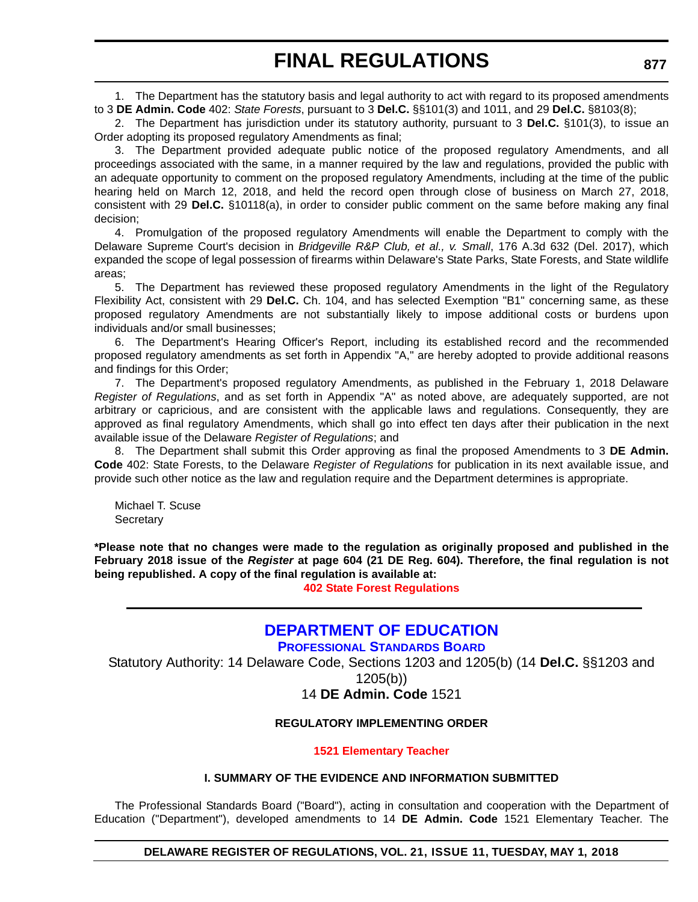1. The Department has the statutory basis and legal authority to act with regard to its proposed amendments to 3 **DE Admin. Code** 402: *State Forests*, pursuant to 3 **Del.C.** §§101(3) and 1011, and 29 **Del.C.** §8103(8);

2. The Department has jurisdiction under its statutory authority, pursuant to 3 **Del.C.** §101(3), to issue an Order adopting its proposed regulatory Amendments as final;

3. The Department provided adequate public notice of the proposed regulatory Amendments, and all proceedings associated with the same, in a manner required by the law and regulations, provided the public with an adequate opportunity to comment on the proposed regulatory Amendments, including at the time of the public hearing held on March 12, 2018, and held the record open through close of business on March 27, 2018, consistent with 29 **Del.C.** §10118(a), in order to consider public comment on the same before making any final decision;

4. Promulgation of the proposed regulatory Amendments will enable the Department to comply with the Delaware Supreme Court's decision in *Bridgeville R&P Club, et al., v. Small*, 176 A.3d 632 (Del. 2017), which expanded the scope of legal possession of firearms within Delaware's State Parks, State Forests, and State wildlife areas;

5. The Department has reviewed these proposed regulatory Amendments in the light of the Regulatory Flexibility Act, consistent with 29 **Del.C.** Ch. 104, and has selected Exemption "B1" concerning same, as these proposed regulatory Amendments are not substantially likely to impose additional costs or burdens upon individuals and/or small businesses;

6. The Department's Hearing Officer's Report, including its established record and the recommended proposed regulatory amendments as set forth in Appendix "A," are hereby adopted to provide additional reasons and findings for this Order;

7. The Department's proposed regulatory Amendments, as published in the February 1, 2018 Delaware *Register of Regulations*, and as set forth in Appendix "A" as noted above, are adequately supported, are not arbitrary or capricious, and are consistent with the applicable laws and regulations. Consequently, they are approved as final regulatory Amendments, which shall go into effect ten days after their publication in the next available issue of the Delaware *Register of Regulations*; and

8. The Department shall submit this Order approving as final the proposed Amendments to 3 **DE Admin. Code** 402: State Forests, to the Delaware *Register of Regulations* for publication in its next available issue, and provide such other notice as the law and regulation require and the Department determines is appropriate.

Michael T. Scuse **Secretary** 

**\*Please note that no changes were made to the regulation as originally proposed and published in the February 2018 issue of the** *Register* **at page 604 (21 DE Reg. 604). Therefore, the final regulation is not being republished. A copy of the final regulation is available at:**

**[402 State Forest Regulations](http://regulations.delaware.gov/register/may2018/final/21 DE Reg 875 05-01-18.htm)** 

# **[DEPARTMENT OF EDUCATION](https://pubapps.doe.k12.de.us/EducationalDirectoryPublic/pages/DDOE/WorkGroupStaff.aspx?page=branches&WGID=75&BID=1)**

**[PROFESSIONAL STANDARDS BOARD](https://pubapps.doe.k12.de.us/EducationalDirectoryPublic/pages/DDOE/WorkGroupStaff.aspx?page=branches&WGID=75&BID=1)**

Statutory Authority: 14 Delaware Code, Sections 1203 and 1205(b) (14 **Del.C.** §§1203 and

1205(b))

# 14 **DE Admin. Code** 1521

#### **REGULATORY IMPLEMENTING ORDER**

#### **[1521 Elementary Teacher](#page-3-0)**

### **I. SUMMARY OF THE EVIDENCE AND INFORMATION SUBMITTED**

The Professional Standards Board ("Board"), acting in consultation and cooperation with the Department of Education ("Department"), developed amendments to 14 **DE Admin. Code** 1521 Elementary Teacher. The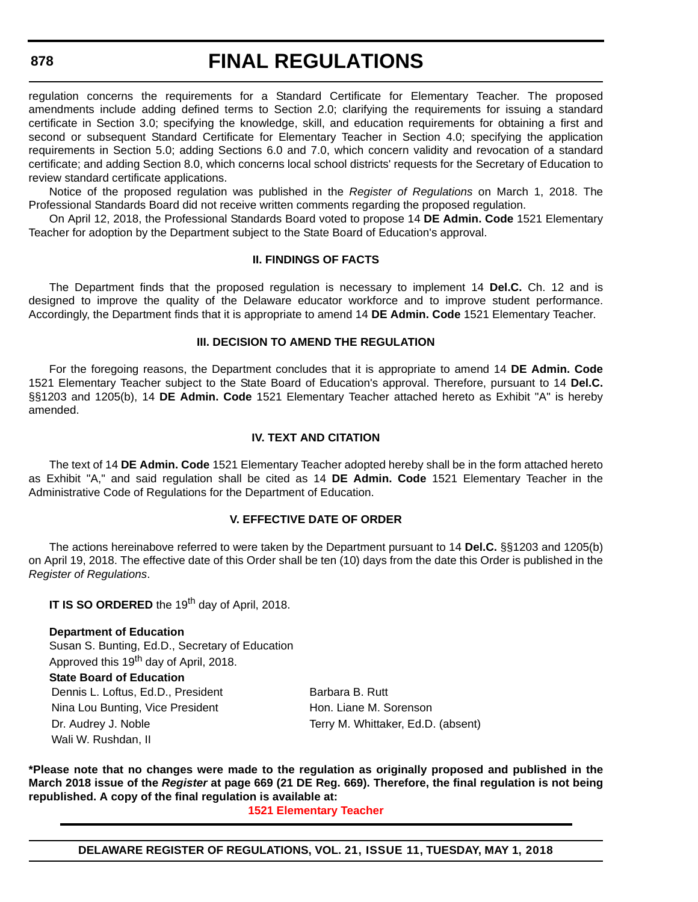# **FINAL REGULATIONS**

regulation concerns the requirements for a Standard Certificate for Elementary Teacher. The proposed amendments include adding defined terms to Section 2.0; clarifying the requirements for issuing a standard certificate in Section 3.0; specifying the knowledge, skill, and education requirements for obtaining a first and second or subsequent Standard Certificate for Elementary Teacher in Section 4.0; specifying the application requirements in Section 5.0; adding Sections 6.0 and 7.0, which concern validity and revocation of a standard certificate; and adding Section 8.0, which concerns local school districts' requests for the Secretary of Education to review standard certificate applications.

Notice of the proposed regulation was published in the *Register of Regulations* on March 1, 2018. The Professional Standards Board did not receive written comments regarding the proposed regulation.

On April 12, 2018, the Professional Standards Board voted to propose 14 **DE Admin. Code** 1521 Elementary Teacher for adoption by the Department subject to the State Board of Education's approval.

#### **II. FINDINGS OF FACTS**

The Department finds that the proposed regulation is necessary to implement 14 **Del.C.** Ch. 12 and is designed to improve the quality of the Delaware educator workforce and to improve student performance. Accordingly, the Department finds that it is appropriate to amend 14 **DE Admin. Code** 1521 Elementary Teacher.

#### **III. DECISION TO AMEND THE REGULATION**

For the foregoing reasons, the Department concludes that it is appropriate to amend 14 **DE Admin. Code** 1521 Elementary Teacher subject to the State Board of Education's approval. Therefore, pursuant to 14 **Del.C.** §§1203 and 1205(b), 14 **DE Admin. Code** 1521 Elementary Teacher attached hereto as Exhibit "A" is hereby amended.

#### **IV. TEXT AND CITATION**

The text of 14 **DE Admin. Code** 1521 Elementary Teacher adopted hereby shall be in the form attached hereto as Exhibit "A," and said regulation shall be cited as 14 **DE Admin. Code** 1521 Elementary Teacher in the Administrative Code of Regulations for the Department of Education.

#### **V. EFFECTIVE DATE OF ORDER**

The actions hereinabove referred to were taken by the Department pursuant to 14 **Del.C.** §§1203 and 1205(b) on April 19, 2018. The effective date of this Order shall be ten (10) days from the date this Order is published in the *Register of Regulations*.

**IT IS SO ORDERED** the 19<sup>th</sup> day of April, 2018.

#### **Department of Education**

Susan S. Bunting, Ed.D., Secretary of Education Approved this 19<sup>th</sup> day of April, 2018. **State Board of Education** Dennis L. Loftus, Ed.D., President Barbara B. Rutt Nina Lou Bunting, Vice President Hon. Liane M. Sorenson Dr. Audrey J. Noble Terry M. Whittaker, Ed.D. (absent) Wali W. Rushdan, II

**\*Please note that no changes were made to the regulation as originally proposed and published in the March 2018 issue of the** *Register* **at page 669 (21 DE Reg. 669). Therefore, the final regulation is not being republished. A copy of the final regulation is available at:**

**[1521 Elementary Teacher](http://regulations.delaware.gov/register/may2018/final/21 DE Reg 877 05-01-18.htm)**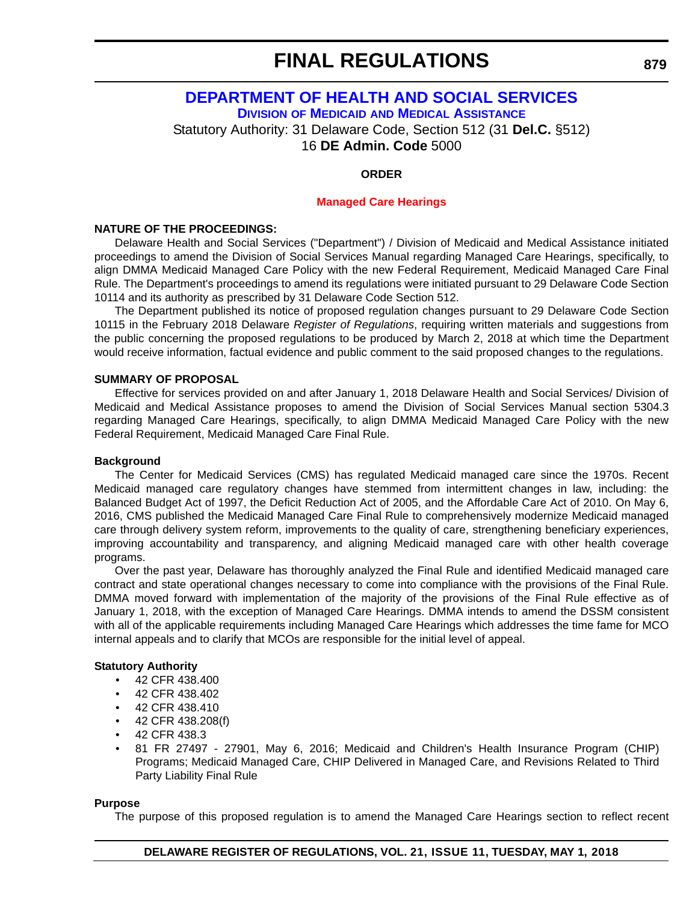# **[DEPARTMENT OF HEALTH AND SOCIAL SERVICES](http://www.dhss.delaware.gov/dhss/dmma/) DIVISION OF MEDICAID [AND MEDICAL ASSISTANCE](http://www.dhss.delaware.gov/dhss/dmma/)**

Statutory Authority: 31 Delaware Code, Section 512 (31 **Del.C.** §512)

16 **DE Admin. Code** 5000

# **ORDER**

### **[Managed Care Hearings](#page-3-0)**

### **NATURE OF THE PROCEEDINGS:**

Delaware Health and Social Services ("Department") / Division of Medicaid and Medical Assistance initiated proceedings to amend the Division of Social Services Manual regarding Managed Care Hearings, specifically, to align DMMA Medicaid Managed Care Policy with the new Federal Requirement, Medicaid Managed Care Final Rule. The Department's proceedings to amend its regulations were initiated pursuant to 29 Delaware Code Section 10114 and its authority as prescribed by 31 Delaware Code Section 512.

The Department published its notice of proposed regulation changes pursuant to 29 Delaware Code Section 10115 in the February 2018 Delaware *Register of Regulations*, requiring written materials and suggestions from the public concerning the proposed regulations to be produced by March 2, 2018 at which time the Department would receive information, factual evidence and public comment to the said proposed changes to the regulations.

### **SUMMARY OF PROPOSAL**

Effective for services provided on and after January 1, 2018 Delaware Health and Social Services/ Division of Medicaid and Medical Assistance proposes to amend the Division of Social Services Manual section 5304.3 regarding Managed Care Hearings, specifically, to align DMMA Medicaid Managed Care Policy with the new Federal Requirement, Medicaid Managed Care Final Rule.

#### **Background**

The Center for Medicaid Services (CMS) has regulated Medicaid managed care since the 1970s. Recent Medicaid managed care regulatory changes have stemmed from intermittent changes in law, including: the Balanced Budget Act of 1997, the Deficit Reduction Act of 2005, and the Affordable Care Act of 2010. On May 6, 2016, CMS published the Medicaid Managed Care Final Rule to comprehensively modernize Medicaid managed care through delivery system reform, improvements to the quality of care, strengthening beneficiary experiences, improving accountability and transparency, and aligning Medicaid managed care with other health coverage programs.

Over the past year, Delaware has thoroughly analyzed the Final Rule and identified Medicaid managed care contract and state operational changes necessary to come into compliance with the provisions of the Final Rule. DMMA moved forward with implementation of the majority of the provisions of the Final Rule effective as of January 1, 2018, with the exception of Managed Care Hearings. DMMA intends to amend the DSSM consistent with all of the applicable requirements including Managed Care Hearings which addresses the time fame for MCO internal appeals and to clarify that MCOs are responsible for the initial level of appeal.

# **Statutory Authority**

- 42 CFR 438.400
- 42 CFR 438.402
- 42 CFR 438.410
- 42 CFR 438.208(f)
- 42 CFR 438.3
- 81 FR 27497 27901, May 6, 2016; Medicaid and Children's Health Insurance Program (CHIP) Programs; Medicaid Managed Care, CHIP Delivered in Managed Care, and Revisions Related to Third Party Liability Final Rule

#### **Purpose**

The purpose of this proposed regulation is to amend the Managed Care Hearings section to reflect recent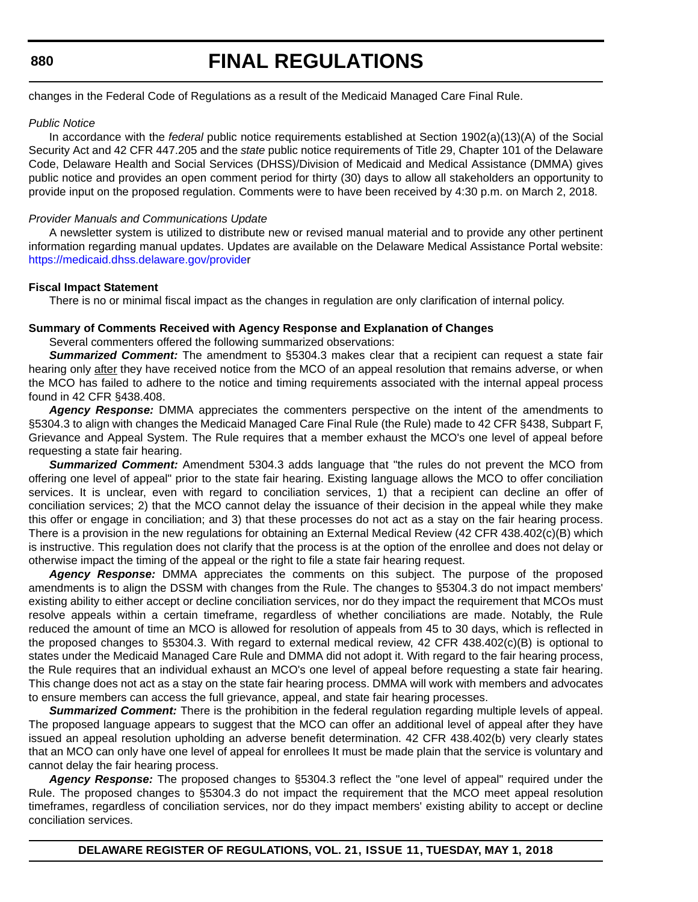# **FINAL REGULATIONS**

changes in the Federal Code of Regulations as a result of the Medicaid Managed Care Final Rule.

#### *Public Notice*

In accordance with the *federal* public notice requirements established at Section 1902(a)(13)(A) of the Social Security Act and 42 CFR 447.205 and the *state* public notice requirements of Title 29, Chapter 101 of the Delaware Code, Delaware Health and Social Services (DHSS)/Division of Medicaid and Medical Assistance (DMMA) gives public notice and provides an open comment period for thirty (30) days to allow all stakeholders an opportunity to provide input on the proposed regulation. Comments were to have been received by 4:30 p.m. on March 2, 2018.

#### *Provider Manuals and Communications Update*

A newsletter system is utilized to distribute new or revised manual material and to provide any other pertinent information regarding manual updates. Updates are available on the Delaware Medical Assistance Portal website: [https://medicaid.dhss.delaware.gov/provider](https://medicaid.dhss.delaware.gov/provide)

#### **Fiscal Impact Statement**

There is no or minimal fiscal impact as the changes in regulation are only clarification of internal policy.

#### **Summary of Comments Received with Agency Response and Explanation of Changes**

Several commenters offered the following summarized observations:

*Summarized Comment:* The amendment to §5304.3 makes clear that a recipient can request a state fair hearing only after they have received notice from the MCO of an appeal resolution that remains adverse, or when the MCO has failed to adhere to the notice and timing requirements associated with the internal appeal process found in 42 CFR §438.408.

*Agency Response:* DMMA appreciates the commenters perspective on the intent of the amendments to §5304.3 to align with changes the Medicaid Managed Care Final Rule (the Rule) made to 42 CFR §438, Subpart F, Grievance and Appeal System. The Rule requires that a member exhaust the MCO's one level of appeal before requesting a state fair hearing.

*Summarized Comment:* Amendment 5304.3 adds language that "the rules do not prevent the MCO from offering one level of appeal" prior to the state fair hearing. Existing language allows the MCO to offer conciliation services. It is unclear, even with regard to conciliation services, 1) that a recipient can decline an offer of conciliation services; 2) that the MCO cannot delay the issuance of their decision in the appeal while they make this offer or engage in conciliation; and 3) that these processes do not act as a stay on the fair hearing process. There is a provision in the new regulations for obtaining an External Medical Review (42 CFR 438.402(c)(B) which is instructive. This regulation does not clarify that the process is at the option of the enrollee and does not delay or otherwise impact the timing of the appeal or the right to file a state fair hearing request.

*Agency Response:* DMMA appreciates the comments on this subject. The purpose of the proposed amendments is to align the DSSM with changes from the Rule. The changes to §5304.3 do not impact members' existing ability to either accept or decline conciliation services, nor do they impact the requirement that MCOs must resolve appeals within a certain timeframe, regardless of whether conciliations are made. Notably, the Rule reduced the amount of time an MCO is allowed for resolution of appeals from 45 to 30 days, which is reflected in the proposed changes to §5304.3. With regard to external medical review, 42 CFR 438.402(c)(B) is optional to states under the Medicaid Managed Care Rule and DMMA did not adopt it. With regard to the fair hearing process, the Rule requires that an individual exhaust an MCO's one level of appeal before requesting a state fair hearing. This change does not act as a stay on the state fair hearing process. DMMA will work with members and advocates to ensure members can access the full grievance, appeal, and state fair hearing processes.

**Summarized Comment:** There is the prohibition in the federal regulation regarding multiple levels of appeal. The proposed language appears to suggest that the MCO can offer an additional level of appeal after they have issued an appeal resolution upholding an adverse benefit determination. 42 CFR 438.402(b) very clearly states that an MCO can only have one level of appeal for enrollees It must be made plain that the service is voluntary and cannot delay the fair hearing process.

*Agency Response:* The proposed changes to §5304.3 reflect the "one level of appeal" required under the Rule. The proposed changes to §5304.3 do not impact the requirement that the MCO meet appeal resolution timeframes, regardless of conciliation services, nor do they impact members' existing ability to accept or decline conciliation services.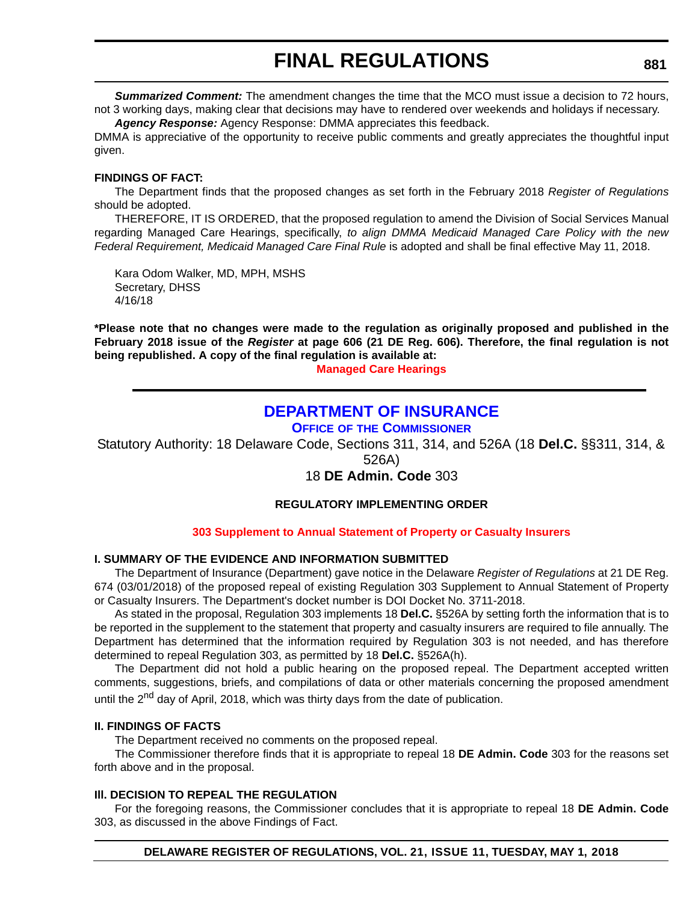**Summarized Comment:** The amendment changes the time that the MCO must issue a decision to 72 hours, not 3 working days, making clear that decisions may have to rendered over weekends and holidays if necessary.

*Agency Response:* Agency Response: DMMA appreciates this feedback. DMMA is appreciative of the opportunity to receive public comments and greatly appreciates the thoughtful input given.

#### **FINDINGS OF FACT:**

The Department finds that the proposed changes as set forth in the February 2018 *Register of Regulations* should be adopted.

THEREFORE, IT IS ORDERED, that the proposed regulation to amend the Division of Social Services Manual regarding Managed Care Hearings, specifically, *to align DMMA Medicaid Managed Care Policy with the new Federal Requirement, Medicaid Managed Care Final Rule* is adopted and shall be final effective May 11, 2018.

Kara Odom Walker, MD, MPH, MSHS Secretary, DHSS 4/16/18

**\*Please note that no changes were made to the regulation as originally proposed and published in the February 2018 issue of the** *Register* **at page 606 (21 DE Reg. 606). Therefore, the final regulation is not being republished. A copy of the final regulation is available at:**

**[Managed Care Hearings](http://regulations.delaware.gov/register/may2018/final/21 DE Reg 879 05-01-18.htm)** 

# **[DEPARTMENT OF INSURANCE](https://insurance.delaware.gov/)**

**OFFICE OF [THE COMMISSIONER](https://insurance.delaware.gov/)**

Statutory Authority: 18 Delaware Code, Sections 311, 314, and 526A (18 **Del.C.** §§311, 314, &

526A)

# 18 **DE Admin. Code** 303

#### **REGULATORY IMPLEMENTING ORDER**

#### **[303 Supplement to Annual Statement of Property or Casualty Insurers](#page-3-0)**

#### **I. SUMMARY OF THE EVIDENCE AND INFORMATION SUBMITTED**

The Department of Insurance (Department) gave notice in the Delaware *Register of Regulations* at 21 DE Reg. 674 (03/01/2018) of the proposed repeal of existing Regulation 303 Supplement to Annual Statement of Property or Casualty Insurers. The Department's docket number is DOI Docket No. 3711-2018.

As stated in the proposal, Regulation 303 implements 18 **Del.C.** §526A by setting forth the information that is to be reported in the supplement to the statement that property and casualty insurers are required to file annually. The Department has determined that the information required by Regulation 303 is not needed, and has therefore determined to repeal Regulation 303, as permitted by 18 **Del.C.** §526A(h).

The Department did not hold a public hearing on the proposed repeal. The Department accepted written comments, suggestions, briefs, and compilations of data or other materials concerning the proposed amendment until the  $2<sup>nd</sup>$  day of April, 2018, which was thirty days from the date of publication.

### **II. FINDINGS OF FACTS**

The Department received no comments on the proposed repeal.

The Commissioner therefore finds that it is appropriate to repeal 18 **DE Admin. Code** 303 for the reasons set forth above and in the proposal.

#### **Ill. DECISION TO REPEAL THE REGULATION**

For the foregoing reasons, the Commissioner concludes that it is appropriate to repeal 18 **DE Admin. Code** 303, as discussed in the above Findings of Fact.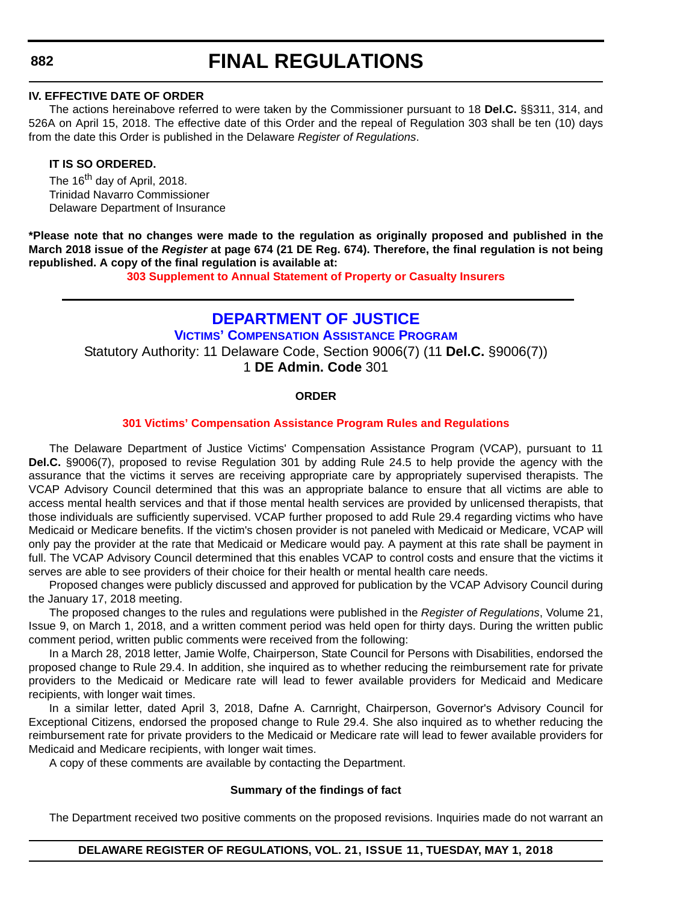#### **IV. EFFECTIVE DATE OF ORDER**

The actions hereinabove referred to were taken by the Commissioner pursuant to 18 **Del.C.** §§311, 314, and 526A on April 15, 2018. The effective date of this Order and the repeal of Regulation 303 shall be ten (10) days from the date this Order is published in the Delaware *Register of Regulations*.

#### **IT IS SO ORDERED.**

The 16<sup>th</sup> day of April, 2018. Trinidad Navarro Commissioner Delaware Department of Insurance

**\*Please note that no changes were made to the regulation as originally proposed and published in the March 2018 issue of the** *Register* **at page 674 (21 DE Reg. 674). Therefore, the final regulation is not being republished. A copy of the final regulation is available at:**

**[303 Supplement to Annual Statement of Property or Casualty Insurers](http://regulations.delaware.gov/register/may2018/final/21 DE Reg 881 05-01-18.htm)**

# **[DEPARTMENT OF JUSTICE](https://attorneygeneral.delaware.gov/) [VICTIMS' COMPENSATION ASSISTANCE PROGRAM](https://attorneygeneral.delaware.gov/)** Statutory Authority: 11 Delaware Code, Section 9006(7) (11 **Del.C.** §9006(7)) 1 **DE Admin. Code** 301

#### **ORDER**

#### **[301 Victims' Compensation Assistance Program Rules and Regulations](#page-4-0)**

The Delaware Department of Justice Victims' Compensation Assistance Program (VCAP), pursuant to 11 **Del.C.** §9006(7), proposed to revise Regulation 301 by adding Rule 24.5 to help provide the agency with the assurance that the victims it serves are receiving appropriate care by appropriately supervised therapists. The VCAP Advisory Council determined that this was an appropriate balance to ensure that all victims are able to access mental health services and that if those mental health services are provided by unlicensed therapists, that those individuals are sufficiently supervised. VCAP further proposed to add Rule 29.4 regarding victims who have Medicaid or Medicare benefits. If the victim's chosen provider is not paneled with Medicaid or Medicare, VCAP will only pay the provider at the rate that Medicaid or Medicare would pay. A payment at this rate shall be payment in full. The VCAP Advisory Council determined that this enables VCAP to control costs and ensure that the victims it serves are able to see providers of their choice for their health or mental health care needs.

Proposed changes were publicly discussed and approved for publication by the VCAP Advisory Council during the January 17, 2018 meeting.

The proposed changes to the rules and regulations were published in the *Register of Regulations*, Volume 21, Issue 9, on March 1, 2018, and a written comment period was held open for thirty days. During the written public comment period, written public comments were received from the following:

In a March 28, 2018 letter, Jamie Wolfe, Chairperson, State Council for Persons with Disabilities, endorsed the proposed change to Rule 29.4. In addition, she inquired as to whether reducing the reimbursement rate for private providers to the Medicaid or Medicare rate will lead to fewer available providers for Medicaid and Medicare recipients, with longer wait times.

In a similar letter, dated April 3, 2018, Dafne A. Carnright, Chairperson, Governor's Advisory Council for Exceptional Citizens, endorsed the proposed change to Rule 29.4. She also inquired as to whether reducing the reimbursement rate for private providers to the Medicaid or Medicare rate will lead to fewer available providers for Medicaid and Medicare recipients, with longer wait times.

A copy of these comments are available by contacting the Department.

#### **Summary of the findings of fact**

The Department received two positive comments on the proposed revisions. Inquiries made do not warrant an

#### **882**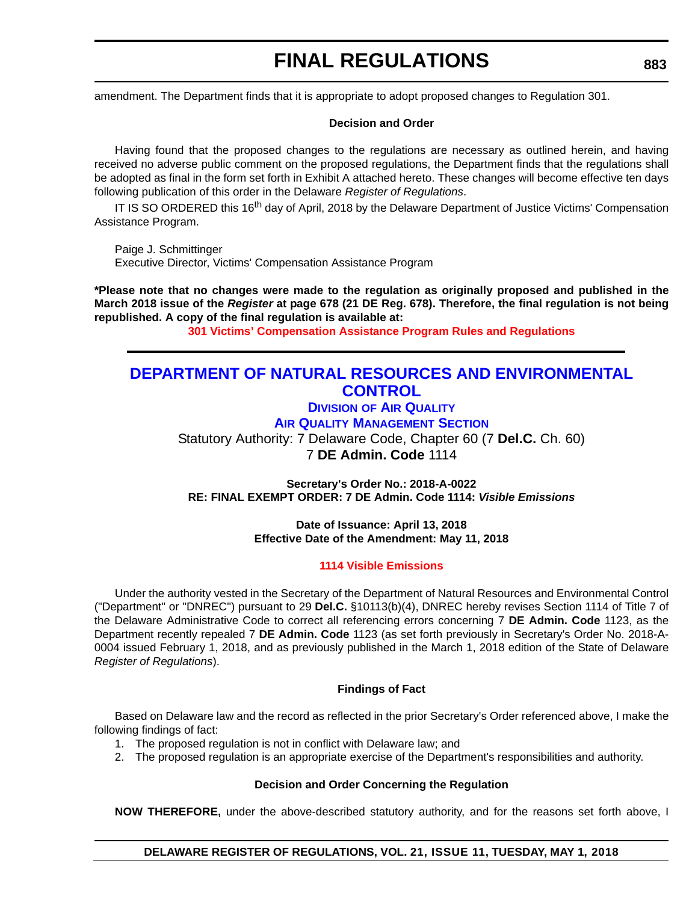amendment. The Department finds that it is appropriate to adopt proposed changes to Regulation 301.

#### **Decision and Order**

Having found that the proposed changes to the regulations are necessary as outlined herein, and having received no adverse public comment on the proposed regulations, the Department finds that the regulations shall be adopted as final in the form set forth in Exhibit A attached hereto. These changes will become effective ten days following publication of this order in the Delaware *Register of Regulations*.

IT IS SO ORDERED this 16<sup>th</sup> day of April, 2018 by the Delaware Department of Justice Victims' Compensation Assistance Program.

Paige J. Schmittinger Executive Director, Victims' Compensation Assistance Program

**\*Please note that no changes were made to the regulation as originally proposed and published in the March 2018 issue of the** *Register* **at page 678 (21 DE Reg. 678). Therefore, the final regulation is not being republished. A copy of the final regulation is available at:**

**[301 Victims' Compensation Assistance Program Rules and Regulations](http://regulations.delaware.gov/register/may2018/final/21 DE Reg 882 05-01-18.htm)** 

# **[DEPARTMENT OF NATURAL RESOURCES AND ENVIRONMENTAL](http://www.dnrec.delaware.gov/Air/Pages/Default.aspx)  CONTROL**

**DIVISION [OF AIR QUALITY](http://www.dnrec.delaware.gov/Air/Pages/Default.aspx)**

**AIR QUALITY MANAGEMENT SECTION**

Statutory Authority: 7 Delaware Code, Chapter 60 (7 **Del.C.** Ch. 60) 7 **DE Admin. Code** 1114

**Secretary's Order No.: 2018-A-0022 RE: FINAL EXEMPT ORDER: 7 DE Admin. Code 1114:** *Visible Emissions*

> **Date of Issuance: April 13, 2018 Effective Date of the Amendment: May 11, 2018**

#### **[1114 Visible Emissions](#page-4-0)**

Under the authority vested in the Secretary of the Department of Natural Resources and Environmental Control ("Department" or "DNREC") pursuant to 29 **Del.C.** §10113(b)(4), DNREC hereby revises Section 1114 of Title 7 of the Delaware Administrative Code to correct all referencing errors concerning 7 **DE Admin. Code** 1123, as the Department recently repealed 7 **DE Admin. Code** 1123 (as set forth previously in Secretary's Order No. 2018-A-0004 issued February 1, 2018, and as previously published in the March 1, 2018 edition of the State of Delaware *Register of Regulations*).

#### **Findings of Fact**

Based on Delaware law and the record as reflected in the prior Secretary's Order referenced above, I make the following findings of fact:

- 1. The proposed regulation is not in conflict with Delaware law; and
- 2. The proposed regulation is an appropriate exercise of the Department's responsibilities and authority.

#### **Decision and Order Concerning the Regulation**

**NOW THEREFORE,** under the above-described statutory authority, and for the reasons set forth above, I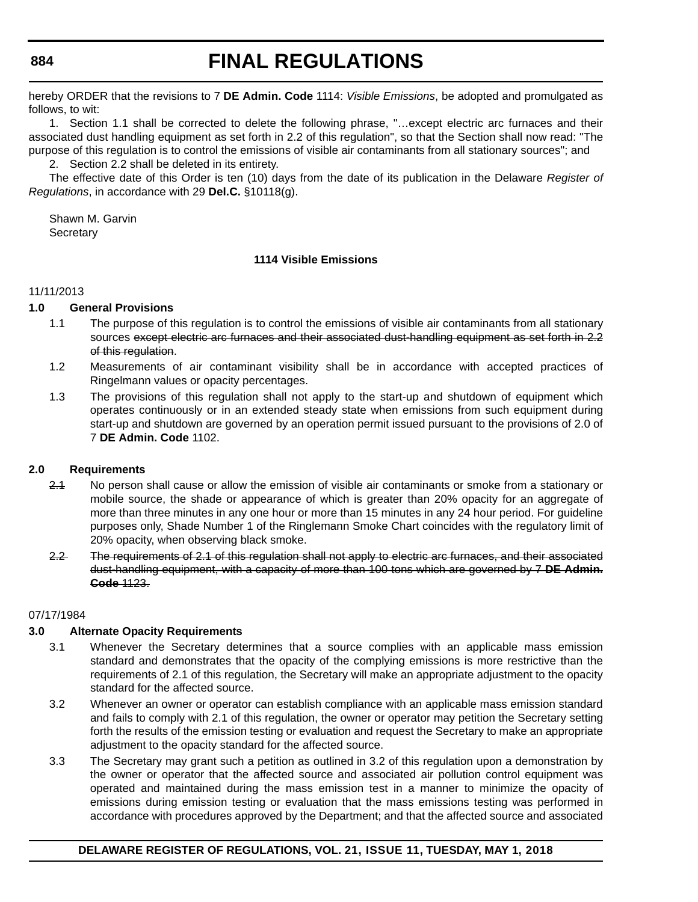# **FINAL REGULATIONS**

hereby ORDER that the revisions to 7 **DE Admin. Code** 1114: *Visible Emissions*, be adopted and promulgated as follows, to wit:

1. Section 1.1 shall be corrected to delete the following phrase, "…except electric arc furnaces and their associated dust handling equipment as set forth in 2.2 of this regulation", so that the Section shall now read: "The purpose of this regulation is to control the emissions of visible air contaminants from all stationary sources"; and

2. Section 2.2 shall be deleted in its entirety.

The effective date of this Order is ten (10) days from the date of its publication in the Delaware *Register of Regulations*, in accordance with 29 **Del.C.** §10118(g).

Shawn M. Garvin **Secretary** 

### **1114 Visible Emissions**

#### 11/11/2013

#### **1.0 General Provisions**

- 1.1 The purpose of this regulation is to control the emissions of visible air contaminants from all stationary sources except electric arc furnaces and their associated dust-handling equipment as set forth in 2.2 of this regulation.
- 1.2 Measurements of air contaminant visibility shall be in accordance with accepted practices of Ringelmann values or opacity percentages.
- 1.3 The provisions of this regulation shall not apply to the start-up and shutdown of equipment which operates continuously or in an extended steady state when emissions from such equipment during start-up and shutdown are governed by an operation permit issued pursuant to the provisions of 2.0 of 7 **DE Admin. Code** 1102.

#### **2.0 Requirements**

- 2.1 No person shall cause or allow the emission of visible air contaminants or smoke from a stationary or mobile source, the shade or appearance of which is greater than 20% opacity for an aggregate of more than three minutes in any one hour or more than 15 minutes in any 24 hour period. For guideline purposes only, Shade Number 1 of the Ringlemann Smoke Chart coincides with the regulatory limit of 20% opacity, when observing black smoke.
- 2.2 The requirements of 2.1 of this regulation shall not apply to electric arc furnaces, and their associated dust-handling equipment, with a capacity of more than 100 tons which are governed by 7 **DE Admin. Code** 1123.

#### 07/17/1984

#### **3.0 Alternate Opacity Requirements**

- 3.1 Whenever the Secretary determines that a source complies with an applicable mass emission standard and demonstrates that the opacity of the complying emissions is more restrictive than the requirements of 2.1 of this regulation, the Secretary will make an appropriate adjustment to the opacity standard for the affected source.
- 3.2 Whenever an owner or operator can establish compliance with an applicable mass emission standard and fails to comply with 2.1 of this regulation, the owner or operator may petition the Secretary setting forth the results of the emission testing or evaluation and request the Secretary to make an appropriate adjustment to the opacity standard for the affected source.
- 3.3 The Secretary may grant such a petition as outlined in 3.2 of this regulation upon a demonstration by the owner or operator that the affected source and associated air pollution control equipment was operated and maintained during the mass emission test in a manner to minimize the opacity of emissions during emission testing or evaluation that the mass emissions testing was performed in accordance with procedures approved by the Department; and that the affected source and associated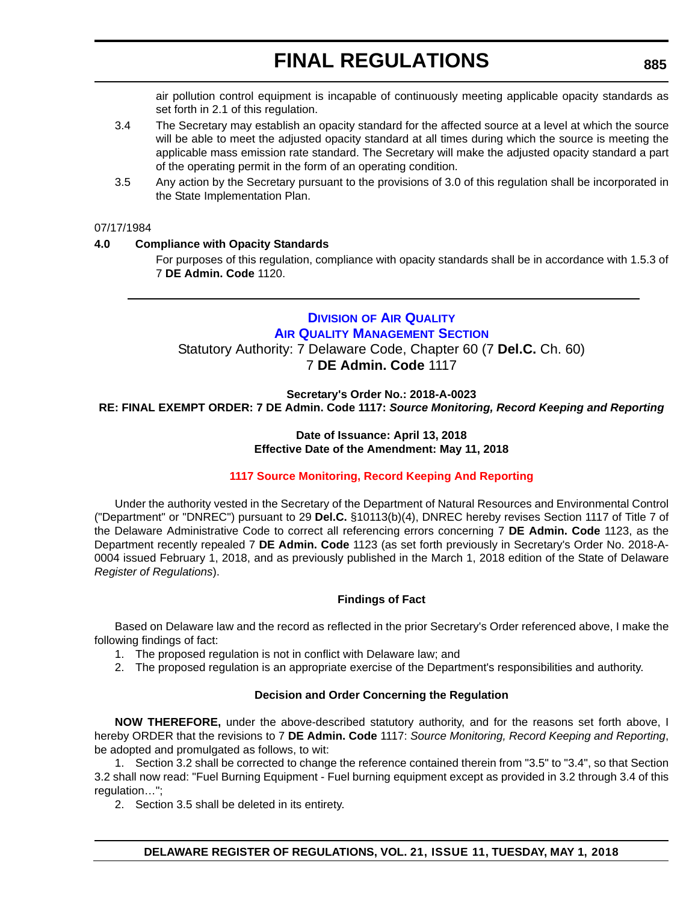air pollution control equipment is incapable of continuously meeting applicable opacity standards as set forth in 2.1 of this regulation.

- 3.4 The Secretary may establish an opacity standard for the affected source at a level at which the source will be able to meet the adjusted opacity standard at all times during which the source is meeting the applicable mass emission rate standard. The Secretary will make the adjusted opacity standard a part of the operating permit in the form of an operating condition.
- 3.5 Any action by the Secretary pursuant to the provisions of 3.0 of this regulation shall be incorporated in the State Implementation Plan.

#### 07/17/1984

#### **4.0 Compliance with Opacity Standards**

For purposes of this regulation, compliance with opacity standards shall be in accordance with 1.5.3 of 7 **DE Admin. Code** 1120.

#### **DIVISION [OF AIR QUALITY](http://www.dnrec.delaware.gov/Air/Pages/Default.aspx) AIR QUALITY MANAGEMENT SECTION**

Statutory Authority: 7 Delaware Code, Chapter 60 (7 **Del.C.** Ch. 60)

7 **DE Admin. Code** 1117

**Secretary's Order No.: 2018-A-0023**

**RE: FINAL EXEMPT ORDER: 7 DE Admin. Code 1117:** *Source Monitoring, Record Keeping and Reporting*

#### **Date of Issuance: April 13, 2018 Effective Date of the Amendment: May 11, 2018**

#### **[1117 Source Monitoring, Record Keeping And Reporting](#page-4-0)**

Under the authority vested in the Secretary of the Department of Natural Resources and Environmental Control ("Department" or "DNREC") pursuant to 29 **Del.C.** §10113(b)(4), DNREC hereby revises Section 1117 of Title 7 of the Delaware Administrative Code to correct all referencing errors concerning 7 **DE Admin. Code** 1123, as the Department recently repealed 7 **DE Admin. Code** 1123 (as set forth previously in Secretary's Order No. 2018-A-0004 issued February 1, 2018, and as previously published in the March 1, 2018 edition of the State of Delaware *Register of Regulations*).

#### **Findings of Fact**

Based on Delaware law and the record as reflected in the prior Secretary's Order referenced above, I make the following findings of fact:

- 1. The proposed regulation is not in conflict with Delaware law; and
- 2. The proposed regulation is an appropriate exercise of the Department's responsibilities and authority.

#### **Decision and Order Concerning the Regulation**

**NOW THEREFORE,** under the above-described statutory authority, and for the reasons set forth above, I hereby ORDER that the revisions to 7 **DE Admin. Code** 1117: *Source Monitoring, Record Keeping and Reporting*, be adopted and promulgated as follows, to wit:

1. Section 3.2 shall be corrected to change the reference contained therein from "3.5" to "3.4", so that Section 3.2 shall now read: "Fuel Burning Equipment - Fuel burning equipment except as provided in 3.2 through 3.4 of this regulation…";

2. Section 3.5 shall be deleted in its entirety.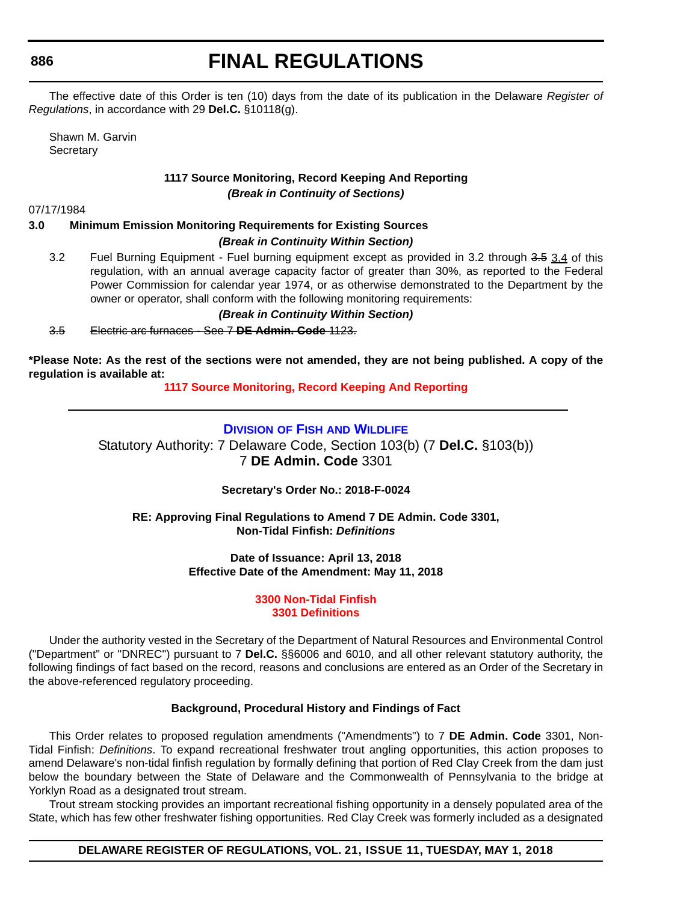# **FINAL REGULATIONS**

The effective date of this Order is ten (10) days from the date of its publication in the Delaware *Register of Regulations*, in accordance with 29 **Del.C.** §10118(g).

Shawn M. Garvin **Secretary** 

# **1117 Source Monitoring, Record Keeping And Reporting** *(Break in Continuity of Sections)*

07/17/1984

### **3.0 Minimum Emission Monitoring Requirements for Existing Sources**

- *(Break in Continuity Within Section)*
- 3.2 Fuel Burning Equipment Fuel burning equipment except as provided in 3.2 through 3.5 3.4 of this regulation, with an annual average capacity factor of greater than 30%, as reported to the Federal Power Commission for calendar year 1974, or as otherwise demonstrated to the Department by the owner or operator, shall conform with the following monitoring requirements:

*(Break in Continuity Within Section)*

3.5 Electric arc furnaces - See 7 **DE Admin. Code** 1123.

**\*Please Note: As the rest of the sections were not amended, they are not being published. A copy of the regulation is available at:**

**[1117 Source Monitoring, Record Keeping And Reporting](http://regulations.delaware.gov/register/may2018/final/21 DE Reg 885 05-01-18.htm)** 

# **DIVISION OF FISH [AND WILDLIFE](http://www.dnrec.delaware.gov/fw/Pages/DFW-Portal.aspx)**

Statutory Authority: 7 Delaware Code, Section 103(b) (7 **Del.C.** §103(b)) 7 **DE Admin. Code** 3301

**Secretary's Order No.: 2018-F-0024**

**RE: Approving Final Regulations to Amend 7 DE Admin. Code 3301, Non-Tidal Finfish:** *Definitions*

> **Date of Issuance: April 13, 2018 Effective Date of the Amendment: May 11, 2018**

> > **[3300 Non-Tidal Finfish](#page-4-0) 3301 Definitions**

Under the authority vested in the Secretary of the Department of Natural Resources and Environmental Control ("Department" or "DNREC") pursuant to 7 **Del.C.** §§6006 and 6010, and all other relevant statutory authority, the following findings of fact based on the record, reasons and conclusions are entered as an Order of the Secretary in the above-referenced regulatory proceeding.

# **Background, Procedural History and Findings of Fact**

This Order relates to proposed regulation amendments ("Amendments") to 7 **DE Admin. Code** 3301, Non-Tidal Finfish: *Definitions*. To expand recreational freshwater trout angling opportunities, this action proposes to amend Delaware's non-tidal finfish regulation by formally defining that portion of Red Clay Creek from the dam just below the boundary between the State of Delaware and the Commonwealth of Pennsylvania to the bridge at Yorklyn Road as a designated trout stream.

Trout stream stocking provides an important recreational fishing opportunity in a densely populated area of the State, which has few other freshwater fishing opportunities. Red Clay Creek was formerly included as a designated

**DELAWARE REGISTER OF REGULATIONS, VOL. 21, ISSUE 11, TUESDAY, MAY 1, 2018**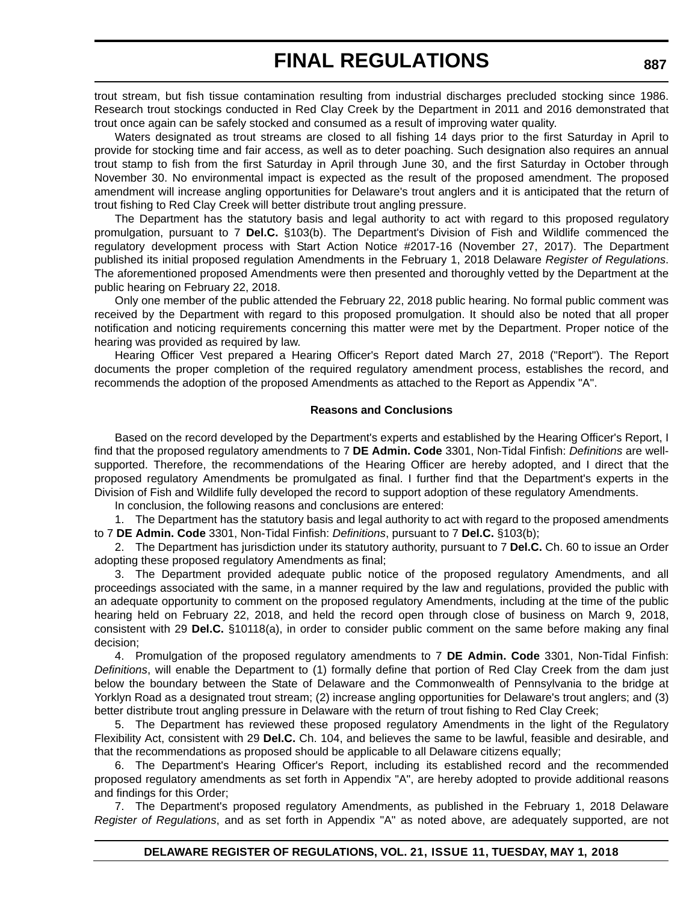trout stream, but fish tissue contamination resulting from industrial discharges precluded stocking since 1986. Research trout stockings conducted in Red Clay Creek by the Department in 2011 and 2016 demonstrated that trout once again can be safely stocked and consumed as a result of improving water quality.

Waters designated as trout streams are closed to all fishing 14 days prior to the first Saturday in April to provide for stocking time and fair access, as well as to deter poaching. Such designation also requires an annual trout stamp to fish from the first Saturday in April through June 30, and the first Saturday in October through November 30. No environmental impact is expected as the result of the proposed amendment. The proposed amendment will increase angling opportunities for Delaware's trout anglers and it is anticipated that the return of trout fishing to Red Clay Creek will better distribute trout angling pressure.

The Department has the statutory basis and legal authority to act with regard to this proposed regulatory promulgation, pursuant to 7 **Del.C.** §103(b). The Department's Division of Fish and Wildlife commenced the regulatory development process with Start Action Notice #2017-16 (November 27, 2017). The Department published its initial proposed regulation Amendments in the February 1, 2018 Delaware *Register of Regulations*. The aforementioned proposed Amendments were then presented and thoroughly vetted by the Department at the public hearing on February 22, 2018.

Only one member of the public attended the February 22, 2018 public hearing. No formal public comment was received by the Department with regard to this proposed promulgation. It should also be noted that all proper notification and noticing requirements concerning this matter were met by the Department. Proper notice of the hearing was provided as required by law.

Hearing Officer Vest prepared a Hearing Officer's Report dated March 27, 2018 ("Report"). The Report documents the proper completion of the required regulatory amendment process, establishes the record, and recommends the adoption of the proposed Amendments as attached to the Report as Appendix "A".

#### **Reasons and Conclusions**

Based on the record developed by the Department's experts and established by the Hearing Officer's Report, I find that the proposed regulatory amendments to 7 **DE Admin. Code** 3301, Non-Tidal Finfish: *Definitions* are wellsupported. Therefore, the recommendations of the Hearing Officer are hereby adopted, and I direct that the proposed regulatory Amendments be promulgated as final. I further find that the Department's experts in the Division of Fish and Wildlife fully developed the record to support adoption of these regulatory Amendments.

In conclusion, the following reasons and conclusions are entered:

1. The Department has the statutory basis and legal authority to act with regard to the proposed amendments to 7 **DE Admin. Code** 3301, Non-Tidal Finfish: *Definitions*, pursuant to 7 **Del.C.** §103(b);

2. The Department has jurisdiction under its statutory authority, pursuant to 7 **Del.C.** Ch. 60 to issue an Order adopting these proposed regulatory Amendments as final;

3. The Department provided adequate public notice of the proposed regulatory Amendments, and all proceedings associated with the same, in a manner required by the law and regulations, provided the public with an adequate opportunity to comment on the proposed regulatory Amendments, including at the time of the public hearing held on February 22, 2018, and held the record open through close of business on March 9, 2018, consistent with 29 **Del.C.** §10118(a), in order to consider public comment on the same before making any final decision;

4. Promulgation of the proposed regulatory amendments to 7 **DE Admin. Code** 3301, Non-Tidal Finfish: *Definitions*, will enable the Department to (1) formally define that portion of Red Clay Creek from the dam just below the boundary between the State of Delaware and the Commonwealth of Pennsylvania to the bridge at Yorklyn Road as a designated trout stream; (2) increase angling opportunities for Delaware's trout anglers; and (3) better distribute trout angling pressure in Delaware with the return of trout fishing to Red Clay Creek;

5. The Department has reviewed these proposed regulatory Amendments in the light of the Regulatory Flexibility Act, consistent with 29 **Del.C.** Ch. 104, and believes the same to be lawful, feasible and desirable, and that the recommendations as proposed should be applicable to all Delaware citizens equally;

6. The Department's Hearing Officer's Report, including its established record and the recommended proposed regulatory amendments as set forth in Appendix "A", are hereby adopted to provide additional reasons and findings for this Order;

7. The Department's proposed regulatory Amendments, as published in the February 1, 2018 Delaware *Register of Regulations*, and as set forth in Appendix "A" as noted above, are adequately supported, are not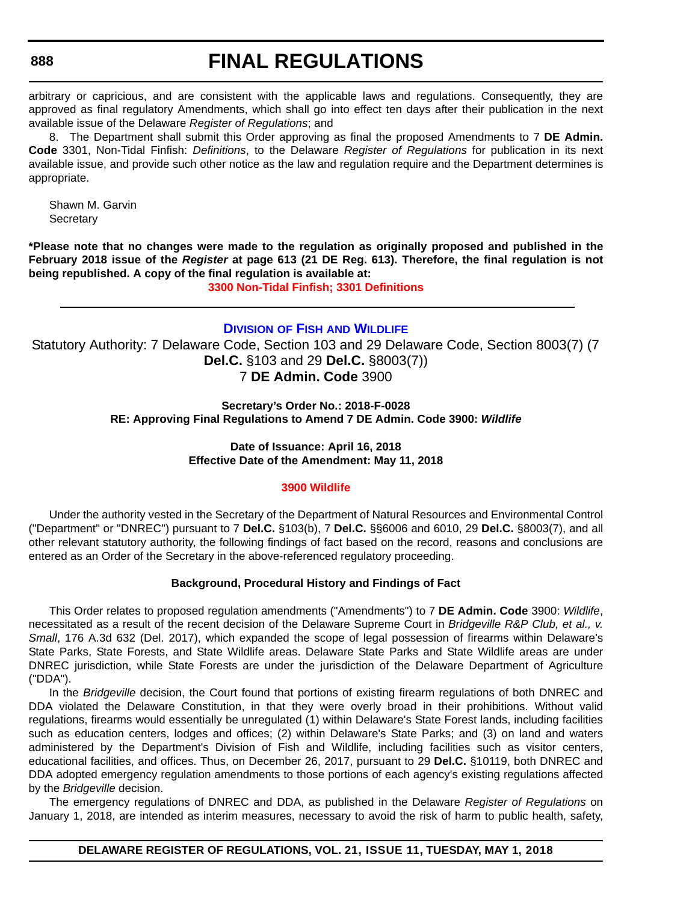# **FINAL REGULATIONS**

arbitrary or capricious, and are consistent with the applicable laws and regulations. Consequently, they are approved as final regulatory Amendments, which shall go into effect ten days after their publication in the next available issue of the Delaware *Register of Regulations*; and

8. The Department shall submit this Order approving as final the proposed Amendments to 7 **DE Admin. Code** 3301, Non-Tidal Finfish: *Definitions*, to the Delaware *Register of Regulations* for publication in its next available issue, and provide such other notice as the law and regulation require and the Department determines is appropriate.

Shawn M. Garvin **Secretary** 

**\*Please note that no changes were made to the regulation as originally proposed and published in the February 2018 issue of the** *Register* **at page 613 (21 DE Reg. 613). Therefore, the final regulation is not being republished. A copy of the final regulation is available at:**

**[3300 Non-Tidal Finfish; 3301 Definitions](http://regulations.delaware.gov/register/may2018/final/21 DE Reg 886 05-01-18.htm)** 

# **DIVISION OF FISH [AND WILDLIFE](http://www.dnrec.delaware.gov/fw/Pages/DFW-Portal.aspx)**

Statutory Authority: 7 Delaware Code, Section 103 and 29 Delaware Code, Section 8003(7) (7 **Del.C.** §103 and 29 **Del.C.** §8003(7)) 7 **DE Admin. Code** 3900

> **Secretary's Order No.: 2018-F-0028 RE: Approving Final Regulations to Amend 7 DE Admin. Code 3900:** *Wildlife*

### **Date of Issuance: April 16, 2018 Effective Date of the Amendment: May 11, 2018**

#### **[3900 Wildlife](#page-4-0)**

Under the authority vested in the Secretary of the Department of Natural Resources and Environmental Control ("Department" or "DNREC") pursuant to 7 **Del.C.** §103(b), 7 **Del.C.** §§6006 and 6010, 29 **Del.C.** §8003(7), and all other relevant statutory authority, the following findings of fact based on the record, reasons and conclusions are entered as an Order of the Secretary in the above-referenced regulatory proceeding.

#### **Background, Procedural History and Findings of Fact**

This Order relates to proposed regulation amendments ("Amendments") to 7 **DE Admin. Code** 3900: *Wildlife*, necessitated as a result of the recent decision of the Delaware Supreme Court in *Bridgeville R&P Club, et al., v. Small*, 176 A.3d 632 (Del. 2017), which expanded the scope of legal possession of firearms within Delaware's State Parks, State Forests, and State Wildlife areas. Delaware State Parks and State Wildlife areas are under DNREC jurisdiction, while State Forests are under the jurisdiction of the Delaware Department of Agriculture ("DDA").

In the *Bridgeville* decision, the Court found that portions of existing firearm regulations of both DNREC and DDA violated the Delaware Constitution, in that they were overly broad in their prohibitions. Without valid regulations, firearms would essentially be unregulated (1) within Delaware's State Forest lands, including facilities such as education centers, lodges and offices; (2) within Delaware's State Parks; and (3) on land and waters administered by the Department's Division of Fish and Wildlife, including facilities such as visitor centers, educational facilities, and offices. Thus, on December 26, 2017, pursuant to 29 **Del.C.** §10119, both DNREC and DDA adopted emergency regulation amendments to those portions of each agency's existing regulations affected by the *Bridgeville* decision.

The emergency regulations of DNREC and DDA, as published in the Delaware *Register of Regulations* on January 1, 2018, are intended as interim measures, necessary to avoid the risk of harm to public health, safety,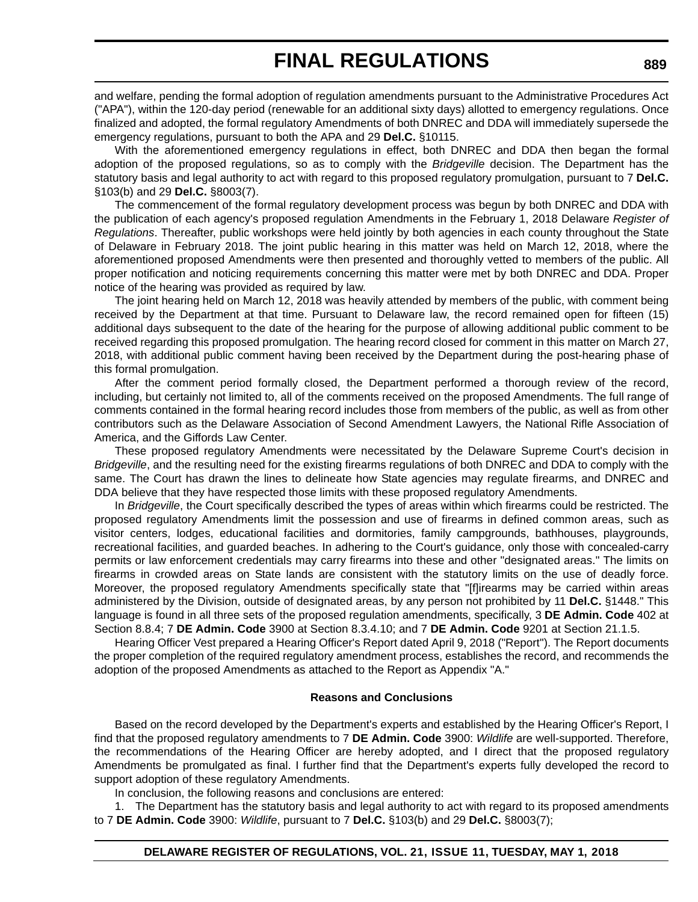and welfare, pending the formal adoption of regulation amendments pursuant to the Administrative Procedures Act ("APA"), within the 120-day period (renewable for an additional sixty days) allotted to emergency regulations. Once finalized and adopted, the formal regulatory Amendments of both DNREC and DDA will immediately supersede the emergency regulations, pursuant to both the APA and 29 **Del.C.** §10115.

With the aforementioned emergency regulations in effect, both DNREC and DDA then began the formal adoption of the proposed regulations, so as to comply with the *Bridgeville* decision. The Department has the statutory basis and legal authority to act with regard to this proposed regulatory promulgation, pursuant to 7 **Del.C.** §103(b) and 29 **Del.C.** §8003(7).

The commencement of the formal regulatory development process was begun by both DNREC and DDA with the publication of each agency's proposed regulation Amendments in the February 1, 2018 Delaware *Register of Regulations*. Thereafter, public workshops were held jointly by both agencies in each county throughout the State of Delaware in February 2018. The joint public hearing in this matter was held on March 12, 2018, where the aforementioned proposed Amendments were then presented and thoroughly vetted to members of the public. All proper notification and noticing requirements concerning this matter were met by both DNREC and DDA. Proper notice of the hearing was provided as required by law.

The joint hearing held on March 12, 2018 was heavily attended by members of the public, with comment being received by the Department at that time. Pursuant to Delaware law, the record remained open for fifteen (15) additional days subsequent to the date of the hearing for the purpose of allowing additional public comment to be received regarding this proposed promulgation. The hearing record closed for comment in this matter on March 27, 2018, with additional public comment having been received by the Department during the post-hearing phase of this formal promulgation.

After the comment period formally closed, the Department performed a thorough review of the record, including, but certainly not limited to, all of the comments received on the proposed Amendments. The full range of comments contained in the formal hearing record includes those from members of the public, as well as from other contributors such as the Delaware Association of Second Amendment Lawyers, the National Rifle Association of America, and the Giffords Law Center.

These proposed regulatory Amendments were necessitated by the Delaware Supreme Court's decision in *Bridgeville*, and the resulting need for the existing firearms regulations of both DNREC and DDA to comply with the same. The Court has drawn the lines to delineate how State agencies may regulate firearms, and DNREC and DDA believe that they have respected those limits with these proposed regulatory Amendments.

In *Bridgeville*, the Court specifically described the types of areas within which firearms could be restricted. The proposed regulatory Amendments limit the possession and use of firearms in defined common areas, such as visitor centers, lodges, educational facilities and dormitories, family campgrounds, bathhouses, playgrounds, recreational facilities, and guarded beaches. In adhering to the Court's guidance, only those with concealed-carry permits or law enforcement credentials may carry firearms into these and other "designated areas." The limits on firearms in crowded areas on State lands are consistent with the statutory limits on the use of deadly force. Moreover, the proposed regulatory Amendments specifically state that "[f]irearms may be carried within areas administered by the Division, outside of designated areas, by any person not prohibited by 11 **Del.C.** §1448." This language is found in all three sets of the proposed regulation amendments, specifically, 3 **DE Admin. Code** 402 at Section 8.8.4; 7 **DE Admin. Code** 3900 at Section 8.3.4.10; and 7 **DE Admin. Code** 9201 at Section 21.1.5.

Hearing Officer Vest prepared a Hearing Officer's Report dated April 9, 2018 ("Report"). The Report documents the proper completion of the required regulatory amendment process, establishes the record, and recommends the adoption of the proposed Amendments as attached to the Report as Appendix "A."

#### **Reasons and Conclusions**

Based on the record developed by the Department's experts and established by the Hearing Officer's Report, I find that the proposed regulatory amendments to 7 **DE Admin. Code** 3900: *Wildlife* are well-supported. Therefore, the recommendations of the Hearing Officer are hereby adopted, and I direct that the proposed regulatory Amendments be promulgated as final. I further find that the Department's experts fully developed the record to support adoption of these regulatory Amendments.

In conclusion, the following reasons and conclusions are entered:

1. The Department has the statutory basis and legal authority to act with regard to its proposed amendments to 7 **DE Admin. Code** 3900: *Wildlife*, pursuant to 7 **Del.C.** §103(b) and 29 **Del.C.** §8003(7);

#### **DELAWARE REGISTER OF REGULATIONS, VOL. 21, ISSUE 11, TUESDAY, MAY 1, 2018**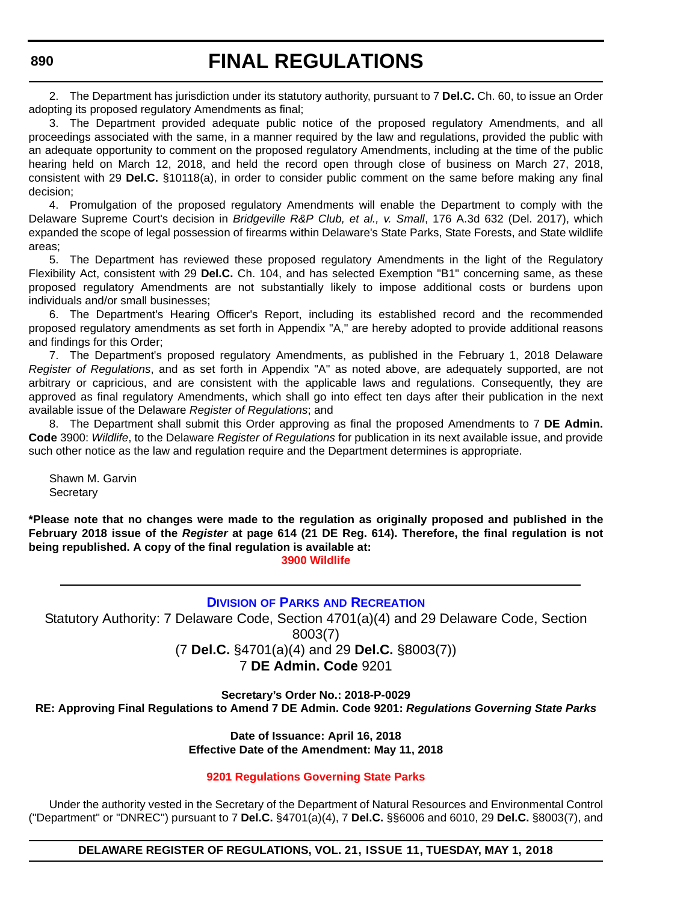2. The Department has jurisdiction under its statutory authority, pursuant to 7 **Del.C.** Ch. 60, to issue an Order adopting its proposed regulatory Amendments as final;

3. The Department provided adequate public notice of the proposed regulatory Amendments, and all proceedings associated with the same, in a manner required by the law and regulations, provided the public with an adequate opportunity to comment on the proposed regulatory Amendments, including at the time of the public hearing held on March 12, 2018, and held the record open through close of business on March 27, 2018, consistent with 29 **Del.C.** §10118(a), in order to consider public comment on the same before making any final decision;

4. Promulgation of the proposed regulatory Amendments will enable the Department to comply with the Delaware Supreme Court's decision in *Bridgeville R&P Club, et al., v. Small*, 176 A.3d 632 (Del. 2017), which expanded the scope of legal possession of firearms within Delaware's State Parks, State Forests, and State wildlife areas;

5. The Department has reviewed these proposed regulatory Amendments in the light of the Regulatory Flexibility Act, consistent with 29 **Del.C.** Ch. 104, and has selected Exemption "B1" concerning same, as these proposed regulatory Amendments are not substantially likely to impose additional costs or burdens upon individuals and/or small businesses;

6. The Department's Hearing Officer's Report, including its established record and the recommended proposed regulatory amendments as set forth in Appendix "A," are hereby adopted to provide additional reasons and findings for this Order;

7. The Department's proposed regulatory Amendments, as published in the February 1, 2018 Delaware *Register of Regulations*, and as set forth in Appendix "A" as noted above, are adequately supported, are not arbitrary or capricious, and are consistent with the applicable laws and regulations. Consequently, they are approved as final regulatory Amendments, which shall go into effect ten days after their publication in the next available issue of the Delaware *Register of Regulations*; and

8. The Department shall submit this Order approving as final the proposed Amendments to 7 **DE Admin. Code** 3900: *Wildlife*, to the Delaware *Register of Regulations* for publication in its next available issue, and provide such other notice as the law and regulation require and the Department determines is appropriate.

Shawn M. Garvin **Secretary** 

**\*Please note that no changes were made to the regulation as originally proposed and published in the February 2018 issue of the** *Register* **at page 614 (21 DE Reg. 614). Therefore, the final regulation is not being republished. A copy of the final regulation is available at: [3900 Wildlife](http://regulations.delaware.gov/register/may2018/final/21 DE Reg 888 05-01-18.htm)** 

**DIVISION OF PARKS [AND RECREATION](http://www.destateparks.com/)**

Statutory Authority: 7 Delaware Code, Section 4701(a)(4) and 29 Delaware Code, Section 8003(7) (7 **Del.C.** §4701(a)(4) and 29 **Del.C.** §8003(7)) 7 **DE Admin. Code** 9201

**Secretary's Order No.: 2018-P-0029**

**RE: Approving Final Regulations to Amend 7 DE Admin. Code 9201:** *Regulations Governing State Parks*

**Date of Issuance: April 16, 2018 Effective Date of the Amendment: May 11, 2018**

#### **[9201 Regulations Governing State Parks](#page-4-0)**

Under the authority vested in the Secretary of the Department of Natural Resources and Environmental Control ("Department" or "DNREC") pursuant to 7 **Del.C.** §4701(a)(4), 7 **Del.C.** §§6006 and 6010, 29 **Del.C.** §8003(7), and

**DELAWARE REGISTER OF REGULATIONS, VOL. 21, ISSUE 11, TUESDAY, MAY 1, 2018**

**890**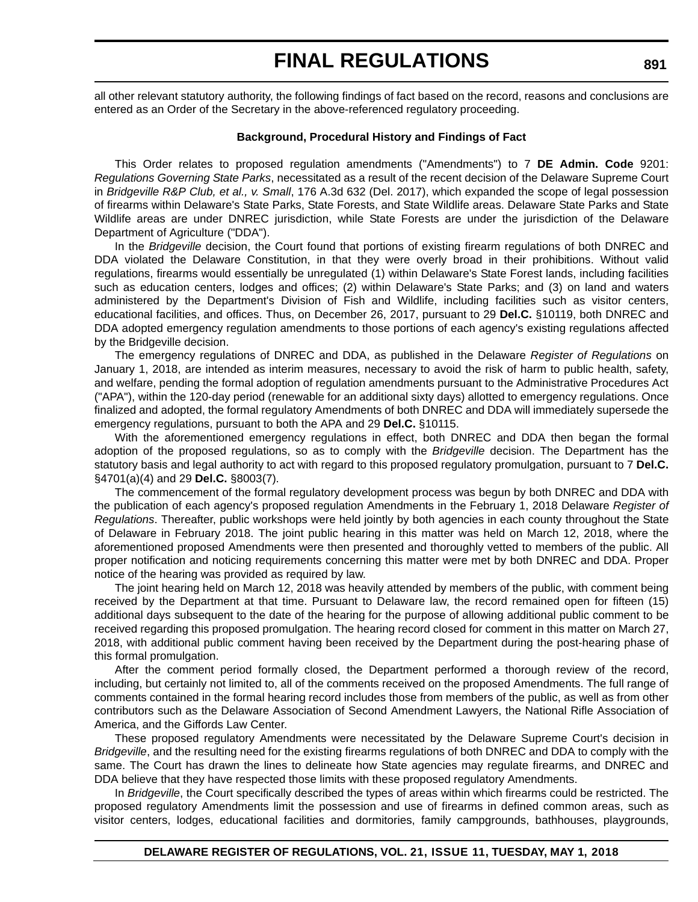all other relevant statutory authority, the following findings of fact based on the record, reasons and conclusions are entered as an Order of the Secretary in the above-referenced regulatory proceeding.

#### **Background, Procedural History and Findings of Fact**

This Order relates to proposed regulation amendments ("Amendments") to 7 **DE Admin. Code** 9201: *Regulations Governing State Parks*, necessitated as a result of the recent decision of the Delaware Supreme Court in *Bridgeville R&P Club, et al., v. Small*, 176 A.3d 632 (Del. 2017), which expanded the scope of legal possession of firearms within Delaware's State Parks, State Forests, and State Wildlife areas. Delaware State Parks and State Wildlife areas are under DNREC jurisdiction, while State Forests are under the jurisdiction of the Delaware Department of Agriculture ("DDA").

In the *Bridgeville* decision, the Court found that portions of existing firearm regulations of both DNREC and DDA violated the Delaware Constitution, in that they were overly broad in their prohibitions. Without valid regulations, firearms would essentially be unregulated (1) within Delaware's State Forest lands, including facilities such as education centers, lodges and offices; (2) within Delaware's State Parks; and (3) on land and waters administered by the Department's Division of Fish and Wildlife, including facilities such as visitor centers, educational facilities, and offices. Thus, on December 26, 2017, pursuant to 29 **Del.C.** §10119, both DNREC and DDA adopted emergency regulation amendments to those portions of each agency's existing regulations affected by the Bridgeville decision.

The emergency regulations of DNREC and DDA, as published in the Delaware *Register of Regulations* on January 1, 2018, are intended as interim measures, necessary to avoid the risk of harm to public health, safety, and welfare, pending the formal adoption of regulation amendments pursuant to the Administrative Procedures Act ("APA"), within the 120-day period (renewable for an additional sixty days) allotted to emergency regulations. Once finalized and adopted, the formal regulatory Amendments of both DNREC and DDA will immediately supersede the emergency regulations, pursuant to both the APA and 29 **Del.C.** §10115.

With the aforementioned emergency regulations in effect, both DNREC and DDA then began the formal adoption of the proposed regulations, so as to comply with the *Bridgeville* decision. The Department has the statutory basis and legal authority to act with regard to this proposed regulatory promulgation, pursuant to 7 **Del.C.** §4701(a)(4) and 29 **Del.C.** §8003(7).

The commencement of the formal regulatory development process was begun by both DNREC and DDA with the publication of each agency's proposed regulation Amendments in the February 1, 2018 Delaware *Register of Regulations*. Thereafter, public workshops were held jointly by both agencies in each county throughout the State of Delaware in February 2018. The joint public hearing in this matter was held on March 12, 2018, where the aforementioned proposed Amendments were then presented and thoroughly vetted to members of the public. All proper notification and noticing requirements concerning this matter were met by both DNREC and DDA. Proper notice of the hearing was provided as required by law.

The joint hearing held on March 12, 2018 was heavily attended by members of the public, with comment being received by the Department at that time. Pursuant to Delaware law, the record remained open for fifteen (15) additional days subsequent to the date of the hearing for the purpose of allowing additional public comment to be received regarding this proposed promulgation. The hearing record closed for comment in this matter on March 27, 2018, with additional public comment having been received by the Department during the post-hearing phase of this formal promulgation.

After the comment period formally closed, the Department performed a thorough review of the record, including, but certainly not limited to, all of the comments received on the proposed Amendments. The full range of comments contained in the formal hearing record includes those from members of the public, as well as from other contributors such as the Delaware Association of Second Amendment Lawyers, the National Rifle Association of America, and the Giffords Law Center.

These proposed regulatory Amendments were necessitated by the Delaware Supreme Court's decision in *Bridgeville*, and the resulting need for the existing firearms regulations of both DNREC and DDA to comply with the same. The Court has drawn the lines to delineate how State agencies may regulate firearms, and DNREC and DDA believe that they have respected those limits with these proposed regulatory Amendments.

In *Bridgeville*, the Court specifically described the types of areas within which firearms could be restricted. The proposed regulatory Amendments limit the possession and use of firearms in defined common areas, such as visitor centers, lodges, educational facilities and dormitories, family campgrounds, bathhouses, playgrounds,

**891**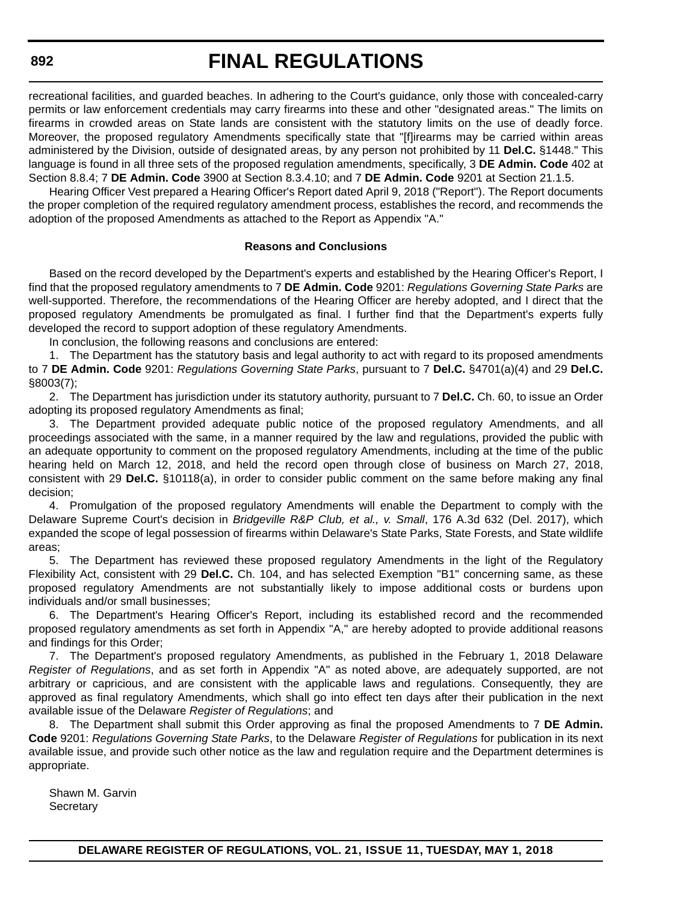recreational facilities, and guarded beaches. In adhering to the Court's guidance, only those with concealed-carry permits or law enforcement credentials may carry firearms into these and other "designated areas." The limits on firearms in crowded areas on State lands are consistent with the statutory limits on the use of deadly force. Moreover, the proposed regulatory Amendments specifically state that "[f]irearms may be carried within areas administered by the Division, outside of designated areas, by any person not prohibited by 11 **Del.C.** §1448." This language is found in all three sets of the proposed regulation amendments, specifically, 3 **DE Admin. Code** 402 at Section 8.8.4; 7 **DE Admin. Code** 3900 at Section 8.3.4.10; and 7 **DE Admin. Code** 9201 at Section 21.1.5.

Hearing Officer Vest prepared a Hearing Officer's Report dated April 9, 2018 ("Report"). The Report documents the proper completion of the required regulatory amendment process, establishes the record, and recommends the adoption of the proposed Amendments as attached to the Report as Appendix "A."

#### **Reasons and Conclusions**

Based on the record developed by the Department's experts and established by the Hearing Officer's Report, I find that the proposed regulatory amendments to 7 **DE Admin. Code** 9201: *Regulations Governing State Parks* are well-supported. Therefore, the recommendations of the Hearing Officer are hereby adopted, and I direct that the proposed regulatory Amendments be promulgated as final. I further find that the Department's experts fully developed the record to support adoption of these regulatory Amendments.

In conclusion, the following reasons and conclusions are entered:

1. The Department has the statutory basis and legal authority to act with regard to its proposed amendments to 7 **DE Admin. Code** 9201: *Regulations Governing State Parks*, pursuant to 7 **Del.C.** §4701(a)(4) and 29 **Del.C.** §8003(7);

2. The Department has jurisdiction under its statutory authority, pursuant to 7 **Del.C.** Ch. 60, to issue an Order adopting its proposed regulatory Amendments as final;

3. The Department provided adequate public notice of the proposed regulatory Amendments, and all proceedings associated with the same, in a manner required by the law and regulations, provided the public with an adequate opportunity to comment on the proposed regulatory Amendments, including at the time of the public hearing held on March 12, 2018, and held the record open through close of business on March 27, 2018, consistent with 29 **Del.C.** §10118(a), in order to consider public comment on the same before making any final decision;

4. Promulgation of the proposed regulatory Amendments will enable the Department to comply with the Delaware Supreme Court's decision in *Bridgeville R&P Club, et al., v. Small*, 176 A.3d 632 (Del. 2017), which expanded the scope of legal possession of firearms within Delaware's State Parks, State Forests, and State wildlife areas;

5. The Department has reviewed these proposed regulatory Amendments in the light of the Regulatory Flexibility Act, consistent with 29 **Del.C.** Ch. 104, and has selected Exemption "B1" concerning same, as these proposed regulatory Amendments are not substantially likely to impose additional costs or burdens upon individuals and/or small businesses;

6. The Department's Hearing Officer's Report, including its established record and the recommended proposed regulatory amendments as set forth in Appendix "A," are hereby adopted to provide additional reasons and findings for this Order;

7. The Department's proposed regulatory Amendments, as published in the February 1, 2018 Delaware *Register of Regulations*, and as set forth in Appendix "A" as noted above, are adequately supported, are not arbitrary or capricious, and are consistent with the applicable laws and regulations. Consequently, they are approved as final regulatory Amendments, which shall go into effect ten days after their publication in the next available issue of the Delaware *Register of Regulations*; and

8. The Department shall submit this Order approving as final the proposed Amendments to 7 **DE Admin. Code** 9201: *Regulations Governing State Parks*, to the Delaware *Register of Regulations* for publication in its next available issue, and provide such other notice as the law and regulation require and the Department determines is appropriate.

Shawn M. Garvin **Secretary**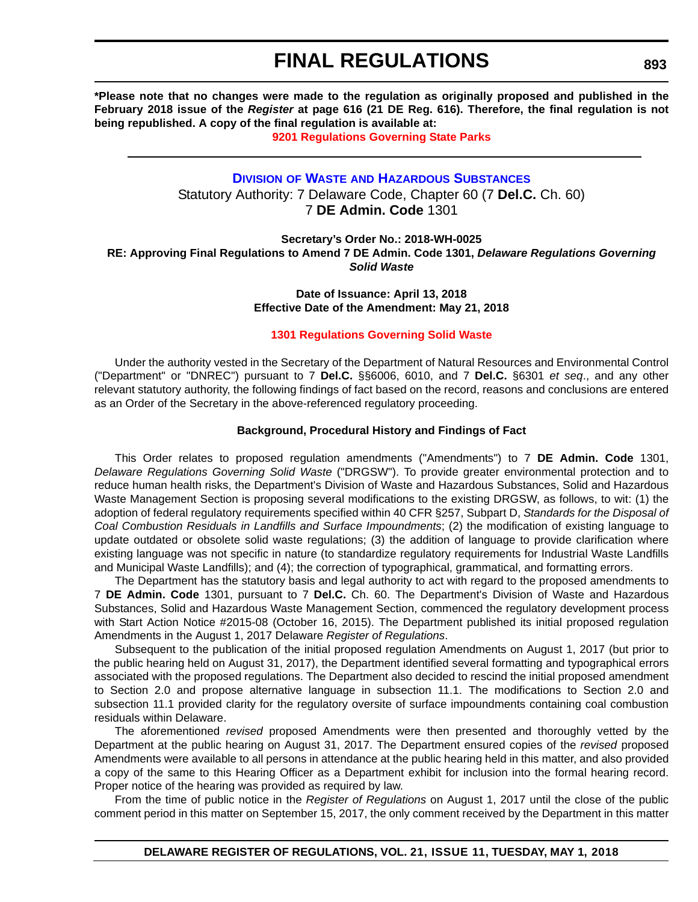**\*Please note that no changes were made to the regulation as originally proposed and published in the February 2018 issue of the** *Register* **at page 616 (21 DE Reg. 616). Therefore, the final regulation is not being republished. A copy of the final regulation is available at:**

**[9201 Regulations Governing State Parks](http://regulations.delaware.gov/register/may2018/final/21 DE Reg 890 05-01-18.htm)** 

### **DIVISION OF WASTE [AND HAZARDOUS SUBSTANCES](http://www.dnrec.delaware.gov/dwhs/Pages/default.aspx)** Statutory Authority: 7 Delaware Code, Chapter 60 (7 **Del.C.** Ch. 60) 7 **DE Admin. Code** 1301

**Secretary's Order No.: 2018-WH-0025 RE: Approving Final Regulations to Amend 7 DE Admin. Code 1301,** *Delaware Regulations Governing Solid Waste*

> **Date of Issuance: April 13, 2018 Effective Date of the Amendment: May 21, 2018**

#### **[1301 Regulations Governing Solid Waste](#page-4-0)**

Under the authority vested in the Secretary of the Department of Natural Resources and Environmental Control ("Department" or "DNREC") pursuant to 7 **Del.C.** §§6006, 6010, and 7 **Del.C.** §6301 *et seq*., and any other relevant statutory authority, the following findings of fact based on the record, reasons and conclusions are entered as an Order of the Secretary in the above-referenced regulatory proceeding.

#### **Background, Procedural History and Findings of Fact**

This Order relates to proposed regulation amendments ("Amendments") to 7 **DE Admin. Code** 1301, *Delaware Regulations Governing Solid Waste* ("DRGSW"). To provide greater environmental protection and to reduce human health risks, the Department's Division of Waste and Hazardous Substances, Solid and Hazardous Waste Management Section is proposing several modifications to the existing DRGSW, as follows, to wit: (1) the adoption of federal regulatory requirements specified within 40 CFR §257, Subpart D, *Standards for the Disposal of Coal Combustion Residuals in Landfills and Surface Impoundments*; (2) the modification of existing language to update outdated or obsolete solid waste regulations; (3) the addition of language to provide clarification where existing language was not specific in nature (to standardize regulatory requirements for Industrial Waste Landfills and Municipal Waste Landfills); and (4); the correction of typographical, grammatical, and formatting errors.

The Department has the statutory basis and legal authority to act with regard to the proposed amendments to 7 **DE Admin. Code** 1301, pursuant to 7 **Del.C.** Ch. 60. The Department's Division of Waste and Hazardous Substances, Solid and Hazardous Waste Management Section, commenced the regulatory development process with Start Action Notice #2015-08 (October 16, 2015). The Department published its initial proposed regulation Amendments in the August 1, 2017 Delaware *Register of Regulations*.

Subsequent to the publication of the initial proposed regulation Amendments on August 1, 2017 (but prior to the public hearing held on August 31, 2017), the Department identified several formatting and typographical errors associated with the proposed regulations. The Department also decided to rescind the initial proposed amendment to Section 2.0 and propose alternative language in subsection 11.1. The modifications to Section 2.0 and subsection 11.1 provided clarity for the regulatory oversite of surface impoundments containing coal combustion residuals within Delaware.

The aforementioned *revised* proposed Amendments were then presented and thoroughly vetted by the Department at the public hearing on August 31, 2017. The Department ensured copies of the *revised* proposed Amendments were available to all persons in attendance at the public hearing held in this matter, and also provided a copy of the same to this Hearing Officer as a Department exhibit for inclusion into the formal hearing record. Proper notice of the hearing was provided as required by law.

From the time of public notice in the *Register of Regulations* on August 1, 2017 until the close of the public comment period in this matter on September 15, 2017, the only comment received by the Department in this matter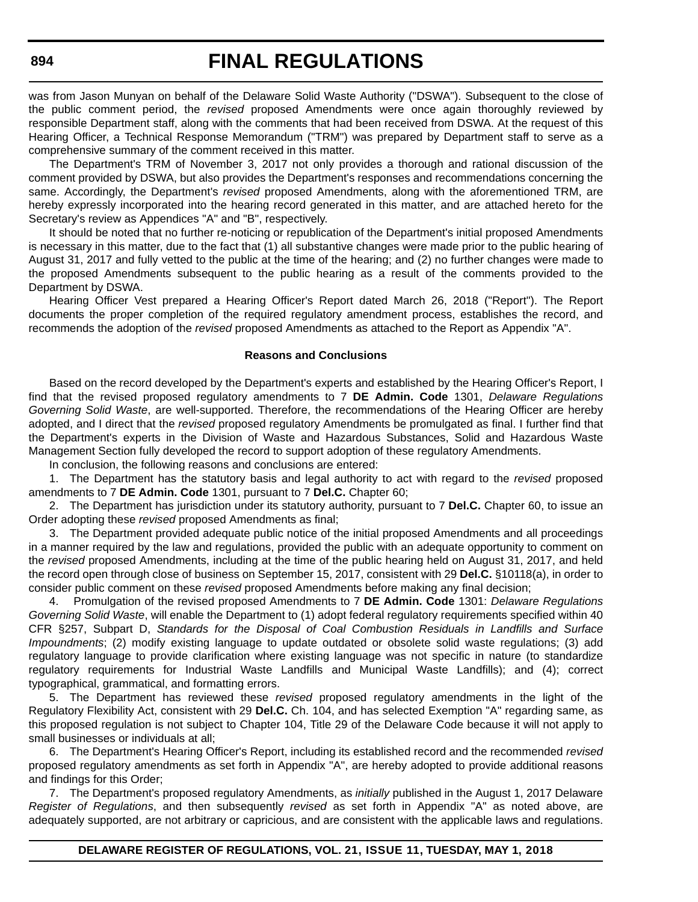was from Jason Munyan on behalf of the Delaware Solid Waste Authority ("DSWA"). Subsequent to the close of the public comment period, the *revised* proposed Amendments were once again thoroughly reviewed by responsible Department staff, along with the comments that had been received from DSWA. At the request of this Hearing Officer, a Technical Response Memorandum ("TRM") was prepared by Department staff to serve as a comprehensive summary of the comment received in this matter.

The Department's TRM of November 3, 2017 not only provides a thorough and rational discussion of the comment provided by DSWA, but also provides the Department's responses and recommendations concerning the same. Accordingly, the Department's *revised* proposed Amendments, along with the aforementioned TRM, are hereby expressly incorporated into the hearing record generated in this matter, and are attached hereto for the Secretary's review as Appendices "A" and "B", respectively.

It should be noted that no further re-noticing or republication of the Department's initial proposed Amendments is necessary in this matter, due to the fact that (1) all substantive changes were made prior to the public hearing of August 31, 2017 and fully vetted to the public at the time of the hearing; and (2) no further changes were made to the proposed Amendments subsequent to the public hearing as a result of the comments provided to the Department by DSWA.

Hearing Officer Vest prepared a Hearing Officer's Report dated March 26, 2018 ("Report"). The Report documents the proper completion of the required regulatory amendment process, establishes the record, and recommends the adoption of the *revised* proposed Amendments as attached to the Report as Appendix "A".

#### **Reasons and Conclusions**

Based on the record developed by the Department's experts and established by the Hearing Officer's Report, I find that the revised proposed regulatory amendments to 7 **DE Admin. Code** 1301, *Delaware Regulations Governing Solid Waste*, are well-supported. Therefore, the recommendations of the Hearing Officer are hereby adopted, and I direct that the *revised* proposed regulatory Amendments be promulgated as final. I further find that the Department's experts in the Division of Waste and Hazardous Substances, Solid and Hazardous Waste Management Section fully developed the record to support adoption of these regulatory Amendments.

In conclusion, the following reasons and conclusions are entered:

1. The Department has the statutory basis and legal authority to act with regard to the *revised* proposed amendments to 7 **DE Admin. Code** 1301, pursuant to 7 **Del.C.** Chapter 60;

2. The Department has jurisdiction under its statutory authority, pursuant to 7 **Del.C.** Chapter 60, to issue an Order adopting these *revised* proposed Amendments as final;

3. The Department provided adequate public notice of the initial proposed Amendments and all proceedings in a manner required by the law and regulations, provided the public with an adequate opportunity to comment on the *revised* proposed Amendments, including at the time of the public hearing held on August 31, 2017, and held the record open through close of business on September 15, 2017, consistent with 29 **Del.C.** §10118(a), in order to consider public comment on these *revised* proposed Amendments before making any final decision;

4. Promulgation of the revised proposed Amendments to 7 **DE Admin. Code** 1301: *Delaware Regulations Governing Solid Waste*, will enable the Department to (1) adopt federal regulatory requirements specified within 40 CFR §257, Subpart D, *Standards for the Disposal of Coal Combustion Residuals in Landfills and Surface Impoundments*; (2) modify existing language to update outdated or obsolete solid waste regulations; (3) add regulatory language to provide clarification where existing language was not specific in nature (to standardize regulatory requirements for Industrial Waste Landfills and Municipal Waste Landfills); and (4); correct typographical, grammatical, and formatting errors.

5. The Department has reviewed these *revised* proposed regulatory amendments in the light of the Regulatory Flexibility Act, consistent with 29 **Del.C.** Ch. 104, and has selected Exemption "A" regarding same, as this proposed regulation is not subject to Chapter 104, Title 29 of the Delaware Code because it will not apply to small businesses or individuals at all;

6. The Department's Hearing Officer's Report, including its established record and the recommended *revised* proposed regulatory amendments as set forth in Appendix "A", are hereby adopted to provide additional reasons and findings for this Order;

7. The Department's proposed regulatory Amendments, as *initially* published in the August 1, 2017 Delaware *Register of Regulations*, and then subsequently *revised* as set forth in Appendix "A" as noted above, are adequately supported, are not arbitrary or capricious, and are consistent with the applicable laws and regulations.

#### **894**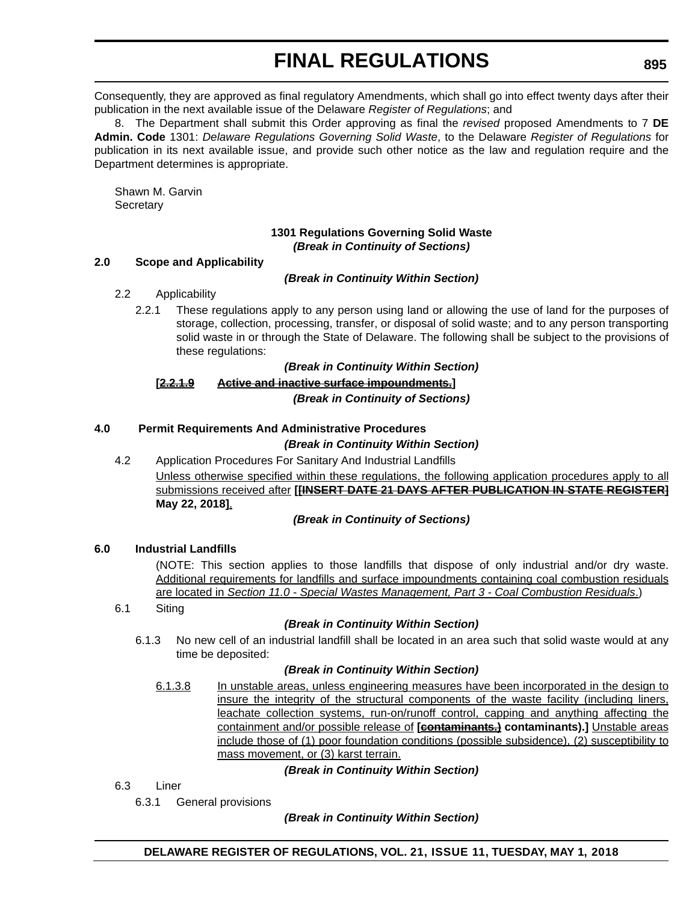Consequently, they are approved as final regulatory Amendments, which shall go into effect twenty days after their publication in the next available issue of the Delaware *Register of Regulations*; and

8. The Department shall submit this Order approving as final the *revised* proposed Amendments to 7 **DE Admin. Code** 1301: *Delaware Regulations Governing Solid Waste*, to the Delaware *Register of Regulations* for publication in its next available issue, and provide such other notice as the law and regulation require and the Department determines is appropriate.

Shawn M. Garvin **Secretary** 

#### **1301 Regulations Governing Solid Waste** *(Break in Continuity of Sections)*

# **2.0 Scope and Applicability**

### *(Break in Continuity Within Section)*

- 2.2 Applicability
	- 2.2.1 These regulations apply to any person using land or allowing the use of land for the purposes of storage, collection, processing, transfer, or disposal of solid waste; and to any person transporting solid waste in or through the State of Delaware. The following shall be subject to the provisions of these regulations:

*(Break in Continuity Within Section)*

### **[2.2.1.9 Active and inactive surface impoundments.]** *(Break in Continuity of Sections)*

# **4.0 Permit Requirements And Administrative Procedures**

### *(Break in Continuity Within Section)*

4.2 Application Procedures For Sanitary And Industrial Landfills Unless otherwise specified within these regulations, the following application procedures apply to all submissions received after **[[INSERT DATE 21 DAYS AFTER PUBLICATION IN STATE REGISTER] May 22, 2018]**.

#### *(Break in Continuity of Sections)*

# **6.0 Industrial Landfills**

(NOTE: This section applies to those landfills that dispose of only industrial and/or dry waste. Additional requirements for landfills and surface impoundments containing coal combustion residuals are located in *Section 11.0 - Special Wastes Management, Part 3 - Coal Combustion Residuals*.)

#### 6.1 Siting

# *(Break in Continuity Within Section)*

6.1.3 No new cell of an industrial landfill shall be located in an area such that solid waste would at any time be deposited:

#### *(Break in Continuity Within Section)*

6.1.3.8 In unstable areas, unless engineering measures have been incorporated in the design to insure the integrity of the structural components of the waste facility (including liners, leachate collection systems, run-on/runoff control, capping and anything affecting the containment and/or possible release of [contaminants.] contaminants).] Unstable areas include those of (1) poor foundation conditions (possible subsidence), (2) susceptibility to mass movement, or (3) karst terrain.

#### *(Break in Continuity Within Section)*

- 6.3 Liner
	- 6.3.1 General provisions

*(Break in Continuity Within Section)*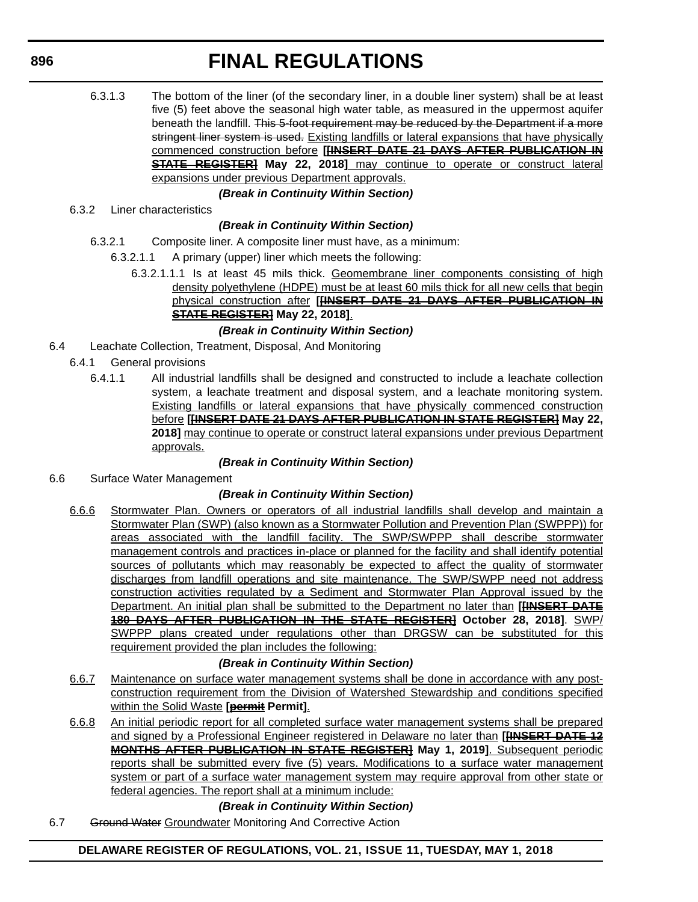6.3.1.3 The bottom of the liner (of the secondary liner, in a double liner system) shall be at least five (5) feet above the seasonal high water table, as measured in the uppermost aquifer beneath the landfill. This 5-foot requirement may be reduced by the Department if a more stringent liner system is used. Existing landfills or lateral expansions that have physically commenced construction before **[[INSERT DATE 21 DAYS AFTER PUBLICATION IN STATE REGISTER] May 22, 2018]** may continue to operate or construct lateral expansions under previous Department approvals.

#### *(Break in Continuity Within Section)*

6.3.2 Liner characteristics

# *(Break in Continuity Within Section)*

- 6.3.2.1 Composite liner. A composite liner must have, as a minimum:
	- 6.3.2.1.1 A primary (upper) liner which meets the following:
		- 6.3.2.1.1.1 Is at least 45 mils thick. Geomembrane liner components consisting of high density polyethylene (HDPE) must be at least 60 mils thick for all new cells that begin physical construction after **[[INSERT DATE 21 DAYS AFTER PUBLICATION IN STATE REGISTER] May 22, 2018]**.

### *(Break in Continuity Within Section)*

- 6.4 Leachate Collection, Treatment, Disposal, And Monitoring
	- 6.4.1 General provisions
		- 6.4.1.1 All industrial landfills shall be designed and constructed to include a leachate collection system, a leachate treatment and disposal system, and a leachate monitoring system. Existing landfills or lateral expansions that have physically commenced construction before **[[INSERT DATE 21 DAYS AFTER PUBLICATION IN STATE REGISTER] May 22, 2018]** may continue to operate or construct lateral expansions under previous Department approvals.

#### *(Break in Continuity Within Section)*

6.6 Surface Water Management

# *(Break in Continuity Within Section)*

6.6.6 Stormwater Plan. Owners or operators of all industrial landfills shall develop and maintain a Stormwater Plan (SWP) (also known as a Stormwater Pollution and Prevention Plan (SWPPP)) for areas associated with the landfill facility. The SWP/SWPPP shall describe stormwater management controls and practices in-place or planned for the facility and shall identify potential sources of pollutants which may reasonably be expected to affect the quality of stormwater discharges from landfill operations and site maintenance. The SWP/SWPP need not address construction activities regulated by a Sediment and Stormwater Plan Approval issued by the Department. An initial plan shall be submitted to the Department no later than **[[INSERT DATE 180 DAYS AFTER PUBLICATION IN THE STATE REGISTER] October 28, 2018]**. SWP/ SWPPP plans created under regulations other than DRGSW can be substituted for this requirement provided the plan includes the following:

# *(Break in Continuity Within Section)*

- 6.6.7 Maintenance on surface water management systems shall be done in accordance with any postconstruction requirement from the Division of Watershed Stewardship and conditions specified within the Solid Waste **[permit Permit]**.
- 6.6.8 An initial periodic report for all completed surface water management systems shall be prepared and signed by a Professional Engineer registered in Delaware no later than **[[INSERT DATE 12 MONTHS AFTER PUBLICATION IN STATE REGISTER] May 1, 2019]**. Subsequent periodic reports shall be submitted every five (5) years. Modifications to a surface water management system or part of a surface water management system may require approval from other state or federal agencies. The report shall at a minimum include:

# *(Break in Continuity Within Section)*

6.7 Ground Water Groundwater Monitoring And Corrective Action

**DELAWARE REGISTER OF REGULATIONS, VOL. 21, ISSUE 11, TUESDAY, MAY 1, 2018**

**896**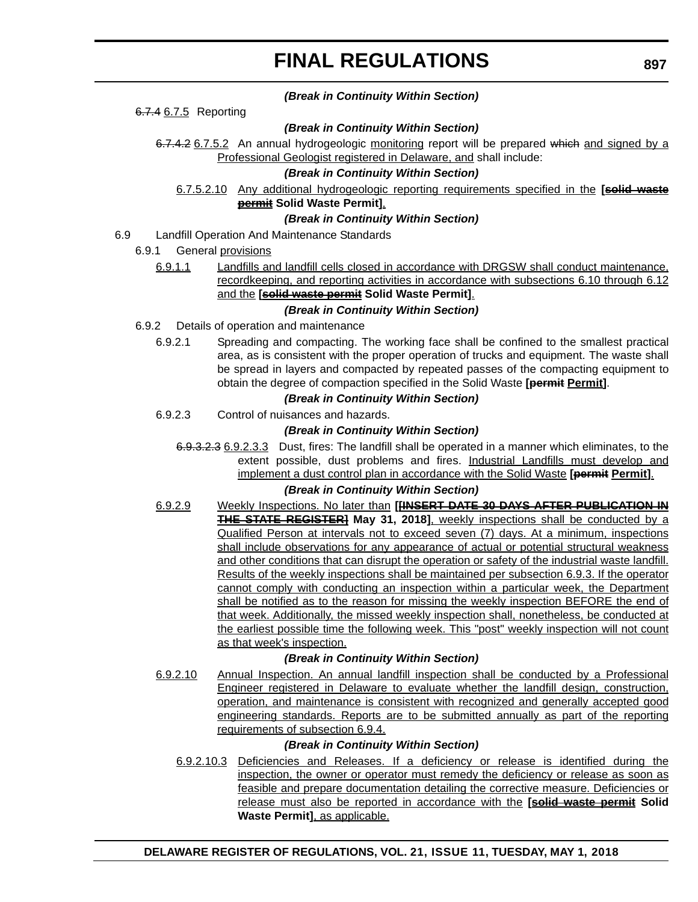#### *(Break in Continuity Within Section)*

6.7.4 6.7.5 Reporting

#### *(Break in Continuity Within Section)*

6.7.4.2 6.7.5.2 An annual hydrogeologic monitoring report will be prepared which and signed by a Professional Geologist registered in Delaware, and shall include:

#### *(Break in Continuity Within Section)*

6.7.5.2.10 Any additional hydrogeologic reporting requirements specified in the **[solid waste permit Solid Waste Permit]**.

#### *(Break in Continuity Within Section)*

- 6.9 Landfill Operation And Maintenance Standards
	- 6.9.1 General provisions
		- 6.9.1.1 Landfills and landfill cells closed in accordance with DRGSW shall conduct maintenance, recordkeeping, and reporting activities in accordance with subsections 6.10 through 6.12 and the **[solid waste permit Solid Waste Permit]**.

#### *(Break in Continuity Within Section)*

- 6.9.2 Details of operation and maintenance
	- 6.9.2.1 Spreading and compacting. The working face shall be confined to the smallest practical area, as is consistent with the proper operation of trucks and equipment. The waste shall be spread in layers and compacted by repeated passes of the compacting equipment to obtain the degree of compaction specified in the Solid Waste **[permit Permit]**.

#### *(Break in Continuity Within Section)*

6.9.2.3 Control of nuisances and hazards.

#### *(Break in Continuity Within Section)*

6.9.3.2.3 6.9.2.3.3 Dust, fires: The landfill shall be operated in a manner which eliminates, to the extent possible, dust problems and fires. Industrial Landfills must develop and implement a dust control plan in accordance with the Solid Waste [permit Permit].

#### *(Break in Continuity Within Section)*

6.9.2.9 Weekly Inspections. No later than **[[INSERT DATE 30 DAYS AFTER PUBLICATION IN THE STATE REGISTER] May 31, 2018]**, weekly inspections shall be conducted by a Qualified Person at intervals not to exceed seven (7) days. At a minimum, inspections shall include observations for any appearance of actual or potential structural weakness and other conditions that can disrupt the operation or safety of the industrial waste landfill. Results of the weekly inspections shall be maintained per subsection 6.9.3. If the operator cannot comply with conducting an inspection within a particular week, the Department shall be notified as to the reason for missing the weekly inspection BEFORE the end of that week. Additionally, the missed weekly inspection shall, nonetheless, be conducted at the earliest possible time the following week. This "post" weekly inspection will not count as that week's inspection.

#### *(Break in Continuity Within Section)*

6.9.2.10 Annual Inspection. An annual landfill inspection shall be conducted by a Professional Engineer registered in Delaware to evaluate whether the landfill design, construction, operation, and maintenance is consistent with recognized and generally accepted good engineering standards. Reports are to be submitted annually as part of the reporting requirements of subsection 6.9.4.

#### *(Break in Continuity Within Section)*

6.9.2.10.3 Deficiencies and Releases. If a deficiency or release is identified during the inspection, the owner or operator must remedy the deficiency or release as soon as feasible and prepare documentation detailing the corrective measure. Deficiencies or release must also be reported in accordance with the **[solid waste permit Solid Waste Permit]**, as applicable.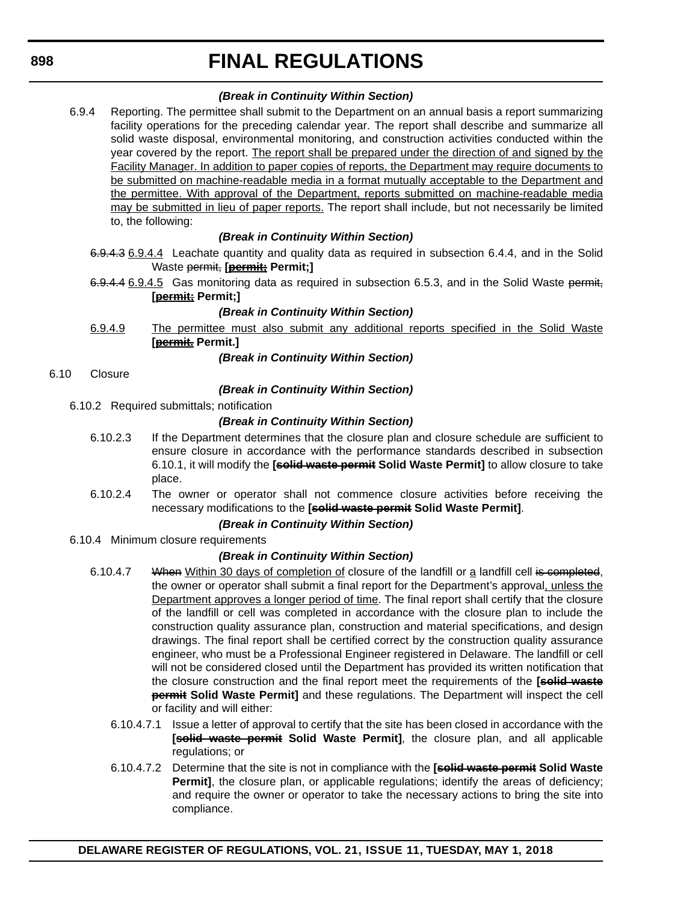## *(Break in Continuity Within Section)*

6.9.4 Reporting. The permittee shall submit to the Department on an annual basis a report summarizing facility operations for the preceding calendar year. The report shall describe and summarize all solid waste disposal, environmental monitoring, and construction activities conducted within the year covered by the report. The report shall be prepared under the direction of and signed by the Facility Manager. In addition to paper copies of reports, the Department may require documents to be submitted on machine-readable media in a format mutually acceptable to the Department and the permittee. With approval of the Department, reports submitted on machine-readable media may be submitted in lieu of paper reports. The report shall include, but not necessarily be limited to, the following:

## *(Break in Continuity Within Section)*

- 6.9.4.3 6.9.4.4 Leachate quantity and quality data as required in subsection 6.4.4, and in the Solid Waste permit, **[permit; Permit;]**
- 6.9.4.4 6.9.4.5 Gas monitoring data as required in subsection 6.5.3, and in the Solid Waste permit, **[permit; Permit;]**

### *(Break in Continuity Within Section)*

- 6.9.4.9 The permittee must also submit any additional reports specified in the Solid Waste **[permit. Permit.]**
	- *(Break in Continuity Within Section)*
- 6.10 Closure

### *(Break in Continuity Within Section)*

6.10.2 Required submittals; notification

### *(Break in Continuity Within Section)*

- 6.10.2.3 If the Department determines that the closure plan and closure schedule are sufficient to ensure closure in accordance with the performance standards described in subsection 6.10.1, it will modify the **[solid waste permit Solid Waste Permit]** to allow closure to take place.
- 6.10.2.4 The owner or operator shall not commence closure activities before receiving the necessary modifications to the **[solid waste permit Solid Waste Permit]**.

#### *(Break in Continuity Within Section)*

6.10.4 Minimum closure requirements

### *(Break in Continuity Within Section)*

- 6.10.4.7 When Within 30 days of completion of closure of the landfill or a landfill cell is completed, the owner or operator shall submit a final report for the Department's approval, unless the Department approves a longer period of time. The final report shall certify that the closure of the landfill or cell was completed in accordance with the closure plan to include the construction quality assurance plan, construction and material specifications, and design drawings. The final report shall be certified correct by the construction quality assurance engineer, who must be a Professional Engineer registered in Delaware. The landfill or cell will not be considered closed until the Department has provided its written notification that the closure construction and the final report meet the requirements of the **[solid waste permit Solid Waste Permit]** and these regulations. The Department will inspect the cell or facility and will either:
	- 6.10.4.7.1 Issue a letter of approval to certify that the site has been closed in accordance with the **[solid waste permit Solid Waste Permit]**, the closure plan, and all applicable regulations; or
	- 6.10.4.7.2 Determine that the site is not in compliance with the **[solid waste permit Solid Waste Permit]**, the closure plan, or applicable regulations; identify the areas of deficiency; and require the owner or operator to take the necessary actions to bring the site into compliance.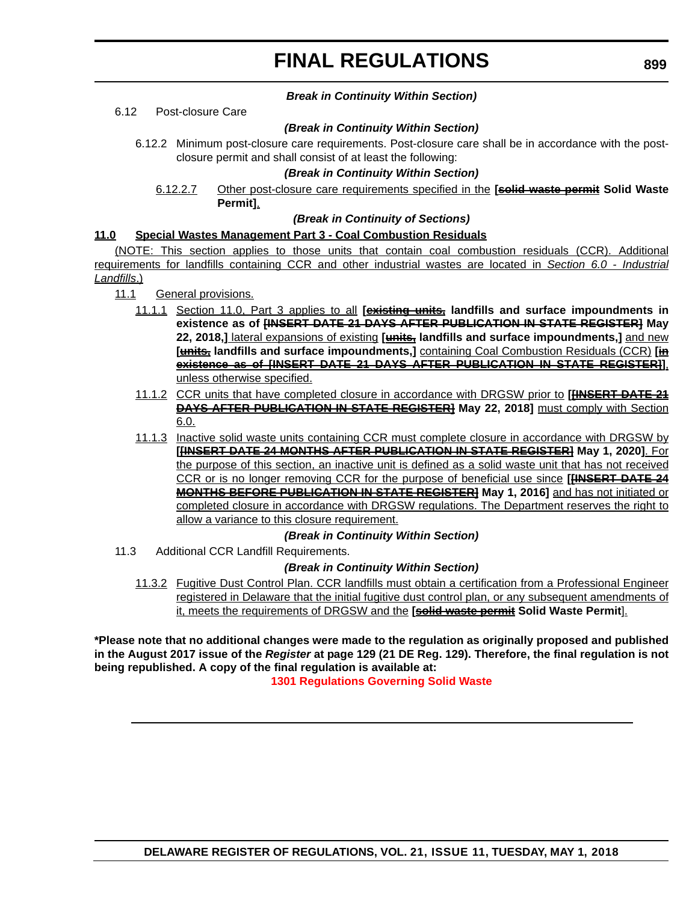#### *Break in Continuity Within Section)*

#### 6.12 Post-closure Care

#### *(Break in Continuity Within Section)*

6.12.2 Minimum post-closure care requirements. Post-closure care shall be in accordance with the postclosure permit and shall consist of at least the following:

#### *(Break in Continuity Within Section)*

### 6.12.2.7 Other post-closure care requirements specified in the **[solid waste permit Solid Waste Permit]**.

#### *(Break in Continuity of Sections)*

#### **11.0 Special Wastes Management Part 3 - Coal Combustion Residuals**

(NOTE: This section applies to those units that contain coal combustion residuals (CCR). Additional requirements for landfills containing CCR and other industrial wastes are located in *Section 6.0 - Industrial Landfills*.)

- 11.1 General provisions.
	- 11.1.1 Section 11.0, Part 3 applies to all **[existing units, landfills and surface impoundments in existence as of [INSERT DATE 21 DAYS AFTER PUBLICATION IN STATE REGISTER] May 22, 2018,]** lateral expansions of existing **[units, landfills and surface impoundments,]** and new **[units, landfills and surface impoundments,]** containing Coal Combustion Residuals (CCR) **[in existence as of [INSERT DATE 21 DAYS AFTER PUBLICATION IN STATE REGISTER]]**, unless otherwise specified.
	- 11.1.2 CCR units that have completed closure in accordance with DRGSW prior to **[[INSERT DATE 21 DAYS AFTER PUBLICATION IN STATE REGISTER] May 22, 2018]** must comply with Section 6.0.
	- 11.1.3 Inactive solid waste units containing CCR must complete closure in accordance with DRGSW by **[[INSERT DATE 24 MONTHS AFTER PUBLICATION IN STATE REGISTER] May 1, 2020]**. For the purpose of this section, an inactive unit is defined as a solid waste unit that has not received CCR or is no longer removing CCR for the purpose of beneficial use since **[[INSERT DATE 24 MONTHS BEFORE PUBLICATION IN STATE REGISTER] May 1, 2016]** and has not initiated or completed closure in accordance with DRGSW regulations. The Department reserves the right to allow a variance to this closure requirement.

#### *(Break in Continuity Within Section)*

11.3 Additional CCR Landfill Requirements.

#### *(Break in Continuity Within Section)*

11.3.2 Fugitive Dust Control Plan. CCR landfills must obtain a certification from a Professional Engineer registered in Delaware that the initial fugitive dust control plan, or any subsequent amendments of it, meets the requirements of DRGSW and the **[solid waste permit Solid Waste Permit**].

**\*Please note that no additional changes were made to the regulation as originally proposed and published in the August 2017 issue of the** *Register* **at page 129 (21 DE Reg. 129). Therefore, the final regulation is not being republished. A copy of the final regulation is available at:**

**[1301 Regulations Governing Solid Waste](http://regulations.delaware.gov/register/may2018/final/21 DE Reg 893 05-01-18.htm)**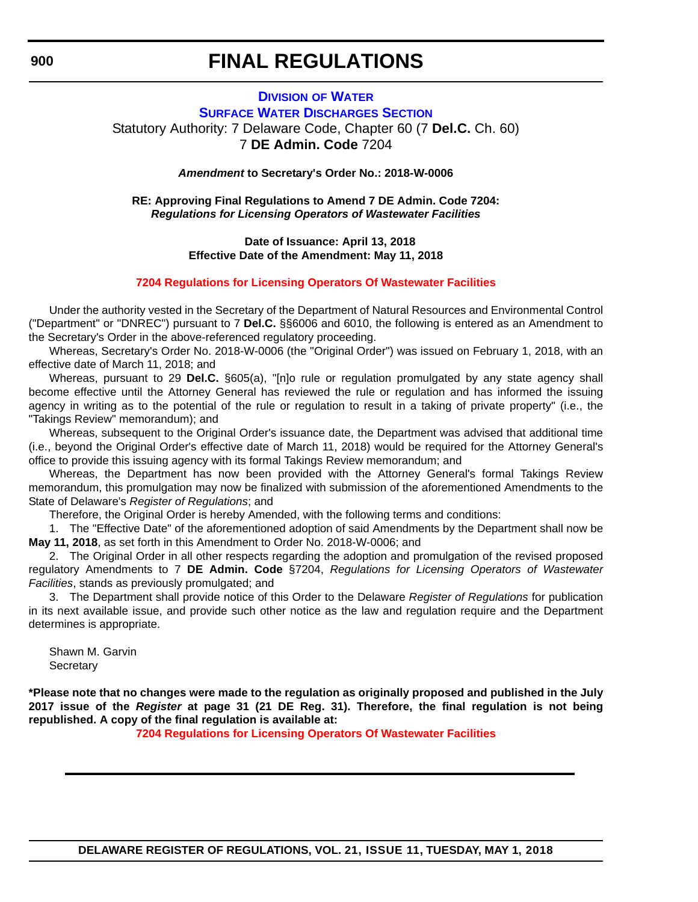### **DIVISION [OF WATER](http://www.dnrec.delaware.gov/wr/Pages/Default.aspx) SURFACE WATER DISCHARGES SECTION** Statutory Authority: 7 Delaware Code, Chapter 60 (7 **Del.C.** Ch. 60) 7 **DE Admin. Code** 7204

*Amendment* **to Secretary's Order No.: 2018-W-0006**

**RE: Approving Final Regulations to Amend 7 DE Admin. Code 7204:** *Regulations for Licensing Operators of Wastewater Facilities*

> **Date of Issuance: April 13, 2018 Effective Date of the Amendment: May 11, 2018**

#### **[7204 Regulations for Licensing Operators Of Wastewater Facilities](#page-4-0)**

Under the authority vested in the Secretary of the Department of Natural Resources and Environmental Control ("Department" or "DNREC") pursuant to 7 **Del.C.** §§6006 and 6010, the following is entered as an Amendment to the Secretary's Order in the above-referenced regulatory proceeding.

Whereas, Secretary's Order No. 2018-W-0006 (the "Original Order") was issued on February 1, 2018, with an effective date of March 11, 2018; and

Whereas, pursuant to 29 **Del.C.** §605(a), "[n]o rule or regulation promulgated by any state agency shall become effective until the Attorney General has reviewed the rule or regulation and has informed the issuing agency in writing as to the potential of the rule or regulation to result in a taking of private property" (i.e., the "Takings Review" memorandum); and

Whereas, subsequent to the Original Order's issuance date, the Department was advised that additional time (i.e., beyond the Original Order's effective date of March 11, 2018) would be required for the Attorney General's office to provide this issuing agency with its formal Takings Review memorandum; and

Whereas, the Department has now been provided with the Attorney General's formal Takings Review memorandum, this promulgation may now be finalized with submission of the aforementioned Amendments to the State of Delaware's *Register of Regulations*; and

Therefore, the Original Order is hereby Amended, with the following terms and conditions:

1. The "Effective Date" of the aforementioned adoption of said Amendments by the Department shall now be **May 11, 2018**, as set forth in this Amendment to Order No. 2018-W-0006; and

2. The Original Order in all other respects regarding the adoption and promulgation of the revised proposed regulatory Amendments to 7 **DE Admin. Code** §7204, *Regulations for Licensing Operators of Wastewater Facilities*, stands as previously promulgated; and

3. The Department shall provide notice of this Order to the Delaware *Register of Regulations* for publication in its next available issue, and provide such other notice as the law and regulation require and the Department determines is appropriate.

Shawn M. Garvin **Secretary** 

**\*Please note that no changes were made to the regulation as originally proposed and published in the July 2017 issue of the** *Register* **at page 31 (21 DE Reg. 31). Therefore, the final regulation is not being republished. A copy of the final regulation is available at:**

**[7204 Regulations for Licensing Operators Of Wastewater Facilities](http://regulations.delaware.gov/register/may2018/final/21 DE Reg 900 05-01-18.htm)** 

**DELAWARE REGISTER OF REGULATIONS, VOL. 21, ISSUE 11, TUESDAY, MAY 1, 2018**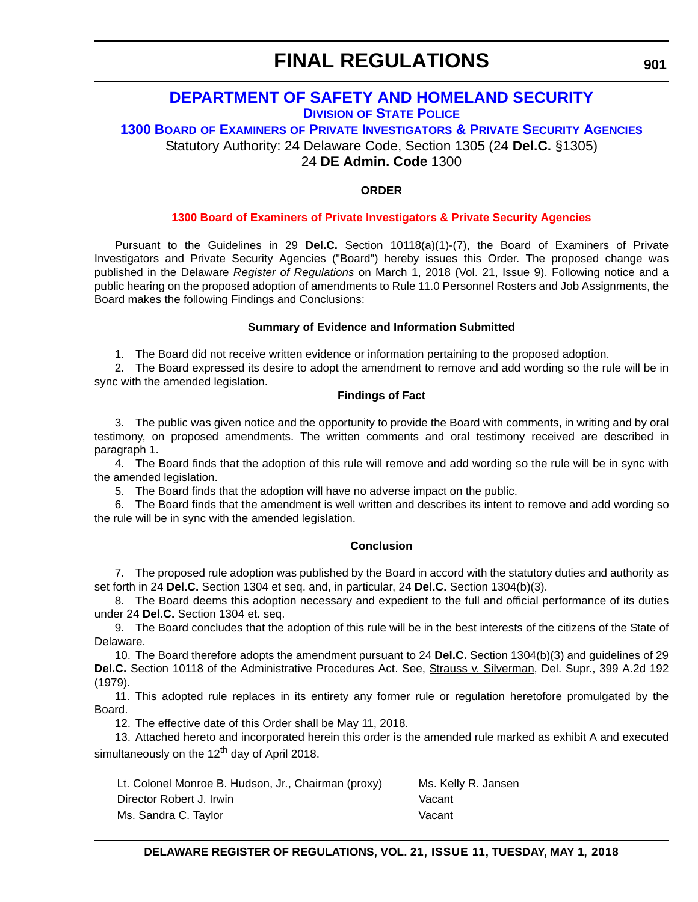## **[DEPARTMENT OF SAFETY AND HOMELAND SECURITY](http://dsp.delaware.gov/) DIVISION [OF STATE POLICE](http://dsp.delaware.gov/)**

**1300 BOARD OF EXAMINERS OF PRIVATE INVESTIGATORS & PRIVATE SECURITY AGENCIES** Statutory Authority: 24 Delaware Code, Section 1305 (24 **Del.C.** §1305)

24 **DE Admin. Code** 1300

### **ORDER**

#### **[1300 Board of Examiners of Private Investigators & Private Security Agencies](#page-4-0)**

Pursuant to the Guidelines in 29 **Del.C.** Section 10118(a)(1)-(7), the Board of Examiners of Private Investigators and Private Security Agencies ("Board") hereby issues this Order. The proposed change was published in the Delaware *Register of Regulations* on March 1, 2018 (Vol. 21, Issue 9). Following notice and a public hearing on the proposed adoption of amendments to Rule 11.0 Personnel Rosters and Job Assignments, the Board makes the following Findings and Conclusions:

#### **Summary of Evidence and Information Submitted**

1. The Board did not receive written evidence or information pertaining to the proposed adoption.

2. The Board expressed its desire to adopt the amendment to remove and add wording so the rule will be in sync with the amended legislation.

#### **Findings of Fact**

3. The public was given notice and the opportunity to provide the Board with comments, in writing and by oral testimony, on proposed amendments. The written comments and oral testimony received are described in paragraph 1.

4. The Board finds that the adoption of this rule will remove and add wording so the rule will be in sync with the amended legislation.

5. The Board finds that the adoption will have no adverse impact on the public.

6. The Board finds that the amendment is well written and describes its intent to remove and add wording so the rule will be in sync with the amended legislation.

#### **Conclusion**

7. The proposed rule adoption was published by the Board in accord with the statutory duties and authority as set forth in 24 **Del.C.** Section 1304 et seq. and, in particular, 24 **Del.C.** Section 1304(b)(3).

8. The Board deems this adoption necessary and expedient to the full and official performance of its duties under 24 **Del.C.** Section 1304 et. seq.

9. The Board concludes that the adoption of this rule will be in the best interests of the citizens of the State of Delaware.

10. The Board therefore adopts the amendment pursuant to 24 **Del.C.** Section 1304(b)(3) and guidelines of 29 Del.C. Section 10118 of the Administrative Procedures Act. See, Strauss v. Silverman, Del. Supr., 399 A.2d 192 (1979).

11. This adopted rule replaces in its entirety any former rule or regulation heretofore promulgated by the Board.

12. The effective date of this Order shall be May 11, 2018.

13. Attached hereto and incorporated herein this order is the amended rule marked as exhibit A and executed simultaneously on the 12<sup>th</sup> day of April 2018.

| Lt. Colonel Monroe B. Hudson, Jr., Chairman (proxy) | Ms. Kelly R. Jansen |
|-----------------------------------------------------|---------------------|
| Director Robert J. Irwin                            | Vacant              |
| Ms. Sandra C. Taylor                                | Vacant              |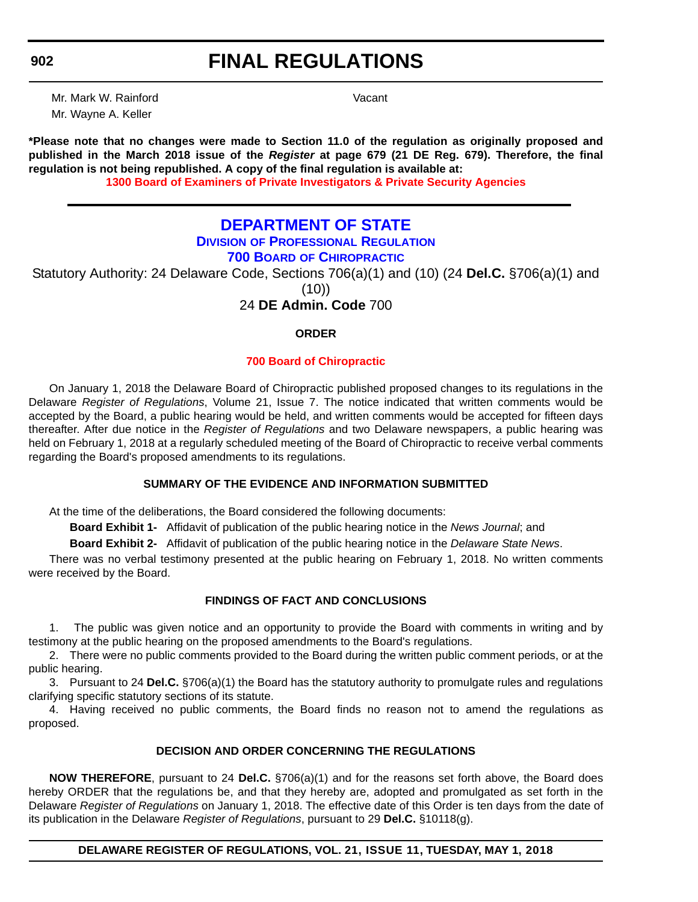## **FINAL REGULATIONS**

Mr. Mark W. Rainford Vacant Mr. Wayne A. Keller

**\*Please note that no changes were made to Section 11.0 of the regulation as originally proposed and published in the March 2018 issue of the** *Register* **at page 679 (21 DE Reg. 679). Therefore, the final regulation is not being republished. A copy of the final regulation is available at:**

**[1300 Board of Examiners of Private Investigators & Private Security Agencies](http://regulations.delaware.gov/register/may2018/final/21 DE Reg 901 05-01-18.htm)** 

## **[DEPARTMENT OF STATE](https://dpr.delaware.gov/)**

## **DIVISION [OF PROFESSIONAL REGULATION](https://dpr.delaware.gov/)**

**700 BOARD OF CHIROPRACTIC**

Statutory Authority: 24 Delaware Code, Sections 706(a)(1) and (10) (24 **Del.C.** §706(a)(1) and

(10))

24 **DE Admin. Code** 700

### **ORDER**

### **[700 Board of Chiropractic](#page-4-0)**

On January 1, 2018 the Delaware Board of Chiropractic published proposed changes to its regulations in the Delaware *Register of Regulations*, Volume 21, Issue 7. The notice indicated that written comments would be accepted by the Board, a public hearing would be held, and written comments would be accepted for fifteen days thereafter. After due notice in the *Register of Regulations* and two Delaware newspapers, a public hearing was held on February 1, 2018 at a regularly scheduled meeting of the Board of Chiropractic to receive verbal comments regarding the Board's proposed amendments to its regulations.

### **SUMMARY OF THE EVIDENCE AND INFORMATION SUBMITTED**

At the time of the deliberations, the Board considered the following documents:

**Board Exhibit 1-** Affidavit of publication of the public hearing notice in the *News Journal*; and

**Board Exhibit 2-** Affidavit of publication of the public hearing notice in the *Delaware State News*.

There was no verbal testimony presented at the public hearing on February 1, 2018. No written comments were received by the Board.

### **FINDINGS OF FACT AND CONCLUSIONS**

1. The public was given notice and an opportunity to provide the Board with comments in writing and by testimony at the public hearing on the proposed amendments to the Board's regulations.

2. There were no public comments provided to the Board during the written public comment periods, or at the public hearing.

3. Pursuant to 24 **Del.C.** §706(a)(1) the Board has the statutory authority to promulgate rules and regulations clarifying specific statutory sections of its statute.

4. Having received no public comments, the Board finds no reason not to amend the regulations as proposed.

### **DECISION AND ORDER CONCERNING THE REGULATIONS**

**NOW THEREFORE**, pursuant to 24 **Del.C.** §706(a)(1) and for the reasons set forth above, the Board does hereby ORDER that the regulations be, and that they hereby are, adopted and promulgated as set forth in the Delaware *Register of Regulations* on January 1, 2018. The effective date of this Order is ten days from the date of its publication in the Delaware *Register of Regulations*, pursuant to 29 **Del.C.** §10118(g).

### **DELAWARE REGISTER OF REGULATIONS, VOL. 21, ISSUE 11, TUESDAY, MAY 1, 2018**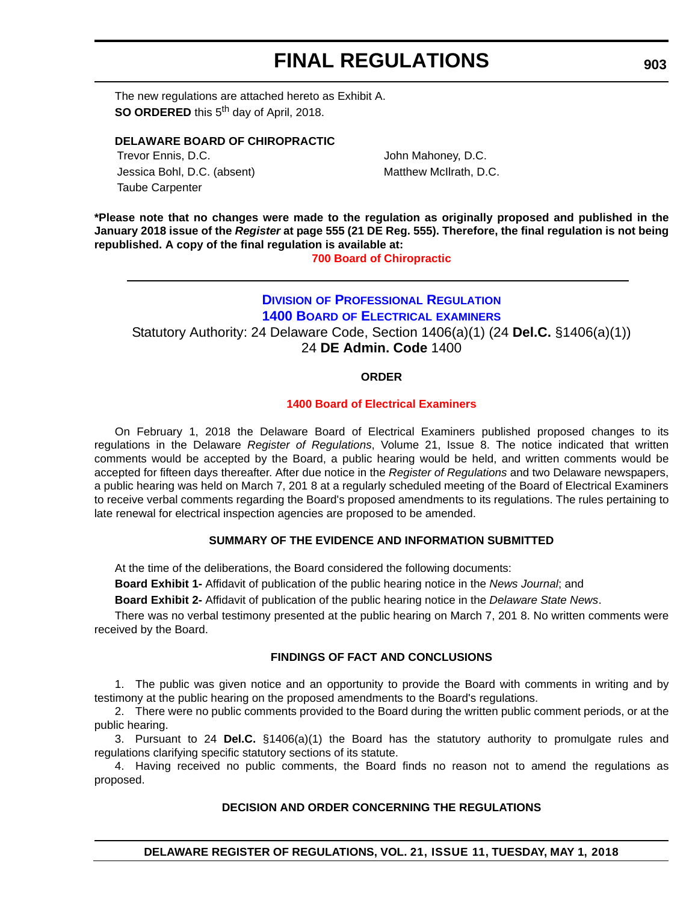The new regulations are attached hereto as Exhibit A. **SO ORDERED** this 5<sup>th</sup> day of April, 2018.

#### **DELAWARE BOARD OF CHIROPRACTIC**

Trevor Ennis, D.C. **In the Contract of Contract Contract Contract Contract Contract Contract Contract Contract Contract Contract Contract Contract Contract Contract Contract Contract Contract Contract Contract Contract Con** Jessica Bohl, D.C. (absent) Matthew McIlrath, D.C. Taube Carpenter

**\*Please note that no changes were made to the regulation as originally proposed and published in the January 2018 issue of the** *Register* **at page 555 (21 DE Reg. 555). Therefore, the final regulation is not being republished. A copy of the final regulation is available at:**

**[700 Board of Chiropractic](http://regulations.delaware.gov/register/may2018/final/21 DE Reg 902 05-01-18.htm)** 

## **DIVISION [OF PROFESSIONAL REGULATION](https://dpr.delaware.gov/) 1400 BOARD OF ELECTRICAL EXAMINERS** Statutory Authority: 24 Delaware Code, Section 1406(a)(1) (24 **Del.C.** §1406(a)(1)) 24 **DE Admin. Code** 1400

### **ORDER**

#### **[1400 Board of Electrical Examiners](#page-4-0)**

On February 1, 2018 the Delaware Board of Electrical Examiners published proposed changes to its regulations in the Delaware *Register of Regulations*, Volume 21, Issue 8. The notice indicated that written comments would be accepted by the Board, a public hearing would be held, and written comments would be accepted for fifteen days thereafter. After due notice in the *Register of Regulations* and two Delaware newspapers, a public hearing was held on March 7, 201 8 at a regularly scheduled meeting of the Board of Electrical Examiners to receive verbal comments regarding the Board's proposed amendments to its regulations. The rules pertaining to late renewal for electrical inspection agencies are proposed to be amended.

#### **SUMMARY OF THE EVIDENCE AND INFORMATION SUBMITTED**

At the time of the deliberations, the Board considered the following documents:

**Board Exhibit 1-** Affidavit of publication of the public hearing notice in the *News Journal*; and

**Board Exhibit 2-** Affidavit of publication of the public hearing notice in the *Delaware State News*.

There was no verbal testimony presented at the public hearing on March 7, 201 8. No written comments were received by the Board.

#### **FINDINGS OF FACT AND CONCLUSIONS**

1. The public was given notice and an opportunity to provide the Board with comments in writing and by testimony at the public hearing on the proposed amendments to the Board's regulations.

2. There were no public comments provided to the Board during the written public comment periods, or at the public hearing.

3. Pursuant to 24 **Del.C.** §1406(a)(1) the Board has the statutory authority to promulgate rules and regulations clarifying specific statutory sections of its statute.

4. Having received no public comments, the Board finds no reason not to amend the regulations as proposed.

#### **DECISION AND ORDER CONCERNING THE REGULATIONS**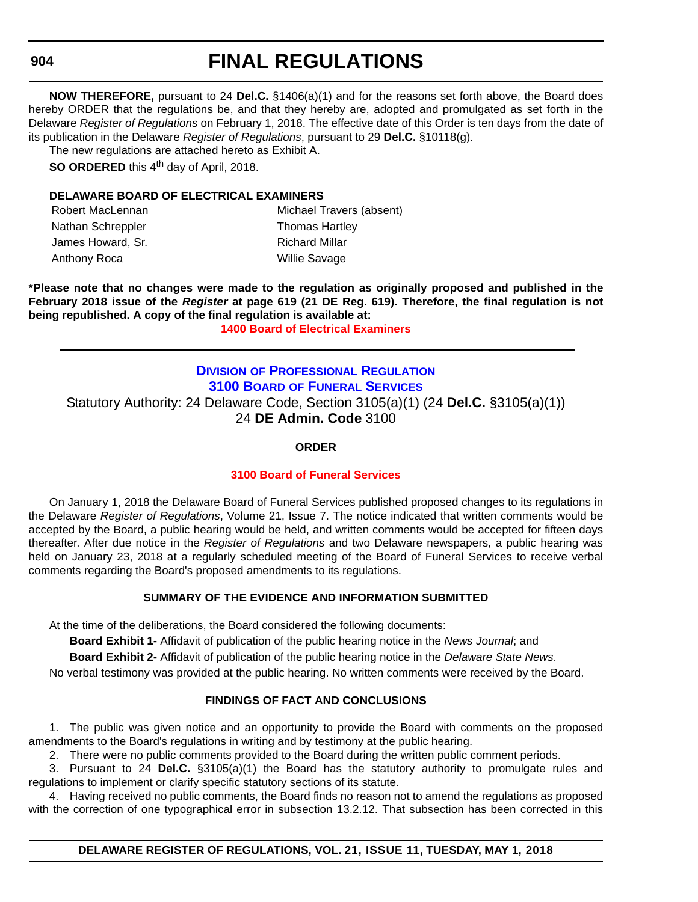## **FINAL REGULATIONS**

**NOW THEREFORE,** pursuant to 24 **Del.C.** §1406(a)(1) and for the reasons set forth above, the Board does hereby ORDER that the regulations be, and that they hereby are, adopted and promulgated as set forth in the Delaware *Register of Regulations* on February 1, 2018. The effective date of this Order is ten days from the date of its publication in the Delaware *Register of Regulations*, pursuant to 29 **Del.C.** §10118(g).

The new regulations are attached hereto as Exhibit A.

**SO ORDERED** this 4<sup>th</sup> day of April, 2018.

#### **DELAWARE BOARD OF ELECTRICAL EXAMINERS**

| Robert MacLennan  | Michael Travers (absent) |
|-------------------|--------------------------|
| Nathan Schreppler | <b>Thomas Hartley</b>    |
| James Howard, Sr. | Richard Millar           |
| Anthony Roca      | <b>Willie Savage</b>     |

**\*Please note that no changes were made to the regulation as originally proposed and published in the February 2018 issue of the** *Register* **at page 619 (21 DE Reg. 619). Therefore, the final regulation is not being republished. A copy of the final regulation is available at:**

**[1400 Board of Electrical Examiners](http://regulations.delaware.gov/register/may2018/final/21 DE Reg 903 05-01-18.htm)** 

## **DIVISION [OF PROFESSIONAL REGULATION](https://dpr.delaware.gov/) 3100 BOARD OF FUNERAL SERVICES** Statutory Authority: 24 Delaware Code, Section 3105(a)(1) (24 **Del.C.** §3105(a)(1)) 24 **DE Admin. Code** 3100

#### **ORDER**

#### **[3100 Board of Funeral Services](#page-4-0)**

On January 1, 2018 the Delaware Board of Funeral Services published proposed changes to its regulations in the Delaware *Register of Regulations*, Volume 21, Issue 7. The notice indicated that written comments would be accepted by the Board, a public hearing would be held, and written comments would be accepted for fifteen days thereafter. After due notice in the *Register of Regulations* and two Delaware newspapers, a public hearing was held on January 23, 2018 at a regularly scheduled meeting of the Board of Funeral Services to receive verbal comments regarding the Board's proposed amendments to its regulations.

#### **SUMMARY OF THE EVIDENCE AND INFORMATION SUBMITTED**

At the time of the deliberations, the Board considered the following documents:

**Board Exhibit 1-** Affidavit of publication of the public hearing notice in the *News Journal*; and

**Board Exhibit 2-** Affidavit of publication of the public hearing notice in the *Delaware State News*.

No verbal testimony was provided at the public hearing. No written comments were received by the Board.

#### **FINDINGS OF FACT AND CONCLUSIONS**

1. The public was given notice and an opportunity to provide the Board with comments on the proposed amendments to the Board's regulations in writing and by testimony at the public hearing.

2. There were no public comments provided to the Board during the written public comment periods.

3. Pursuant to 24 **Del.C.** §3105(a)(1) the Board has the statutory authority to promulgate rules and regulations to implement or clarify specific statutory sections of its statute.

4. Having received no public comments, the Board finds no reason not to amend the regulations as proposed with the correction of one typographical error in subsection 13.2.12. That subsection has been corrected in this

**DELAWARE REGISTER OF REGULATIONS, VOL. 21, ISSUE 11, TUESDAY, MAY 1, 2018**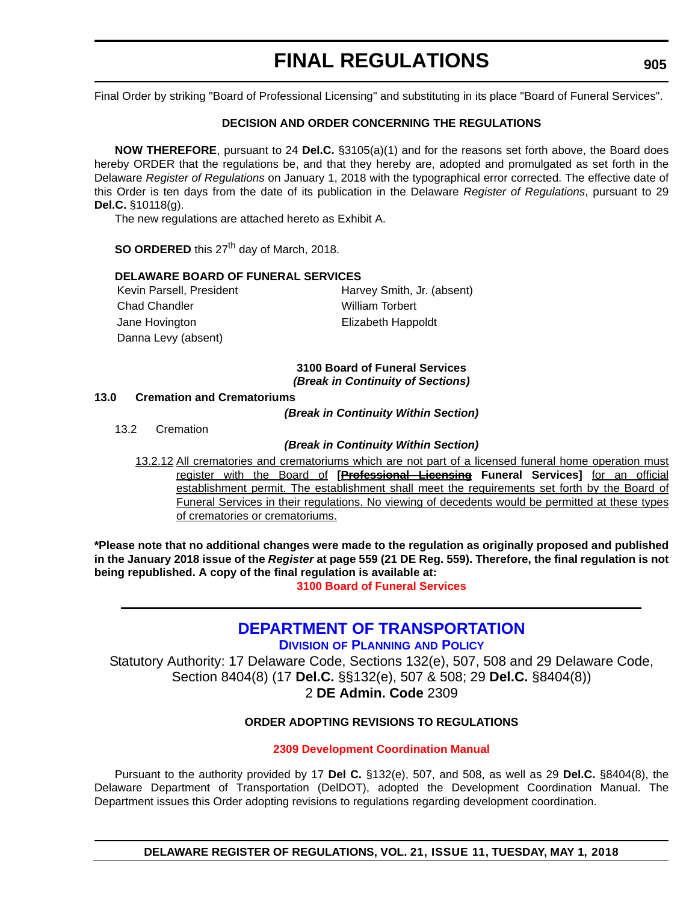Final Order by striking "Board of Professional Licensing" and substituting in its place "Board of Funeral Services".

#### **DECISION AND ORDER CONCERNING THE REGULATIONS**

**NOW THEREFORE**, pursuant to 24 **Del.C.** §3105(a)(1) and for the reasons set forth above, the Board does hereby ORDER that the regulations be, and that they hereby are, adopted and promulgated as set forth in the Delaware *Register of Regulations* on January 1, 2018 with the typographical error corrected. The effective date of this Order is ten days from the date of its publication in the Delaware *Register of Regulations*, pursuant to 29 **Del.C.** §10118(g).

The new regulations are attached hereto as Exhibit A.

**SO ORDERED** this 27<sup>th</sup> day of March, 2018.

#### **DELAWARE BOARD OF FUNERAL SERVICES**

Chad Chandler William Torbert Jane Hovington **Elizabeth Happoldt** Danna Levy (absent)

Kevin Parsell, President Harvey Smith, Jr. (absent)

#### **3100 Board of Funeral Services** *(Break in Continuity of Sections)*

#### **13.0 Cremation and Crematoriums**

*(Break in Continuity Within Section)*

13.2 Cremation

#### *(Break in Continuity Within Section)*

13.2.12 All crematories and crematoriums which are not part of a licensed funeral home operation must register with the Board of **[Professional Licensing Funeral Services]** for an official establishment permit. The establishment shall meet the requirements set forth by the Board of Funeral Services in their regulations. No viewing of decedents would be permitted at these types of crematories or crematoriums.

**\*Please note that no additional changes were made to the regulation as originally proposed and published in the January 2018 issue of the** *Register* **at page 559 (21 DE Reg. 559). Therefore, the final regulation is not being republished. A copy of the final regulation is available at:**

**[3100 Board of Funeral Services](http://regulations.delaware.gov/register/may2018/final/21 DE Reg 904 05-01-18.htm)** 

## **[DEPARTMENT OF TRANSPORTATION](https://www.deldot.gov/index.shtml)**

**DIVISION [OF PLANNING](https://www.deldot.gov/index.shtml) AND POLICY**

Statutory Authority: 17 Delaware Code, Sections 132(e), 507, 508 and 29 Delaware Code, Section 8404(8) (17 **Del.C.** §§132(e), 507 & 508; 29 **Del.C.** §8404(8)) 2 **DE Admin. Code** 2309

#### **ORDER ADOPTING REVISIONS TO REGULATIONS**

#### **[2309 Development Coordination Manual](#page-4-0)**

Pursuant to the authority provided by 17 **Del C.** §132(e), 507, and 508, as well as 29 **Del.C.** §8404(8), the Delaware Department of Transportation (DelDOT), adopted the Development Coordination Manual. The Department issues this Order adopting revisions to regulations regarding development coordination.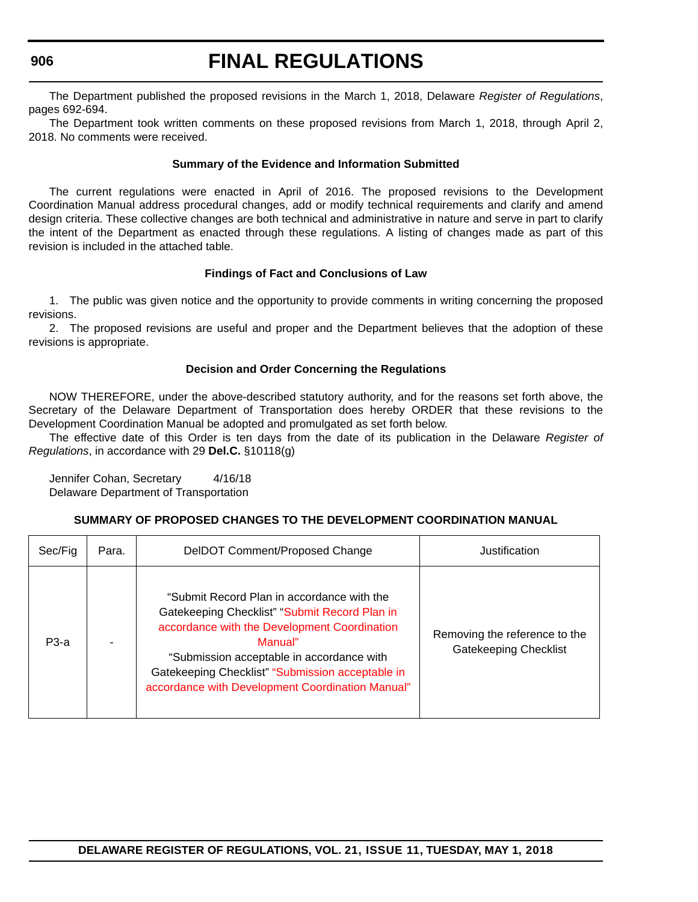The Department published the proposed revisions in the March 1, 2018, Delaware *Register of Regulations*, pages 692-694.

The Department took written comments on these proposed revisions from March 1, 2018, through April 2, 2018. No comments were received.

#### **Summary of the Evidence and Information Submitted**

The current regulations were enacted in April of 2016. The proposed revisions to the Development Coordination Manual address procedural changes, add or modify technical requirements and clarify and amend design criteria. These collective changes are both technical and administrative in nature and serve in part to clarify the intent of the Department as enacted through these regulations. A listing of changes made as part of this revision is included in the attached table.

#### **Findings of Fact and Conclusions of Law**

1. The public was given notice and the opportunity to provide comments in writing concerning the proposed revisions.

2. The proposed revisions are useful and proper and the Department believes that the adoption of these revisions is appropriate.

#### **Decision and Order Concerning the Regulations**

NOW THEREFORE, under the above-described statutory authority, and for the reasons set forth above, the Secretary of the Delaware Department of Transportation does hereby ORDER that these revisions to the Development Coordination Manual be adopted and promulgated as set forth below.

The effective date of this Order is ten days from the date of its publication in the Delaware *Register of Regulations*, in accordance with 29 **Del.C.** §10118(g)

Jennifer Cohan, Secretary 4/16/18 Delaware Department of Transportation

#### **SUMMARY OF PROPOSED CHANGES TO THE DEVELOPMENT COORDINATION MANUAL**

| Sec/Fig | Para. | DelDOT Comment/Proposed Change                                                                                                                                                                                                                                                                              | Justification                                                 |
|---------|-------|-------------------------------------------------------------------------------------------------------------------------------------------------------------------------------------------------------------------------------------------------------------------------------------------------------------|---------------------------------------------------------------|
| $P3-a$  |       | "Submit Record Plan in accordance with the<br>Gatekeeping Checklist" "Submit Record Plan in<br>accordance with the Development Coordination<br>Manual"<br>"Submission acceptable in accordance with<br>Gatekeeping Checklist" "Submission acceptable in<br>accordance with Development Coordination Manual" | Removing the reference to the<br><b>Gatekeeping Checklist</b> |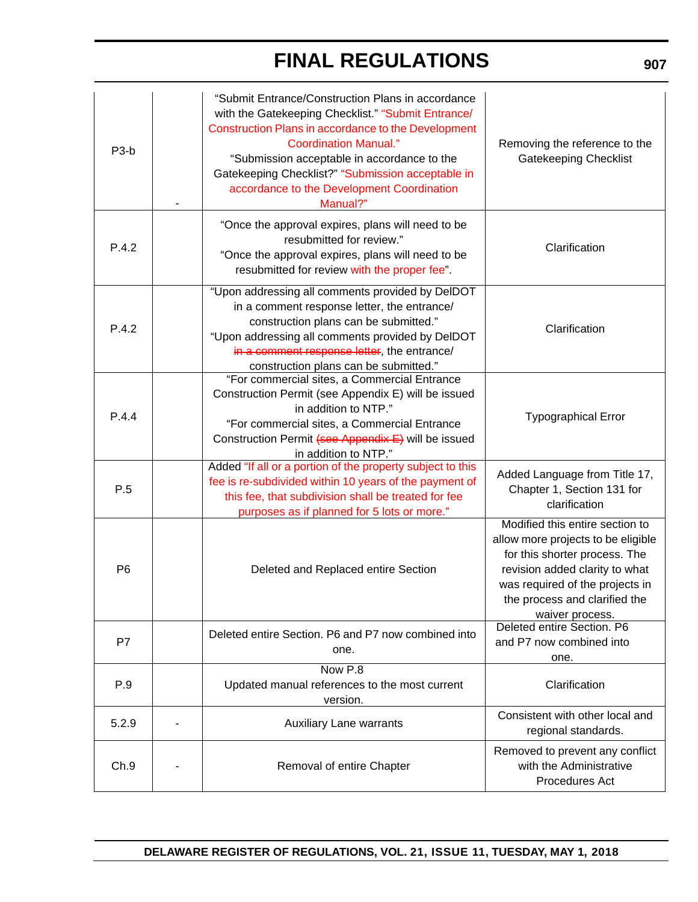| Ch.9              | Removal of entire Chapter                                                                                                                                                                                                                                                                                                                                    | regional standards.<br>Removed to prevent any conflict<br>with the Administrative<br>Procedures Act                                                                                                                             |
|-------------------|--------------------------------------------------------------------------------------------------------------------------------------------------------------------------------------------------------------------------------------------------------------------------------------------------------------------------------------------------------------|---------------------------------------------------------------------------------------------------------------------------------------------------------------------------------------------------------------------------------|
| 5.2.9             | Updated manual references to the most current<br>version.<br><b>Auxiliary Lane warrants</b>                                                                                                                                                                                                                                                                  | Consistent with other local and                                                                                                                                                                                                 |
| P.9               | Now P.8                                                                                                                                                                                                                                                                                                                                                      | Clarification                                                                                                                                                                                                                   |
| P7                | Deleted entire Section. P6 and P7 now combined into<br>one.                                                                                                                                                                                                                                                                                                  | Deleted entire Section. P6<br>and P7 now combined into<br>one.                                                                                                                                                                  |
| P <sub>6</sub>    | Deleted and Replaced entire Section                                                                                                                                                                                                                                                                                                                          | Modified this entire section to<br>allow more projects to be eligible<br>for this shorter process. The<br>revision added clarity to what<br>was required of the projects in<br>the process and clarified the<br>waiver process. |
| P.5               | Added "If all or a portion of the property subject to this<br>fee is re-subdivided within 10 years of the payment of<br>this fee, that subdivision shall be treated for fee<br>purposes as if planned for 5 lots or more."                                                                                                                                   | Added Language from Title 17,<br>Chapter 1, Section 131 for<br>clarification                                                                                                                                                    |
| P.4.4             | "For commercial sites, a Commercial Entrance<br>Construction Permit (see Appendix E) will be issued<br>in addition to NTP."<br>"For commercial sites, a Commercial Entrance<br>Construction Permit (see Appendix E) will be issued<br>in addition to NTP."                                                                                                   | <b>Typographical Error</b>                                                                                                                                                                                                      |
| P.4.2             | "Upon addressing all comments provided by DelDOT<br>in a comment response letter, the entrance/<br>construction plans can be submitted."<br>"Upon addressing all comments provided by DelDOT<br>in a comment response letter, the entrance/<br>construction plans can be submitted."                                                                         | Clarification                                                                                                                                                                                                                   |
| P.4.2             | "Once the approval expires, plans will need to be<br>resubmitted for review."<br>"Once the approval expires, plans will need to be<br>resubmitted for review with the proper fee".                                                                                                                                                                           | Clarification                                                                                                                                                                                                                   |
| P <sub>3</sub> -b | "Submit Entrance/Construction Plans in accordance<br>with the Gatekeeping Checklist." "Submit Entrance/<br>Construction Plans in accordance to the Development<br><b>Coordination Manual."</b><br>"Submission acceptable in accordance to the<br>Gatekeeping Checklist?" "Submission acceptable in<br>accordance to the Development Coordination<br>Manual?" | Removing the reference to the<br><b>Gatekeeping Checklist</b>                                                                                                                                                                   |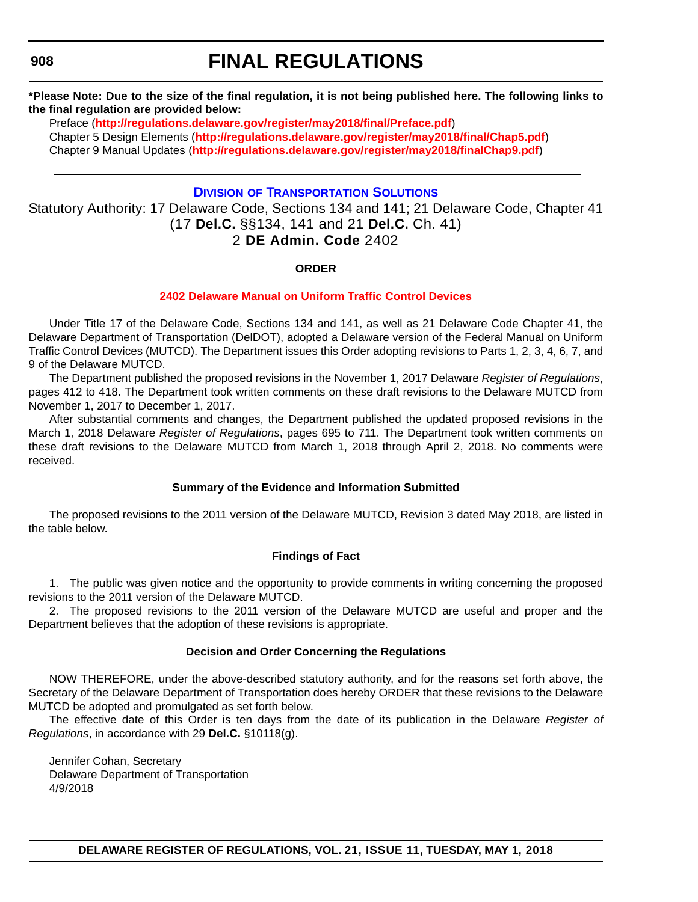## **FINAL REGULATIONS**

**\*Please Note: Due to the size of the final regulation, it is not being published here. The following links to the final regulation are provided below:**

[Preface \(](http://regulations.delaware.gov/register/may2018/final/Preface.pdf)**<http://regulations.delaware.gov/register/may2018/final/Preface.pdf>**) [Chapter 5 Design Elements \(](http://regulations.delaware.gov/register/may2018/final/Chap5.pdf)**<http://regulations.delaware.gov/register/may2018/final/Chap5.pdf>**) [Chapter 9 Manual Updates \(](http://regulations.delaware.gov/register/may2018/final/Chap9.pdf)**[http://regulations.delaware.gov/register/may2018/finalChap9.pdf](http://regulations.delaware.gov/register/may2018/final/Chap9.pdf)**)

## **DIVISION [OF TRANSPORTATION SOLUTIONS](https://www.deldot.gov/index.shtml)**

Statutory Authority: 17 Delaware Code, Sections 134 and 141; 21 Delaware Code, Chapter 41 (17 **Del.C.** §§134, 141 and 21 **Del.C.** Ch. 41) 2 **DE Admin. Code** 2402

### **ORDER**

### **[2402 Delaware Manual on Uniform Traffic Control Devices](#page-4-0)**

Under Title 17 of the Delaware Code, Sections 134 and 141, as well as 21 Delaware Code Chapter 41, the Delaware Department of Transportation (DelDOT), adopted a Delaware version of the Federal Manual on Uniform Traffic Control Devices (MUTCD). The Department issues this Order adopting revisions to Parts 1, 2, 3, 4, 6, 7, and 9 of the Delaware MUTCD.

The Department published the proposed revisions in the November 1, 2017 Delaware *Register of Regulations*, pages 412 to 418. The Department took written comments on these draft revisions to the Delaware MUTCD from November 1, 2017 to December 1, 2017.

After substantial comments and changes, the Department published the updated proposed revisions in the March 1, 2018 Delaware *Register of Regulations*, pages 695 to 711. The Department took written comments on these draft revisions to the Delaware MUTCD from March 1, 2018 through April 2, 2018. No comments were received.

### **Summary of the Evidence and Information Submitted**

The proposed revisions to the 2011 version of the Delaware MUTCD, Revision 3 dated May 2018, are listed in the table below.

#### **Findings of Fact**

1. The public was given notice and the opportunity to provide comments in writing concerning the proposed revisions to the 2011 version of the Delaware MUTCD.

2. The proposed revisions to the 2011 version of the Delaware MUTCD are useful and proper and the Department believes that the adoption of these revisions is appropriate.

#### **Decision and Order Concerning the Regulations**

NOW THEREFORE, under the above-described statutory authority, and for the reasons set forth above, the Secretary of the Delaware Department of Transportation does hereby ORDER that these revisions to the Delaware MUTCD be adopted and promulgated as set forth below.

The effective date of this Order is ten days from the date of its publication in the Delaware *Register of Regulations*, in accordance with 29 **Del.C.** §10118(g).

Jennifer Cohan, Secretary Delaware Department of Transportation 4/9/2018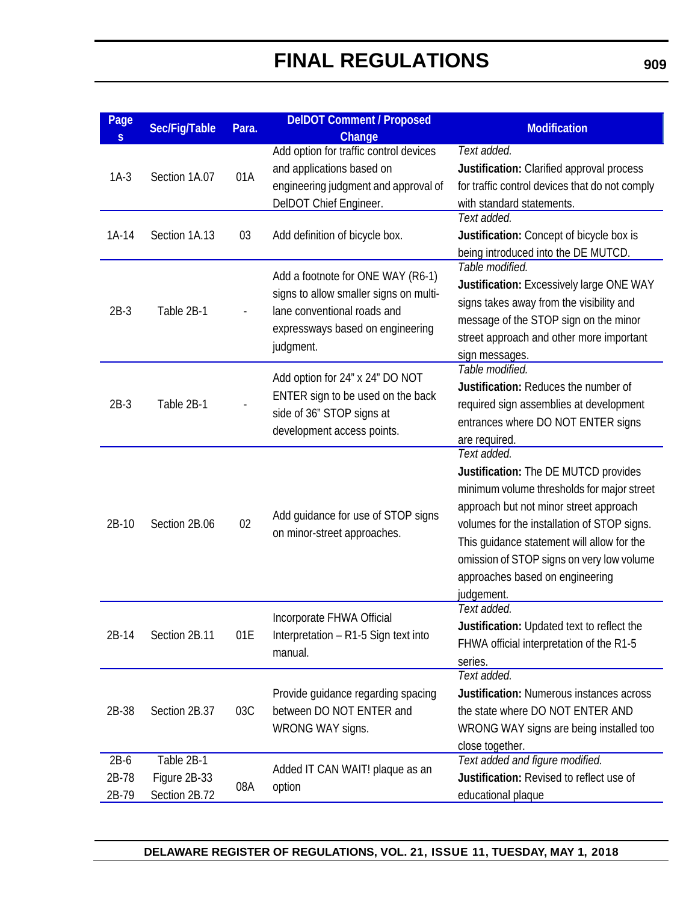| Page<br>$\overline{\mathsf{S}}$ | Sec/Fig/Table                               | Para. | <b>DeIDOT Comment / Proposed</b><br>Change                                                                                                                  | <b>Modification</b>                                                                                                                                                                                                                                                                                                                    |
|---------------------------------|---------------------------------------------|-------|-------------------------------------------------------------------------------------------------------------------------------------------------------------|----------------------------------------------------------------------------------------------------------------------------------------------------------------------------------------------------------------------------------------------------------------------------------------------------------------------------------------|
| $1A-3$                          | Section 1A.07                               | 01A   | Add option for traffic control devices<br>and applications based on<br>engineering judgment and approval of<br>DelDOT Chief Engineer.                       | Text added.<br>Justification: Clarified approval process<br>for traffic control devices that do not comply<br>with standard statements.                                                                                                                                                                                                |
| $1A-14$                         | Section 1A.13                               | 03    | Add definition of bicycle box.                                                                                                                              | Text added.<br>Justification: Concept of bicycle box is<br>being introduced into the DE MUTCD.                                                                                                                                                                                                                                         |
| $2B-3$                          | Table 2B-1                                  |       | Add a footnote for ONE WAY (R6-1)<br>signs to allow smaller signs on multi-<br>lane conventional roads and<br>expressways based on engineering<br>judgment. | Table modified.<br>Justification: Excessively large ONE WAY<br>signs takes away from the visibility and<br>message of the STOP sign on the minor<br>street approach and other more important<br>sign messages.                                                                                                                         |
| $2B-3$                          | Table 2B-1                                  |       | Add option for 24" x 24" DO NOT<br>ENTER sign to be used on the back<br>side of 36" STOP signs at<br>development access points.                             | Table modified.<br>Justification: Reduces the number of<br>required sign assemblies at development<br>entrances where DO NOT ENTER signs<br>are required.                                                                                                                                                                              |
| 2B-10                           | Section 2B.06                               | 02    | Add guidance for use of STOP signs<br>on minor-street approaches.                                                                                           | Text added.<br>Justification: The DE MUTCD provides<br>minimum volume thresholds for major street<br>approach but not minor street approach<br>volumes for the installation of STOP signs.<br>This guidance statement will allow for the<br>omission of STOP signs on very low volume<br>approaches based on engineering<br>judgement. |
| $2B-14$                         | Section 2B.11                               | 01E   | Incorporate FHWA Official<br>Interpretation - R1-5 Sign text into<br>manual.                                                                                | Text added.<br>Justification: Updated text to reflect the<br>FHWA official interpretation of the R1-5<br>series.                                                                                                                                                                                                                       |
| 2B-38                           | Section 2B.37                               | 03C   | Provide guidance regarding spacing<br>between DO NOT ENTER and<br>WRONG WAY signs.                                                                          | Text added.<br><b>Justification: Numerous instances across</b><br>the state where DO NOT ENTER AND<br>WRONG WAY signs are being installed too<br>close together.                                                                                                                                                                       |
| $2B-6$<br>2B-78<br>2B-79        | Table 2B-1<br>Figure 2B-33<br>Section 2B.72 | 08A   | Added IT CAN WAIT! plaque as an<br>option                                                                                                                   | Text added and figure modified.<br>Justification: Revised to reflect use of<br>educational plaque                                                                                                                                                                                                                                      |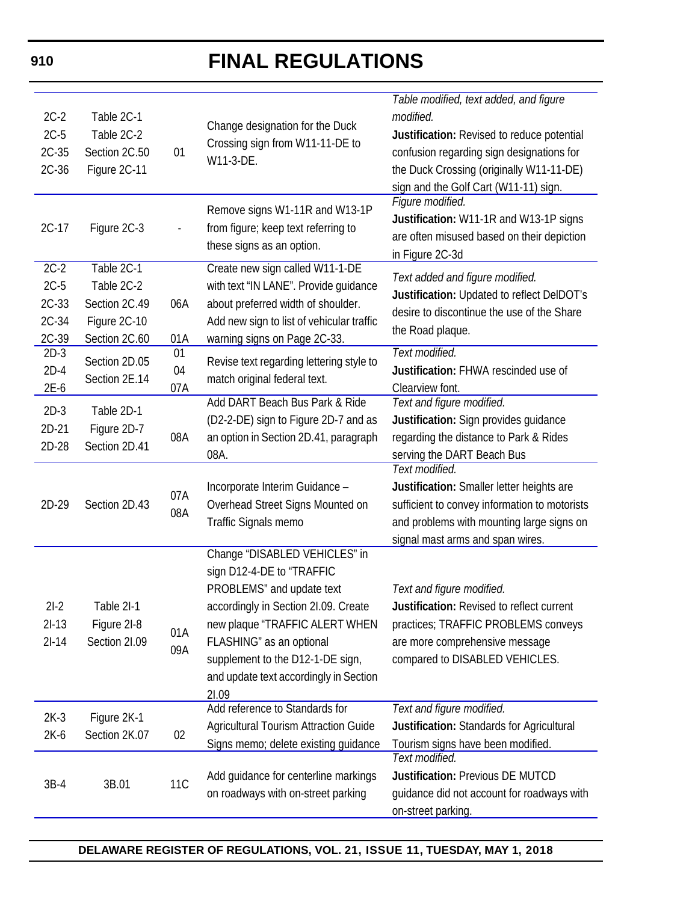|         |               |                     |                                           | Table modified, text added, and figure        |
|---------|---------------|---------------------|-------------------------------------------|-----------------------------------------------|
| $2C-2$  | Table 2C-1    |                     |                                           | modified.                                     |
| $2C-5$  | Table 2C-2    |                     | Change designation for the Duck           | Justification: Revised to reduce potential    |
| $2C-35$ | Section 2C.50 | 01                  | Crossing sign from W11-11-DE to           | confusion regarding sign designations for     |
| $2C-36$ | Figure 2C-11  |                     | W11-3-DE.                                 | the Duck Crossing (originally W11-11-DE)      |
|         |               |                     |                                           | sign and the Golf Cart (W11-11) sign.         |
|         |               |                     | Remove signs W1-11R and W13-1P            | Figure modified.                              |
| $2C-17$ |               |                     |                                           | Justification: W11-1R and W13-1P signs        |
|         | Figure 2C-3   |                     | from figure; keep text referring to       | are often misused based on their depiction    |
|         |               |                     | these signs as an option.                 | in Figure 2C-3d                               |
| $2C-2$  | Table 2C-1    |                     | Create new sign called W11-1-DE           | Text added and figure modified.               |
| $2C-5$  | Table 2C-2    |                     | with text "IN LANE". Provide guidance     | Justification: Updated to reflect DelDOT's    |
| $2C-33$ | Section 2C.49 | 06A                 | about preferred width of shoulder.        | desire to discontinue the use of the Share    |
| 2C-34   | Figure 2C-10  |                     | Add new sign to list of vehicular traffic |                                               |
| 2C-39   | Section 2C.60 | 01A                 | warning signs on Page 2C-33.              | the Road plaque.                              |
| $2D-3$  | Section 2D.05 | 01                  | Revise text regarding lettering style to  | Text modified.                                |
| $2D-4$  | Section 2E.14 | 04                  | match original federal text.              | Justification: FHWA rescinded use of          |
| $2E-6$  |               | 07A                 |                                           | Clearview font.                               |
| $2D-3$  | Table 2D-1    |                     | Add DART Beach Bus Park & Ride            | Text and figure modified.                     |
| $2D-21$ | Figure 2D-7   |                     | (D2-2-DE) sign to Figure 2D-7 and as      | Justification: Sign provides guidance         |
| 2D-28   | Section 2D.41 | 08A                 | an option in Section 2D.41, paragraph     | regarding the distance to Park & Rides        |
|         |               |                     | 08A.                                      | serving the DART Beach Bus                    |
|         |               |                     |                                           | Text modified.                                |
|         |               | 07A                 | Incorporate Interim Guidance -            | Justification: Smaller letter heights are     |
| 2D-29   | Section 2D.43 | 08A                 | Overhead Street Signs Mounted on          | sufficient to convey information to motorists |
|         |               |                     | Traffic Signals memo                      | and problems with mounting large signs on     |
|         |               |                     |                                           | signal mast arms and span wires.              |
|         |               |                     | Change "DISABLED VEHICLES" in             |                                               |
|         |               |                     | sign D12-4-DE to "TRAFFIC                 |                                               |
|         |               |                     | PROBLEMS" and update text                 | Text and figure modified.                     |
| $2I-2$  | Table 2I-1    |                     | accordingly in Section 21.09. Create      | Justification: Revised to reflect current     |
| $2I-13$ | Figure 2I-8   | 01A                 | new plaque "TRAFFIC ALERT WHEN            | practices; TRAFFIC PROBLEMS conveys           |
| $2I-14$ | Section 2I.09 | 09A                 | FLASHING" as an optional                  | are more comprehensive message                |
|         |               |                     | supplement to the D12-1-DE sign,          | compared to DISABLED VEHICLES.                |
|         |               |                     | and update text accordingly in Section    |                                               |
|         |               |                     | 21.09                                     |                                               |
| $2K-3$  | Figure 2K-1   |                     | Add reference to Standards for            | Text and figure modified.                     |
| $2K-6$  | Section 2K.07 | 02                  | Agricultural Tourism Attraction Guide     | Justification: Standards for Agricultural     |
|         |               |                     | Signs memo; delete existing guidance      | Tourism signs have been modified.             |
|         |               |                     |                                           | Text modified.                                |
| $3B-4$  |               | <b>11C</b><br>3B.01 | Add guidance for centerline markings      | Justification: Previous DE MUTCD              |
|         |               |                     | on roadways with on-street parking        | guidance did not account for roadways with    |
|         |               |                     |                                           | on-street parking.                            |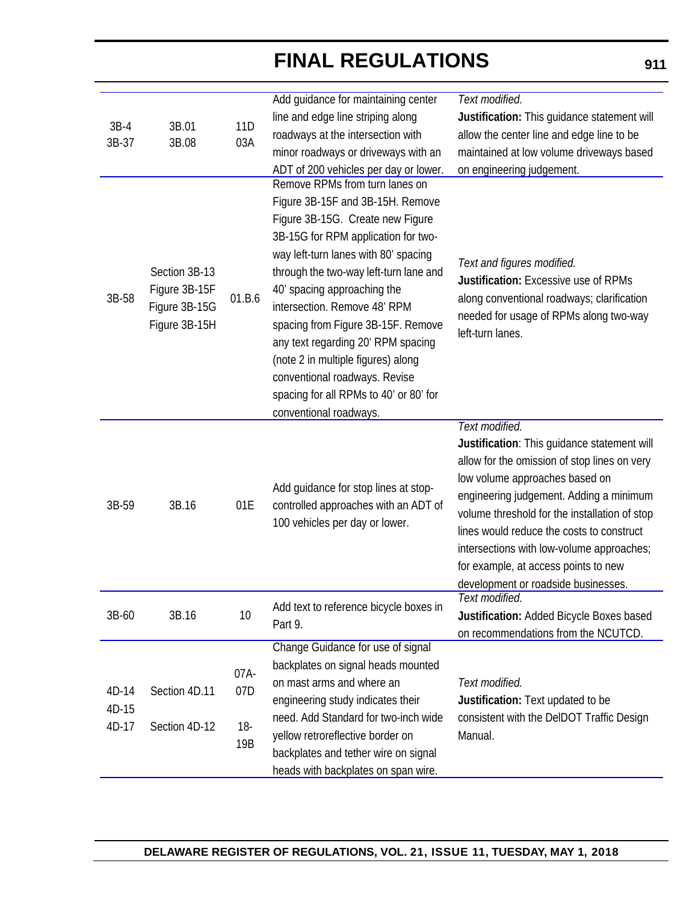| $3B-4$ | 3B.01                                                            | 11 <sub>D</sub> | Add guidance for maintaining center<br>line and edge line striping along<br>roadways at the intersection with                                                                                                                                                                                                                                                                                                                                                                       | Text modified.<br>Justification: This guidance statement will<br>allow the center line and edge line to be                                                                                                                                                                                                                                                                                                           |
|--------|------------------------------------------------------------------|-----------------|-------------------------------------------------------------------------------------------------------------------------------------------------------------------------------------------------------------------------------------------------------------------------------------------------------------------------------------------------------------------------------------------------------------------------------------------------------------------------------------|----------------------------------------------------------------------------------------------------------------------------------------------------------------------------------------------------------------------------------------------------------------------------------------------------------------------------------------------------------------------------------------------------------------------|
| 3B-37  | 3B.08                                                            | 03A             |                                                                                                                                                                                                                                                                                                                                                                                                                                                                                     |                                                                                                                                                                                                                                                                                                                                                                                                                      |
|        |                                                                  |                 | minor roadways or driveways with an                                                                                                                                                                                                                                                                                                                                                                                                                                                 | maintained at low volume driveways based                                                                                                                                                                                                                                                                                                                                                                             |
|        |                                                                  |                 | ADT of 200 vehicles per day or lower.<br>Remove RPMs from turn lanes on                                                                                                                                                                                                                                                                                                                                                                                                             | on engineering judgement.                                                                                                                                                                                                                                                                                                                                                                                            |
| 3B-58  | Section 3B-13<br>Figure 3B-15F<br>Figure 3B-15G<br>Figure 3B-15H | 01.B.6          | Figure 3B-15F and 3B-15H. Remove<br>Figure 3B-15G. Create new Figure<br>3B-15G for RPM application for two-<br>way left-turn lanes with 80' spacing<br>through the two-way left-turn lane and<br>40' spacing approaching the<br>intersection. Remove 48' RPM<br>spacing from Figure 3B-15F. Remove<br>any text regarding 20' RPM spacing<br>(note 2 in multiple figures) along<br>conventional roadways. Revise<br>spacing for all RPMs to 40' or 80' for<br>conventional roadways. | Text and figures modified.<br><b>Justification: Excessive use of RPMs</b><br>along conventional roadways; clarification<br>needed for usage of RPMs along two-way<br>left-turn lanes.                                                                                                                                                                                                                                |
| 3B-59  | 3B.16                                                            | 01E             | Add guidance for stop lines at stop-<br>controlled approaches with an ADT of<br>100 vehicles per day or lower.                                                                                                                                                                                                                                                                                                                                                                      | Text modified.<br>Justification: This guidance statement will<br>allow for the omission of stop lines on very<br>low volume approaches based on<br>engineering judgement. Adding a minimum<br>volume threshold for the installation of stop<br>lines would reduce the costs to construct<br>intersections with low-volume approaches;<br>for example, at access points to new<br>development or roadside businesses. |
| 3B-60  | 3B.16                                                            | 10              | Add text to reference bicycle boxes in<br>Part 9.                                                                                                                                                                                                                                                                                                                                                                                                                                   | Text modified.<br>Justification: Added Bicycle Boxes based<br>on recommendations from the NCUTCD.                                                                                                                                                                                                                                                                                                                    |
|        |                                                                  |                 | Change Guidance for use of signal                                                                                                                                                                                                                                                                                                                                                                                                                                                   |                                                                                                                                                                                                                                                                                                                                                                                                                      |
|        |                                                                  | 07A-            | backplates on signal heads mounted                                                                                                                                                                                                                                                                                                                                                                                                                                                  |                                                                                                                                                                                                                                                                                                                                                                                                                      |
| 4D-14  | Section 4D.11                                                    | 07D             | on mast arms and where an                                                                                                                                                                                                                                                                                                                                                                                                                                                           | Text modified.                                                                                                                                                                                                                                                                                                                                                                                                       |
| 4D-15  |                                                                  |                 | engineering study indicates their                                                                                                                                                                                                                                                                                                                                                                                                                                                   | Justification: Text updated to be                                                                                                                                                                                                                                                                                                                                                                                    |
| 4D-17  | Section 4D-12                                                    | $18-$           | need. Add Standard for two-inch wide                                                                                                                                                                                                                                                                                                                                                                                                                                                | consistent with the DelDOT Traffic Design                                                                                                                                                                                                                                                                                                                                                                            |
|        |                                                                  | 19B             | yellow retroreflective border on                                                                                                                                                                                                                                                                                                                                                                                                                                                    | Manual.                                                                                                                                                                                                                                                                                                                                                                                                              |
|        |                                                                  |                 | backplates and tether wire on signal                                                                                                                                                                                                                                                                                                                                                                                                                                                |                                                                                                                                                                                                                                                                                                                                                                                                                      |
|        |                                                                  |                 | heads with backplates on span wire.                                                                                                                                                                                                                                                                                                                                                                                                                                                 |                                                                                                                                                                                                                                                                                                                                                                                                                      |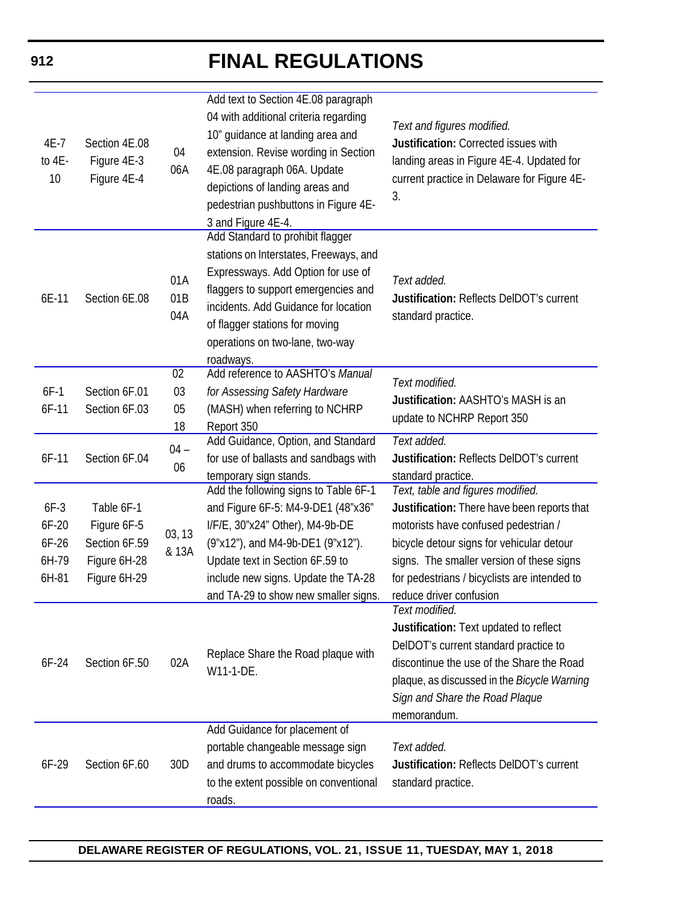| 4E-7<br>to 4E-<br>10                         | Section 4E.08<br>Figure 4E-3<br>Figure 4E-4                                | 04<br>06A         | Add text to Section 4E.08 paragraph<br>04 with additional criteria regarding<br>10" guidance at landing area and<br>extension. Revise wording in Section<br>4E.08 paragraph 06A. Update<br>depictions of landing areas and<br>pedestrian pushbuttons in Figure 4E-<br>3 and Figure 4E-4. | Text and figures modified.<br>Justification: Corrected issues with<br>landing areas in Figure 4E-4. Updated for<br>current practice in Delaware for Figure 4E-<br>3.                                                                                                                          |
|----------------------------------------------|----------------------------------------------------------------------------|-------------------|------------------------------------------------------------------------------------------------------------------------------------------------------------------------------------------------------------------------------------------------------------------------------------------|-----------------------------------------------------------------------------------------------------------------------------------------------------------------------------------------------------------------------------------------------------------------------------------------------|
| 6E-11                                        | Section 6E.08                                                              | 01A<br>01B<br>04A | Add Standard to prohibit flagger<br>stations on Interstates, Freeways, and<br>Expressways. Add Option for use of<br>flaggers to support emergencies and<br>incidents. Add Guidance for location<br>of flagger stations for moving<br>operations on two-lane, two-way<br>roadways.        | Text added.<br>Justification: Reflects DelDOT's current<br>standard practice.                                                                                                                                                                                                                 |
| $6F-1$                                       | Section 6F.01                                                              | 02<br>03          | Add reference to AASHTO's Manual<br>for Assessing Safety Hardware                                                                                                                                                                                                                        | Text modified.                                                                                                                                                                                                                                                                                |
| $6F-11$                                      | Section 6F.03                                                              | 05                | (MASH) when referring to NCHRP                                                                                                                                                                                                                                                           | Justification: AASHTO's MASH is an<br>update to NCHRP Report 350                                                                                                                                                                                                                              |
|                                              |                                                                            | 18                | Report 350<br>Add Guidance, Option, and Standard                                                                                                                                                                                                                                         | Text added.                                                                                                                                                                                                                                                                                   |
| $6F-11$                                      | Section 6F.04                                                              | $04 -$<br>06      | for use of ballasts and sandbags with<br>temporary sign stands.                                                                                                                                                                                                                          | Justification: Reflects DelDOT's current<br>standard practice.                                                                                                                                                                                                                                |
| $6F-3$<br>6F-20<br>$6F-26$<br>6H-79<br>6H-81 | Table 6F-1<br>Figure 6F-5<br>Section 6F.59<br>Figure 6H-28<br>Figure 6H-29 | 03, 13<br>& 13A   | Add the following signs to Table 6F-1<br>and Figure 6F-5: M4-9-DE1 (48"x36"<br>I/F/E, 30"x24" Other), M4-9b-DE<br>(9"x12"), and M4-9b-DE1 (9"x12").<br>Update text in Section 6F.59 to<br>include new signs. Update the TA-28<br>and TA-29 to show new smaller signs.                    | Text, table and figures modified.<br>Justification: There have been reports that<br>motorists have confused pedestrian /<br>bicycle detour signs for vehicular detour<br>signs. The smaller version of these signs<br>for pedestrians / bicyclists are intended to<br>reduce driver confusion |
| $6F-24$                                      | Section 6F.50                                                              | 02A               | Replace Share the Road plaque with<br>W11-1-DE.                                                                                                                                                                                                                                          | Text modified.<br>Justification: Text updated to reflect<br>DelDOT's current standard practice to<br>discontinue the use of the Share the Road<br>plaque, as discussed in the <i>Bicycle Warning</i><br>Sign and Share the Road Plaque<br>memorandum.                                         |
| $6F-29$                                      | Section 6F.60                                                              | 30D               | Add Guidance for placement of<br>portable changeable message sign<br>and drums to accommodate bicycles<br>to the extent possible on conventional<br>roads.                                                                                                                               | Text added.<br>Justification: Reflects DelDOT's current<br>standard practice.                                                                                                                                                                                                                 |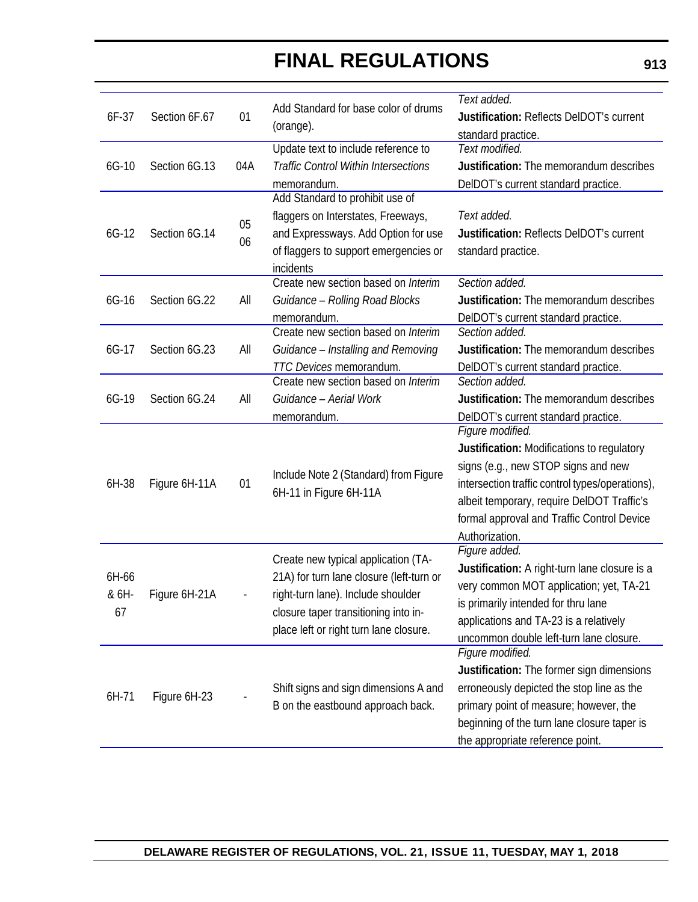|       |               |     |                                                                            | Text added.                                     |
|-------|---------------|-----|----------------------------------------------------------------------------|-------------------------------------------------|
| 6F-37 | Section 6F.67 | 01  | Add Standard for base color of drums                                       | <b>Justification: Reflects DelDOT's current</b> |
|       |               |     | (orange).                                                                  |                                                 |
|       |               |     | Update text to include reference to                                        | standard practice.<br>Text modified.            |
| 6G-10 | Section 6G.13 | 04A | <b>Traffic Control Within Intersections</b>                                | Justification: The memorandum describes         |
|       |               |     |                                                                            |                                                 |
|       |               |     | memorandum.<br>Add Standard to prohibit use of                             | DelDOT's current standard practice.             |
|       |               |     | flaggers on Interstates, Freeways,                                         | Text added.                                     |
|       |               | 05  |                                                                            |                                                 |
| 6G-12 | Section 6G.14 | 06  | and Expressways. Add Option for use                                        | <b>Justification: Reflects DelDOT's current</b> |
|       |               |     | of flaggers to support emergencies or                                      | standard practice.                              |
|       |               |     | incidents                                                                  |                                                 |
|       |               |     | Create new section based on Interim                                        | Section added.                                  |
| 6G-16 | Section 6G.22 | All | Guidance - Rolling Road Blocks                                             | Justification: The memorandum describes         |
|       |               |     | memorandum.                                                                | DelDOT's current standard practice.             |
|       |               |     | Create new section based on Interim                                        | Section added.                                  |
| 6G-17 | Section 6G.23 | All | Guidance - Installing and Removing                                         | Justification: The memorandum describes         |
|       |               |     | TTC Devices memorandum.                                                    | DelDOT's current standard practice.             |
|       |               |     | Create new section based on Interim                                        | Section added.                                  |
| 6G-19 | Section 6G.24 | All | Guidance - Aerial Work                                                     | Justification: The memorandum describes         |
|       |               |     | memorandum.                                                                | DelDOT's current standard practice.             |
|       |               |     |                                                                            | Figure modified.                                |
|       | Figure 6H-11A | 01  | Include Note 2 (Standard) from Figure<br>6H-11 in Figure 6H-11A            | Justification: Modifications to regulatory      |
|       |               |     |                                                                            | signs (e.g., new STOP signs and new             |
| 6H-38 |               |     |                                                                            | intersection traffic control types/operations), |
|       |               |     |                                                                            | albeit temporary, require DelDOT Traffic's      |
|       |               |     |                                                                            | formal approval and Traffic Control Device      |
|       |               |     |                                                                            | Authorization.                                  |
|       |               |     |                                                                            | Figure added.                                   |
|       |               |     | Create new typical application (TA-                                        | Justification: A right-turn lane closure is a   |
| 6H-66 |               |     | 21A) for turn lane closure (left-turn or                                   | very common MOT application; yet, TA-21         |
| & 6H- | Figure 6H-21A |     | right-turn lane). Include shoulder                                         | is primarily intended for thru lane             |
| 67    |               |     | closure taper transitioning into in-                                       | applications and TA-23 is a relatively          |
|       |               |     | place left or right turn lane closure.                                     | uncommon double left-turn lane closure.         |
|       |               |     |                                                                            | Figure modified.                                |
|       |               |     |                                                                            | Justification: The former sign dimensions       |
|       |               |     | Shift signs and sign dimensions A and<br>B on the eastbound approach back. |                                                 |
| 6H-71 | Figure 6H-23  |     |                                                                            | erroneously depicted the stop line as the       |
|       |               |     |                                                                            | primary point of measure; however, the          |
|       |               |     |                                                                            | beginning of the turn lane closure taper is     |
|       |               |     |                                                                            | the appropriate reference point.                |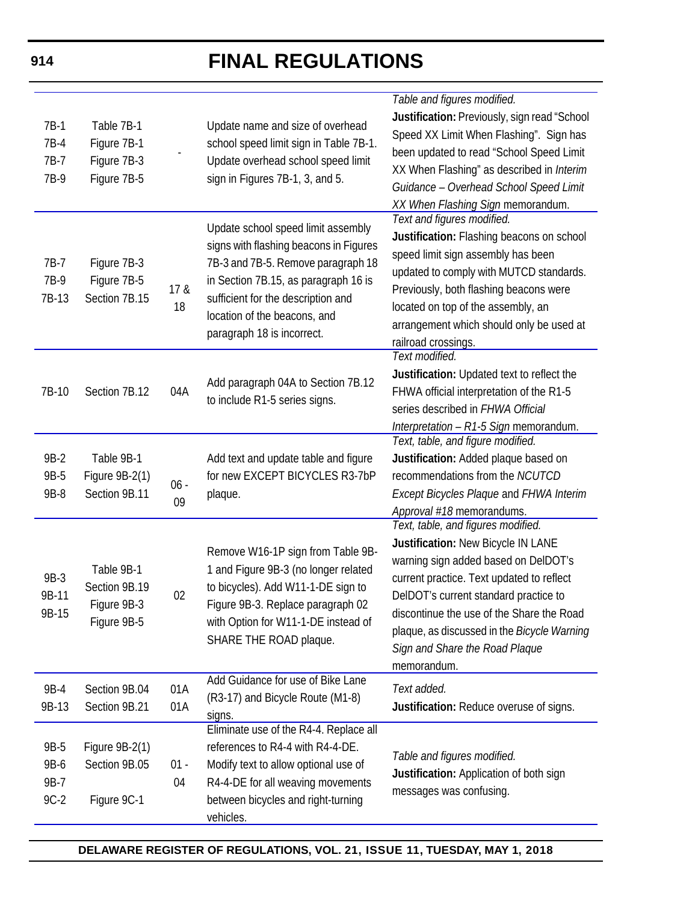| $7B-1$<br>7B-4<br>7B-7         | Table 7B-1<br>Figure 7B-1<br>Figure 7B-3                  |              | Update name and size of overhead<br>school speed limit sign in Table 7B-1.<br>Update overhead school speed limit                                                                                                                                               | Table and figures modified.<br>Justification: Previously, sign read "School<br>Speed XX Limit When Flashing". Sign has<br>been updated to read "School Speed Limit                                                                                                                                                                                  |
|--------------------------------|-----------------------------------------------------------|--------------|----------------------------------------------------------------------------------------------------------------------------------------------------------------------------------------------------------------------------------------------------------------|-----------------------------------------------------------------------------------------------------------------------------------------------------------------------------------------------------------------------------------------------------------------------------------------------------------------------------------------------------|
| 7B-9                           | Figure 7B-5                                               |              | sign in Figures 7B-1, 3, and 5.                                                                                                                                                                                                                                | XX When Flashing" as described in Interim<br>Guidance - Overhead School Speed Limit<br>XX When Flashing Sign memorandum.                                                                                                                                                                                                                            |
| 7B-7<br>7B-9<br>7B-13          | Figure 7B-3<br>Figure 7B-5<br>Section 7B.15               | 17 &<br>18   | Update school speed limit assembly<br>signs with flashing beacons in Figures<br>7B-3 and 7B-5. Remove paragraph 18<br>in Section 7B.15, as paragraph 16 is<br>sufficient for the description and<br>location of the beacons, and<br>paragraph 18 is incorrect. | Text and figures modified.<br>Justification: Flashing beacons on school<br>speed limit sign assembly has been<br>updated to comply with MUTCD standards.<br>Previously, both flashing beacons were<br>located on top of the assembly, an<br>arrangement which should only be used at<br>railroad crossings.                                         |
| 7B-10                          | Section 7B.12                                             | 04A          | Add paragraph 04A to Section 7B.12<br>to include R1-5 series signs.                                                                                                                                                                                            | Text modified.<br>Justification: Updated text to reflect the<br>FHWA official interpretation of the R1-5<br>series described in FHWA Official<br>Interpretation - R1-5 Sign memorandum.                                                                                                                                                             |
| 9B-2<br>9B-5<br>9B-8           | Table 9B-1<br>Figure 9B-2(1)<br>Section 9B.11             | $06 -$<br>09 | Add text and update table and figure<br>for new EXCEPT BICYCLES R3-7bP<br>plaque.                                                                                                                                                                              | Text, table, and figure modified.<br>Justification: Added plaque based on<br>recommendations from the NCUTCD<br><b>Except Bicycles Plaque and FHWA Interim</b><br>Approval #18 memorandums.                                                                                                                                                         |
| 9B-3<br>9B-11<br>9B-15         | Table 9B-1<br>Section 9B.19<br>Figure 9B-3<br>Figure 9B-5 | 02           | Remove W16-1P sign from Table 9B-<br>1 and Figure 9B-3 (no longer related<br>to bicycles). Add W11-1-DE sign to<br>Figure 9B-3. Replace paragraph 02<br>with Option for W11-1-DE instead of<br>SHARE THE ROAD plaque.                                          | Text, table, and figures modified.<br>Justification: New Bicycle IN LANE<br>warning sign added based on DelDOT's<br>current practice. Text updated to reflect<br>DelDOT's current standard practice to<br>discontinue the use of the Share the Road<br>plaque, as discussed in the Bicycle Warning<br>Sign and Share the Road Plaque<br>memorandum. |
| 9B-4<br>9B-13                  | Section 9B.04<br>Section 9B.21                            | 01A<br>01A   | Add Guidance for use of Bike Lane<br>(R3-17) and Bicycle Route (M1-8)<br>signs.                                                                                                                                                                                | Text added.<br>Justification: Reduce overuse of signs.                                                                                                                                                                                                                                                                                              |
| 9B-5<br>9B-6<br>9B-7<br>$9C-2$ | Figure 9B-2(1)<br>Section 9B.05<br>Figure 9C-1            | $01 -$<br>04 | Eliminate use of the R4-4. Replace all<br>references to R4-4 with R4-4-DE.<br>Modify text to allow optional use of<br>R4-4-DE for all weaving movements<br>between bicycles and right-turning<br>vehicles.                                                     | Table and figures modified.<br>Justification: Application of both sign<br>messages was confusing.                                                                                                                                                                                                                                                   |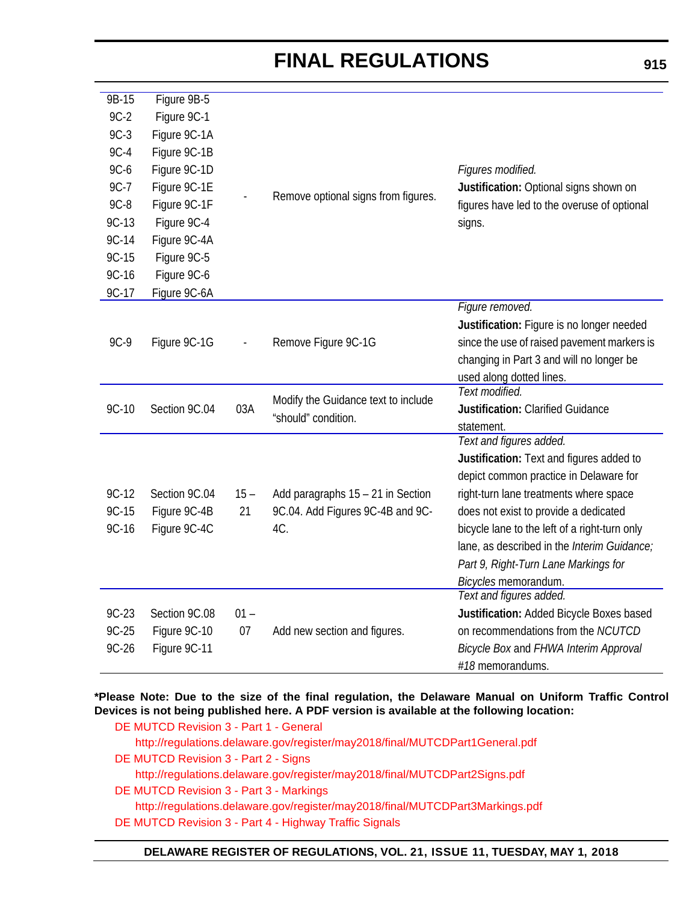| $9B-15$ | Figure 9B-5   |        |                                     |                                               |
|---------|---------------|--------|-------------------------------------|-----------------------------------------------|
| $9C-2$  | Figure 9C-1   |        |                                     |                                               |
| $9C-3$  | Figure 9C-1A  |        |                                     |                                               |
| $9C-4$  | Figure 9C-1B  |        |                                     |                                               |
| $9C-6$  | Figure 9C-1D  |        |                                     | Figures modified.                             |
| $9C-7$  | Figure 9C-1E  |        |                                     | Justification: Optional signs shown on        |
| $9C-8$  | Figure 9C-1F  |        | Remove optional signs from figures. | figures have led to the overuse of optional   |
| $9C-13$ | Figure 9C-4   |        |                                     | signs.                                        |
| 9C-14   | Figure 9C-4A  |        |                                     |                                               |
| 9C-15   | Figure 9C-5   |        |                                     |                                               |
| 9C-16   | Figure 9C-6   |        |                                     |                                               |
| 9C-17   | Figure 9C-6A  |        |                                     |                                               |
|         |               |        |                                     | Figure removed.                               |
|         |               |        |                                     | Justification: Figure is no longer needed     |
| 9C-9    | Figure 9C-1G  |        | Remove Figure 9C-1G                 | since the use of raised pavement markers is   |
|         |               |        |                                     | changing in Part 3 and will no longer be      |
|         |               |        |                                     | used along dotted lines.                      |
|         |               |        | Modify the Guidance text to include | Text modified.                                |
| 9C-10   | Section 9C.04 | 03A    | "should" condition.                 | Justification: Clarified Guidance             |
|         |               |        |                                     | statement.                                    |
|         |               |        |                                     | Text and figures added.                       |
|         |               |        |                                     | Justification: Text and figures added to      |
|         |               |        |                                     | depict common practice in Delaware for        |
| $9C-12$ | Section 9C.04 | $15 -$ | Add paragraphs 15 - 21 in Section   | right-turn lane treatments where space        |
| $9C-15$ | Figure 9C-4B  | 21     | 9C.04. Add Figures 9C-4B and 9C-    | does not exist to provide a dedicated         |
| 9C-16   | Figure 9C-4C  |        | 4C.                                 | bicycle lane to the left of a right-turn only |
|         |               |        |                                     | lane, as described in the Interim Guidance;   |
|         |               |        |                                     | Part 9, Right-Turn Lane Markings for          |
|         |               |        |                                     | Bicycles memorandum.                          |
|         |               |        |                                     | Text and figures added.                       |
| $9C-23$ | Section 9C.08 | $01 -$ |                                     | Justification: Added Bicycle Boxes based      |
| $9C-25$ | Figure 9C-10  | 07     | Add new section and figures.        | on recommendations from the NCUTCD            |
| $9C-26$ | Figure 9C-11  |        |                                     | Bicycle Box and FHWA Interim Approval         |
|         |               |        |                                     | #18 memorandums.                              |

### **\*Please Note: Due to the size of the final regulation, the Delaware Manual on Uniform Traffic Control Devices is not being published here. A PDF version is available at the following location:**

[DE MUTCD Revision 3 - Part 1 - General](http://regulations.delaware.gov/register/may2018/final/MUTCDPart1General.pdf) <http://regulations.delaware.gov/register/may2018/final/MUTCDPart1General.pdf> [DE MUTCD Revision 3 - Part 2 - Signs](http://regulations.delaware.gov/register/may2018/final/MUTCDPart2Signs.pdf) <http://regulations.delaware.gov/register/may2018/final/MUTCDPart2Signs.pdf> [DE MUTCD Revision 3 - Part 3 - Markings](http://regulations.delaware.gov/register/may2018/final/MUTCDPart3Markings.pdf) <http://regulations.delaware.gov/register/may2018/final/MUTCDPart3Markings.pdf> [DE MUTCD Revision 3 - Part 4 - Highway Traffic Signals](http://regulations.delaware.gov/register/may2018/final/MUTCDPart4HighwayTrafficSignals.pdf)

#### **DELAWARE REGISTER OF REGULATIONS, VOL. 21, ISSUE 11, TUESDAY, MAY 1, 2018**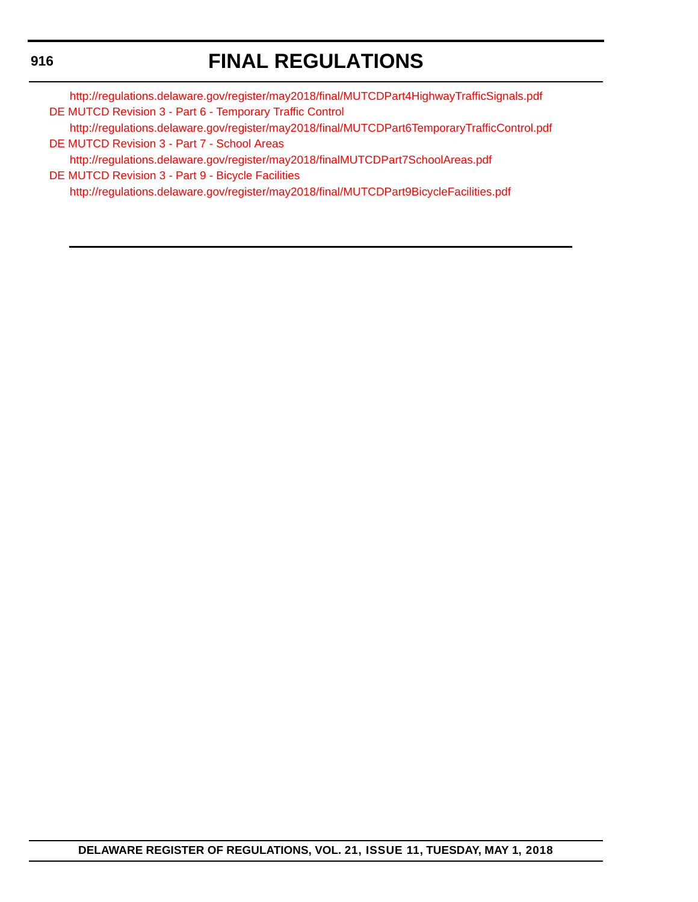## **FINAL REGULATIONS**

<http://regulations.delaware.gov/register/may2018/final/MUTCDPart4HighwayTrafficSignals.pdf> [DE MUTCD Revision 3 - Part 6 - Temporary Traffic Control](http://regulations.delaware.gov/register/may2018/final/MUTCDPart6TemporaryTrafficControl.pdf)

<http://regulations.delaware.gov/register/may2018/final/MUTCDPart6TemporaryTrafficControl.pdf> [DE MUTCD Revision 3 - Part 7 - School Areas](http://regulations.delaware.gov/register/may2018/final/MUTCDPart7SchoolAreas.pdf)

<http://regulations.delaware.gov/register/may2018/finalMUTCDPart7SchoolAreas.pdf> [DE MUTCD Revision 3 - Part 9 - Bicycle Facilities](http://regulations.delaware.gov/register/may2018/final/MUTCDPart9BicycleFacilities.pdf) <http://regulations.delaware.gov/register/may2018/final/MUTCDPart9BicycleFacilities.pdf>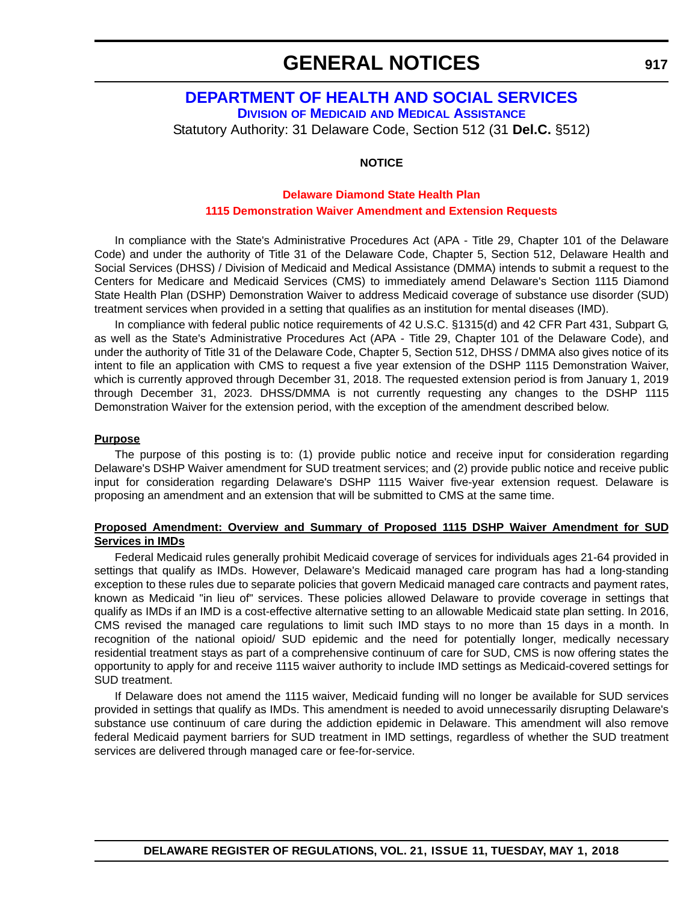## **[DEPARTMENT OF HEALTH AND SOCIAL SERVICES](http://dhss.delaware.gov/dhss/dmma/) DIVISION OF MEDICAID AND MEDICAL ASSISTANCE** Statutory Authority: 31 Delaware Code, Section 512 (31 **Del.C.** §512)

**NOTICE**

### **Delaware Diamond State Health Plan [1115 Demonstration Waiver Amendment and Extension Requests](#page-4-0)**

In compliance with the State's Administrative Procedures Act (APA - Title 29, Chapter 101 of the Delaware Code) and under the authority of Title 31 of the Delaware Code, Chapter 5, Section 512, Delaware Health and Social Services (DHSS) / Division of Medicaid and Medical Assistance (DMMA) intends to submit a request to the Centers for Medicare and Medicaid Services (CMS) to immediately amend Delaware's Section 1115 Diamond State Health Plan (DSHP) Demonstration Waiver to address Medicaid coverage of substance use disorder (SUD) treatment services when provided in a setting that qualifies as an institution for mental diseases (IMD).

In compliance with federal public notice requirements of 42 U.S.C. §1315(d) and 42 CFR Part 431, Subpart G, as well as the State's Administrative Procedures Act (APA - Title 29, Chapter 101 of the Delaware Code), and under the authority of Title 31 of the Delaware Code, Chapter 5, Section 512, DHSS / DMMA also gives notice of its intent to file an application with CMS to request a five year extension of the DSHP 1115 Demonstration Waiver, which is currently approved through December 31, 2018. The requested extension period is from January 1, 2019 through December 31, 2023. DHSS/DMMA is not currently requesting any changes to the DSHP 1115 Demonstration Waiver for the extension period, with the exception of the amendment described below.

#### **Purpose**

The purpose of this posting is to: (1) provide public notice and receive input for consideration regarding Delaware's DSHP Waiver amendment for SUD treatment services; and (2) provide public notice and receive public input for consideration regarding Delaware's DSHP 1115 Waiver five-year extension request. Delaware is proposing an amendment and an extension that will be submitted to CMS at the same time.

#### **Proposed Amendment: Overview and Summary of Proposed 1115 DSHP Waiver Amendment for SUD Services in IMDs**

Federal Medicaid rules generally prohibit Medicaid coverage of services for individuals ages 21-64 provided in settings that qualify as IMDs. However, Delaware's Medicaid managed care program has had a long-standing exception to these rules due to separate policies that govern Medicaid managed care contracts and payment rates, known as Medicaid "in lieu of" services. These policies allowed Delaware to provide coverage in settings that qualify as IMDs if an IMD is a cost-effective alternative setting to an allowable Medicaid state plan setting. In 2016, CMS revised the managed care regulations to limit such IMD stays to no more than 15 days in a month. In recognition of the national opioid/ SUD epidemic and the need for potentially longer, medically necessary residential treatment stays as part of a comprehensive continuum of care for SUD, CMS is now offering states the opportunity to apply for and receive 1115 waiver authority to include IMD settings as Medicaid-covered settings for SUD treatment.

If Delaware does not amend the 1115 waiver, Medicaid funding will no longer be available for SUD services provided in settings that qualify as IMDs. This amendment is needed to avoid unnecessarily disrupting Delaware's substance use continuum of care during the addiction epidemic in Delaware. This amendment will also remove federal Medicaid payment barriers for SUD treatment in IMD settings, regardless of whether the SUD treatment services are delivered through managed care or fee-for-service.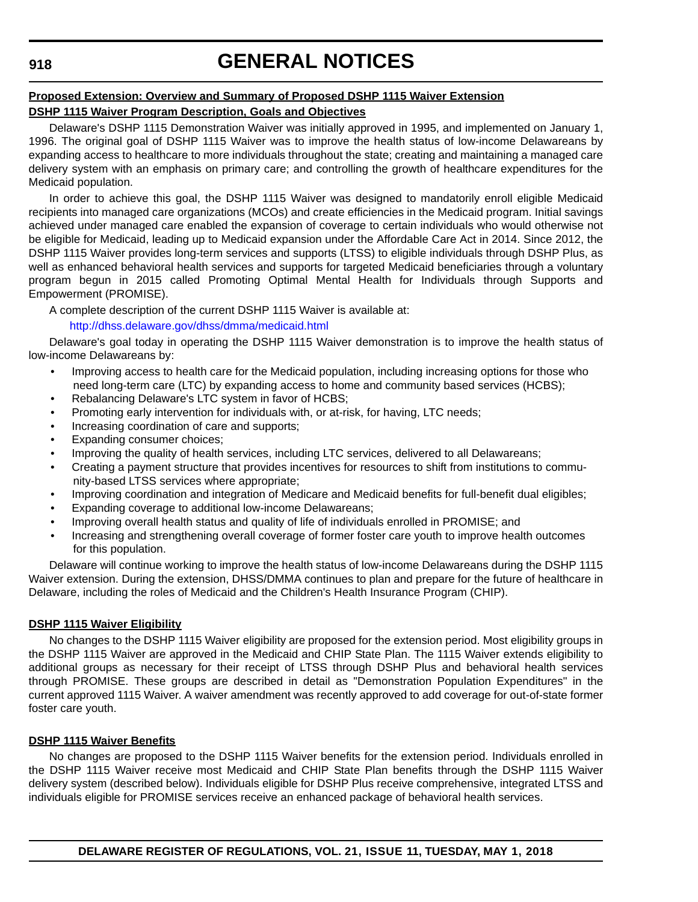## **Proposed Extension: Overview and Summary of Proposed DSHP 1115 Waiver Extension**

## **DSHP 1115 Waiver Program Description, Goals and Objectives**

Delaware's DSHP 1115 Demonstration Waiver was initially approved in 1995, and implemented on January 1, 1996. The original goal of DSHP 1115 Waiver was to improve the health status of low-income Delawareans by expanding access to healthcare to more individuals throughout the state; creating and maintaining a managed care delivery system with an emphasis on primary care; and controlling the growth of healthcare expenditures for the Medicaid population.

In order to achieve this goal, the DSHP 1115 Waiver was designed to mandatorily enroll eligible Medicaid recipients into managed care organizations (MCOs) and create efficiencies in the Medicaid program. Initial savings achieved under managed care enabled the expansion of coverage to certain individuals who would otherwise not be eligible for Medicaid, leading up to Medicaid expansion under the Affordable Care Act in 2014. Since 2012, the DSHP 1115 Waiver provides long-term services and supports (LTSS) to eligible individuals through DSHP Plus, as well as enhanced behavioral health services and supports for targeted Medicaid beneficiaries through a voluntary program begun in 2015 called Promoting Optimal Mental Health for Individuals through Supports and Empowerment (PROMISE).

A complete description of the current DSHP 1115 Waiver is available at:

### <http://dhss.delaware.gov/dhss/dmma/medicaid.html>

Delaware's goal today in operating the DSHP 1115 Waiver demonstration is to improve the health status of low-income Delawareans by:

- Improving access to health care for the Medicaid population, including increasing options for those who need long-term care (LTC) by expanding access to home and community based services (HCBS);
- Rebalancing Delaware's LTC system in favor of HCBS;
- Promoting early intervention for individuals with, or at-risk, for having, LTC needs;
- Increasing coordination of care and supports;
- Expanding consumer choices;
- Improving the quality of health services, including LTC services, delivered to all Delawareans;
- Creating a payment structure that provides incentives for resources to shift from institutions to community-based LTSS services where appropriate;
- Improving coordination and integration of Medicare and Medicaid benefits for full-benefit dual eligibles;
- Expanding coverage to additional low-income Delawareans;
- Improving overall health status and quality of life of individuals enrolled in PROMISE; and
- Increasing and strengthening overall coverage of former foster care youth to improve health outcomes for this population.

Delaware will continue working to improve the health status of low-income Delawareans during the DSHP 1115 Waiver extension. During the extension, DHSS/DMMA continues to plan and prepare for the future of healthcare in Delaware, including the roles of Medicaid and the Children's Health Insurance Program (CHIP).

## **DSHP 1115 Waiver Eligibility**

No changes to the DSHP 1115 Waiver eligibility are proposed for the extension period. Most eligibility groups in the DSHP 1115 Waiver are approved in the Medicaid and CHIP State Plan. The 1115 Waiver extends eligibility to additional groups as necessary for their receipt of LTSS through DSHP Plus and behavioral health services through PROMISE. These groups are described in detail as "Demonstration Population Expenditures" in the current approved 1115 Waiver. A waiver amendment was recently approved to add coverage for out-of-state former foster care youth.

## **DSHP 1115 Waiver Benefits**

No changes are proposed to the DSHP 1115 Waiver benefits for the extension period. Individuals enrolled in the DSHP 1115 Waiver receive most Medicaid and CHIP State Plan benefits through the DSHP 1115 Waiver delivery system (described below). Individuals eligible for DSHP Plus receive comprehensive, integrated LTSS and individuals eligible for PROMISE services receive an enhanced package of behavioral health services.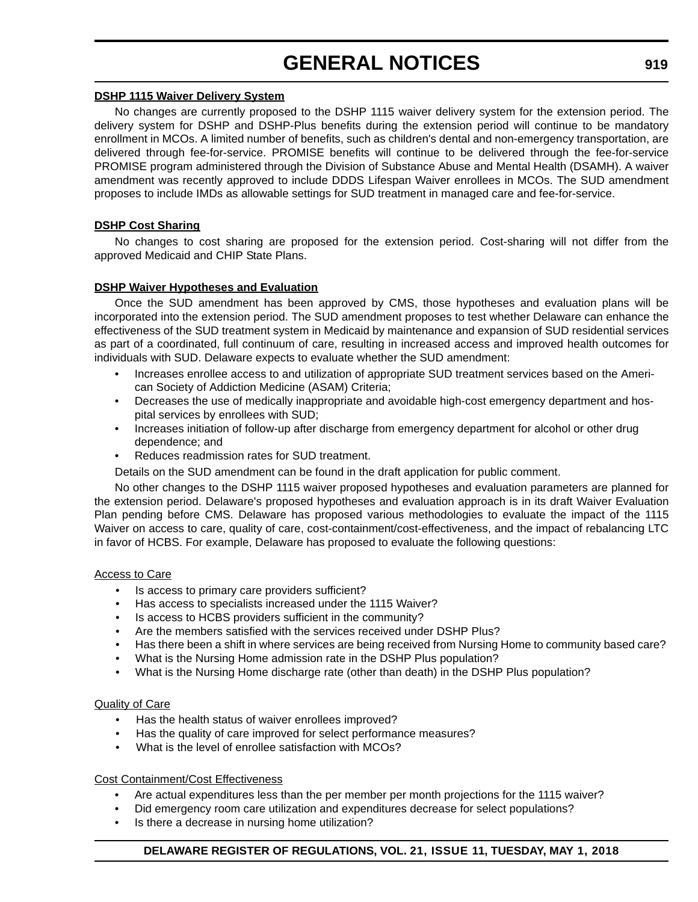#### **DSHP 1115 Waiver Delivery System**

No changes are currently proposed to the DSHP 1115 waiver delivery system for the extension period. The delivery system for DSHP and DSHP-Plus benefits during the extension period will continue to be mandatory enrollment in MCOs. A limited number of benefits, such as children's dental and non-emergency transportation, are delivered through fee-for-service. PROMISE benefits will continue to be delivered through the fee-for-service PROMISE program administered through the Division of Substance Abuse and Mental Health (DSAMH). A waiver amendment was recently approved to include DDDS Lifespan Waiver enrollees in MCOs. The SUD amendment proposes to include IMDs as allowable settings for SUD treatment in managed care and fee-for-service.

#### **DSHP Cost Sharing**

No changes to cost sharing are proposed for the extension period. Cost-sharing will not differ from the approved Medicaid and CHIP State Plans.

#### **DSHP Waiver Hypotheses and Evaluation**

Once the SUD amendment has been approved by CMS, those hypotheses and evaluation plans will be incorporated into the extension period. The SUD amendment proposes to test whether Delaware can enhance the effectiveness of the SUD treatment system in Medicaid by maintenance and expansion of SUD residential services as part of a coordinated, full continuum of care, resulting in increased access and improved health outcomes for individuals with SUD. Delaware expects to evaluate whether the SUD amendment:

- Increases enrollee access to and utilization of appropriate SUD treatment services based on the American Society of Addiction Medicine (ASAM) Criteria;
- Decreases the use of medically inappropriate and avoidable high-cost emergency department and hospital services by enrollees with SUD;
- Increases initiation of follow-up after discharge from emergency department for alcohol or other drug dependence; and
- Reduces readmission rates for SUD treatment.

Details on the SUD amendment can be found in the draft application for public comment.

No other changes to the DSHP 1115 waiver proposed hypotheses and evaluation parameters are planned for the extension period. Delaware's proposed hypotheses and evaluation approach is in its draft Waiver Evaluation Plan pending before CMS. Delaware has proposed various methodologies to evaluate the impact of the 1115 Waiver on access to care, quality of care, cost-containment/cost-effectiveness, and the impact of rebalancing LTC in favor of HCBS. For example, Delaware has proposed to evaluate the following questions:

#### Access to Care

- Is access to primary care providers sufficient?
- Has access to specialists increased under the 1115 Waiver?
- Is access to HCBS providers sufficient in the community?
- Are the members satisfied with the services received under DSHP Plus?
- Has there been a shift in where services are being received from Nursing Home to community based care?
- What is the Nursing Home admission rate in the DSHP Plus population?
- What is the Nursing Home discharge rate (other than death) in the DSHP Plus population?

### Quality of Care

- Has the health status of waiver enrollees improved?
- Has the quality of care improved for select performance measures?
- What is the level of enrollee satisfaction with MCOs?

## Cost Containment/Cost Effectiveness

- Are actual expenditures less than the per member per month projections for the 1115 waiver?
- Did emergency room care utilization and expenditures decrease for select populations?
- Is there a decrease in nursing home utilization?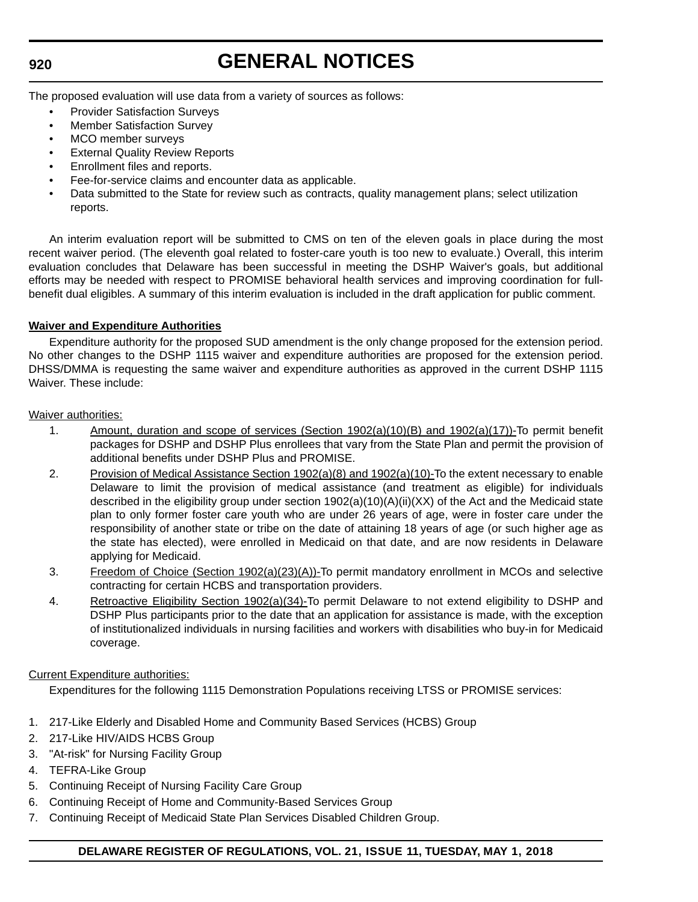## **GENERAL NOTICES**

The proposed evaluation will use data from a variety of sources as follows:

- Provider Satisfaction Surveys
- Member Satisfaction Survey
- MCO member surveys
- **External Quality Review Reports**
- Enrollment files and reports.
- Fee-for-service claims and encounter data as applicable.
- Data submitted to the State for review such as contracts, quality management plans; select utilization reports.

An interim evaluation report will be submitted to CMS on ten of the eleven goals in place during the most recent waiver period. (The eleventh goal related to foster-care youth is too new to evaluate.) Overall, this interim evaluation concludes that Delaware has been successful in meeting the DSHP Waiver's goals, but additional efforts may be needed with respect to PROMISE behavioral health services and improving coordination for fullbenefit dual eligibles. A summary of this interim evaluation is included in the draft application for public comment.

#### **Waiver and Expenditure Authorities**

Expenditure authority for the proposed SUD amendment is the only change proposed for the extension period. No other changes to the DSHP 1115 waiver and expenditure authorities are proposed for the extension period. DHSS/DMMA is requesting the same waiver and expenditure authorities as approved in the current DSHP 1115 Waiver. These include:

Waiver authorities:

- 1. Amount, duration and scope of services (Section 1902(a)(10)(B) and 1902(a)(17))-To permit benefit packages for DSHP and DSHP Plus enrollees that vary from the State Plan and permit the provision of additional benefits under DSHP Plus and PROMISE.
- 2. Provision of Medical Assistance Section 1902(a)(8) and 1902(a)(10)-To the extent necessary to enable Delaware to limit the provision of medical assistance (and treatment as eligible) for individuals described in the eligibility group under section 1902(a)(10)(A)(ii)(XX) of the Act and the Medicaid state plan to only former foster care youth who are under 26 years of age, were in foster care under the responsibility of another state or tribe on the date of attaining 18 years of age (or such higher age as the state has elected), were enrolled in Medicaid on that date, and are now residents in Delaware applying for Medicaid.
- 3. Freedom of Choice (Section 1902(a)(23)(A))-To permit mandatory enrollment in MCOs and selective contracting for certain HCBS and transportation providers.
- 4. Retroactive Eligibility Section 1902(a)(34)-To permit Delaware to not extend eligibility to DSHP and DSHP Plus participants prior to the date that an application for assistance is made, with the exception of institutionalized individuals in nursing facilities and workers with disabilities who buy-in for Medicaid coverage.

#### Current Expenditure authorities:

Expenditures for the following 1115 Demonstration Populations receiving LTSS or PROMISE services:

- 1. 217-Like Elderly and Disabled Home and Community Based Services (HCBS) Group
- 2. 217-Like HIV/AIDS HCBS Group
- 3. "At-risk" for Nursing Facility Group
- 4. TEFRA-Like Group
- 5. Continuing Receipt of Nursing Facility Care Group
- 6. Continuing Receipt of Home and Community-Based Services Group
- 7. Continuing Receipt of Medicaid State Plan Services Disabled Children Group.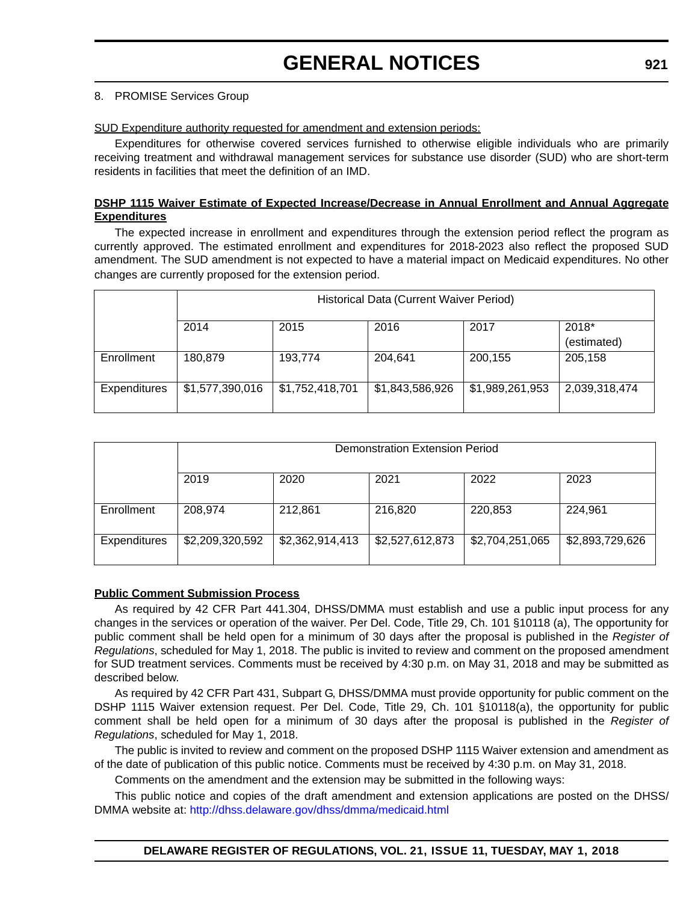#### 8. PROMISE Services Group

#### SUD Expenditure authority requested for amendment and extension periods:

Expenditures for otherwise covered services furnished to otherwise eligible individuals who are primarily receiving treatment and withdrawal management services for substance use disorder (SUD) who are short-term residents in facilities that meet the definition of an IMD.

#### **DSHP 1115 Waiver Estimate of Expected Increase/Decrease in Annual Enrollment and Annual Aggregate Expenditures**

The expected increase in enrollment and expenditures through the extension period reflect the program as currently approved. The estimated enrollment and expenditures for 2018-2023 also reflect the proposed SUD amendment. The SUD amendment is not expected to have a material impact on Medicaid expenditures. No other changes are currently proposed for the extension period.

|              | Historical Data (Current Waiver Period) |                 |                 |                 |               |  |  |  |  |
|--------------|-----------------------------------------|-----------------|-----------------|-----------------|---------------|--|--|--|--|
|              | 2014                                    | 2015            | 2016            | 2017            | 2018*         |  |  |  |  |
|              |                                         |                 |                 |                 | (estimated)   |  |  |  |  |
| Enrollment   | 180,879                                 | 193,774         | 204,641         | 200,155         | 205,158       |  |  |  |  |
| Expenditures | \$1,577,390,016                         | \$1,752,418,701 | \$1,843,586,926 | \$1,989,261,953 | 2,039,318,474 |  |  |  |  |

|              | <b>Demonstration Extension Period</b> |                 |                 |                 |                 |
|--------------|---------------------------------------|-----------------|-----------------|-----------------|-----------------|
|              | 2019                                  | 2020            | 2021            | 2022            | 2023            |
| Enrollment   | 208,974                               | 212,861         | 216,820         | 220,853         | 224,961         |
| Expenditures | \$2,209,320,592                       | \$2,362,914,413 | \$2,527,612,873 | \$2,704,251,065 | \$2,893,729,626 |

#### **Public Comment Submission Process**

As required by 42 CFR Part 441.304, DHSS/DMMA must establish and use a public input process for any changes in the services or operation of the waiver. Per Del. Code, Title 29, Ch. 101 §10118 (a), The opportunity for public comment shall be held open for a minimum of 30 days after the proposal is published in the *Register of Regulations*, scheduled for May 1, 2018. The public is invited to review and comment on the proposed amendment for SUD treatment services. Comments must be received by 4:30 p.m. on May 31, 2018 and may be submitted as described below.

As required by 42 CFR Part 431, Subpart G, DHSS/DMMA must provide opportunity for public comment on the DSHP 1115 Waiver extension request. Per Del. Code, Title 29, Ch. 101 §10118(a), the opportunity for public comment shall be held open for a minimum of 30 days after the proposal is published in the *Register of Regulations*, scheduled for May 1, 2018.

The public is invited to review and comment on the proposed DSHP 1115 Waiver extension and amendment as of the date of publication of this public notice. Comments must be received by 4:30 p.m. on May 31, 2018.

Comments on the amendment and the extension may be submitted in the following ways:

[This public notice and copies of the draft amendment and extension applications are posted on the DHSS/](http://dhss.delaware.gov/dhss/dmma/medicaid.html) [DMMA website at: h](http://dhss.delaware.gov/dhss/dmma/medicaid.html)ttp://dhss.delaware.gov/dhss/dmma/medicaid.html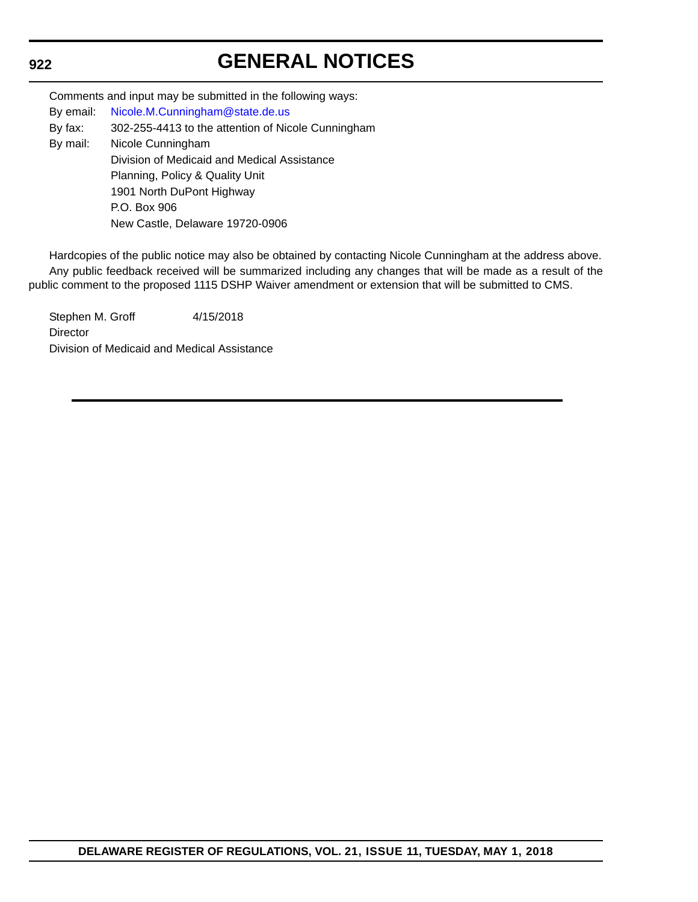# **GENERAL NOTICES**

|           | Comments and input may be submitted in the following ways: |  |  |  |
|-----------|------------------------------------------------------------|--|--|--|
| By email: | Nicole.M.Cunningham@state.de.us                            |  |  |  |
| By fax:   | 302-255-4413 to the attention of Nicole Cunningham         |  |  |  |
| By mail:  | Nicole Cunningham                                          |  |  |  |
|           | Division of Medicaid and Medical Assistance                |  |  |  |
|           | Planning, Policy & Quality Unit                            |  |  |  |
|           | 1901 North DuPont Highway                                  |  |  |  |
|           | P.O. Box 906                                               |  |  |  |
|           | New Castle, Delaware 19720-0906                            |  |  |  |

Hardcopies of the public notice may also be obtained by contacting Nicole Cunningham at the address above. Any public feedback received will be summarized including any changes that will be made as a result of the public comment to the proposed 1115 DSHP Waiver amendment or extension that will be submitted to CMS.

Stephen M. Groff 4/15/2018 **Director** Division of Medicaid and Medical Assistance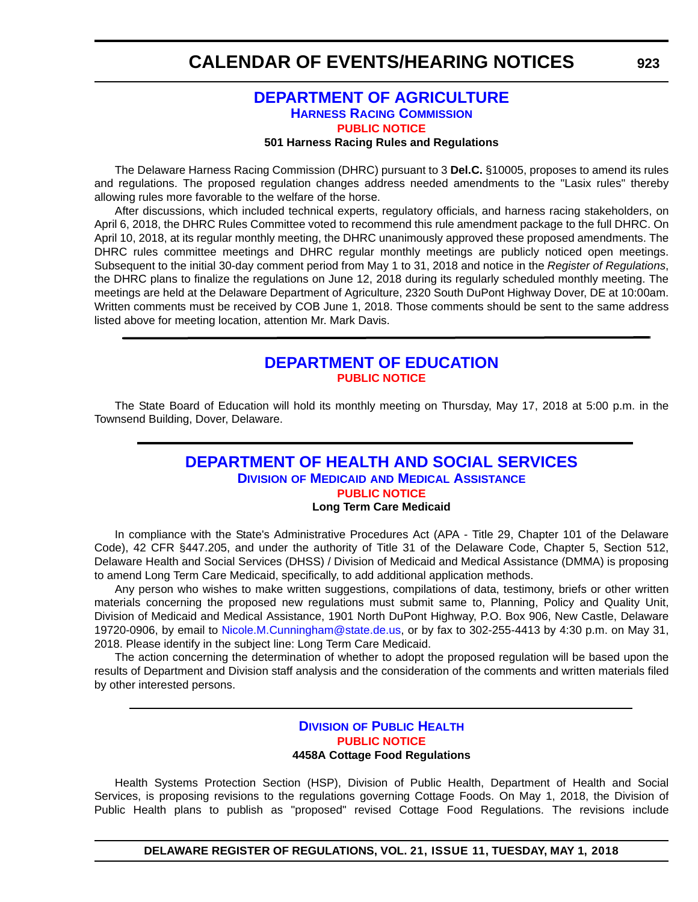## **CALENDAR OF EVENTS/HEARING NOTICES**

## **[DEPARTMENT OF AGRICULTURE](https://agriculture.delaware.gov/harness-racing-commission/) [HARNESS RACING COMMISSION](https://agriculture.delaware.gov/harness-racing-commission/) [PUBLIC NOTICE](#page-4-0)**

#### **501 Harness Racing Rules and Regulations**

The Delaware Harness Racing Commission (DHRC) pursuant to 3 **Del.C.** §10005, proposes to amend its rules and regulations. The proposed regulation changes address needed amendments to the "Lasix rules" thereby allowing rules more favorable to the welfare of the horse.

After discussions, which included technical experts, regulatory officials, and harness racing stakeholders, on April 6, 2018, the DHRC Rules Committee voted to recommend this rule amendment package to the full DHRC. On April 10, 2018, at its regular monthly meeting, the DHRC unanimously approved these proposed amendments. The DHRC rules committee meetings and DHRC regular monthly meetings are publicly noticed open meetings. Subsequent to the initial 30-day comment period from May 1 to 31, 2018 and notice in the *Register of Regulations*, the DHRC plans to finalize the regulations on June 12, 2018 during its regularly scheduled monthly meeting. The meetings are held at the Delaware Department of Agriculture, 2320 South DuPont Highway Dover, DE at 10:00am. Written comments must be received by COB June 1, 2018. Those comments should be sent to the same address listed above for meeting location, attention Mr. Mark Davis.

## **[DEPARTMENT OF EDUCATION](https://www.doe.k12.de.us/) [PUBLIC NOTICE](#page-4-0)**

The State Board of Education will hold its monthly meeting on Thursday, May 17, 2018 at 5:00 p.m. in the Townsend Building, Dover, Delaware.

### **[DEPARTMENT OF HEALTH AND SOCIAL SERVICES](http://www.dhss.delaware.gov/dhss/dmma/) DIVISION OF MEDICAID [AND MEDICAL ASSISTANCE](http://www.dhss.delaware.gov/dhss/dmma/) [PUBLIC NOTICE](#page-4-0) Long Term Care Medicaid**

In compliance with the State's Administrative Procedures Act (APA - Title 29, Chapter 101 of the Delaware Code), 42 CFR §447.205, and under the authority of Title 31 of the Delaware Code, Chapter 5, Section 512, Delaware Health and Social Services (DHSS) / Division of Medicaid and Medical Assistance (DMMA) is proposing to amend Long Term Care Medicaid, specifically, to add additional application methods.

Any person who wishes to make written suggestions, compilations of data, testimony, briefs or other written materials concerning the proposed new regulations must submit same to, Planning, Policy and Quality Unit, Division of Medicaid and Medical Assistance, 1901 North DuPont Highway, P.O. Box 906, New Castle, Delaware 19720-0906, by email to [Nicole.M.Cunningham@state.de.us,](mailto:Nicole.M.Cunningham@state.de.us) or by fax to 302-255-4413 by 4:30 p.m. on May 31, 2018. Please identify in the subject line: Long Term Care Medicaid.

The action concerning the determination of whether to adopt the proposed regulation will be based upon the results of Department and Division staff analysis and the consideration of the comments and written materials filed by other interested persons.

### **DIVISION [OF PUBLIC HEALTH](http://www.dhss.delaware.gov/dhss/dph/index.html) [PUBLIC NOTICE](#page-4-0) 4458A Cottage Food Regulations**

Health Systems Protection Section (HSP), Division of Public Health, Department of Health and Social Services, is proposing revisions to the regulations governing Cottage Foods. On May 1, 2018, the Division of Public Health plans to publish as "proposed" revised Cottage Food Regulations. The revisions include

**DELAWARE REGISTER OF REGULATIONS, VOL. 21, ISSUE 11, TUESDAY, MAY 1, 2018**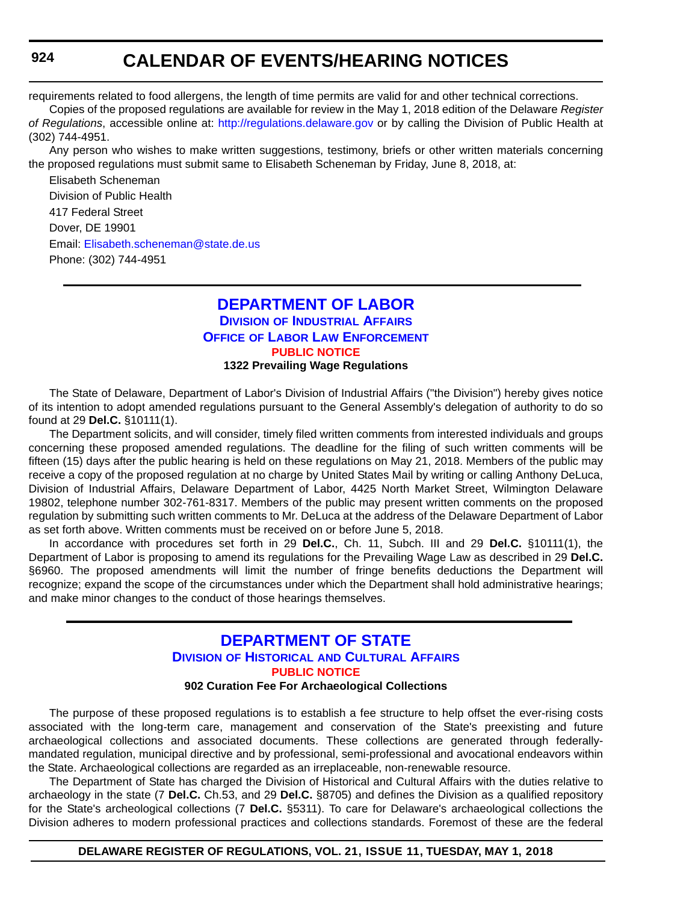## **CALENDAR OF EVENTS/HEARING NOTICES**

requirements related to food allergens, the length of time permits are valid for and other technical corrections.

Copies of the proposed regulations are available for review in the May 1, 2018 edition of the Delaware *Register of Regulations*, accessible online at: <http://regulations.delaware.gov>or by calling the Division of Public Health at (302) 744-4951.

Any person who wishes to make written suggestions, testimony, briefs or other written materials concerning the proposed regulations must submit same to Elisabeth Scheneman by Friday, June 8, 2018, at:

Elisabeth Scheneman Division of Public Health 417 Federal Street Dover, DE 19901 Email: [Elisabeth.scheneman@state.de.us](mailto:Elisabeth.scheneman@state.de.us) Phone: (302) 744-4951

### **[DEPARTMENT OF LABOR](https://dia.delawareworks.com/) DIVISION [OF INDUSTRIAL AFFAIRS](https://dia.delawareworks.com/) OFFICE OF LABOR LAW ENFORCEMENT [PUBLIC NOTICE](#page-4-0) 1322 Prevailing Wage Regulations**

The State of Delaware, Department of Labor's Division of Industrial Affairs ("the Division") hereby gives notice of its intention to adopt amended regulations pursuant to the General Assembly's delegation of authority to do so found at 29 **Del.C.** §10111(1).

The Department solicits, and will consider, timely filed written comments from interested individuals and groups concerning these proposed amended regulations. The deadline for the filing of such written comments will be fifteen (15) days after the public hearing is held on these regulations on May 21, 2018. Members of the public may receive a copy of the proposed regulation at no charge by United States Mail by writing or calling Anthony DeLuca, Division of Industrial Affairs, Delaware Department of Labor, 4425 North Market Street, Wilmington Delaware 19802, telephone number 302-761-8317. Members of the public may present written comments on the proposed regulation by submitting such written comments to Mr. DeLuca at the address of the Delaware Department of Labor as set forth above. Written comments must be received on or before June 5, 2018.

In accordance with procedures set forth in 29 **Del.C.**, Ch. 11, Subch. III and 29 **Del.C.** §10111(1), the Department of Labor is proposing to amend its regulations for the Prevailing Wage Law as described in 29 **Del.C.** §6960. The proposed amendments will limit the number of fringe benefits deductions the Department will recognize; expand the scope of the circumstances under which the Department shall hold administrative hearings; and make minor changes to the conduct of those hearings themselves.

## **[DEPARTMENT OF STATE](https://history.delaware.gov/) DIVISION OF HISTORICAL [AND CULTURAL AFFAIRS](https://history.delaware.gov/) [PUBLIC NOTICE](#page-4-0)**

#### **902 Curation Fee For Archaeological Collections**

The purpose of these proposed regulations is to establish a fee structure to help offset the ever-rising costs associated with the long-term care, management and conservation of the State's preexisting and future archaeological collections and associated documents. These collections are generated through federallymandated regulation, municipal directive and by professional, semi-professional and avocational endeavors within the State. Archaeological collections are regarded as an irreplaceable, non-renewable resource.

The Department of State has charged the Division of Historical and Cultural Affairs with the duties relative to archaeology in the state (7 **Del.C.** Ch.53, and 29 **Del.C.** §8705) and defines the Division as a qualified repository for the State's archeological collections (7 **Del.C.** §5311). To care for Delaware's archaeological collections the Division adheres to modern professional practices and collections standards. Foremost of these are the federal